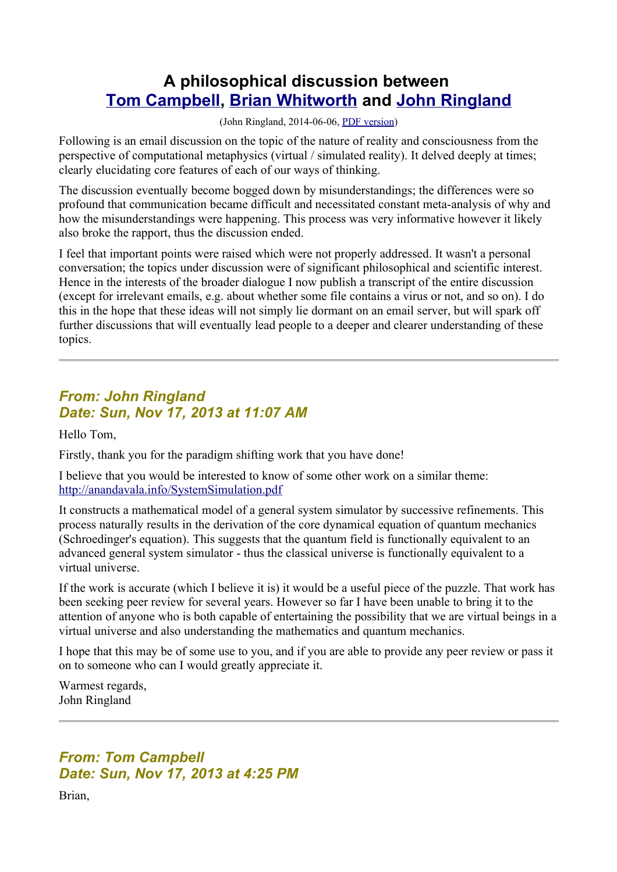# **A philosophical discussion between [Tom Campbell,](http://www.my-big-toe.com/) [Brian Whitworth](http://brianwhitworth.com/) and [John Ringland](http://www.anandavala.info/)**

(John Ringland, 2014-06-06, [PDF version\)](http://www.anandavala.info/miscl/transcript/Transcript.pdf)

Following is an email discussion on the topic of the nature of reality and consciousness from the perspective of computational metaphysics (virtual / simulated reality). It delved deeply at times; clearly elucidating core features of each of our ways of thinking.

The discussion eventually become bogged down by misunderstandings; the differences were so profound that communication became difficult and necessitated constant meta-analysis of why and how the misunderstandings were happening. This process was very informative however it likely also broke the rapport, thus the discussion ended.

I feel that important points were raised which were not properly addressed. It wasn't a personal conversation; the topics under discussion were of significant philosophical and scientific interest. Hence in the interests of the broader dialogue I now publish a transcript of the entire discussion (except for irrelevant emails, e.g. about whether some file contains a virus or not, and so on). I do this in the hope that these ideas will not simply lie dormant on an email server, but will spark off further discussions that will eventually lead people to a deeper and clearer understanding of these topics.

## *From: John Ringland Date: Sun, Nov 17, 2013 at 11:07 AM*

Hello Tom,

Firstly, thank you for the paradigm shifting work that you have done!

I believe that you would be interested to know of some other work on a similar theme: <http://anandavala.info/SystemSimulation.pdf>

It constructs a mathematical model of a general system simulator by successive refinements. This process naturally results in the derivation of the core dynamical equation of quantum mechanics (Schroedinger's equation). This suggests that the quantum field is functionally equivalent to an advanced general system simulator - thus the classical universe is functionally equivalent to a virtual universe.

If the work is accurate (which I believe it is) it would be a useful piece of the puzzle. That work has been seeking peer review for several years. However so far I have been unable to bring it to the attention of anyone who is both capable of entertaining the possibility that we are virtual beings in a virtual universe and also understanding the mathematics and quantum mechanics.

I hope that this may be of some use to you, and if you are able to provide any peer review or pass it on to someone who can I would greatly appreciate it.

Warmest regards, John Ringland

# *From: Tom Campbell Date: Sun, Nov 17, 2013 at 4:25 PM*

Brian,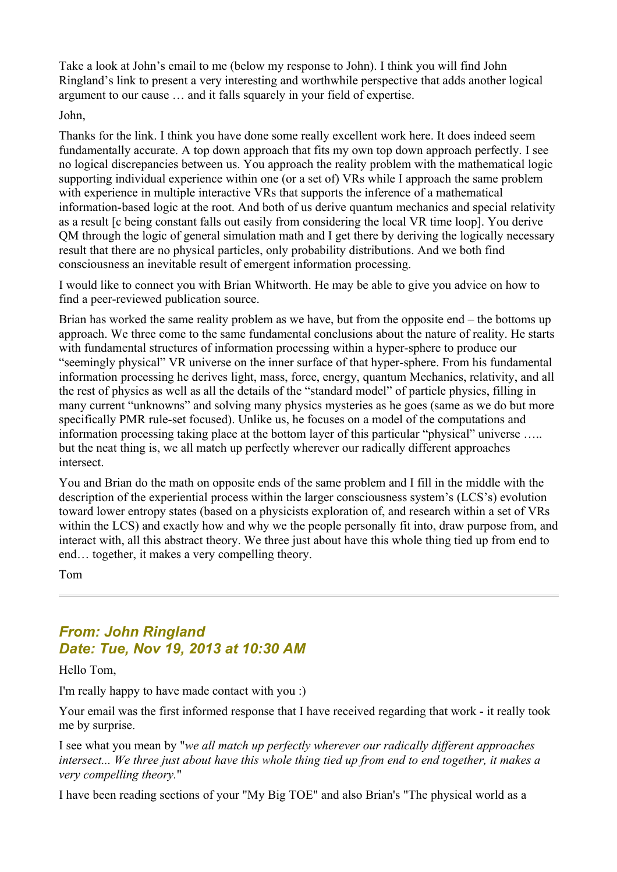Take a look at John's email to me (below my response to John). I think you will find John Ringland's link to present a very interesting and worthwhile perspective that adds another logical argument to our cause … and it falls squarely in your field of expertise.

John,

Thanks for the link. I think you have done some really excellent work here. It does indeed seem fundamentally accurate. A top down approach that fits my own top down approach perfectly. I see no logical discrepancies between us. You approach the reality problem with the mathematical logic supporting individual experience within one (or a set of) VRs while I approach the same problem with experience in multiple interactive VRs that supports the inference of a mathematical information-based logic at the root. And both of us derive quantum mechanics and special relativity as a result [c being constant falls out easily from considering the local VR time loop]. You derive QM through the logic of general simulation math and I get there by deriving the logically necessary result that there are no physical particles, only probability distributions. And we both find consciousness an inevitable result of emergent information processing.

I would like to connect you with Brian Whitworth. He may be able to give you advice on how to find a peer-reviewed publication source.

Brian has worked the same reality problem as we have, but from the opposite end – the bottoms up approach. We three come to the same fundamental conclusions about the nature of reality. He starts with fundamental structures of information processing within a hyper-sphere to produce our "seemingly physical" VR universe on the inner surface of that hyper-sphere. From his fundamental information processing he derives light, mass, force, energy, quantum Mechanics, relativity, and all the rest of physics as well as all the details of the "standard model" of particle physics, filling in many current "unknowns" and solving many physics mysteries as he goes (same as we do but more specifically PMR rule-set focused). Unlike us, he focuses on a model of the computations and information processing taking place at the bottom layer of this particular "physical" universe ….. but the neat thing is, we all match up perfectly wherever our radically different approaches intersect.

You and Brian do the math on opposite ends of the same problem and I fill in the middle with the description of the experiential process within the larger consciousness system's (LCS's) evolution toward lower entropy states (based on a physicists exploration of, and research within a set of VRs within the LCS) and exactly how and why we the people personally fit into, draw purpose from, and interact with, all this abstract theory. We three just about have this whole thing tied up from end to end… together, it makes a very compelling theory.

Tom

## *From: John Ringland Date: Tue, Nov 19, 2013 at 10:30 AM*

Hello Tom,

I'm really happy to have made contact with you :)

Your email was the first informed response that I have received regarding that work - it really took me by surprise.

I see what you mean by "*we all match up perfectly wherever our radically different approaches intersect... We three just about have this whole thing tied up from end to end together, it makes a very compelling theory.*"

I have been reading sections of your "My Big TOE" and also Brian's "The physical world as a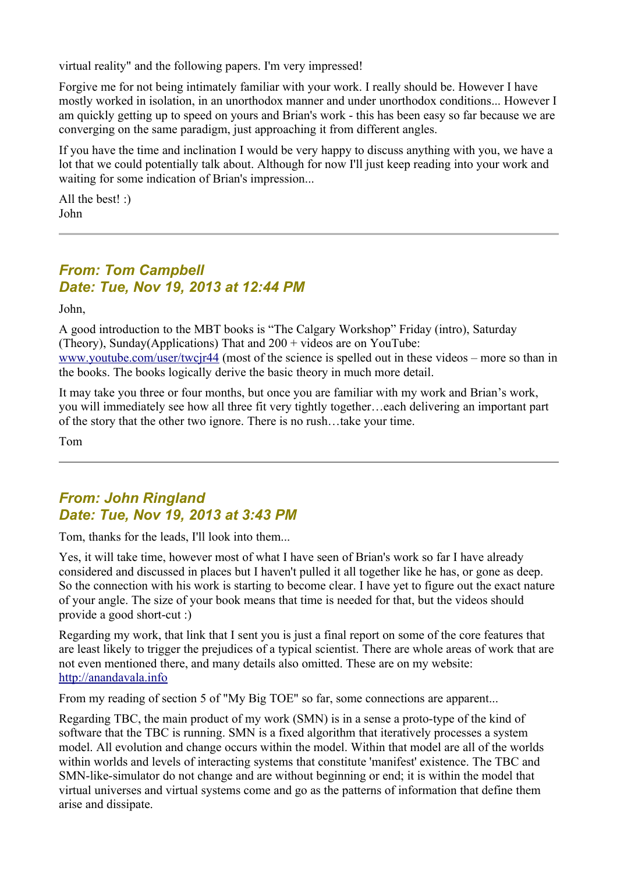virtual reality" and the following papers. I'm very impressed!

Forgive me for not being intimately familiar with your work. I really should be. However I have mostly worked in isolation, in an unorthodox manner and under unorthodox conditions... However I am quickly getting up to speed on yours and Brian's work - this has been easy so far because we are converging on the same paradigm, just approaching it from different angles.

If you have the time and inclination I would be very happy to discuss anything with you, we have a lot that we could potentially talk about. Although for now I'll just keep reading into your work and waiting for some indication of Brian's impression...

All the best! :) John

## *From: Tom Campbell Date: Tue, Nov 19, 2013 at 12:44 PM*

John,

A good introduction to the MBT books is "The Calgary Workshop" Friday (intro), Saturday (Theory), Sunday(Applications) That and 200 + videos are on YouTube: [www.youtube.com/user/twcjr44](http://www.youtube.com/user/twcjr44) (most of the science is spelled out in these videos – more so than in the books. The books logically derive the basic theory in much more detail.

It may take you three or four months, but once you are familiar with my work and Brian's work, you will immediately see how all three fit very tightly together…each delivering an important part of the story that the other two ignore. There is no rush…take your time.

Tom

## *From: John Ringland Date: Tue, Nov 19, 2013 at 3:43 PM*

Tom, thanks for the leads, I'll look into them...

Yes, it will take time, however most of what I have seen of Brian's work so far I have already considered and discussed in places but I haven't pulled it all together like he has, or gone as deep. So the connection with his work is starting to become clear. I have yet to figure out the exact nature of your angle. The size of your book means that time is needed for that, but the videos should provide a good short-cut :)

Regarding my work, that link that I sent you is just a final report on some of the core features that are least likely to trigger the prejudices of a typical scientist. There are whole areas of work that are not even mentioned there, and many details also omitted. These are on my website: [http://anandavala.info](http://anandavala.info/)

From my reading of section 5 of "My Big TOE" so far, some connections are apparent...

Regarding TBC, the main product of my work (SMN) is in a sense a proto-type of the kind of software that the TBC is running. SMN is a fixed algorithm that iteratively processes a system model. All evolution and change occurs within the model. Within that model are all of the worlds within worlds and levels of interacting systems that constitute 'manifest' existence. The TBC and SMN-like-simulator do not change and are without beginning or end; it is within the model that virtual universes and virtual systems come and go as the patterns of information that define them arise and dissipate.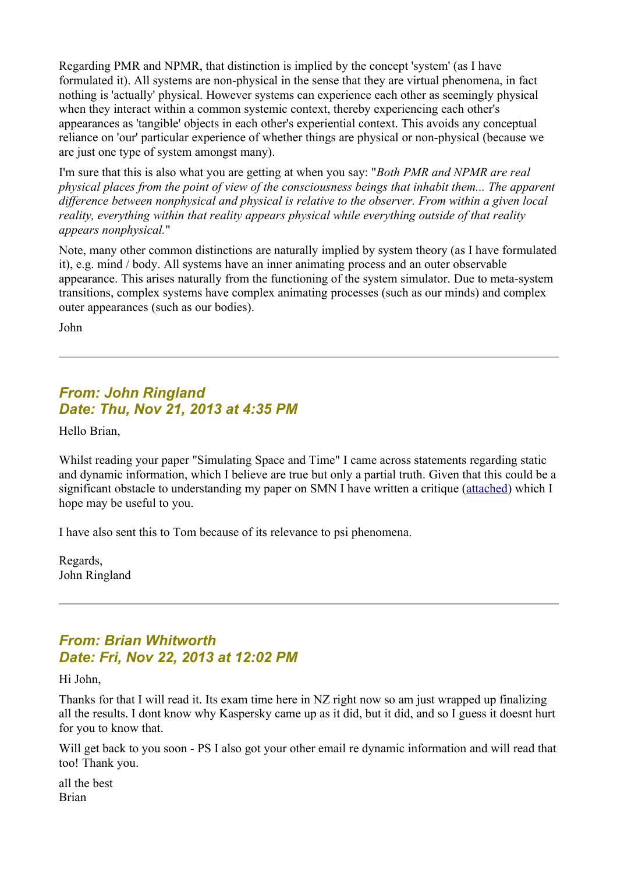Regarding PMR and NPMR, that distinction is implied by the concept 'system' (as I have formulated it). All systems are non-physical in the sense that they are virtual phenomena, in fact nothing is 'actually' physical. However systems can experience each other as seemingly physical when they interact within a common systemic context, thereby experiencing each other's appearances as 'tangible' objects in each other's experiential context. This avoids any conceptual reliance on 'our' particular experience of whether things are physical or non-physical (because we are just one type of system amongst many).

I'm sure that this is also what you are getting at when you say: "*Both PMR and NPMR are real physical places from the point of view of the consciousness beings that inhabit them... The apparent difference between nonphysical and physical is relative to the observer. From within a given local reality, everything within that reality appears physical while everything outside of that reality appears nonphysical.*"

Note, many other common distinctions are naturally implied by system theory (as I have formulated it), e.g. mind / body. All systems have an inner animating process and an outer observable appearance. This arises naturally from the functioning of the system simulator. Due to meta-system transitions, complex systems have complex animating processes (such as our minds) and complex outer appearances (such as our bodies).

John

## *From: John Ringland Date: Thu, Nov 21, 2013 at 4:35 PM*

Hello Brian,

Whilst reading your paper "Simulating Space and Time" I came across statements regarding static and dynamic information, which I believe are true but only a partial truth. Given that this could be a significant obstacle to understanding my paper on SMN I have written a critique [\(attached\)](http://www.anandavala.info/miscl/transcript/Comments%20regarding%20Brian%20Whitworth) which I hope may be useful to you.

I have also sent this to Tom because of its relevance to psi phenomena.

Regards, John Ringland

# *From: Brian Whitworth Date: Fri, Nov 22, 2013 at 12:02 PM*

Hi John,

Thanks for that I will read it. Its exam time here in NZ right now so am just wrapped up finalizing all the results. I dont know why Kaspersky came up as it did, but it did, and so I guess it doesnt hurt for you to know that.

Will get back to you soon - PS I also got your other email re dynamic information and will read that too! Thank you.

all the best Brian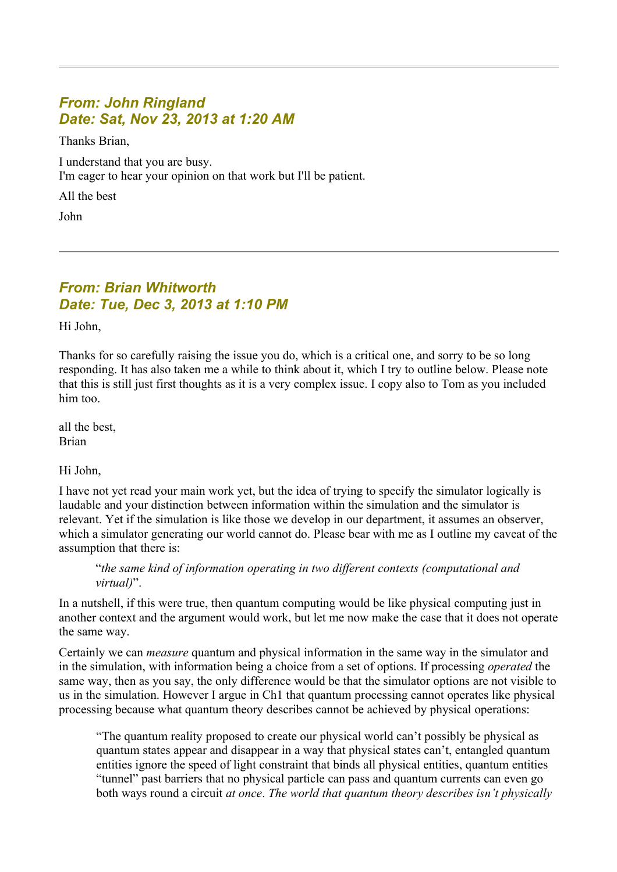## *From: John Ringland Date: Sat, Nov 23, 2013 at 1:20 AM*

Thanks Brian,

I understand that you are busy. I'm eager to hear your opinion on that work but I'll be patient.

All the best

John

## *From: Brian Whitworth Date: Tue, Dec 3, 2013 at 1:10 PM*

Hi John,

Thanks for so carefully raising the issue you do, which is a critical one, and sorry to be so long responding. It has also taken me a while to think about it, which I try to outline below. Please note that this is still just first thoughts as it is a very complex issue. I copy also to Tom as you included him too.

all the best, Brian

Hi John,

I have not yet read your main work yet, but the idea of trying to specify the simulator logically is laudable and your distinction between information within the simulation and the simulator is relevant. Yet if the simulation is like those we develop in our department, it assumes an observer, which a simulator generating our world cannot do. Please bear with me as I outline my caveat of the assumption that there is:

"*the same kind of information operating in two different contexts (computational and virtual)*".

In a nutshell, if this were true, then quantum computing would be like physical computing just in another context and the argument would work, but let me now make the case that it does not operate the same way.

Certainly we can *measure* quantum and physical information in the same way in the simulator and in the simulation, with information being a choice from a set of options. If processing *operated* the same way, then as you say, the only difference would be that the simulator options are not visible to us in the simulation. However I argue in Ch1 that quantum processing cannot operates like physical processing because what quantum theory describes cannot be achieved by physical operations:

"The quantum reality proposed to create our physical world can't possibly be physical as quantum states appear and disappear in a way that physical states can't, entangled quantum entities ignore the speed of light constraint that binds all physical entities, quantum entities "tunnel" past barriers that no physical particle can pass and quantum currents can even go both ways round a circuit *at once*. *The world that quantum theory describes isn't physically*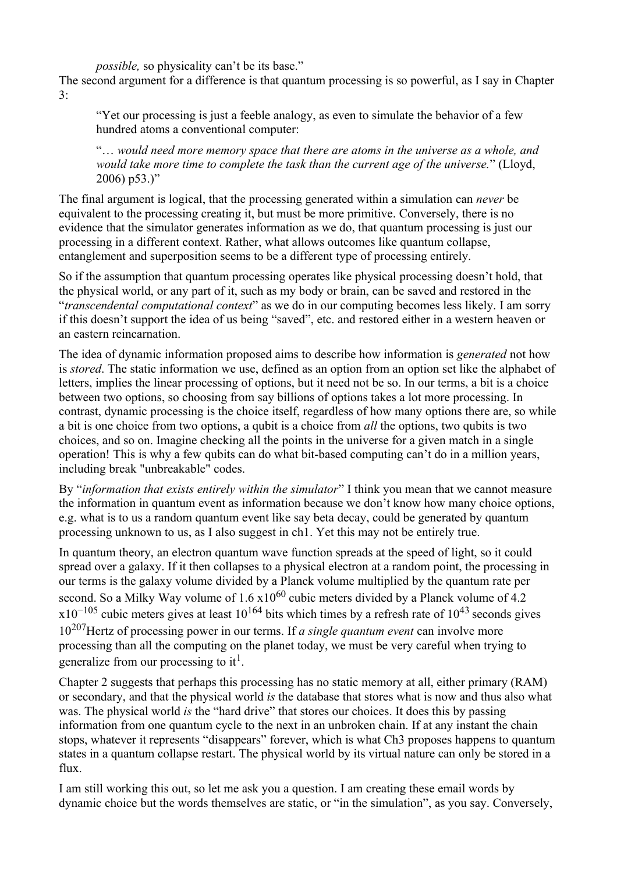*possible,* so physicality can't be its base."

The second argument for a difference is that quantum processing is so powerful, as I say in Chapter 3:

"Yet our processing is just a feeble analogy, as even to simulate the behavior of a few hundred atoms a conventional computer:

"… *would need more memory space that there are atoms in the universe as a whole, and would take more time to complete the task than the current age of the universe.*" (Lloyd,  $2006$ )  $p53.$ )"

The final argument is logical, that the processing generated within a simulation can *never* be equivalent to the processing creating it, but must be more primitive. Conversely, there is no evidence that the simulator generates information as we do, that quantum processing is just our processing in a different context. Rather, what allows outcomes like quantum collapse, entanglement and superposition seems to be a different type of processing entirely.

So if the assumption that quantum processing operates like physical processing doesn't hold, that the physical world, or any part of it, such as my body or brain, can be saved and restored in the "*transcendental computational context*" as we do in our computing becomes less likely. I am sorry if this doesn't support the idea of us being "saved", etc. and restored either in a western heaven or an eastern reincarnation.

The idea of dynamic information proposed aims to describe how information is *generated* not how is *stored*. The static information we use, defined as an option from an option set like the alphabet of letters, implies the linear processing of options, but it need not be so. In our terms, a bit is a choice between two options, so choosing from say billions of options takes a lot more processing. In contrast, dynamic processing is the choice itself, regardless of how many options there are, so while a bit is one choice from two options, a qubit is a choice from *all* the options, two qubits is two choices, and so on. Imagine checking all the points in the universe for a given match in a single operation! This is why a few qubits can do what bit-based computing can't do in a million years, including break "unbreakable" codes.

By "*information that exists entirely within the simulator*" I think you mean that we cannot measure the information in quantum event as information because we don't know how many choice options, e.g. what is to us a random quantum event like say beta decay, could be generated by quantum processing unknown to us, as I also suggest in ch1. Yet this may not be entirely true.

In quantum theory, an electron quantum wave function spreads at the speed of light, so it could spread over a galaxy. If it then collapses to a physical electron at a random point, the processing in our terms is the galaxy volume divided by a Planck volume multiplied by the quantum rate per second. So a Milky Way volume of  $1.6 \times 10^{60}$  cubic meters divided by a Planck volume of 4.2  $x10^{-105}$  cubic meters gives at least  $10^{164}$  bits which times by a refresh rate of  $10^{43}$  seconds gives 10207Hertz of processing power in our terms. If *a single quantum event* can involve more processing than all the computing on the planet today, we must be very careful when trying to generalize from our processing to it<sup>1</sup>.

Chapter 2 suggests that perhaps this processing has no static memory at all, either primary (RAM) or secondary, and that the physical world *is* the database that stores what is now and thus also what was. The physical world *is* the "hard drive" that stores our choices. It does this by passing information from one quantum cycle to the next in an unbroken chain. If at any instant the chain stops, whatever it represents "disappears" forever, which is what Ch3 proposes happens to quantum states in a quantum collapse restart. The physical world by its virtual nature can only be stored in a flux.

I am still working this out, so let me ask you a question. I am creating these email words by dynamic choice but the words themselves are static, or "in the simulation", as you say. Conversely,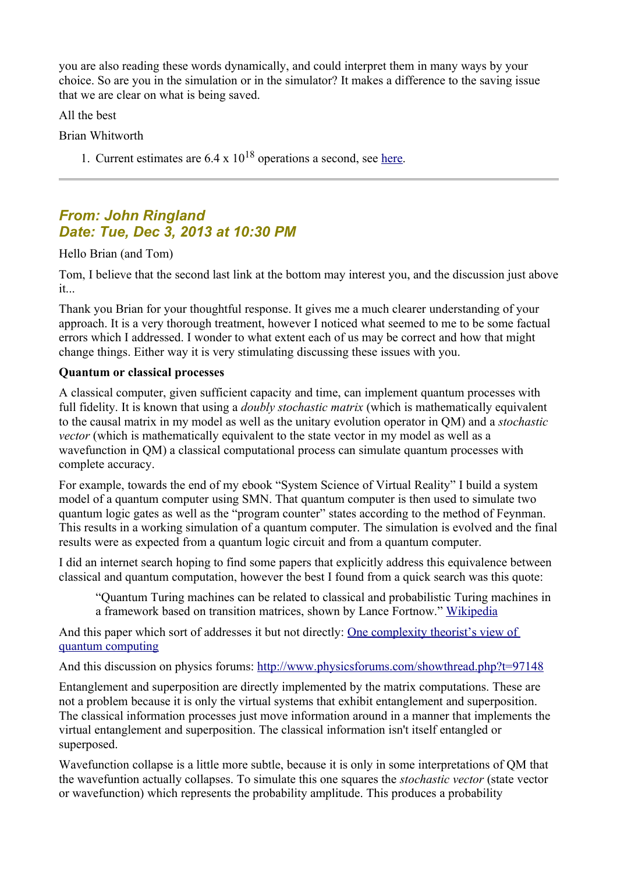you are also reading these words dynamically, and could interpret them in many ways by your choice. So are you in the simulation or in the simulator? It makes a difference to the saving issue that we are clear on what is being saved.

All the best

Brian Whitworth

1. Current estimates are  $6.4 \times 10^{18}$  operations a second, see [here.](http://arstechnica.com/science/2011/02/adding-up-the-worlds-storage-and-computation-capacities/)

# *From: John Ringland Date: Tue, Dec 3, 2013 at 10:30 PM*

Hello Brian (and Tom)

Tom, I believe that the second last link at the bottom may interest you, and the discussion just above it...

Thank you Brian for your thoughtful response. It gives me a much clearer understanding of your approach. It is a very thorough treatment, however I noticed what seemed to me to be some factual errors which I addressed. I wonder to what extent each of us may be correct and how that might change things. Either way it is very stimulating discussing these issues with you.

### **Quantum or classical processes**

A classical computer, given sufficient capacity and time, can implement quantum processes with full fidelity. It is known that using a *doubly stochastic matrix* (which is mathematically equivalent to the causal matrix in my model as well as the unitary evolution operator in QM) and a *stochastic vector* (which is mathematically equivalent to the state vector in my model as well as a wavefunction in QM) a classical computational process can simulate quantum processes with complete accuracy.

For example, towards the end of my ebook "System Science of Virtual Reality" I build a system model of a quantum computer using SMN. That quantum computer is then used to simulate two quantum logic gates as well as the "program counter" states according to the method of Feynman. This results in a working simulation of a quantum computer. The simulation is evolved and the final results were as expected from a quantum logic circuit and from a quantum computer.

I did an internet search hoping to find some papers that explicitly address this equivalence between classical and quantum computation, however the best I found from a quick search was this quote:

"Quantum Turing machines can be related to classical and probabilistic Turing machines in a framework based on transition matrices, shown by Lance Fortnow." [Wikipedia](https://en.wikipedia.org/wiki/Quantum_Turing_machine)

And this paper which sort of addresses it but not directly: [One complexity theorist's view of](http://ac.els-cdn.com/S0304397501003772/1-s2.0-S0304397501003772-main.pdf?_tid=8cbad162-5be9-11e3-9bee-00000aab0f6b&acdnat=1386054619_f53fef59e0b300bae5a0e1cc9cab80cc)  [quantum computing](http://ac.els-cdn.com/S0304397501003772/1-s2.0-S0304397501003772-main.pdf?_tid=8cbad162-5be9-11e3-9bee-00000aab0f6b&acdnat=1386054619_f53fef59e0b300bae5a0e1cc9cab80cc)

And this discussion on physics forums:<http://www.physicsforums.com/showthread.php?t=97148>

Entanglement and superposition are directly implemented by the matrix computations. These are not a problem because it is only the virtual systems that exhibit entanglement and superposition. The classical information processes just move information around in a manner that implements the virtual entanglement and superposition. The classical information isn't itself entangled or superposed.

Wavefunction collapse is a little more subtle, because it is only in some interpretations of QM that the wavefuntion actually collapses. To simulate this one squares the *stochastic vector* (state vector or wavefunction) which represents the probability amplitude. This produces a probability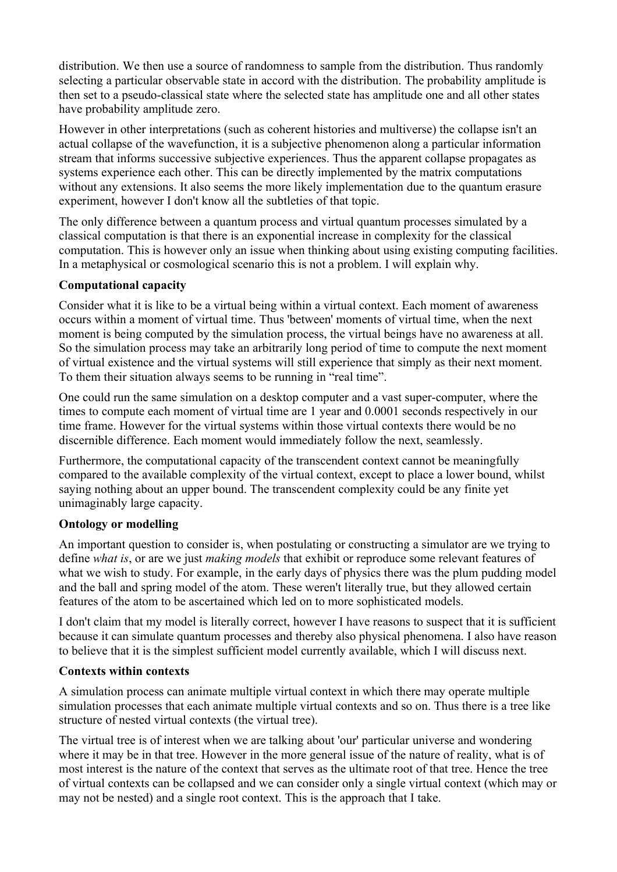distribution. We then use a source of randomness to sample from the distribution. Thus randomly selecting a particular observable state in accord with the distribution. The probability amplitude is then set to a pseudo-classical state where the selected state has amplitude one and all other states have probability amplitude zero.

However in other interpretations (such as coherent histories and multiverse) the collapse isn't an actual collapse of the wavefunction, it is a subjective phenomenon along a particular information stream that informs successive subjective experiences. Thus the apparent collapse propagates as systems experience each other. This can be directly implemented by the matrix computations without any extensions. It also seems the more likely implementation due to the quantum erasure experiment, however I don't know all the subtleties of that topic.

The only difference between a quantum process and virtual quantum processes simulated by a classical computation is that there is an exponential increase in complexity for the classical computation. This is however only an issue when thinking about using existing computing facilities. In a metaphysical or cosmological scenario this is not a problem. I will explain why.

### **Computational capacity**

Consider what it is like to be a virtual being within a virtual context. Each moment of awareness occurs within a moment of virtual time. Thus 'between' moments of virtual time, when the next moment is being computed by the simulation process, the virtual beings have no awareness at all. So the simulation process may take an arbitrarily long period of time to compute the next moment of virtual existence and the virtual systems will still experience that simply as their next moment. To them their situation always seems to be running in "real time".

One could run the same simulation on a desktop computer and a vast super-computer, where the times to compute each moment of virtual time are 1 year and 0.0001 seconds respectively in our time frame. However for the virtual systems within those virtual contexts there would be no discernible difference. Each moment would immediately follow the next, seamlessly.

Furthermore, the computational capacity of the transcendent context cannot be meaningfully compared to the available complexity of the virtual context, except to place a lower bound, whilst saying nothing about an upper bound. The transcendent complexity could be any finite yet unimaginably large capacity.

#### **Ontology or modelling**

An important question to consider is, when postulating or constructing a simulator are we trying to define *what is*, or are we just *making models* that exhibit or reproduce some relevant features of what we wish to study. For example, in the early days of physics there was the plum pudding model and the ball and spring model of the atom. These weren't literally true, but they allowed certain features of the atom to be ascertained which led on to more sophisticated models.

I don't claim that my model is literally correct, however I have reasons to suspect that it is sufficient because it can simulate quantum processes and thereby also physical phenomena. I also have reason to believe that it is the simplest sufficient model currently available, which I will discuss next.

#### **Contexts within contexts**

A simulation process can animate multiple virtual context in which there may operate multiple simulation processes that each animate multiple virtual contexts and so on. Thus there is a tree like structure of nested virtual contexts (the virtual tree).

The virtual tree is of interest when we are talking about 'our' particular universe and wondering where it may be in that tree. However in the more general issue of the nature of reality, what is of most interest is the nature of the context that serves as the ultimate root of that tree. Hence the tree of virtual contexts can be collapsed and we can consider only a single virtual context (which may or may not be nested) and a single root context. This is the approach that I take.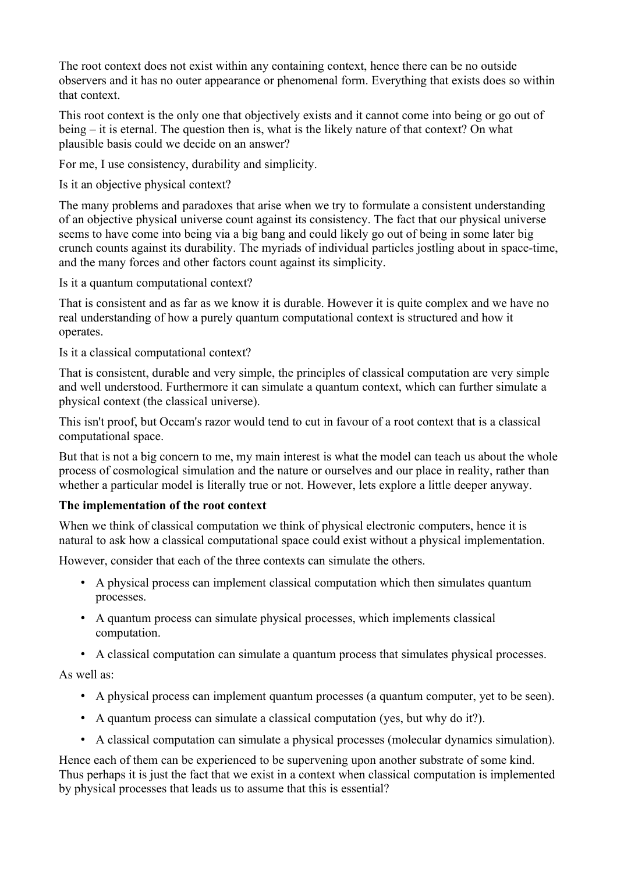The root context does not exist within any containing context, hence there can be no outside observers and it has no outer appearance or phenomenal form. Everything that exists does so within that context.

This root context is the only one that objectively exists and it cannot come into being or go out of being – it is eternal. The question then is, what is the likely nature of that context? On what plausible basis could we decide on an answer?

For me, I use consistency, durability and simplicity.

Is it an objective physical context?

The many problems and paradoxes that arise when we try to formulate a consistent understanding of an objective physical universe count against its consistency. The fact that our physical universe seems to have come into being via a big bang and could likely go out of being in some later big crunch counts against its durability. The myriads of individual particles jostling about in space-time, and the many forces and other factors count against its simplicity.

Is it a quantum computational context?

That is consistent and as far as we know it is durable. However it is quite complex and we have no real understanding of how a purely quantum computational context is structured and how it operates.

Is it a classical computational context?

That is consistent, durable and very simple, the principles of classical computation are very simple and well understood. Furthermore it can simulate a quantum context, which can further simulate a physical context (the classical universe).

This isn't proof, but Occam's razor would tend to cut in favour of a root context that is a classical computational space.

But that is not a big concern to me, my main interest is what the model can teach us about the whole process of cosmological simulation and the nature or ourselves and our place in reality, rather than whether a particular model is literally true or not. However, lets explore a little deeper anyway.

### **The implementation of the root context**

When we think of classical computation we think of physical electronic computers, hence it is natural to ask how a classical computational space could exist without a physical implementation.

However, consider that each of the three contexts can simulate the others.

- A physical process can implement classical computation which then simulates quantum processes.
- A quantum process can simulate physical processes, which implements classical computation.
- A classical computation can simulate a quantum process that simulates physical processes.

As well as:

- A physical process can implement quantum processes (a quantum computer, yet to be seen).
- A quantum process can simulate a classical computation (yes, but why do it?).
- A classical computation can simulate a physical processes (molecular dynamics simulation).

Hence each of them can be experienced to be supervening upon another substrate of some kind. Thus perhaps it is just the fact that we exist in a context when classical computation is implemented by physical processes that leads us to assume that this is essential?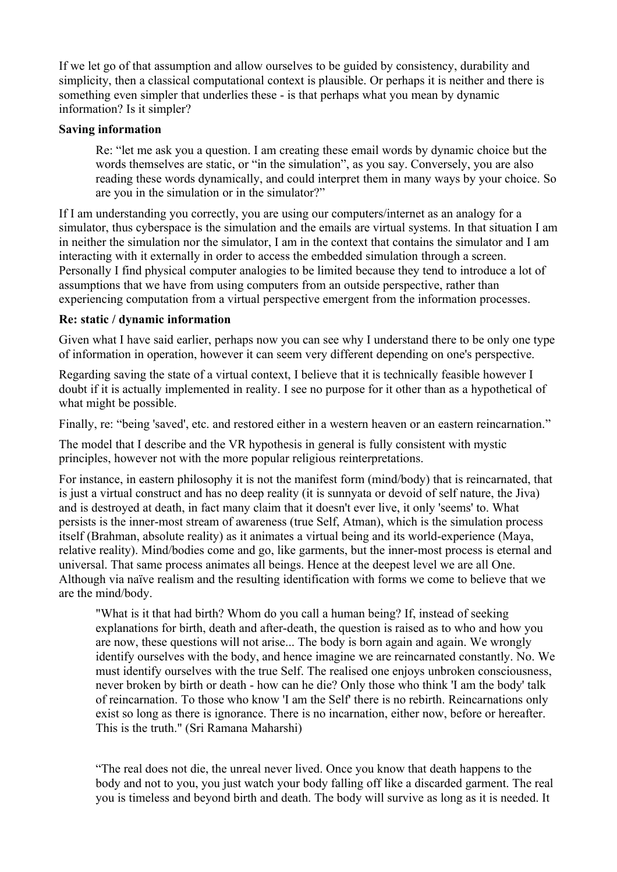If we let go of that assumption and allow ourselves to be guided by consistency, durability and simplicity, then a classical computational context is plausible. Or perhaps it is neither and there is something even simpler that underlies these - is that perhaps what you mean by dynamic information? Is it simpler?

#### **Saving information**

Re: "let me ask you a question. I am creating these email words by dynamic choice but the words themselves are static, or "in the simulation", as you say. Conversely, you are also reading these words dynamically, and could interpret them in many ways by your choice. So are you in the simulation or in the simulator?"

If I am understanding you correctly, you are using our computers/internet as an analogy for a simulator, thus cyberspace is the simulation and the emails are virtual systems. In that situation I am in neither the simulation nor the simulator, I am in the context that contains the simulator and I am interacting with it externally in order to access the embedded simulation through a screen. Personally I find physical computer analogies to be limited because they tend to introduce a lot of assumptions that we have from using computers from an outside perspective, rather than experiencing computation from a virtual perspective emergent from the information processes.

#### **Re: static / dynamic information**

Given what I have said earlier, perhaps now you can see why I understand there to be only one type of information in operation, however it can seem very different depending on one's perspective.

Regarding saving the state of a virtual context, I believe that it is technically feasible however I doubt if it is actually implemented in reality. I see no purpose for it other than as a hypothetical of what might be possible.

Finally, re: "being 'saved', etc. and restored either in a western heaven or an eastern reincarnation."

The model that I describe and the VR hypothesis in general is fully consistent with mystic principles, however not with the more popular religious reinterpretations.

For instance, in eastern philosophy it is not the manifest form (mind/body) that is reincarnated, that is just a virtual construct and has no deep reality (it is sunnyata or devoid of self nature, the Jiva) and is destroyed at death, in fact many claim that it doesn't ever live, it only 'seems' to. What persists is the inner-most stream of awareness (true Self, Atman), which is the simulation process itself (Brahman, absolute reality) as it animates a virtual being and its world-experience (Maya, relative reality). Mind/bodies come and go, like garments, but the inner-most process is eternal and universal. That same process animates all beings. Hence at the deepest level we are all One. Although via naïve realism and the resulting identification with forms we come to believe that we are the mind/body.

"What is it that had birth? Whom do you call a human being? If, instead of seeking explanations for birth, death and after-death, the question is raised as to who and how you are now, these questions will not arise... The body is born again and again. We wrongly identify ourselves with the body, and hence imagine we are reincarnated constantly. No. We must identify ourselves with the true Self. The realised one enjoys unbroken consciousness, never broken by birth or death - how can he die? Only those who think 'I am the body' talk of reincarnation. To those who know 'I am the Self' there is no rebirth. Reincarnations only exist so long as there is ignorance. There is no incarnation, either now, before or hereafter. This is the truth." (Sri Ramana Maharshi)

"The real does not die, the unreal never lived. Once you know that death happens to the body and not to you, you just watch your body falling off like a discarded garment. The real you is timeless and beyond birth and death. The body will survive as long as it is needed. It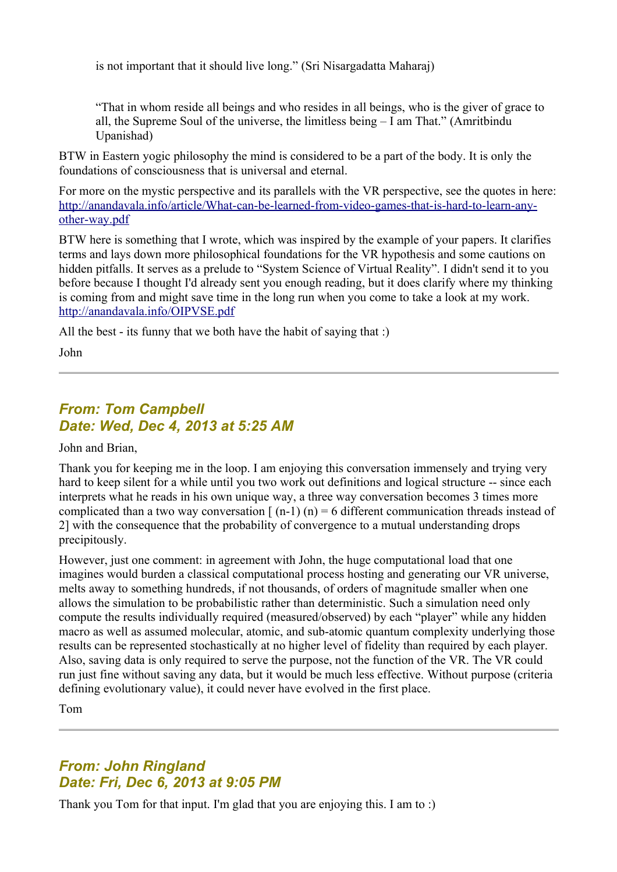is not important that it should live long." (Sri Nisargadatta Maharaj)

"That in whom reside all beings and who resides in all beings, who is the giver of grace to all, the Supreme Soul of the universe, the limitless being – I am That." (Amritbindu Upanishad)

BTW in Eastern yogic philosophy the mind is considered to be a part of the body. It is only the foundations of consciousness that is universal and eternal.

For more on the mystic perspective and its parallels with the VR perspective, see the quotes in here: [http://anandavala.info/article/What-can-be-learned-from-video-games-that-is-hard-to-learn-any](http://anandavala.info/article/What-can-be-learned-from-video-games-that-is-hard-to-learn-any-other-way.pdf)[other-way.pdf](http://anandavala.info/article/What-can-be-learned-from-video-games-that-is-hard-to-learn-any-other-way.pdf)

BTW here is something that I wrote, which was inspired by the example of your papers. It clarifies terms and lays down more philosophical foundations for the VR hypothesis and some cautions on hidden pitfalls. It serves as a prelude to "System Science of Virtual Reality". I didn't send it to you before because I thought I'd already sent you enough reading, but it does clarify where my thinking is coming from and might save time in the long run when you come to take a look at my work. <http://anandavala.info/OIPVSE.pdf>

All the best - its funny that we both have the habit of saying that :)

John

## *From: Tom Campbell Date: Wed, Dec 4, 2013 at 5:25 AM*

John and Brian,

Thank you for keeping me in the loop. I am enjoying this conversation immensely and trying very hard to keep silent for a while until you two work out definitions and logical structure -- since each interprets what he reads in his own unique way, a three way conversation becomes 3 times more complicated than a two way conversation  $\lceil (n-1) (n) \rceil = 6$  different communication threads instead of 2] with the consequence that the probability of convergence to a mutual understanding drops precipitously.

However, just one comment: in agreement with John, the huge computational load that one imagines would burden a classical computational process hosting and generating our VR universe, melts away to something hundreds, if not thousands, of orders of magnitude smaller when one allows the simulation to be probabilistic rather than deterministic. Such a simulation need only compute the results individually required (measured/observed) by each "player" while any hidden macro as well as assumed molecular, atomic, and sub-atomic quantum complexity underlying those results can be represented stochastically at no higher level of fidelity than required by each player. Also, saving data is only required to serve the purpose, not the function of the VR. The VR could run just fine without saving any data, but it would be much less effective. Without purpose (criteria defining evolutionary value), it could never have evolved in the first place.

Tom

## *From: John Ringland Date: Fri, Dec 6, 2013 at 9:05 PM*

Thank you Tom for that input. I'm glad that you are enjoying this. I am to :)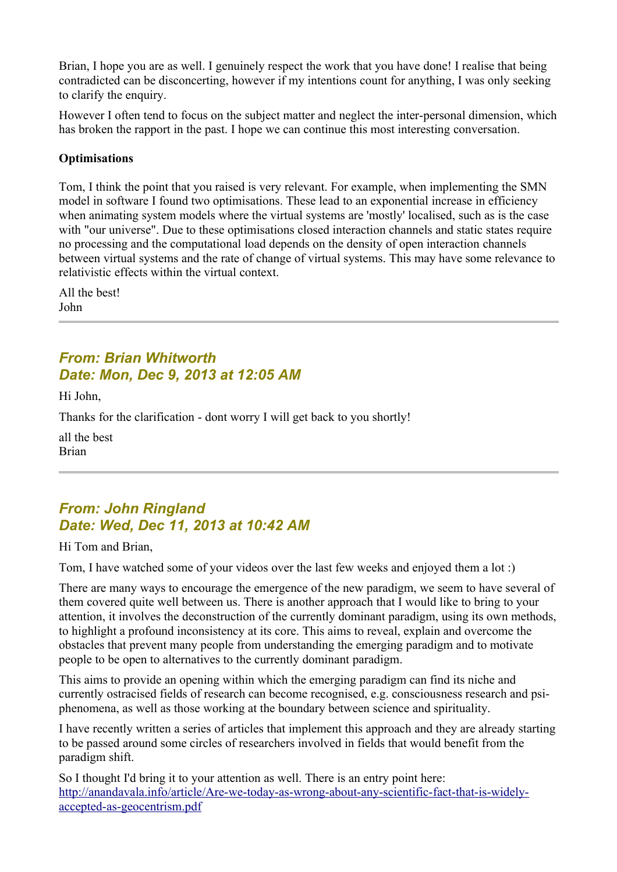Brian, I hope you are as well. I genuinely respect the work that you have done! I realise that being contradicted can be disconcerting, however if my intentions count for anything, I was only seeking to clarify the enquiry.

However I often tend to focus on the subject matter and neglect the inter-personal dimension, which has broken the rapport in the past. I hope we can continue this most interesting conversation.

#### **Optimisations**

Tom, I think the point that you raised is very relevant. For example, when implementing the SMN model in software I found two optimisations. These lead to an exponential increase in efficiency when animating system models where the virtual systems are 'mostly' localised, such as is the case with "our universe". Due to these optimisations closed interaction channels and static states require no processing and the computational load depends on the density of open interaction channels between virtual systems and the rate of change of virtual systems. This may have some relevance to relativistic effects within the virtual context.

All the best! John

### *From: Brian Whitworth Date: Mon, Dec 9, 2013 at 12:05 AM*

Hi John,

Thanks for the clarification - dont worry I will get back to you shortly!

all the best Brian

## *From: John Ringland Date: Wed, Dec 11, 2013 at 10:42 AM*

Hi Tom and Brian,

Tom, I have watched some of your videos over the last few weeks and enjoyed them a lot :)

There are many ways to encourage the emergence of the new paradigm, we seem to have several of them covered quite well between us. There is another approach that I would like to bring to your attention, it involves the deconstruction of the currently dominant paradigm, using its own methods, to highlight a profound inconsistency at its core. This aims to reveal, explain and overcome the obstacles that prevent many people from understanding the emerging paradigm and to motivate people to be open to alternatives to the currently dominant paradigm.

This aims to provide an opening within which the emerging paradigm can find its niche and currently ostracised fields of research can become recognised, e.g. consciousness research and psiphenomena, as well as those working at the boundary between science and spirituality.

I have recently written a series of articles that implement this approach and they are already starting to be passed around some circles of researchers involved in fields that would benefit from the paradigm shift.

So I thought I'd bring it to your attention as well. There is an entry point here: [http://anandavala.info/article/Are-we-today-as-wrong-about-any-scientific-fact-that-is-widely](http://anandavala.info/article/Are-we-today-as-wrong-about-any-scientific-fact-that-is-widely-accepted-as-geocentrism.pdf)[accepted-as-geocentrism.pdf](http://anandavala.info/article/Are-we-today-as-wrong-about-any-scientific-fact-that-is-widely-accepted-as-geocentrism.pdf)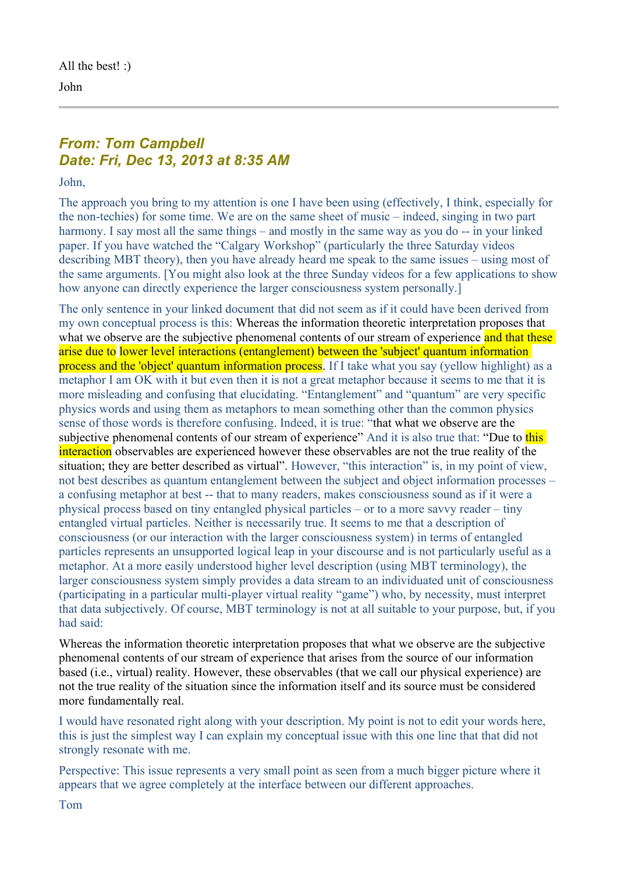All the best! :) John

## *From: Tom Campbell Date: Fri, Dec 13, 2013 at 8:35 AM*

John,

The approach you bring to my attention is one I have been using (effectively, I think, especially for the non-techies) for some time. We are on the same sheet of music – indeed, singing in two part harmony. I say most all the same things – and mostly in the same way as you do -- in your linked paper. If you have watched the "Calgary Workshop" (particularly the three Saturday videos describing MBT theory), then you have already heard me speak to the same issues – using most of the same arguments. [You might also look at the three Sunday videos for a few applications to show how anyone can directly experience the larger consciousness system personally.]

The only sentence in your linked document that did not seem as if it could have been derived from my own conceptual process is this: Whereas the information theoretic interpretation proposes that what we observe are the subjective phenomenal contents of our stream of experience and that these arise due to lower level interactions (entanglement) between the 'subject' quantum information process and the 'object' quantum information process. If I take what you say (yellow highlight) as a metaphor I am OK with it but even then it is not a great metaphor because it seems to me that it is more misleading and confusing that elucidating. "Entanglement" and "quantum" are very specific physics words and using them as metaphors to mean something other than the common physics sense of those words is therefore confusing. Indeed, it is true: "that what we observe are the subjective phenomenal contents of our stream of experience" And it is also true that: "Due to this interaction observables are experienced however these observables are not the true reality of the situation; they are better described as virtual". However, "this interaction" is, in my point of view, not best describes as quantum entanglement between the subject and object information processes – a confusing metaphor at best -- that to many readers, makes consciousness sound as if it were a physical process based on tiny entangled physical particles – or to a more savvy reader – tiny entangled virtual particles. Neither is necessarily true. It seems to me that a description of consciousness (or our interaction with the larger consciousness system) in terms of entangled particles represents an unsupported logical leap in your discourse and is not particularly useful as a metaphor. At a more easily understood higher level description (using MBT terminology), the larger consciousness system simply provides a data stream to an individuated unit of consciousness (participating in a particular multi-player virtual reality "game") who, by necessity, must interpret that data subjectively. Of course, MBT terminology is not at all suitable to your purpose, but, if you had said:

Whereas the information theoretic interpretation proposes that what we observe are the subjective phenomenal contents of our stream of experience that arises from the source of our information based (i.e., virtual) reality. However, these observables (that we call our physical experience) are not the true reality of the situation since the information itself and its source must be considered more fundamentally real.

I would have resonated right along with your description. My point is not to edit your words here, this is just the simplest way I can explain my conceptual issue with this one line that that did not strongly resonate with me.

Perspective: This issue represents a very small point as seen from a much bigger picture where it appears that we agree completely at the interface between our different approaches.

Tom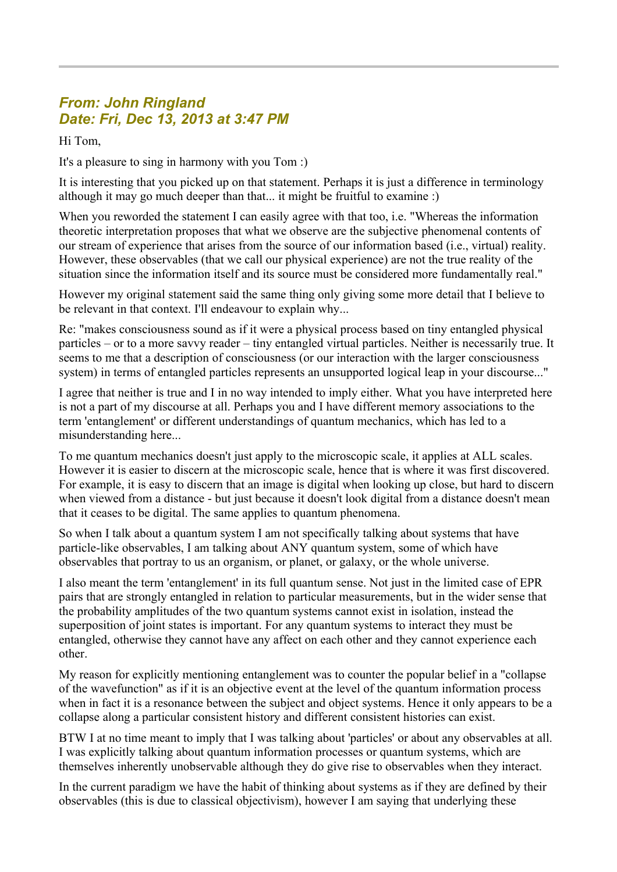# *From: John Ringland Date: Fri, Dec 13, 2013 at 3:47 PM*

Hi Tom,

It's a pleasure to sing in harmony with you Tom :)

It is interesting that you picked up on that statement. Perhaps it is just a difference in terminology although it may go much deeper than that... it might be fruitful to examine :)

When you reworded the statement I can easily agree with that too, i.e. "Whereas the information theoretic interpretation proposes that what we observe are the subjective phenomenal contents of our stream of experience that arises from the source of our information based (i.e., virtual) reality. However, these observables (that we call our physical experience) are not the true reality of the situation since the information itself and its source must be considered more fundamentally real."

However my original statement said the same thing only giving some more detail that I believe to be relevant in that context. I'll endeavour to explain why...

Re: "makes consciousness sound as if it were a physical process based on tiny entangled physical particles – or to a more savvy reader – tiny entangled virtual particles. Neither is necessarily true. It seems to me that a description of consciousness (or our interaction with the larger consciousness system) in terms of entangled particles represents an unsupported logical leap in your discourse..."

I agree that neither is true and I in no way intended to imply either. What you have interpreted here is not a part of my discourse at all. Perhaps you and I have different memory associations to the term 'entanglement' or different understandings of quantum mechanics, which has led to a misunderstanding here...

To me quantum mechanics doesn't just apply to the microscopic scale, it applies at ALL scales. However it is easier to discern at the microscopic scale, hence that is where it was first discovered. For example, it is easy to discern that an image is digital when looking up close, but hard to discern when viewed from a distance - but just because it doesn't look digital from a distance doesn't mean that it ceases to be digital. The same applies to quantum phenomena.

So when I talk about a quantum system I am not specifically talking about systems that have particle-like observables, I am talking about ANY quantum system, some of which have observables that portray to us an organism, or planet, or galaxy, or the whole universe.

I also meant the term 'entanglement' in its full quantum sense. Not just in the limited case of EPR pairs that are strongly entangled in relation to particular measurements, but in the wider sense that the probability amplitudes of the two quantum systems cannot exist in isolation, instead the superposition of joint states is important. For any quantum systems to interact they must be entangled, otherwise they cannot have any affect on each other and they cannot experience each other.

My reason for explicitly mentioning entanglement was to counter the popular belief in a "collapse of the wavefunction" as if it is an objective event at the level of the quantum information process when in fact it is a resonance between the subject and object systems. Hence it only appears to be a collapse along a particular consistent history and different consistent histories can exist.

BTW I at no time meant to imply that I was talking about 'particles' or about any observables at all. I was explicitly talking about quantum information processes or quantum systems, which are themselves inherently unobservable although they do give rise to observables when they interact.

In the current paradigm we have the habit of thinking about systems as if they are defined by their observables (this is due to classical objectivism), however I am saying that underlying these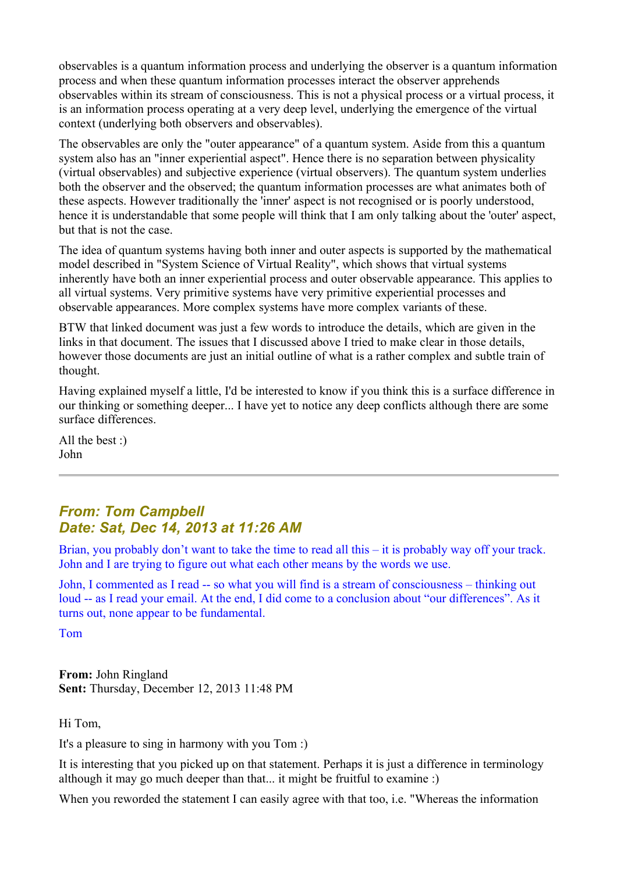observables is a quantum information process and underlying the observer is a quantum information process and when these quantum information processes interact the observer apprehends observables within its stream of consciousness. This is not a physical process or a virtual process, it is an information process operating at a very deep level, underlying the emergence of the virtual context (underlying both observers and observables).

The observables are only the "outer appearance" of a quantum system. Aside from this a quantum system also has an "inner experiential aspect". Hence there is no separation between physicality (virtual observables) and subjective experience (virtual observers). The quantum system underlies both the observer and the observed; the quantum information processes are what animates both of these aspects. However traditionally the 'inner' aspect is not recognised or is poorly understood, hence it is understandable that some people will think that I am only talking about the 'outer' aspect, but that is not the case.

The idea of quantum systems having both inner and outer aspects is supported by the mathematical model described in "System Science of Virtual Reality", which shows that virtual systems inherently have both an inner experiential process and outer observable appearance. This applies to all virtual systems. Very primitive systems have very primitive experiential processes and observable appearances. More complex systems have more complex variants of these.

BTW that linked document was just a few words to introduce the details, which are given in the links in that document. The issues that I discussed above I tried to make clear in those details, however those documents are just an initial outline of what is a rather complex and subtle train of thought.

Having explained myself a little, I'd be interested to know if you think this is a surface difference in our thinking or something deeper... I have yet to notice any deep conflicts although there are some surface differences.

All the best :) John

## *From: Tom Campbell Date: Sat, Dec 14, 2013 at 11:26 AM*

Brian, you probably don't want to take the time to read all this – it is probably way off your track. John and I are trying to figure out what each other means by the words we use.

John, I commented as I read -- so what you will find is a stream of consciousness – thinking out loud -- as I read your email. At the end, I did come to a conclusion about "our differences". As it turns out, none appear to be fundamental.

Tom

**From:** John Ringland **Sent:** Thursday, December 12, 2013 11:48 PM

Hi Tom,

It's a pleasure to sing in harmony with you Tom :)

It is interesting that you picked up on that statement. Perhaps it is just a difference in terminology although it may go much deeper than that... it might be fruitful to examine :)

When you reworded the statement I can easily agree with that too, i.e. "Whereas the information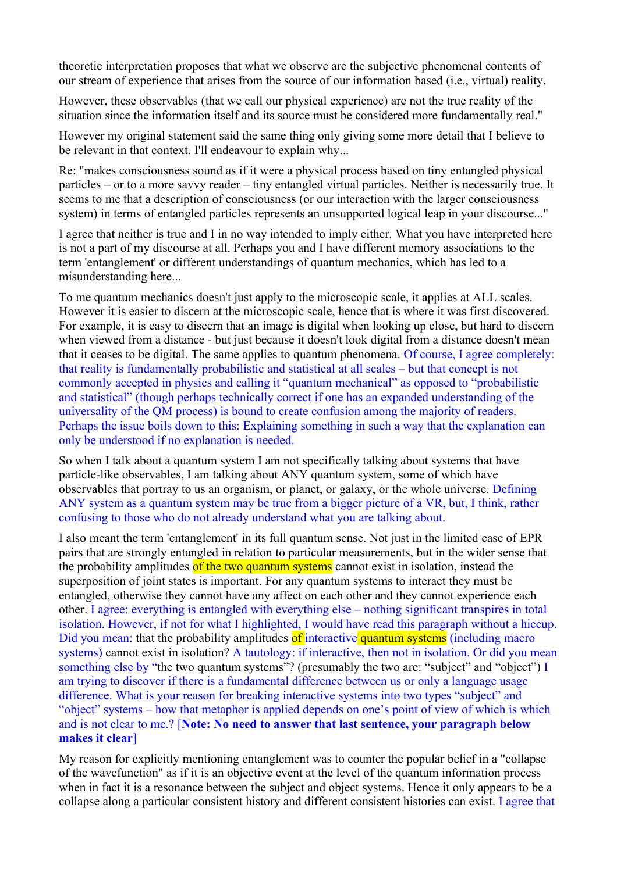theoretic interpretation proposes that what we observe are the subjective phenomenal contents of our stream of experience that arises from the source of our information based (i.e., virtual) reality.

However, these observables (that we call our physical experience) are not the true reality of the situation since the information itself and its source must be considered more fundamentally real."

However my original statement said the same thing only giving some more detail that I believe to be relevant in that context. I'll endeavour to explain why...

Re: "makes consciousness sound as if it were a physical process based on tiny entangled physical particles – or to a more savvy reader – tiny entangled virtual particles. Neither is necessarily true. It seems to me that a description of consciousness (or our interaction with the larger consciousness system) in terms of entangled particles represents an unsupported logical leap in your discourse..."

I agree that neither is true and I in no way intended to imply either. What you have interpreted here is not a part of my discourse at all. Perhaps you and I have different memory associations to the term 'entanglement' or different understandings of quantum mechanics, which has led to a misunderstanding here...

To me quantum mechanics doesn't just apply to the microscopic scale, it applies at ALL scales. However it is easier to discern at the microscopic scale, hence that is where it was first discovered. For example, it is easy to discern that an image is digital when looking up close, but hard to discern when viewed from a distance - but just because it doesn't look digital from a distance doesn't mean that it ceases to be digital. The same applies to quantum phenomena. Of course, I agree completely: that reality is fundamentally probabilistic and statistical at all scales – but that concept is not commonly accepted in physics and calling it "quantum mechanical" as opposed to "probabilistic and statistical" (though perhaps technically correct if one has an expanded understanding of the universality of the QM process) is bound to create confusion among the majority of readers. Perhaps the issue boils down to this: Explaining something in such a way that the explanation can only be understood if no explanation is needed.

So when I talk about a quantum system I am not specifically talking about systems that have particle-like observables, I am talking about ANY quantum system, some of which have observables that portray to us an organism, or planet, or galaxy, or the whole universe. Defining ANY system as a quantum system may be true from a bigger picture of a VR, but, I think, rather confusing to those who do not already understand what you are talking about.

I also meant the term 'entanglement' in its full quantum sense. Not just in the limited case of EPR pairs that are strongly entangled in relation to particular measurements, but in the wider sense that the probability amplitudes of the two quantum systems cannot exist in isolation, instead the superposition of joint states is important. For any quantum systems to interact they must be entangled, otherwise they cannot have any affect on each other and they cannot experience each other. I agree: everything is entangled with everything else – nothing significant transpires in total isolation. However, if not for what I highlighted, I would have read this paragraph without a hiccup. Did you mean: that the probability amplitudes of interactive quantum systems (including macro systems) cannot exist in isolation? A tautology: if interactive, then not in isolation. Or did you mean something else by "the two quantum systems"? (presumably the two are: "subject" and "object") I am trying to discover if there is a fundamental difference between us or only a language usage difference. What is your reason for breaking interactive systems into two types "subject" and "object" systems – how that metaphor is applied depends on one's point of view of which is which and is not clear to me.? [**Note: No need to answer that last sentence, your paragraph below makes it clear**]

My reason for explicitly mentioning entanglement was to counter the popular belief in a "collapse of the wavefunction" as if it is an objective event at the level of the quantum information process when in fact it is a resonance between the subject and object systems. Hence it only appears to be a collapse along a particular consistent history and different consistent histories can exist. I agree that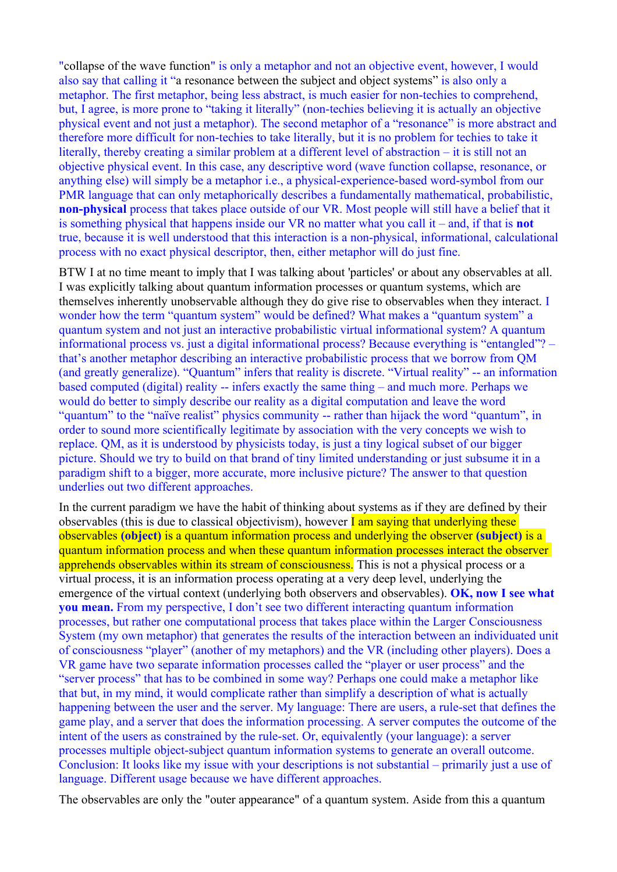"collapse of the wave function" is only a metaphor and not an objective event, however, I would also say that calling it "a resonance between the subject and object systems" is also only a metaphor. The first metaphor, being less abstract, is much easier for non-techies to comprehend, but, I agree, is more prone to "taking it literally" (non-techies believing it is actually an objective physical event and not just a metaphor). The second metaphor of a "resonance" is more abstract and therefore more difficult for non-techies to take literally, but it is no problem for techies to take it literally, thereby creating a similar problem at a different level of abstraction – it is still not an objective physical event. In this case, any descriptive word (wave function collapse, resonance, or anything else) will simply be a metaphor i.e., a physical-experience-based word-symbol from our PMR language that can only metaphorically describes a fundamentally mathematical, probabilistic, **non-physical** process that takes place outside of our VR. Most people will still have a belief that it is something physical that happens inside our VR no matter what you call it – and, if that is **not** true, because it is well understood that this interaction is a non-physical, informational, calculational process with no exact physical descriptor, then, either metaphor will do just fine.

BTW I at no time meant to imply that I was talking about 'particles' or about any observables at all. I was explicitly talking about quantum information processes or quantum systems, which are themselves inherently unobservable although they do give rise to observables when they interact. I wonder how the term "quantum system" would be defined? What makes a "quantum system" a quantum system and not just an interactive probabilistic virtual informational system? A quantum informational process vs. just a digital informational process? Because everything is "entangled"? – that's another metaphor describing an interactive probabilistic process that we borrow from QM (and greatly generalize). "Quantum" infers that reality is discrete. "Virtual reality" -- an information based computed (digital) reality -- infers exactly the same thing – and much more. Perhaps we would do better to simply describe our reality as a digital computation and leave the word "quantum" to the "naïve realist" physics community -- rather than hijack the word "quantum", in order to sound more scientifically legitimate by association with the very concepts we wish to replace. QM, as it is understood by physicists today, is just a tiny logical subset of our bigger picture. Should we try to build on that brand of tiny limited understanding or just subsume it in a paradigm shift to a bigger, more accurate, more inclusive picture? The answer to that question underlies out two different approaches.

In the current paradigm we have the habit of thinking about systems as if they are defined by their observables (this is due to classical objectivism), however  $\Gamma$  am saying that underlying these observables **(object)** is a quantum information process and underlying the observer **(subject)** is a quantum information process and when these quantum information processes interact the observer apprehends observables within its stream of consciousness. This is not a physical process or a virtual process, it is an information process operating at a very deep level, underlying the emergence of the virtual context (underlying both observers and observables). **OK, now I see what you mean.** From my perspective, I don't see two different interacting quantum information processes, but rather one computational process that takes place within the Larger Consciousness System (my own metaphor) that generates the results of the interaction between an individuated unit of consciousness "player" (another of my metaphors) and the VR (including other players). Does a VR game have two separate information processes called the "player or user process" and the "server process" that has to be combined in some way? Perhaps one could make a metaphor like that but, in my mind, it would complicate rather than simplify a description of what is actually happening between the user and the server. My language: There are users, a rule-set that defines the game play, and a server that does the information processing. A server computes the outcome of the intent of the users as constrained by the rule-set. Or, equivalently (your language): a server processes multiple object-subject quantum information systems to generate an overall outcome. Conclusion: It looks like my issue with your descriptions is not substantial – primarily just a use of language. Different usage because we have different approaches.

The observables are only the "outer appearance" of a quantum system. Aside from this a quantum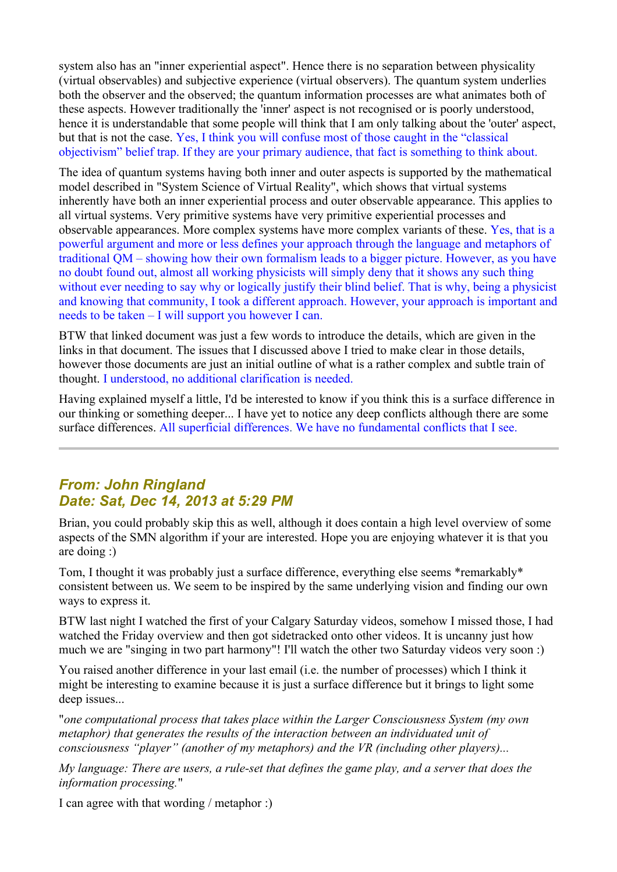system also has an "inner experiential aspect". Hence there is no separation between physicality (virtual observables) and subjective experience (virtual observers). The quantum system underlies both the observer and the observed; the quantum information processes are what animates both of these aspects. However traditionally the 'inner' aspect is not recognised or is poorly understood, hence it is understandable that some people will think that I am only talking about the 'outer' aspect, but that is not the case. Yes, I think you will confuse most of those caught in the "classical objectivism" belief trap. If they are your primary audience, that fact is something to think about.

The idea of quantum systems having both inner and outer aspects is supported by the mathematical model described in "System Science of Virtual Reality", which shows that virtual systems inherently have both an inner experiential process and outer observable appearance. This applies to all virtual systems. Very primitive systems have very primitive experiential processes and observable appearances. More complex systems have more complex variants of these. Yes, that is a powerful argument and more or less defines your approach through the language and metaphors of traditional QM – showing how their own formalism leads to a bigger picture. However, as you have no doubt found out, almost all working physicists will simply deny that it shows any such thing without ever needing to say why or logically justify their blind belief. That is why, being a physicist and knowing that community, I took a different approach. However, your approach is important and needs to be taken – I will support you however I can.

BTW that linked document was just a few words to introduce the details, which are given in the links in that document. The issues that I discussed above I tried to make clear in those details, however those documents are just an initial outline of what is a rather complex and subtle train of thought. I understood, no additional clarification is needed.

Having explained myself a little, I'd be interested to know if you think this is a surface difference in our thinking or something deeper... I have yet to notice any deep conflicts although there are some surface differences. All superficial differences. We have no fundamental conflicts that I see.

### *From: John Ringland Date: Sat, Dec 14, 2013 at 5:29 PM*

Brian, you could probably skip this as well, although it does contain a high level overview of some aspects of the SMN algorithm if your are interested. Hope you are enjoying whatever it is that you are doing :)

Tom, I thought it was probably just a surface difference, everything else seems \*remarkably\* consistent between us. We seem to be inspired by the same underlying vision and finding our own ways to express it.

BTW last night I watched the first of your Calgary Saturday videos, somehow I missed those, I had watched the Friday overview and then got sidetracked onto other videos. It is uncanny just how much we are "singing in two part harmony"! I'll watch the other two Saturday videos very soon :)

You raised another difference in your last email (i.e. the number of processes) which I think it might be interesting to examine because it is just a surface difference but it brings to light some deep issues...

"*one computational process that takes place within the Larger Consciousness System (my own metaphor) that generates the results of the interaction between an individuated unit of consciousness "player" (another of my metaphors) and the VR (including other players)...*

*My language: There are users, a rule-set that defines the game play, and a server that does the information processing.*"

I can agree with that wording / metaphor :)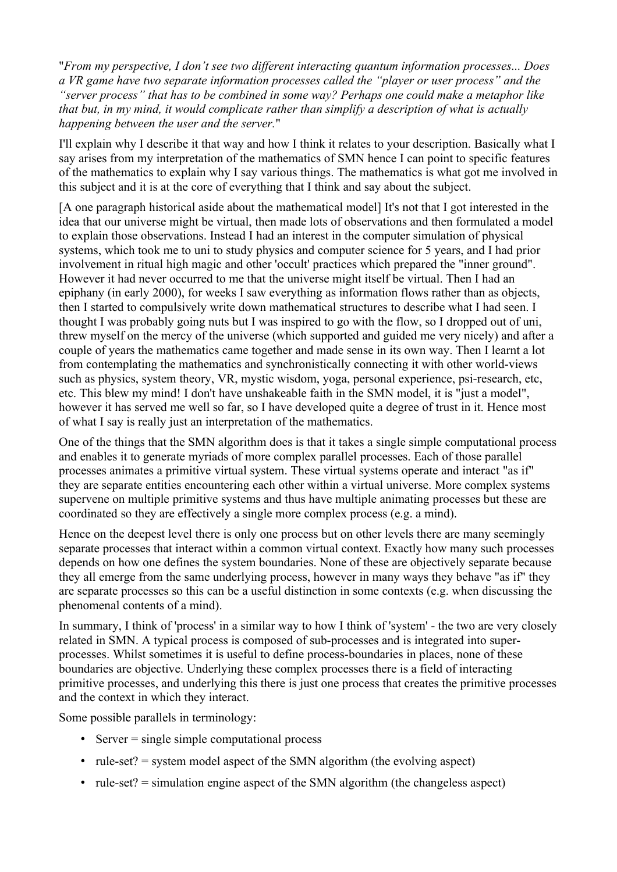"*From my perspective, I don't see two different interacting quantum information processes... Does a VR game have two separate information processes called the "player or user process" and the "server process" that has to be combined in some way? Perhaps one could make a metaphor like that but, in my mind, it would complicate rather than simplify a description of what is actually happening between the user and the server.*"

I'll explain why I describe it that way and how I think it relates to your description. Basically what I say arises from my interpretation of the mathematics of SMN hence I can point to specific features of the mathematics to explain why I say various things. The mathematics is what got me involved in this subject and it is at the core of everything that I think and say about the subject.

[A one paragraph historical aside about the mathematical model] It's not that I got interested in the idea that our universe might be virtual, then made lots of observations and then formulated a model to explain those observations. Instead I had an interest in the computer simulation of physical systems, which took me to uni to study physics and computer science for 5 years, and I had prior involvement in ritual high magic and other 'occult' practices which prepared the "inner ground". However it had never occurred to me that the universe might itself be virtual. Then I had an epiphany (in early 2000), for weeks I saw everything as information flows rather than as objects, then I started to compulsively write down mathematical structures to describe what I had seen. I thought I was probably going nuts but I was inspired to go with the flow, so I dropped out of uni, threw myself on the mercy of the universe (which supported and guided me very nicely) and after a couple of years the mathematics came together and made sense in its own way. Then I learnt a lot from contemplating the mathematics and synchronistically connecting it with other world-views such as physics, system theory, VR, mystic wisdom, yoga, personal experience, psi-research, etc, etc. This blew my mind! I don't have unshakeable faith in the SMN model, it is "just a model", however it has served me well so far, so I have developed quite a degree of trust in it. Hence most of what I say is really just an interpretation of the mathematics.

One of the things that the SMN algorithm does is that it takes a single simple computational process and enables it to generate myriads of more complex parallel processes. Each of those parallel processes animates a primitive virtual system. These virtual systems operate and interact "as if" they are separate entities encountering each other within a virtual universe. More complex systems supervene on multiple primitive systems and thus have multiple animating processes but these are coordinated so they are effectively a single more complex process (e.g. a mind).

Hence on the deepest level there is only one process but on other levels there are many seemingly separate processes that interact within a common virtual context. Exactly how many such processes depends on how one defines the system boundaries. None of these are objectively separate because they all emerge from the same underlying process, however in many ways they behave "as if" they are separate processes so this can be a useful distinction in some contexts (e.g. when discussing the phenomenal contents of a mind).

In summary, I think of 'process' in a similar way to how I think of 'system' - the two are very closely related in SMN. A typical process is composed of sub-processes and is integrated into superprocesses. Whilst sometimes it is useful to define process-boundaries in places, none of these boundaries are objective. Underlying these complex processes there is a field of interacting primitive processes, and underlying this there is just one process that creates the primitive processes and the context in which they interact.

Some possible parallels in terminology:

- Server = single simple computational process
- rule-set?  $=$  system model aspect of the SMN algorithm (the evolving aspect)
- rule-set?  $=$  simulation engine aspect of the SMN algorithm (the changeless aspect)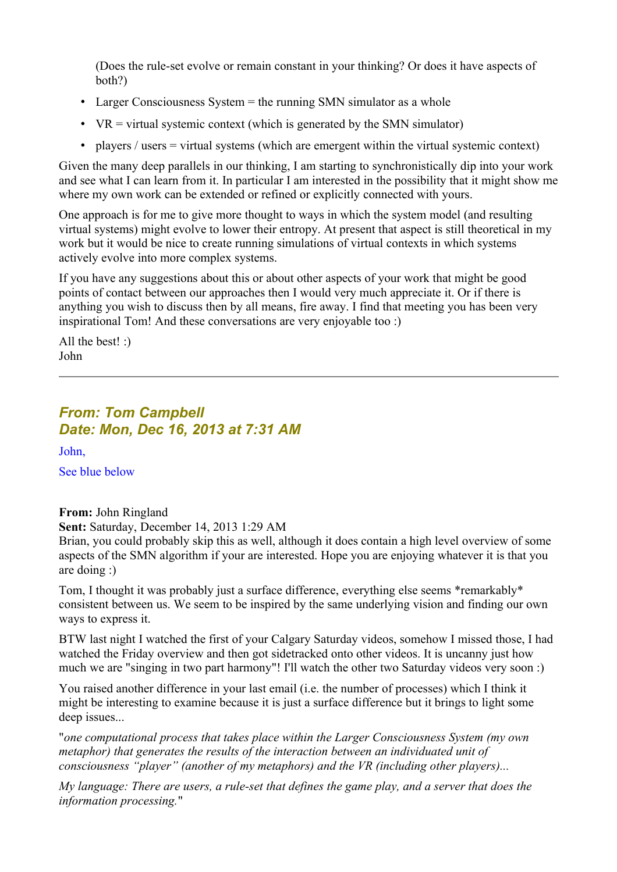(Does the rule-set evolve or remain constant in your thinking? Or does it have aspects of both?)

- Larger Consciousness System = the running SMN simulator as a whole
- $VR = virtual systemic context (which is generated by the SMN simulator)$
- players / users  $=$  virtual systems (which are emergent within the virtual systemic context)

Given the many deep parallels in our thinking, I am starting to synchronistically dip into your work and see what I can learn from it. In particular I am interested in the possibility that it might show me where my own work can be extended or refined or explicitly connected with yours.

One approach is for me to give more thought to ways in which the system model (and resulting virtual systems) might evolve to lower their entropy. At present that aspect is still theoretical in my work but it would be nice to create running simulations of virtual contexts in which systems actively evolve into more complex systems.

If you have any suggestions about this or about other aspects of your work that might be good points of contact between our approaches then I would very much appreciate it. Or if there is anything you wish to discuss then by all means, fire away. I find that meeting you has been very inspirational Tom! And these conversations are very enjoyable too :)

All the best! :) John

## *From: Tom Campbell Date: Mon, Dec 16, 2013 at 7:31 AM*

John,

See blue below

#### **From:** John Ringland

**Sent:** Saturday, December 14, 2013 1:29 AM

Brian, you could probably skip this as well, although it does contain a high level overview of some aspects of the SMN algorithm if your are interested. Hope you are enjoying whatever it is that you are doing :)

Tom, I thought it was probably just a surface difference, everything else seems \*remarkably\* consistent between us. We seem to be inspired by the same underlying vision and finding our own ways to express it.

BTW last night I watched the first of your Calgary Saturday videos, somehow I missed those, I had watched the Friday overview and then got sidetracked onto other videos. It is uncanny just how much we are "singing in two part harmony"! I'll watch the other two Saturday videos very soon :)

You raised another difference in your last email (i.e. the number of processes) which I think it might be interesting to examine because it is just a surface difference but it brings to light some deep issues...

"*one computational process that takes place within the Larger Consciousness System (my own metaphor) that generates the results of the interaction between an individuated unit of consciousness "player" (another of my metaphors) and the VR (including other players)...*

*My language: There are users, a rule-set that defines the game play, and a server that does the information processing.*"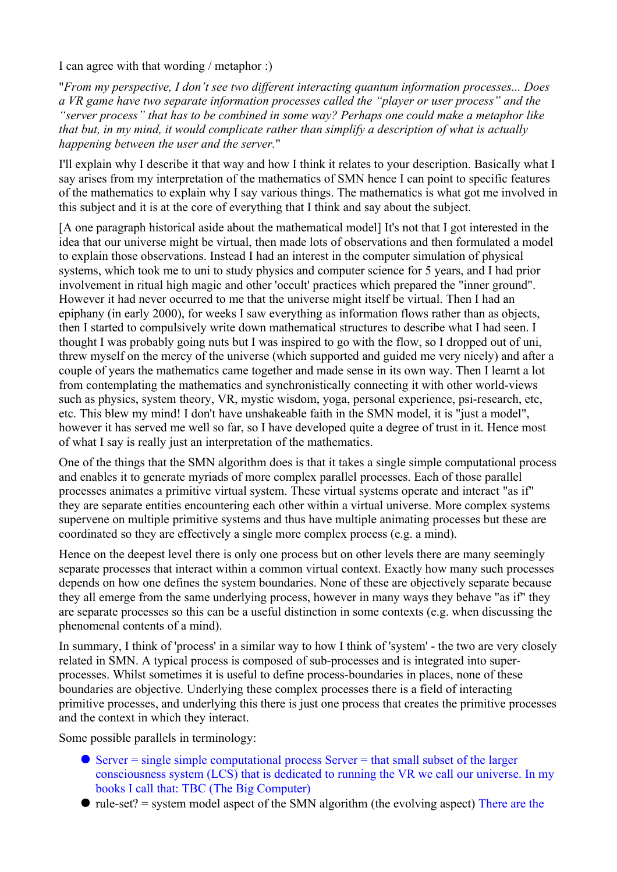I can agree with that wording / metaphor :)

"*From my perspective, I don't see two different interacting quantum information processes... Does a VR game have two separate information processes called the "player or user process" and the "server process" that has to be combined in some way? Perhaps one could make a metaphor like that but, in my mind, it would complicate rather than simplify a description of what is actually happening between the user and the server.*"

I'll explain why I describe it that way and how I think it relates to your description. Basically what I say arises from my interpretation of the mathematics of SMN hence I can point to specific features of the mathematics to explain why I say various things. The mathematics is what got me involved in this subject and it is at the core of everything that I think and say about the subject.

[A one paragraph historical aside about the mathematical model] It's not that I got interested in the idea that our universe might be virtual, then made lots of observations and then formulated a model to explain those observations. Instead I had an interest in the computer simulation of physical systems, which took me to uni to study physics and computer science for 5 years, and I had prior involvement in ritual high magic and other 'occult' practices which prepared the "inner ground". However it had never occurred to me that the universe might itself be virtual. Then I had an epiphany (in early 2000), for weeks I saw everything as information flows rather than as objects, then I started to compulsively write down mathematical structures to describe what I had seen. I thought I was probably going nuts but I was inspired to go with the flow, so I dropped out of uni, threw myself on the mercy of the universe (which supported and guided me very nicely) and after a couple of years the mathematics came together and made sense in its own way. Then I learnt a lot from contemplating the mathematics and synchronistically connecting it with other world-views such as physics, system theory, VR, mystic wisdom, yoga, personal experience, psi-research, etc, etc. This blew my mind! I don't have unshakeable faith in the SMN model, it is "just a model", however it has served me well so far, so I have developed quite a degree of trust in it. Hence most of what I say is really just an interpretation of the mathematics.

One of the things that the SMN algorithm does is that it takes a single simple computational process and enables it to generate myriads of more complex parallel processes. Each of those parallel processes animates a primitive virtual system. These virtual systems operate and interact "as if" they are separate entities encountering each other within a virtual universe. More complex systems supervene on multiple primitive systems and thus have multiple animating processes but these are coordinated so they are effectively a single more complex process (e.g. a mind).

Hence on the deepest level there is only one process but on other levels there are many seemingly separate processes that interact within a common virtual context. Exactly how many such processes depends on how one defines the system boundaries. None of these are objectively separate because they all emerge from the same underlying process, however in many ways they behave "as if" they are separate processes so this can be a useful distinction in some contexts (e.g. when discussing the phenomenal contents of a mind).

In summary, I think of 'process' in a similar way to how I think of 'system' - the two are very closely related in SMN. A typical process is composed of sub-processes and is integrated into superprocesses. Whilst sometimes it is useful to define process-boundaries in places, none of these boundaries are objective. Underlying these complex processes there is a field of interacting primitive processes, and underlying this there is just one process that creates the primitive processes and the context in which they interact.

Some possible parallels in terminology:

- $\bullet$  Server = single simple computational process Server = that small subset of the larger consciousness system (LCS) that is dedicated to running the VR we call our universe. In my books I call that: TBC (The Big Computer)
- $\bullet$  rule-set? = system model aspect of the SMN algorithm (the evolving aspect) There are the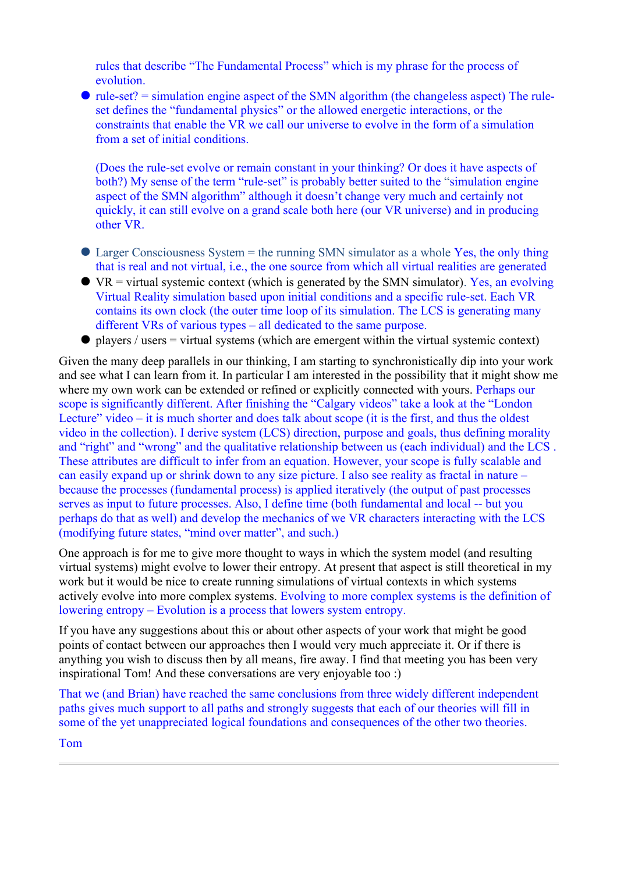rules that describe "The Fundamental Process" which is my phrase for the process of evolution.

 $\bullet$  rule-set? = simulation engine aspect of the SMN algorithm (the changeless aspect) The ruleset defines the "fundamental physics" or the allowed energetic interactions, or the constraints that enable the VR we call our universe to evolve in the form of a simulation from a set of initial conditions.

(Does the rule-set evolve or remain constant in your thinking? Or does it have aspects of both?) My sense of the term "rule-set" is probably better suited to the "simulation engine" aspect of the SMN algorithm" although it doesn't change very much and certainly not quickly, it can still evolve on a grand scale both here (our VR universe) and in producing other VR.

- Larger Consciousness System = the running SMN simulator as a whole Yes, the only thing that is real and not virtual, i.e., the one source from which all virtual realities are generated
- $\bullet$  VR = virtual systemic context (which is generated by the SMN simulator). Yes, an evolving Virtual Reality simulation based upon initial conditions and a specific rule-set. Each VR contains its own clock (the outer time loop of its simulation. The LCS is generating many different VRs of various types – all dedicated to the same purpose.
- $\bullet$  players / users = virtual systems (which are emergent within the virtual systemic context)

Given the many deep parallels in our thinking, I am starting to synchronistically dip into your work and see what I can learn from it. In particular I am interested in the possibility that it might show me where my own work can be extended or refined or explicitly connected with yours. Perhaps our scope is significantly different. After finishing the "Calgary videos" take a look at the "London Lecture" video – it is much shorter and does talk about scope (it is the first, and thus the oldest video in the collection). I derive system (LCS) direction, purpose and goals, thus defining morality and "right" and "wrong" and the qualitative relationship between us (each individual) and the LCS . These attributes are difficult to infer from an equation. However, your scope is fully scalable and can easily expand up or shrink down to any size picture. I also see reality as fractal in nature – because the processes (fundamental process) is applied iteratively (the output of past processes serves as input to future processes. Also, I define time (both fundamental and local -- but you perhaps do that as well) and develop the mechanics of we VR characters interacting with the LCS (modifying future states, "mind over matter", and such.)

One approach is for me to give more thought to ways in which the system model (and resulting virtual systems) might evolve to lower their entropy. At present that aspect is still theoretical in my work but it would be nice to create running simulations of virtual contexts in which systems actively evolve into more complex systems. Evolving to more complex systems is the definition of lowering entropy – Evolution is a process that lowers system entropy.

If you have any suggestions about this or about other aspects of your work that might be good points of contact between our approaches then I would very much appreciate it. Or if there is anything you wish to discuss then by all means, fire away. I find that meeting you has been very inspirational Tom! And these conversations are very enjoyable too :)

That we (and Brian) have reached the same conclusions from three widely different independent paths gives much support to all paths and strongly suggests that each of our theories will fill in some of the yet unappreciated logical foundations and consequences of the other two theories.

Tom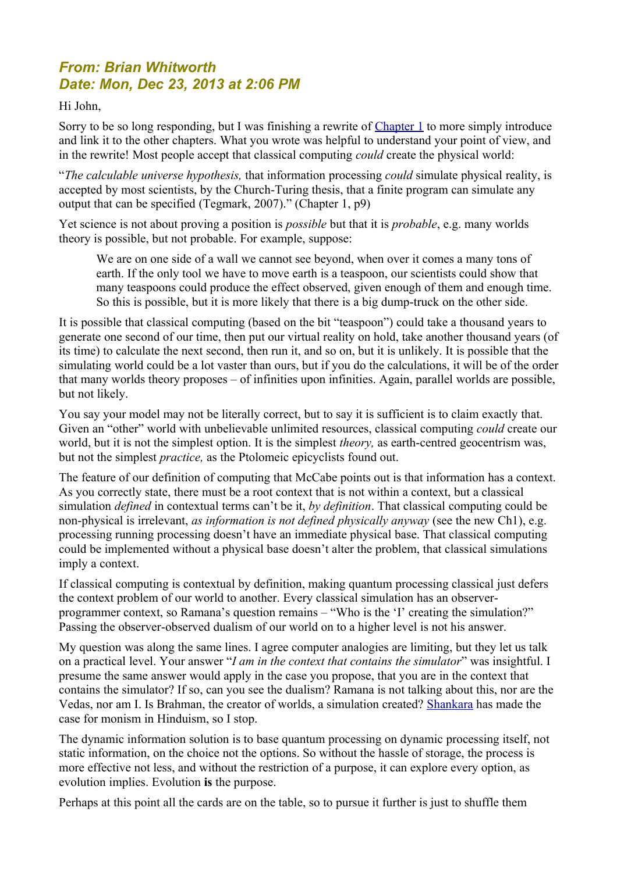# *From: Brian Whitworth Date: Mon, Dec 23, 2013 at 2:06 PM*

#### Hi John,

Sorry to be so long responding, but I was finishing a rewrite of [Chapter 1](http://brianwhitworth.com/BW-VRT1.pdf) to more simply introduce and link it to the other chapters. What you wrote was helpful to understand your point of view, and in the rewrite! Most people accept that classical computing *could* create the physical world:

"*The calculable universe hypothesis,* that information processing *could* simulate physical reality, is accepted by most scientists, by the Church-Turing thesis, that a finite program can simulate any output that can be specified (Tegmark, 2007)." (Chapter 1, p9)

Yet science is not about proving a position is *possible* but that it is *probable*, e.g. many worlds theory is possible, but not probable. For example, suppose:

We are on one side of a wall we cannot see beyond, when over it comes a many tons of earth. If the only tool we have to move earth is a teaspoon, our scientists could show that many teaspoons could produce the effect observed, given enough of them and enough time. So this is possible, but it is more likely that there is a big dump-truck on the other side.

It is possible that classical computing (based on the bit "teaspoon") could take a thousand years to generate one second of our time, then put our virtual reality on hold, take another thousand years (of its time) to calculate the next second, then run it, and so on, but it is unlikely. It is possible that the simulating world could be a lot vaster than ours, but if you do the calculations, it will be of the order that many worlds theory proposes – of infinities upon infinities. Again, parallel worlds are possible, but not likely.

You say your model may not be literally correct, but to say it is sufficient is to claim exactly that. Given an "other" world with unbelievable unlimited resources, classical computing *could* create our world, but it is not the simplest option. It is the simplest *theory,* as earth-centred geocentrism was, but not the simplest *practice,* as the Ptolomeic epicyclists found out.

The feature of our definition of computing that McCabe points out is that information has a context. As you correctly state, there must be a root context that is not within a context, but a classical simulation *defined* in contextual terms can't be it, *by definition*. That classical computing could be non-physical is irrelevant, *as information is not defined physically anyway* (see the new Ch1), e.g. processing running processing doesn't have an immediate physical base. That classical computing could be implemented without a physical base doesn't alter the problem, that classical simulations imply a context.

If classical computing is contextual by definition, making quantum processing classical just defers the context problem of our world to another. Every classical simulation has an observerprogrammer context, so Ramana's question remains – "Who is the 'I' creating the simulation?" Passing the observer-observed dualism of our world on to a higher level is not his answer.

My question was along the same lines. I agree computer analogies are limiting, but they let us talk on a practical level. Your answer "*I am in the context that contains the simulator*" was insightful. I presume the same answer would apply in the case you propose, that you are in the context that contains the simulator? If so, can you see the dualism? Ramana is not talking about this, nor are the Vedas, nor am I. Is Brahman, the creator of worlds, a simulation created? [Shankara](https://en.wikipedia.org/wiki/Advaita_Vedanta) has made the case for monism in Hinduism, so I stop.

The dynamic information solution is to base quantum processing on dynamic processing itself, not static information, on the choice not the options. So without the hassle of storage, the process is more effective not less, and without the restriction of a purpose, it can explore every option, as evolution implies. Evolution **is** the purpose.

Perhaps at this point all the cards are on the table, so to pursue it further is just to shuffle them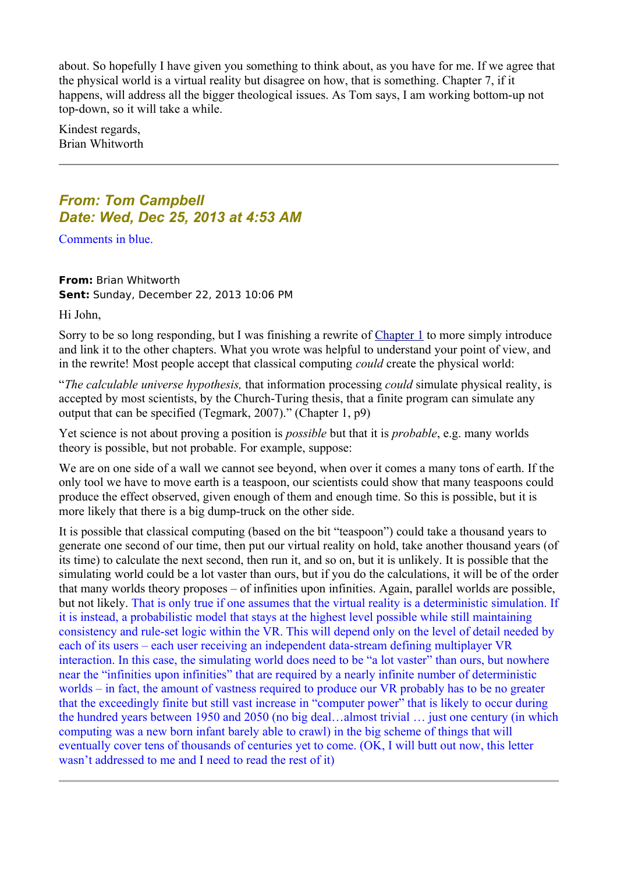about. So hopefully I have given you something to think about, as you have for me. If we agree that the physical world is a virtual reality but disagree on how, that is something. Chapter 7, if it happens, will address all the bigger theological issues. As Tom says, I am working bottom-up not top-down, so it will take a while.

Kindest regards, Brian Whitworth

## *From: Tom Campbell Date: Wed, Dec 25, 2013 at 4:53 AM*

Comments in blue.

**From:** Brian Whitworth **Sent:** Sunday, December 22, 2013 10:06 PM

Hi John,

Sorry to be so long responding, but I was finishing a rewrite of [Chapter 1](http://brianwhitworth.com/BW-VRT1.pdf) to more simply introduce and link it to the other chapters. What you wrote was helpful to understand your point of view, and in the rewrite! Most people accept that classical computing *could* create the physical world:

"*The calculable universe hypothesis,* that information processing *could* simulate physical reality, is accepted by most scientists, by the Church-Turing thesis, that a finite program can simulate any output that can be specified (Tegmark, 2007)." (Chapter 1, p9)

Yet science is not about proving a position is *possible* but that it is *probable*, e.g. many worlds theory is possible, but not probable. For example, suppose:

We are on one side of a wall we cannot see beyond, when over it comes a many tons of earth. If the only tool we have to move earth is a teaspoon, our scientists could show that many teaspoons could produce the effect observed, given enough of them and enough time. So this is possible, but it is more likely that there is a big dump-truck on the other side.

It is possible that classical computing (based on the bit "teaspoon") could take a thousand years to generate one second of our time, then put our virtual reality on hold, take another thousand years (of its time) to calculate the next second, then run it, and so on, but it is unlikely. It is possible that the simulating world could be a lot vaster than ours, but if you do the calculations, it will be of the order that many worlds theory proposes – of infinities upon infinities. Again, parallel worlds are possible, but not likely. That is only true if one assumes that the virtual reality is a deterministic simulation. If it is instead, a probabilistic model that stays at the highest level possible while still maintaining consistency and rule-set logic within the VR. This will depend only on the level of detail needed by each of its users – each user receiving an independent data-stream defining multiplayer VR interaction. In this case, the simulating world does need to be "a lot vaster" than ours, but nowhere near the "infinities upon infinities" that are required by a nearly infinite number of deterministic worlds – in fact, the amount of vastness required to produce our VR probably has to be no greater that the exceedingly finite but still vast increase in "computer power" that is likely to occur during the hundred years between 1950 and 2050 (no big deal…almost trivial … just one century (in which computing was a new born infant barely able to crawl) in the big scheme of things that will eventually cover tens of thousands of centuries yet to come. (OK, I will butt out now, this letter wasn't addressed to me and I need to read the rest of it)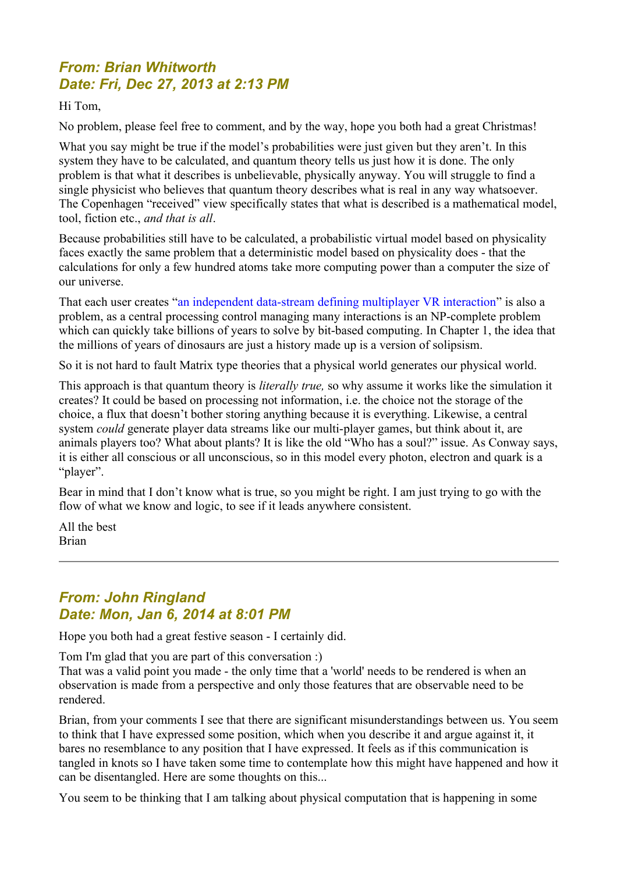# *From: Brian Whitworth Date: Fri, Dec 27, 2013 at 2:13 PM*

Hi Tom,

No problem, please feel free to comment, and by the way, hope you both had a great Christmas!

What you say might be true if the model's probabilities were just given but they aren't. In this system they have to be calculated, and quantum theory tells us just how it is done. The only problem is that what it describes is unbelievable, physically anyway. You will struggle to find a single physicist who believes that quantum theory describes what is real in any way whatsoever. The Copenhagen "received" view specifically states that what is described is a mathematical model, tool, fiction etc., *and that is all*.

Because probabilities still have to be calculated, a probabilistic virtual model based on physicality faces exactly the same problem that a deterministic model based on physicality does - that the calculations for only a few hundred atoms take more computing power than a computer the size of our universe.

That each user creates "an independent data-stream defining multiplayer VR interaction" is also a problem, as a central processing control managing many interactions is an NP-complete problem which can quickly take billions of years to solve by bit-based computing. In Chapter 1, the idea that the millions of years of dinosaurs are just a history made up is a version of solipsism.

So it is not hard to fault Matrix type theories that a physical world generates our physical world.

This approach is that quantum theory is *literally true,* so why assume it works like the simulation it creates? It could be based on processing not information, i.e. the choice not the storage of the choice, a flux that doesn't bother storing anything because it is everything. Likewise, a central system *could* generate player data streams like our multi-player games, but think about it, are animals players too? What about plants? It is like the old "Who has a soul?" issue. As Conway says, it is either all conscious or all unconscious, so in this model every photon, electron and quark is a "player".

Bear in mind that I don't know what is true, so you might be right. I am just trying to go with the flow of what we know and logic, to see if it leads anywhere consistent.

All the best Brian

# *From: John Ringland Date: Mon, Jan 6, 2014 at 8:01 PM*

Hope you both had a great festive season - I certainly did.

Tom I'm glad that you are part of this conversation :)

That was a valid point you made - the only time that a 'world' needs to be rendered is when an observation is made from a perspective and only those features that are observable need to be rendered.

Brian, from your comments I see that there are significant misunderstandings between us. You seem to think that I have expressed some position, which when you describe it and argue against it, it bares no resemblance to any position that I have expressed. It feels as if this communication is tangled in knots so I have taken some time to contemplate how this might have happened and how it can be disentangled. Here are some thoughts on this...

You seem to be thinking that I am talking about physical computation that is happening in some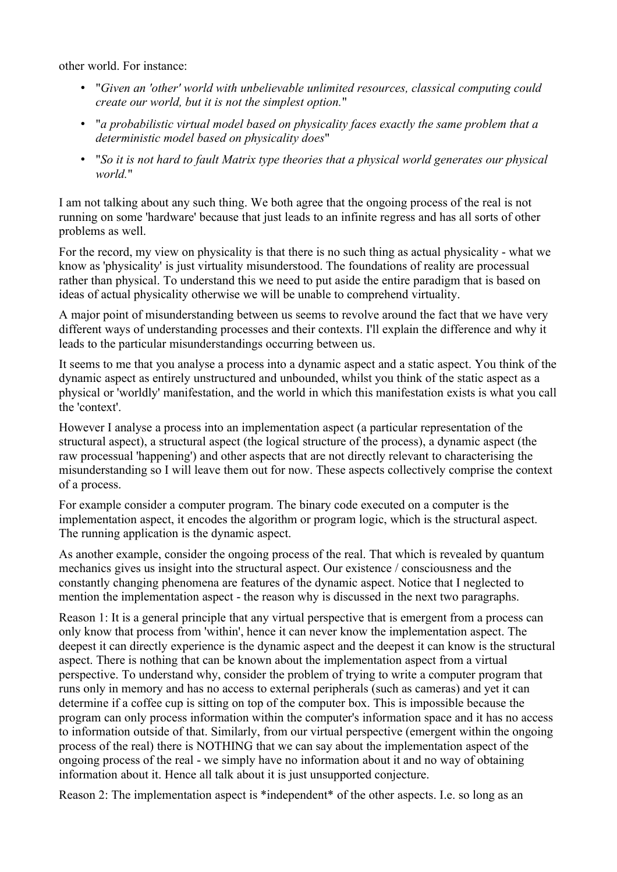other world. For instance:

- "*Given an 'other' world with unbelievable unlimited resources, classical computing could create our world, but it is not the simplest option.*"
- "*a probabilistic virtual model based on physicality faces exactly the same problem that a deterministic model based on physicality does*"
- "*So it is not hard to fault Matrix type theories that a physical world generates our physical world.*"

I am not talking about any such thing. We both agree that the ongoing process of the real is not running on some 'hardware' because that just leads to an infinite regress and has all sorts of other problems as well.

For the record, my view on physicality is that there is no such thing as actual physicality - what we know as 'physicality' is just virtuality misunderstood. The foundations of reality are processual rather than physical. To understand this we need to put aside the entire paradigm that is based on ideas of actual physicality otherwise we will be unable to comprehend virtuality.

A major point of misunderstanding between us seems to revolve around the fact that we have very different ways of understanding processes and their contexts. I'll explain the difference and why it leads to the particular misunderstandings occurring between us.

It seems to me that you analyse a process into a dynamic aspect and a static aspect. You think of the dynamic aspect as entirely unstructured and unbounded, whilst you think of the static aspect as a physical or 'worldly' manifestation, and the world in which this manifestation exists is what you call the 'context'.

However I analyse a process into an implementation aspect (a particular representation of the structural aspect), a structural aspect (the logical structure of the process), a dynamic aspect (the raw processual 'happening') and other aspects that are not directly relevant to characterising the misunderstanding so I will leave them out for now. These aspects collectively comprise the context of a process.

For example consider a computer program. The binary code executed on a computer is the implementation aspect, it encodes the algorithm or program logic, which is the structural aspect. The running application is the dynamic aspect.

As another example, consider the ongoing process of the real. That which is revealed by quantum mechanics gives us insight into the structural aspect. Our existence / consciousness and the constantly changing phenomena are features of the dynamic aspect. Notice that I neglected to mention the implementation aspect - the reason why is discussed in the next two paragraphs.

Reason 1: It is a general principle that any virtual perspective that is emergent from a process can only know that process from 'within', hence it can never know the implementation aspect. The deepest it can directly experience is the dynamic aspect and the deepest it can know is the structural aspect. There is nothing that can be known about the implementation aspect from a virtual perspective. To understand why, consider the problem of trying to write a computer program that runs only in memory and has no access to external peripherals (such as cameras) and yet it can determine if a coffee cup is sitting on top of the computer box. This is impossible because the program can only process information within the computer's information space and it has no access to information outside of that. Similarly, from our virtual perspective (emergent within the ongoing process of the real) there is NOTHING that we can say about the implementation aspect of the ongoing process of the real - we simply have no information about it and no way of obtaining information about it. Hence all talk about it is just unsupported conjecture.

Reason 2: The implementation aspect is \*independent\* of the other aspects. I.e. so long as an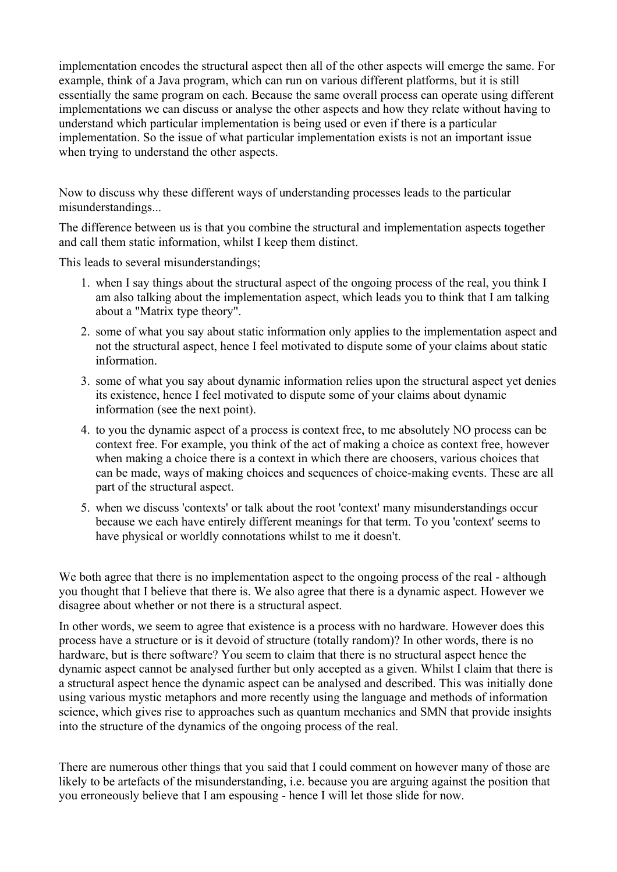implementation encodes the structural aspect then all of the other aspects will emerge the same. For example, think of a Java program, which can run on various different platforms, but it is still essentially the same program on each. Because the same overall process can operate using different implementations we can discuss or analyse the other aspects and how they relate without having to understand which particular implementation is being used or even if there is a particular implementation. So the issue of what particular implementation exists is not an important issue when trying to understand the other aspects.

Now to discuss why these different ways of understanding processes leads to the particular misunderstandings...

The difference between us is that you combine the structural and implementation aspects together and call them static information, whilst I keep them distinct.

This leads to several misunderstandings;

- 1. when I say things about the structural aspect of the ongoing process of the real, you think I am also talking about the implementation aspect, which leads you to think that I am talking about a "Matrix type theory".
- 2. some of what you say about static information only applies to the implementation aspect and not the structural aspect, hence I feel motivated to dispute some of your claims about static information.
- 3. some of what you say about dynamic information relies upon the structural aspect yet denies its existence, hence I feel motivated to dispute some of your claims about dynamic information (see the next point).
- 4. to you the dynamic aspect of a process is context free, to me absolutely NO process can be context free. For example, you think of the act of making a choice as context free, however when making a choice there is a context in which there are choosers, various choices that can be made, ways of making choices and sequences of choice-making events. These are all part of the structural aspect.
- 5. when we discuss 'contexts' or talk about the root 'context' many misunderstandings occur because we each have entirely different meanings for that term. To you 'context' seems to have physical or worldly connotations whilst to me it doesn't.

We both agree that there is no implementation aspect to the ongoing process of the real - although you thought that I believe that there is. We also agree that there is a dynamic aspect. However we disagree about whether or not there is a structural aspect.

In other words, we seem to agree that existence is a process with no hardware. However does this process have a structure or is it devoid of structure (totally random)? In other words, there is no hardware, but is there software? You seem to claim that there is no structural aspect hence the dynamic aspect cannot be analysed further but only accepted as a given. Whilst I claim that there is a structural aspect hence the dynamic aspect can be analysed and described. This was initially done using various mystic metaphors and more recently using the language and methods of information science, which gives rise to approaches such as quantum mechanics and SMN that provide insights into the structure of the dynamics of the ongoing process of the real.

There are numerous other things that you said that I could comment on however many of those are likely to be artefacts of the misunderstanding, *i.e.* because you are arguing against the position that you erroneously believe that I am espousing - hence I will let those slide for now.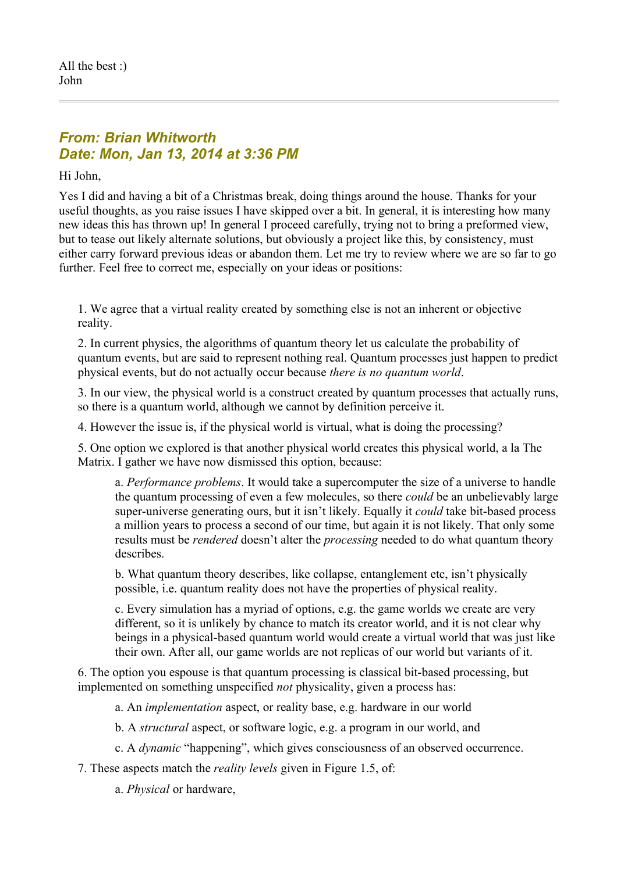## *From: Brian Whitworth Date: Mon, Jan 13, 2014 at 3:36 PM*

Hi John,

Yes I did and having a bit of a Christmas break, doing things around the house. Thanks for your useful thoughts, as you raise issues I have skipped over a bit. In general, it is interesting how many new ideas this has thrown up! In general I proceed carefully, trying not to bring a preformed view, but to tease out likely alternate solutions, but obviously a project like this, by consistency, must either carry forward previous ideas or abandon them. Let me try to review where we are so far to go further. Feel free to correct me, especially on your ideas or positions:

1. We agree that a virtual reality created by something else is not an inherent or objective reality.

2. In current physics, the algorithms of quantum theory let us calculate the probability of quantum events, but are said to represent nothing real. Quantum processes just happen to predict physical events, but do not actually occur because *there is no quantum world*.

3. In our view, the physical world is a construct created by quantum processes that actually runs, so there is a quantum world, although we cannot by definition perceive it.

4. However the issue is, if the physical world is virtual, what is doing the processing?

5. One option we explored is that another physical world creates this physical world, a la The Matrix. I gather we have now dismissed this option, because:

a. *Performance problems*. It would take a supercomputer the size of a universe to handle the quantum processing of even a few molecules, so there *could* be an unbelievably large super-universe generating ours, but it isn't likely. Equally it *could* take bit-based process a million years to process a second of our time, but again it is not likely. That only some results must be *rendered* doesn't alter the *processing* needed to do what quantum theory describes.

b. What quantum theory describes, like collapse, entanglement etc, isn't physically possible, i.e. quantum reality does not have the properties of physical reality.

c. Every simulation has a myriad of options, e.g. the game worlds we create are very different, so it is unlikely by chance to match its creator world, and it is not clear why beings in a physical-based quantum world would create a virtual world that was just like their own. After all, our game worlds are not replicas of our world but variants of it.

6. The option you espouse is that quantum processing is classical bit-based processing, but implemented on something unspecified *not* physicality, given a process has:

a. An *implementation* aspect, or reality base, e.g. hardware in our world

b. A *structural* aspect, or software logic, e.g. a program in our world, and

c. A *dynamic* "happening", which gives consciousness of an observed occurrence.

7. These aspects match the *reality levels* given in Figure 1.5, of:

a. *Physical* or hardware,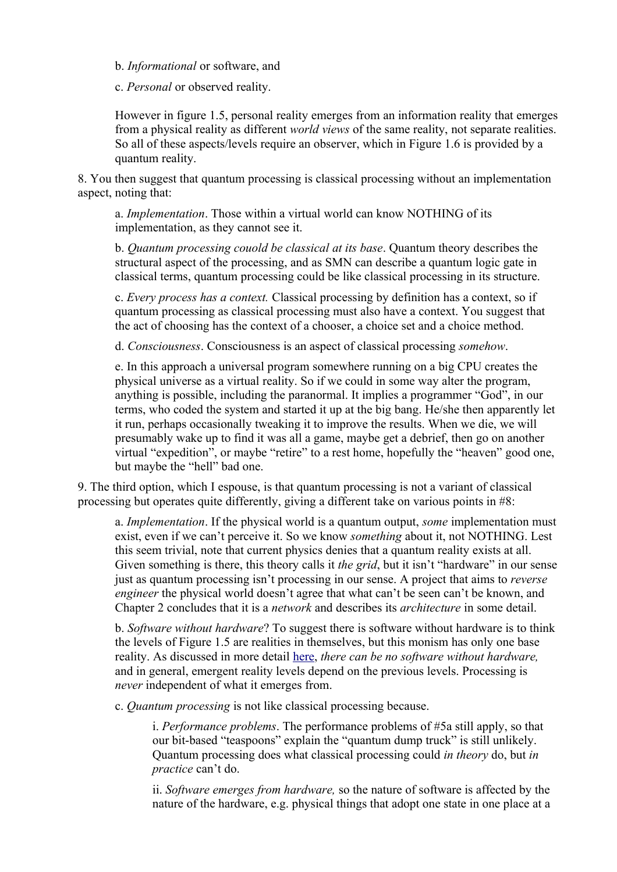b. *Informational* or software, and

c. *Personal* or observed reality.

However in figure 1.5, personal reality emerges from an information reality that emerges from a physical reality as different *world views* of the same reality, not separate realities. So all of these aspects/levels require an observer, which in Figure 1.6 is provided by a quantum reality.

8. You then suggest that quantum processing is classical processing without an implementation aspect, noting that:

a. *Implementation*. Those within a virtual world can know NOTHING of its implementation, as they cannot see it.

b. *Quantum processing couold be classical at its base*. Quantum theory describes the structural aspect of the processing, and as SMN can describe a quantum logic gate in classical terms, quantum processing could be like classical processing in its structure.

c. *Every process has a context.* Classical processing by definition has a context, so if quantum processing as classical processing must also have a context. You suggest that the act of choosing has the context of a chooser, a choice set and a choice method.

d. *Consciousness*. Consciousness is an aspect of classical processing *somehow*.

e. In this approach a universal program somewhere running on a big CPU creates the physical universe as a virtual reality. So if we could in some way alter the program, anything is possible, including the paranormal. It implies a programmer "God", in our terms, who coded the system and started it up at the big bang. He/she then apparently let it run, perhaps occasionally tweaking it to improve the results. When we die, we will presumably wake up to find it was all a game, maybe get a debrief, then go on another virtual "expedition", or maybe "retire" to a rest home, hopefully the "heaven" good one, but maybe the "hell" bad one.

9. The third option, which I espouse, is that quantum processing is not a variant of classical processing but operates quite differently, giving a different take on various points in #8:

a. *Implementation*. If the physical world is a quantum output, *some* implementation must exist, even if we can't perceive it. So we know *something* about it, not NOTHING. Lest this seem trivial, note that current physics denies that a quantum reality exists at all. Given something is there, this theory calls it *the grid*, but it isn't "hardware" in our sense just as quantum processing isn't processing in our sense. A project that aims to *reverse engineer* the physical world doesn't agree that what can't be seen can't be known, and Chapter 2 concludes that it is a *network* and describes its *architecture* in some detail.

b. *Software without hardware*? To suggest there is software without hardware is to think the levels of Figure 1.5 are realities in themselves, but this monism has only one base reality. As discussed in more detail [here,](http://www.interaction-design.org/books/the_social_design_of_technical_systems_2nd_ed/the_evolution_of_computing.html) *there can be no software without hardware,*  and in general, emergent reality levels depend on the previous levels. Processing is *never* independent of what it emerges from.

c. *Quantum processing* is not like classical processing because.

i. *Performance problems*. The performance problems of #5a still apply, so that our bit-based "teaspoons" explain the "quantum dump truck" is still unlikely. Quantum processing does what classical processing could *in theory* do, but *in practice* can't do.

ii. *Software emerges from hardware,* so the nature of software is affected by the nature of the hardware, e.g. physical things that adopt one state in one place at a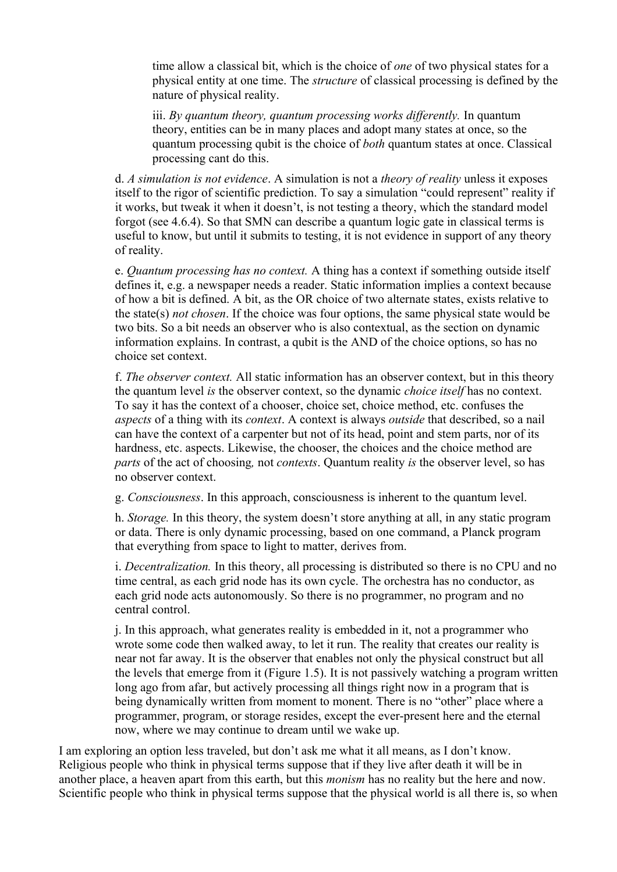time allow a classical bit, which is the choice of *one* of two physical states for a physical entity at one time. The *structure* of classical processing is defined by the nature of physical reality.

iii. *By quantum theory, quantum processing works differently.* In quantum theory, entities can be in many places and adopt many states at once, so the quantum processing qubit is the choice of *both* quantum states at once. Classical processing cant do this.

d. *A simulation is not evidence*. A simulation is not a *theory of reality* unless it exposes itself to the rigor of scientific prediction. To say a simulation "could represent" reality if it works, but tweak it when it doesn't, is not testing a theory, which the standard model forgot (see 4.6.4). So that SMN can describe a quantum logic gate in classical terms is useful to know, but until it submits to testing, it is not evidence in support of any theory of reality.

e. *Quantum processing has no context.* A thing has a context if something outside itself defines it, e.g. a newspaper needs a reader. Static information implies a context because of how a bit is defined. A bit, as the OR choice of two alternate states, exists relative to the state(s) *not chosen*. If the choice was four options, the same physical state would be two bits. So a bit needs an observer who is also contextual, as the section on dynamic information explains. In contrast, a qubit is the AND of the choice options, so has no choice set context.

f. *The observer context.* All static information has an observer context, but in this theory the quantum level *is* the observer context, so the dynamic *choice itself* has no context. To say it has the context of a chooser, choice set, choice method, etc. confuses the *aspects* of a thing with its *context*. A context is always *outside* that described, so a nail can have the context of a carpenter but not of its head, point and stem parts, nor of its hardness, etc. aspects. Likewise, the chooser, the choices and the choice method are *parts* of the act of choosing*,* not *contexts*. Quantum reality *is* the observer level, so has no observer context.

g. *Consciousness*. In this approach, consciousness is inherent to the quantum level.

h. *Storage.* In this theory, the system doesn't store anything at all, in any static program or data. There is only dynamic processing, based on one command, a Planck program that everything from space to light to matter, derives from.

i. *Decentralization.* In this theory, all processing is distributed so there is no CPU and no time central, as each grid node has its own cycle. The orchestra has no conductor, as each grid node acts autonomously. So there is no programmer, no program and no central control.

j. In this approach, what generates reality is embedded in it, not a programmer who wrote some code then walked away, to let it run. The reality that creates our reality is near not far away. It is the observer that enables not only the physical construct but all the levels that emerge from it (Figure 1.5). It is not passively watching a program written long ago from afar, but actively processing all things right now in a program that is being dynamically written from moment to monent. There is no "other" place where a programmer, program, or storage resides, except the ever-present here and the eternal now, where we may continue to dream until we wake up.

I am exploring an option less traveled, but don't ask me what it all means, as I don't know. Religious people who think in physical terms suppose that if they live after death it will be in another place, a heaven apart from this earth, but this *monism* has no reality but the here and now. Scientific people who think in physical terms suppose that the physical world is all there is, so when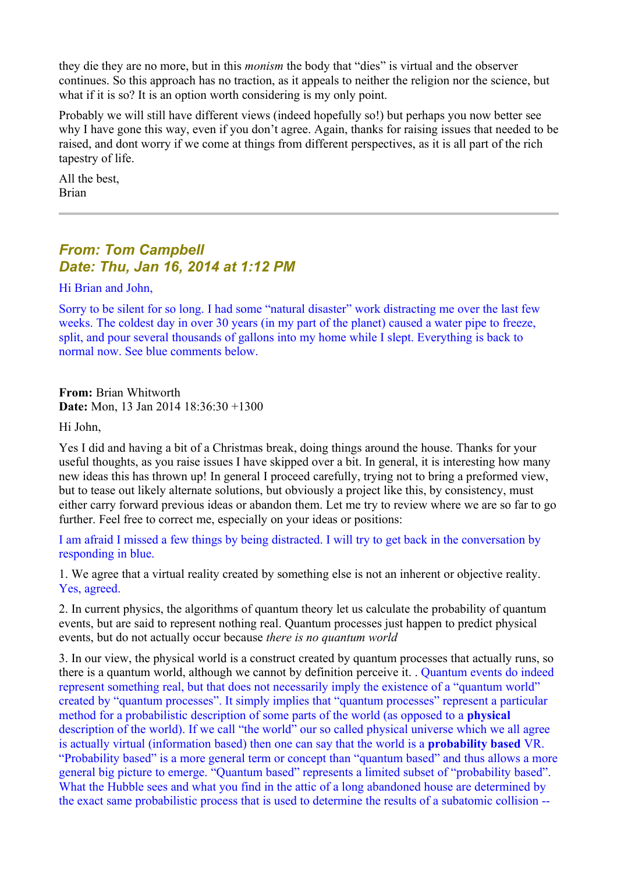they die they are no more, but in this *monism* the body that "dies" is virtual and the observer continues. So this approach has no traction, as it appeals to neither the religion nor the science, but what if it is so? It is an option worth considering is my only point.

Probably we will still have different views (indeed hopefully so!) but perhaps you now better see why I have gone this way, even if you don't agree. Again, thanks for raising issues that needed to be raised, and dont worry if we come at things from different perspectives, as it is all part of the rich tapestry of life.

All the best, Brian

## *From: Tom Campbell Date: Thu, Jan 16, 2014 at 1:12 PM*

Hi Brian and John,

Sorry to be silent for so long. I had some "natural disaster" work distracting me over the last few weeks. The coldest day in over 30 years (in my part of the planet) caused a water pipe to freeze, split, and pour several thousands of gallons into my home while I slept. Everything is back to normal now. See blue comments below.

**From:** Brian Whitworth **Date:** Mon, 13 Jan 2014 18:36:30 +1300

Hi John,

Yes I did and having a bit of a Christmas break, doing things around the house. Thanks for your useful thoughts, as you raise issues I have skipped over a bit. In general, it is interesting how many new ideas this has thrown up! In general I proceed carefully, trying not to bring a preformed view, but to tease out likely alternate solutions, but obviously a project like this, by consistency, must either carry forward previous ideas or abandon them. Let me try to review where we are so far to go further. Feel free to correct me, especially on your ideas or positions:

I am afraid I missed a few things by being distracted. I will try to get back in the conversation by responding in blue.

1. We agree that a virtual reality created by something else is not an inherent or objective reality. Yes, agreed.

2. In current physics, the algorithms of quantum theory let us calculate the probability of quantum events, but are said to represent nothing real. Quantum processes just happen to predict physical events, but do not actually occur because *there is no quantum world*

3. In our view, the physical world is a construct created by quantum processes that actually runs, so there is a quantum world, although we cannot by definition perceive it. . Quantum events do indeed represent something real, but that does not necessarily imply the existence of a "quantum world" created by "quantum processes". It simply implies that "quantum processes" represent a particular method for a probabilistic description of some parts of the world (as opposed to a **physical** description of the world). If we call "the world" our so called physical universe which we all agree is actually virtual (information based) then one can say that the world is a **probability based** VR. "Probability based" is a more general term or concept than "quantum based" and thus allows a more general big picture to emerge. "Quantum based" represents a limited subset of "probability based". What the Hubble sees and what you find in the attic of a long abandoned house are determined by the exact same probabilistic process that is used to determine the results of a subatomic collision --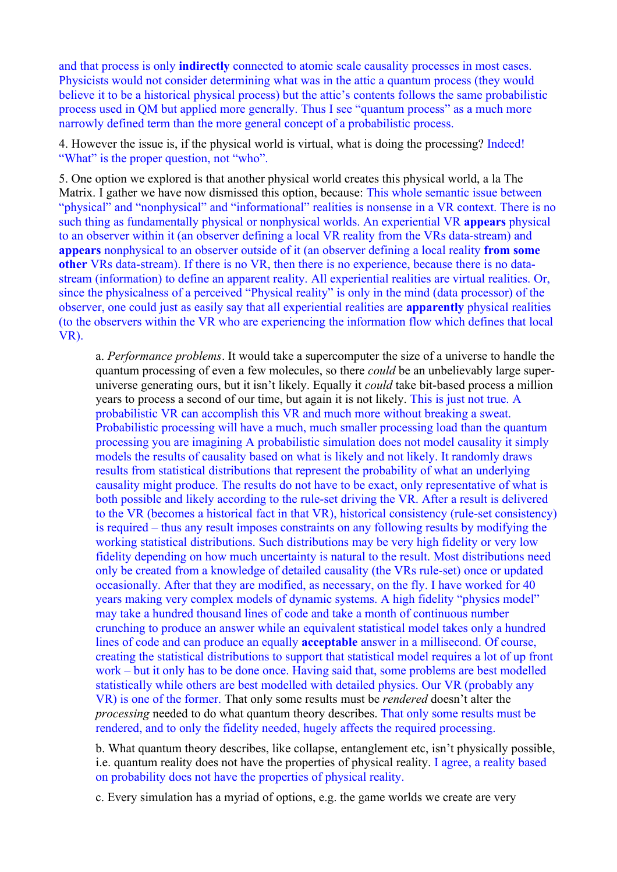and that process is only **indirectly** connected to atomic scale causality processes in most cases. Physicists would not consider determining what was in the attic a quantum process (they would believe it to be a historical physical process) but the attic's contents follows the same probabilistic process used in QM but applied more generally. Thus I see "quantum process" as a much more narrowly defined term than the more general concept of a probabilistic process.

4. However the issue is, if the physical world is virtual, what is doing the processing? Indeed! "What" is the proper question, not "who".

5. One option we explored is that another physical world creates this physical world, a la The Matrix. I gather we have now dismissed this option, because: This whole semantic issue between "physical" and "nonphysical" and "informational" realities is nonsense in a VR context. There is no such thing as fundamentally physical or nonphysical worlds. An experiential VR **appears** physical to an observer within it (an observer defining a local VR reality from the VRs data-stream) and **appears** nonphysical to an observer outside of it (an observer defining a local reality **from some other** VRs data-stream). If there is no VR, then there is no experience, because there is no datastream (information) to define an apparent reality. All experiential realities are virtual realities. Or, since the physicalness of a perceived "Physical reality" is only in the mind (data processor) of the observer, one could just as easily say that all experiential realities are **apparently** physical realities (to the observers within the VR who are experiencing the information flow which defines that local VR).

a. *Performance problems*. It would take a supercomputer the size of a universe to handle the quantum processing of even a few molecules, so there *could* be an unbelievably large superuniverse generating ours, but it isn't likely. Equally it *could* take bit-based process a million years to process a second of our time, but again it is not likely. This is just not true. A probabilistic VR can accomplish this VR and much more without breaking a sweat. Probabilistic processing will have a much, much smaller processing load than the quantum processing you are imagining A probabilistic simulation does not model causality it simply models the results of causality based on what is likely and not likely. It randomly draws results from statistical distributions that represent the probability of what an underlying causality might produce. The results do not have to be exact, only representative of what is both possible and likely according to the rule-set driving the VR. After a result is delivered to the VR (becomes a historical fact in that VR), historical consistency (rule-set consistency) is required – thus any result imposes constraints on any following results by modifying the working statistical distributions. Such distributions may be very high fidelity or very low fidelity depending on how much uncertainty is natural to the result. Most distributions need only be created from a knowledge of detailed causality (the VRs rule-set) once or updated occasionally. After that they are modified, as necessary, on the fly. I have worked for 40 years making very complex models of dynamic systems. A high fidelity "physics model" may take a hundred thousand lines of code and take a month of continuous number crunching to produce an answer while an equivalent statistical model takes only a hundred lines of code and can produce an equally **acceptable** answer in a millisecond. Of course, creating the statistical distributions to support that statistical model requires a lot of up front work – but it only has to be done once. Having said that, some problems are best modelled statistically while others are best modelled with detailed physics. Our VR (probably any VR) is one of the former. That only some results must be *rendered* doesn't alter the *processing* needed to do what quantum theory describes. That only some results must be rendered, and to only the fidelity needed, hugely affects the required processing.

b. What quantum theory describes, like collapse, entanglement etc, isn't physically possible, i.e. quantum reality does not have the properties of physical reality. I agree, a reality based on probability does not have the properties of physical reality.

c. Every simulation has a myriad of options, e.g. the game worlds we create are very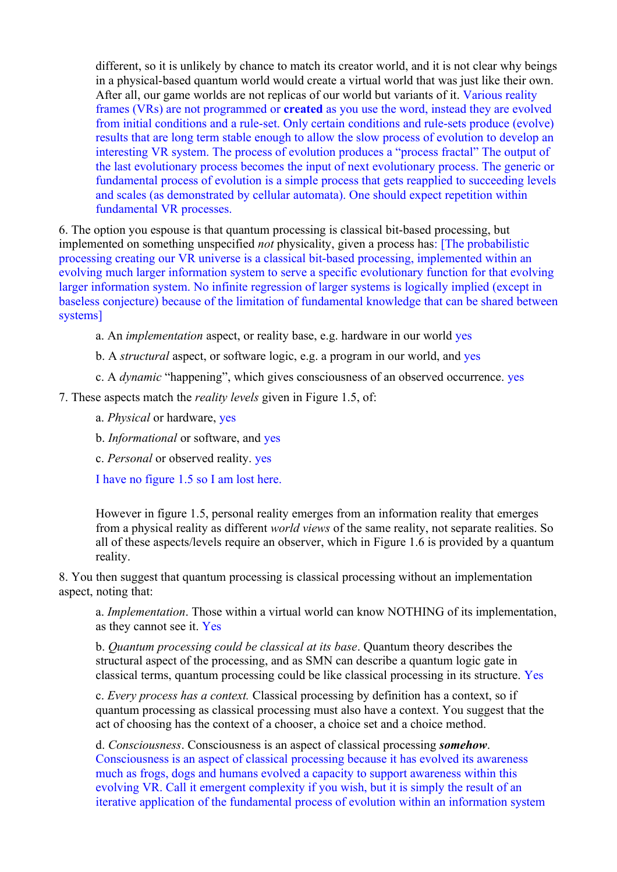different, so it is unlikely by chance to match its creator world, and it is not clear why beings in a physical-based quantum world would create a virtual world that was just like their own. After all, our game worlds are not replicas of our world but variants of it. Various reality frames (VRs) are not programmed or **created** as you use the word, instead they are evolved from initial conditions and a rule-set. Only certain conditions and rule-sets produce (evolve) results that are long term stable enough to allow the slow process of evolution to develop an interesting VR system. The process of evolution produces a "process fractal" The output of the last evolutionary process becomes the input of next evolutionary process. The generic or fundamental process of evolution is a simple process that gets reapplied to succeeding levels and scales (as demonstrated by cellular automata). One should expect repetition within fundamental VR processes.

6. The option you espouse is that quantum processing is classical bit-based processing, but implemented on something unspecified *not* physicality, given a process has: [The probabilistic processing creating our VR universe is a classical bit-based processing, implemented within an evolving much larger information system to serve a specific evolutionary function for that evolving larger information system. No infinite regression of larger systems is logically implied (except in baseless conjecture) because of the limitation of fundamental knowledge that can be shared between systems]

- a. An *implementation* aspect, or reality base, e.g. hardware in our world yes
- b. A *structural* aspect, or software logic, e.g. a program in our world, and yes
- c. A *dynamic* "happening", which gives consciousness of an observed occurrence. yes
- 7. These aspects match the *reality levels* given in Figure 1.5, of:
	- a. *Physical* or hardware, yes
	- b. *Informational* or software, and yes
	- c. *Personal* or observed reality. yes

I have no figure 1.5 so I am lost here.

However in figure 1.5, personal reality emerges from an information reality that emerges from a physical reality as different *world views* of the same reality, not separate realities. So all of these aspects/levels require an observer, which in Figure 1.6 is provided by a quantum reality.

8. You then suggest that quantum processing is classical processing without an implementation aspect, noting that:

a. *Implementation*. Those within a virtual world can know NOTHING of its implementation, as they cannot see it. Yes

b. *Quantum processing could be classical at its base*. Quantum theory describes the structural aspect of the processing, and as SMN can describe a quantum logic gate in classical terms, quantum processing could be like classical processing in its structure. Yes

c. *Every process has a context.* Classical processing by definition has a context, so if quantum processing as classical processing must also have a context. You suggest that the act of choosing has the context of a chooser, a choice set and a choice method.

d. *Consciousness*. Consciousness is an aspect of classical processing *somehow*. Consciousness is an aspect of classical processing because it has evolved its awareness much as frogs, dogs and humans evolved a capacity to support awareness within this evolving VR. Call it emergent complexity if you wish, but it is simply the result of an iterative application of the fundamental process of evolution within an information system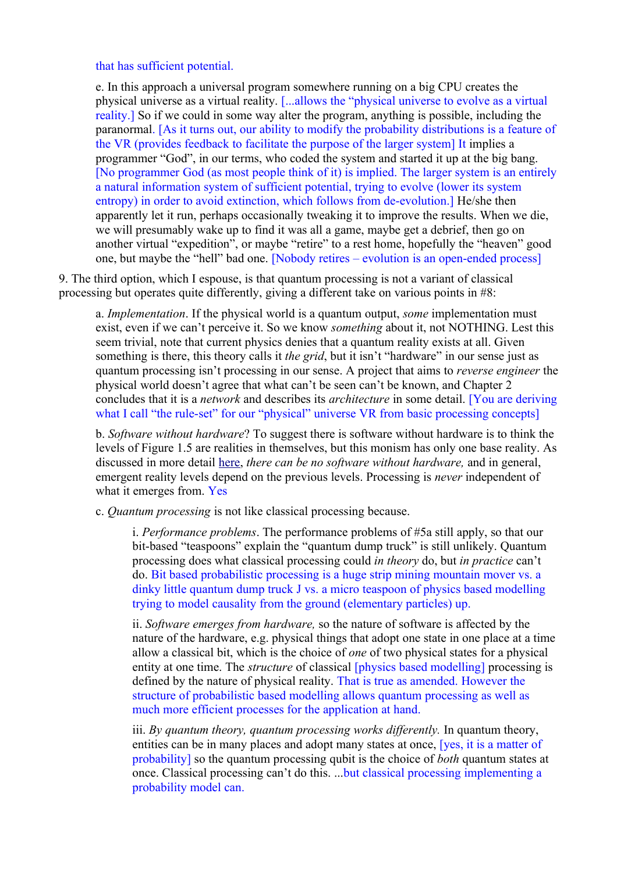that has sufficient potential.

e. In this approach a universal program somewhere running on a big CPU creates the physical universe as a virtual reality. [...allows the "physical universe to evolve as a virtual reality.] So if we could in some way alter the program, anything is possible, including the paranormal. [As it turns out, our ability to modify the probability distributions is a feature of the VR (provides feedback to facilitate the purpose of the larger system] It implies a programmer "God", in our terms, who coded the system and started it up at the big bang. [No programmer God (as most people think of it) is implied. The larger system is an entirely a natural information system of sufficient potential, trying to evolve (lower its system entropy) in order to avoid extinction, which follows from de-evolution.] He/she then apparently let it run, perhaps occasionally tweaking it to improve the results. When we die, we will presumably wake up to find it was all a game, maybe get a debrief, then go on another virtual "expedition", or maybe "retire" to a rest home, hopefully the "heaven" good one, but maybe the "hell" bad one. [Nobody retires – evolution is an open-ended process]

9. The third option, which I espouse, is that quantum processing is not a variant of classical processing but operates quite differently, giving a different take on various points in #8:

a. *Implementation*. If the physical world is a quantum output, *some* implementation must exist, even if we can't perceive it. So we know *something* about it, not NOTHING. Lest this seem trivial, note that current physics denies that a quantum reality exists at all. Given something is there, this theory calls it *the grid*, but it isn't "hardware" in our sense just as quantum processing isn't processing in our sense. A project that aims to *reverse engineer* the physical world doesn't agree that what can't be seen can't be known, and Chapter 2 concludes that it is a *network* and describes its *architecture* in some detail. [You are deriving what I call "the rule-set" for our "physical" universe VR from basic processing concepts]

b. *Software without hardware*? To suggest there is software without hardware is to think the levels of Figure 1.5 are realities in themselves, but this monism has only one base reality. As discussed in more detail [here,](http://www.interaction-design.org/books/the_social_design_of_technical_systems_2nd_ed/the_evolution_of_computing.html) *there can be no software without hardware,* and in general, emergent reality levels depend on the previous levels. Processing is *never* independent of what it emerges from. Yes

c. *Quantum processing* is not like classical processing because.

i. *Performance problems*. The performance problems of #5a still apply, so that our bit-based "teaspoons" explain the "quantum dump truck" is still unlikely. Quantum processing does what classical processing could *in theory* do, but *in practice* can't do. Bit based probabilistic processing is a huge strip mining mountain mover vs. a dinky little quantum dump truck J vs. a micro teaspoon of physics based modelling trying to model causality from the ground (elementary particles) up.

ii. *Software emerges from hardware,* so the nature of software is affected by the nature of the hardware, e.g. physical things that adopt one state in one place at a time allow a classical bit, which is the choice of *one* of two physical states for a physical entity at one time. The *structure* of classical *[physics based modelling]* processing is defined by the nature of physical reality. That is true as amended. However the structure of probabilistic based modelling allows quantum processing as well as much more efficient processes for the application at hand.

iii. *By quantum theory, quantum processing works differently*. In quantum theory, entities can be in many places and adopt many states at once, [yes, it is a matter of probability] so the quantum processing qubit is the choice of *both* quantum states at once. Classical processing can't do this. ...but classical processing implementing a probability model can.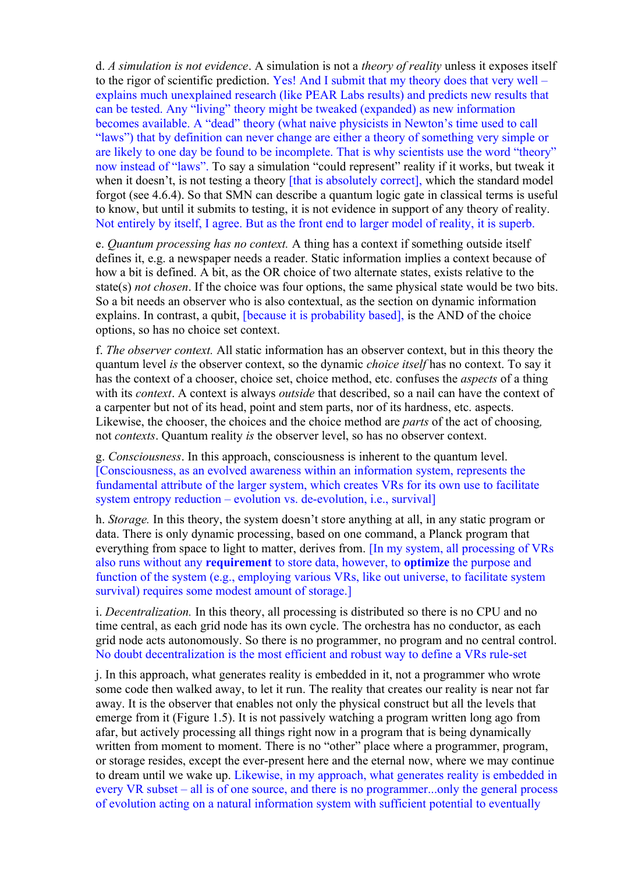d. *A simulation is not evidence*. A simulation is not a *theory of reality* unless it exposes itself to the rigor of scientific prediction. Yes! And I submit that my theory does that very well – explains much unexplained research (like PEAR Labs results) and predicts new results that can be tested. Any "living" theory might be tweaked (expanded) as new information becomes available. A "dead" theory (what naive physicists in Newton's time used to call "laws") that by definition can never change are either a theory of something very simple or are likely to one day be found to be incomplete. That is why scientists use the word "theory" now instead of "laws". To say a simulation "could represent" reality if it works, but tweak it when it doesn't, is not testing a theory [that is absolutely correct], which the standard model forgot (see 4.6.4). So that SMN can describe a quantum logic gate in classical terms is useful to know, but until it submits to testing, it is not evidence in support of any theory of reality. Not entirely by itself, I agree. But as the front end to larger model of reality, it is superb.

e. *Quantum processing has no context.* A thing has a context if something outside itself defines it, e.g. a newspaper needs a reader. Static information implies a context because of how a bit is defined. A bit, as the OR choice of two alternate states, exists relative to the state(s) *not chosen*. If the choice was four options, the same physical state would be two bits. So a bit needs an observer who is also contextual, as the section on dynamic information explains. In contrast, a qubit, [because it is probability based], is the AND of the choice options, so has no choice set context.

f. *The observer context.* All static information has an observer context, but in this theory the quantum level *is* the observer context, so the dynamic *choice itself* has no context. To say it has the context of a chooser, choice set, choice method, etc. confuses the *aspects* of a thing with its *context*. A context is always *outside* that described, so a nail can have the context of a carpenter but not of its head, point and stem parts, nor of its hardness, etc. aspects. Likewise, the chooser, the choices and the choice method are *parts* of the act of choosing, not *contexts*. Quantum reality *is* the observer level, so has no observer context.

g. *Consciousness*. In this approach, consciousness is inherent to the quantum level. [Consciousness, as an evolved awareness within an information system, represents the fundamental attribute of the larger system, which creates VRs for its own use to facilitate system entropy reduction – evolution vs. de-evolution, *i.e.*, survival

h. *Storage.* In this theory, the system doesn't store anything at all, in any static program or data. There is only dynamic processing, based on one command, a Planck program that everything from space to light to matter, derives from. [In my system, all processing of VRs also runs without any **requirement** to store data, however, to **optimize** the purpose and function of the system (e.g., employing various VRs, like out universe, to facilitate system survival) requires some modest amount of storage.]

i. *Decentralization.* In this theory, all processing is distributed so there is no CPU and no time central, as each grid node has its own cycle. The orchestra has no conductor, as each grid node acts autonomously. So there is no programmer, no program and no central control. No doubt decentralization is the most efficient and robust way to define a VRs rule-set

j. In this approach, what generates reality is embedded in it, not a programmer who wrote some code then walked away, to let it run. The reality that creates our reality is near not far away. It is the observer that enables not only the physical construct but all the levels that emerge from it (Figure 1.5). It is not passively watching a program written long ago from afar, but actively processing all things right now in a program that is being dynamically written from moment to moment. There is no "other" place where a programmer, program, or storage resides, except the ever-present here and the eternal now, where we may continue to dream until we wake up. Likewise, in my approach, what generates reality is embedded in every VR subset – all is of one source, and there is no programmer...only the general process of evolution acting on a natural information system with sufficient potential to eventually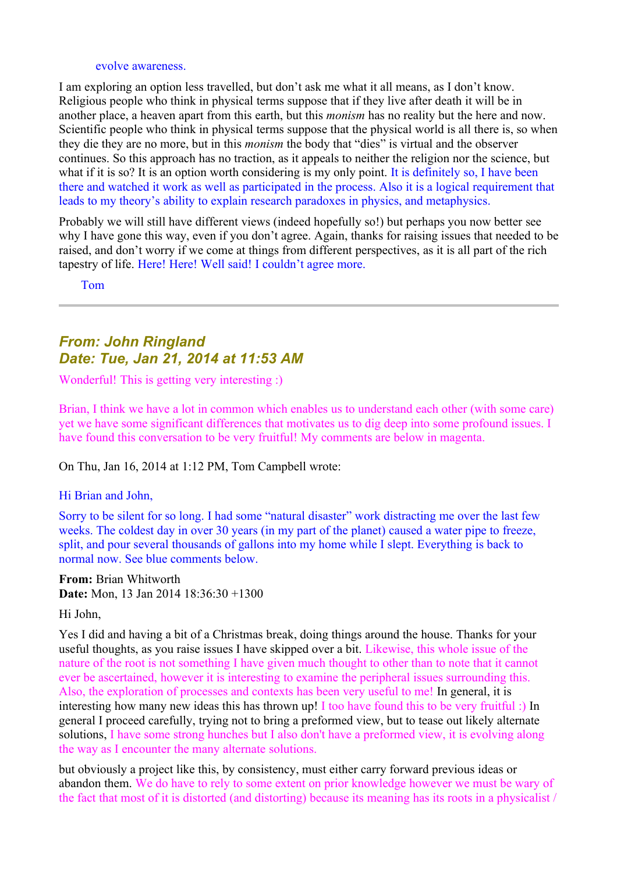#### evolve awareness.

I am exploring an option less travelled, but don't ask me what it all means, as I don't know. Religious people who think in physical terms suppose that if they live after death it will be in another place, a heaven apart from this earth, but this *monism* has no reality but the here and now. Scientific people who think in physical terms suppose that the physical world is all there is, so when they die they are no more, but in this *monism* the body that "dies" is virtual and the observer continues. So this approach has no traction, as it appeals to neither the religion nor the science, but what if it is so? It is an option worth considering is my only point. It is definitely so, I have been there and watched it work as well as participated in the process. Also it is a logical requirement that leads to my theory's ability to explain research paradoxes in physics, and metaphysics.

Probably we will still have different views (indeed hopefully so!) but perhaps you now better see why I have gone this way, even if you don't agree. Again, thanks for raising issues that needed to be raised, and don't worry if we come at things from different perspectives, as it is all part of the rich tapestry of life. Here! Here! Well said! I couldn't agree more.

Tom

## *From: John Ringland Date: Tue, Jan 21, 2014 at 11:53 AM*

Wonderful! This is getting very interesting :)

Brian, I think we have a lot in common which enables us to understand each other (with some care) yet we have some significant differences that motivates us to dig deep into some profound issues. I have found this conversation to be very fruitful! My comments are below in magenta.

On Thu, Jan 16, 2014 at 1:12 PM, Tom Campbell wrote:

#### Hi Brian and John,

Sorry to be silent for so long. I had some "natural disaster" work distracting me over the last few weeks. The coldest day in over 30 years (in my part of the planet) caused a water pipe to freeze, split, and pour several thousands of gallons into my home while I slept. Everything is back to normal now. See blue comments below.

**From:** Brian Whitworth **Date:** Mon, 13 Jan 2014 18:36:30 +1300

Hi John,

Yes I did and having a bit of a Christmas break, doing things around the house. Thanks for your useful thoughts, as you raise issues I have skipped over a bit. Likewise, this whole issue of the nature of the root is not something I have given much thought to other than to note that it cannot ever be ascertained, however it is interesting to examine the peripheral issues surrounding this. Also, the exploration of processes and contexts has been very useful to me! In general, it is interesting how many new ideas this has thrown up! I too have found this to be very fruitful :) In general I proceed carefully, trying not to bring a preformed view, but to tease out likely alternate solutions, I have some strong hunches but I also don't have a preformed view, it is evolving along the way as I encounter the many alternate solutions.

but obviously a project like this, by consistency, must either carry forward previous ideas or abandon them. We do have to rely to some extent on prior knowledge however we must be wary of the fact that most of it is distorted (and distorting) because its meaning has its roots in a physicalist /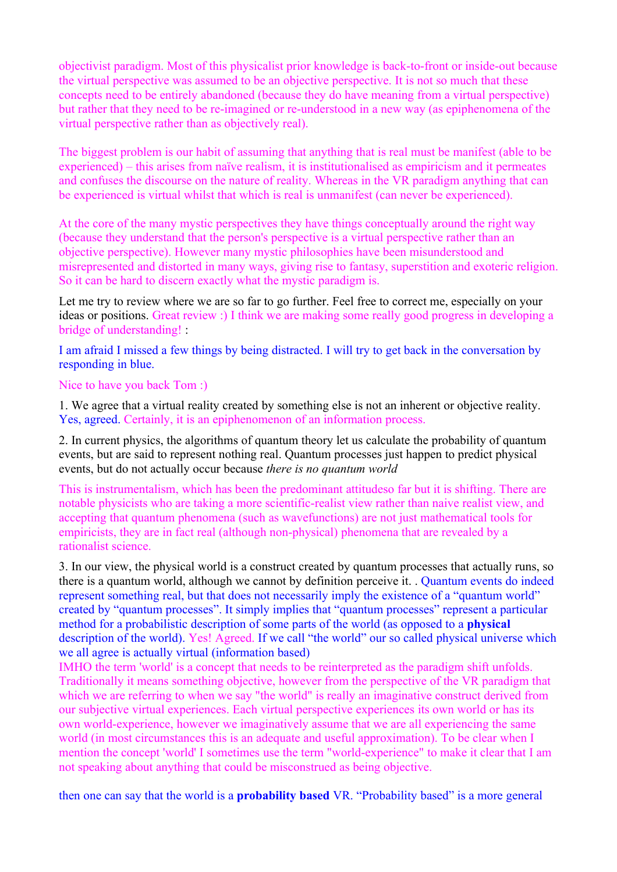objectivist paradigm. Most of this physicalist prior knowledge is back-to-front or inside-out because the virtual perspective was assumed to be an objective perspective. It is not so much that these concepts need to be entirely abandoned (because they do have meaning from a virtual perspective) but rather that they need to be re-imagined or re-understood in a new way (as epiphenomena of the virtual perspective rather than as objectively real).

The biggest problem is our habit of assuming that anything that is real must be manifest (able to be experienced) – this arises from naïve realism, it is institutionalised as empiricism and it permeates and confuses the discourse on the nature of reality. Whereas in the VR paradigm anything that can be experienced is virtual whilst that which is real is unmanifest (can never be experienced).

At the core of the many mystic perspectives they have things conceptually around the right way (because they understand that the person's perspective is a virtual perspective rather than an objective perspective). However many mystic philosophies have been misunderstood and misrepresented and distorted in many ways, giving rise to fantasy, superstition and exoteric religion. So it can be hard to discern exactly what the mystic paradigm is.

Let me try to review where we are so far to go further. Feel free to correct me, especially on your ideas or positions. Great review :) I think we are making some really good progress in developing a bridge of understanding! :

I am afraid I missed a few things by being distracted. I will try to get back in the conversation by responding in blue.

Nice to have you back Tom :)

1. We agree that a virtual reality created by something else is not an inherent or objective reality. Yes, agreed. Certainly, it is an epiphenomenon of an information process.

2. In current physics, the algorithms of quantum theory let us calculate the probability of quantum events, but are said to represent nothing real. Quantum processes just happen to predict physical events, but do not actually occur because *there is no quantum world*

This is instrumentalism, which has been the predominant attitudeso far but it is shifting. There are notable physicists who are taking a more scientific-realist view rather than naive realist view, and accepting that quantum phenomena (such as wavefunctions) are not just mathematical tools for empiricists, they are in fact real (although non-physical) phenomena that are revealed by a rationalist science.

3. In our view, the physical world is a construct created by quantum processes that actually runs, so there is a quantum world, although we cannot by definition perceive it. . Quantum events do indeed represent something real, but that does not necessarily imply the existence of a "quantum world" created by "quantum processes". It simply implies that "quantum processes" represent a particular method for a probabilistic description of some parts of the world (as opposed to a **physical** description of the world). Yes! Agreed. If we call "the world" our so called physical universe which we all agree is actually virtual (information based)

IMHO the term 'world' is a concept that needs to be reinterpreted as the paradigm shift unfolds. Traditionally it means something objective, however from the perspective of the VR paradigm that which we are referring to when we say "the world" is really an imaginative construct derived from our subjective virtual experiences. Each virtual perspective experiences its own world or has its own world-experience, however we imaginatively assume that we are all experiencing the same world (in most circumstances this is an adequate and useful approximation). To be clear when I mention the concept 'world' I sometimes use the term "world-experience" to make it clear that I am not speaking about anything that could be misconstrued as being objective.

then one can say that the world is a **probability based** VR. "Probability based" is a more general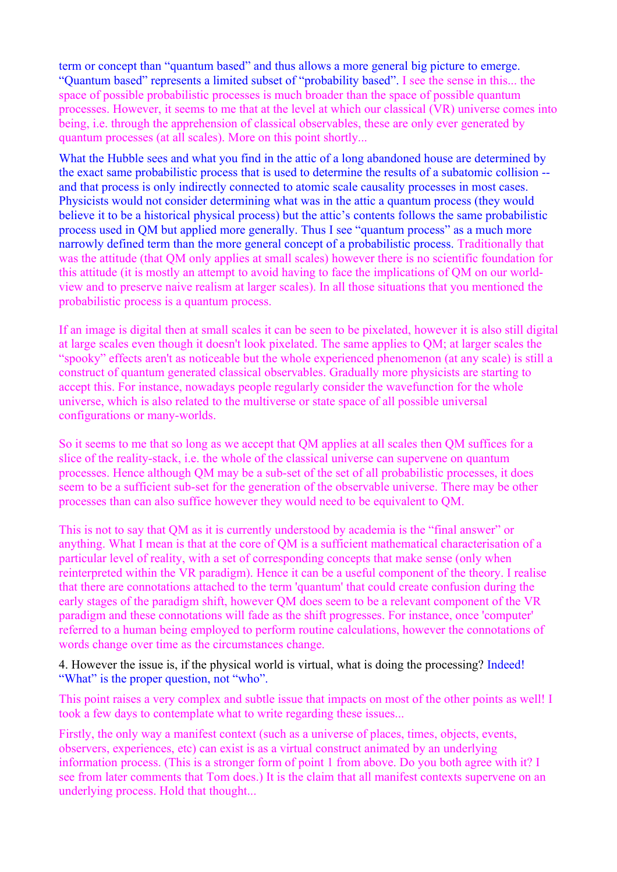term or concept than "quantum based" and thus allows a more general big picture to emerge. "Quantum based" represents a limited subset of "probability based". I see the sense in this... the space of possible probabilistic processes is much broader than the space of possible quantum processes. However, it seems to me that at the level at which our classical (VR) universe comes into being, i.e. through the apprehension of classical observables, these are only ever generated by quantum processes (at all scales). More on this point shortly...

What the Hubble sees and what you find in the attic of a long abandoned house are determined by the exact same probabilistic process that is used to determine the results of a subatomic collision - and that process is only indirectly connected to atomic scale causality processes in most cases. Physicists would not consider determining what was in the attic a quantum process (they would believe it to be a historical physical process) but the attic's contents follows the same probabilistic process used in QM but applied more generally. Thus I see "quantum process" as a much more narrowly defined term than the more general concept of a probabilistic process. Traditionally that was the attitude (that QM only applies at small scales) however there is no scientific foundation for this attitude (it is mostly an attempt to avoid having to face the implications of QM on our worldview and to preserve naive realism at larger scales). In all those situations that you mentioned the probabilistic process is a quantum process.

If an image is digital then at small scales it can be seen to be pixelated, however it is also still digital at large scales even though it doesn't look pixelated. The same applies to QM; at larger scales the "spooky" effects aren't as noticeable but the whole experienced phenomenon (at any scale) is still a construct of quantum generated classical observables. Gradually more physicists are starting to accept this. For instance, nowadays people regularly consider the wavefunction for the whole universe, which is also related to the multiverse or state space of all possible universal configurations or many-worlds.

So it seems to me that so long as we accept that QM applies at all scales then QM suffices for a slice of the reality-stack, i.e. the whole of the classical universe can supervene on quantum processes. Hence although QM may be a sub-set of the set of all probabilistic processes, it does seem to be a sufficient sub-set for the generation of the observable universe. There may be other processes than can also suffice however they would need to be equivalent to QM.

This is not to say that QM as it is currently understood by academia is the "final answer" or anything. What I mean is that at the core of QM is a sufficient mathematical characterisation of a particular level of reality, with a set of corresponding concepts that make sense (only when reinterpreted within the VR paradigm). Hence it can be a useful component of the theory. I realise that there are connotations attached to the term 'quantum' that could create confusion during the early stages of the paradigm shift, however QM does seem to be a relevant component of the VR paradigm and these connotations will fade as the shift progresses. For instance, once 'computer' referred to a human being employed to perform routine calculations, however the connotations of words change over time as the circumstances change.

4. However the issue is, if the physical world is virtual, what is doing the processing? Indeed! "What" is the proper question, not "who".

This point raises a very complex and subtle issue that impacts on most of the other points as well! I took a few days to contemplate what to write regarding these issues...

Firstly, the only way a manifest context (such as a universe of places, times, objects, events, observers, experiences, etc) can exist is as a virtual construct animated by an underlying information process. (This is a stronger form of point 1 from above. Do you both agree with it? I see from later comments that Tom does.) It is the claim that all manifest contexts supervene on an underlying process. Hold that thought...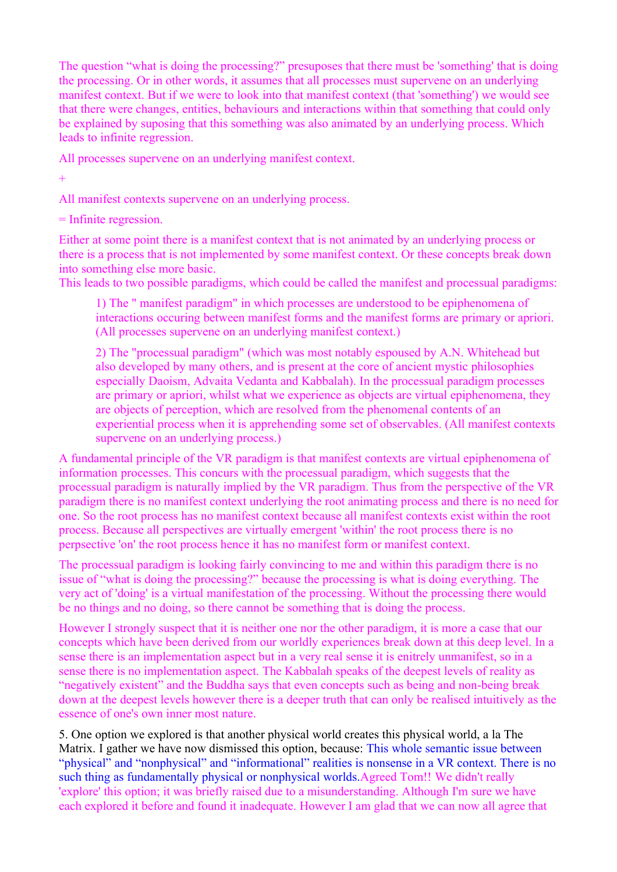The question "what is doing the processing?" presuposes that there must be 'something' that is doing the processing. Or in other words, it assumes that all processes must supervene on an underlying manifest context. But if we were to look into that manifest context (that 'something') we would see that there were changes, entities, behaviours and interactions within that something that could only be explained by suposing that this something was also animated by an underlying process. Which leads to infinite regression.

All processes supervene on an underlying manifest context.

 $+$ 

All manifest contexts supervene on an underlying process.

= Infinite regression.

Either at some point there is a manifest context that is not animated by an underlying process or there is a process that is not implemented by some manifest context. Or these concepts break down into something else more basic.

This leads to two possible paradigms, which could be called the manifest and processual paradigms:

1) The " manifest paradigm" in which processes are understood to be epiphenomena of interactions occuring between manifest forms and the manifest forms are primary or apriori. (All processes supervene on an underlying manifest context.)

2) The "processual paradigm" (which was most notably espoused by A.N. Whitehead but also developed by many others, and is present at the core of ancient mystic philosophies especially Daoism, Advaita Vedanta and Kabbalah). In the processual paradigm processes are primary or apriori, whilst what we experience as objects are virtual epiphenomena, they are objects of perception, which are resolved from the phenomenal contents of an experiential process when it is apprehending some set of observables. (All manifest contexts supervene on an underlying process.)

A fundamental principle of the VR paradigm is that manifest contexts are virtual epiphenomena of information processes. This concurs with the processual paradigm, which suggests that the processual paradigm is naturally implied by the VR paradigm. Thus from the perspective of the VR paradigm there is no manifest context underlying the root animating process and there is no need for one. So the root process has no manifest context because all manifest contexts exist within the root process. Because all perspectives are virtually emergent 'within' the root process there is no perpsective 'on' the root process hence it has no manifest form or manifest context.

The processual paradigm is looking fairly convincing to me and within this paradigm there is no issue of "what is doing the processing?" because the processing is what is doing everything. The very act of 'doing' is a virtual manifestation of the processing. Without the processing there would be no things and no doing, so there cannot be something that is doing the process.

However I strongly suspect that it is neither one nor the other paradigm, it is more a case that our concepts which have been derived from our worldly experiences break down at this deep level. In a sense there is an implementation aspect but in a very real sense it is enitrely unmanifest, so in a sense there is no implementation aspect. The Kabbalah speaks of the deepest levels of reality as "negatively existent" and the Buddha says that even concepts such as being and non-being break down at the deepest levels however there is a deeper truth that can only be realised intuitively as the essence of one's own inner most nature.

5. One option we explored is that another physical world creates this physical world, a la The Matrix. I gather we have now dismissed this option, because: This whole semantic issue between "physical" and "nonphysical" and "informational" realities is nonsense in a VR context. There is no such thing as fundamentally physical or nonphysical worlds.Agreed Tom!! We didn't really 'explore' this option; it was briefly raised due to a misunderstanding. Although I'm sure we have each explored it before and found it inadequate. However I am glad that we can now all agree that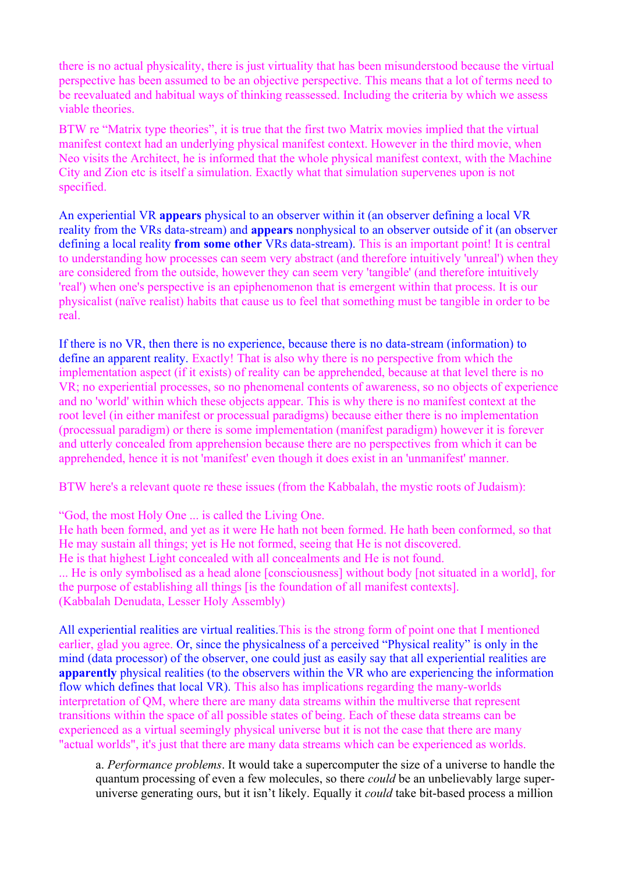there is no actual physicality, there is just virtuality that has been misunderstood because the virtual perspective has been assumed to be an objective perspective. This means that a lot of terms need to be reevaluated and habitual ways of thinking reassessed. Including the criteria by which we assess viable theories.

BTW re "Matrix type theories", it is true that the first two Matrix movies implied that the virtual manifest context had an underlying physical manifest context. However in the third movie, when Neo visits the Architect, he is informed that the whole physical manifest context, with the Machine City and Zion etc is itself a simulation. Exactly what that simulation supervenes upon is not specified.

An experiential VR **appears** physical to an observer within it (an observer defining a local VR reality from the VRs data-stream) and **appears** nonphysical to an observer outside of it (an observer defining a local reality **from some other** VRs data-stream). This is an important point! It is central to understanding how processes can seem very abstract (and therefore intuitively 'unreal') when they are considered from the outside, however they can seem very 'tangible' (and therefore intuitively 'real') when one's perspective is an epiphenomenon that is emergent within that process. It is our physicalist (naïve realist) habits that cause us to feel that something must be tangible in order to be real.

If there is no VR, then there is no experience, because there is no data-stream (information) to define an apparent reality. Exactly! That is also why there is no perspective from which the implementation aspect (if it exists) of reality can be apprehended, because at that level there is no VR; no experiential processes, so no phenomenal contents of awareness, so no objects of experience and no 'world' within which these objects appear. This is why there is no manifest context at the root level (in either manifest or processual paradigms) because either there is no implementation (processual paradigm) or there is some implementation (manifest paradigm) however it is forever and utterly concealed from apprehension because there are no perspectives from which it can be apprehended, hence it is not 'manifest' even though it does exist in an 'unmanifest' manner.

BTW here's a relevant quote re these issues (from the Kabbalah, the mystic roots of Judaism):

"God, the most Holy One ... is called the Living One.

He hath been formed, and yet as it were He hath not been formed. He hath been conformed, so that He may sustain all things; yet is He not formed, seeing that He is not discovered. He is that highest Light concealed with all concealments and He is not found.

... He is only symbolised as a head alone [consciousness] without body [not situated in a world], for the purpose of establishing all things [is the foundation of all manifest contexts]. (Kabbalah Denudata, Lesser Holy Assembly)

All experiential realities are virtual realities.This is the strong form of point one that I mentioned earlier, glad you agree. Or, since the physicalness of a perceived "Physical reality" is only in the mind (data processor) of the observer, one could just as easily say that all experiential realities are **apparently** physical realities (to the observers within the VR who are experiencing the information flow which defines that local VR). This also has implications regarding the many-worlds interpretation of QM, where there are many data streams within the multiverse that represent transitions within the space of all possible states of being. Each of these data streams can be experienced as a virtual seemingly physical universe but it is not the case that there are many "actual worlds", it's just that there are many data streams which can be experienced as worlds.

a. *Performance problems*. It would take a supercomputer the size of a universe to handle the quantum processing of even a few molecules, so there *could* be an unbelievably large superuniverse generating ours, but it isn't likely. Equally it *could* take bit-based process a million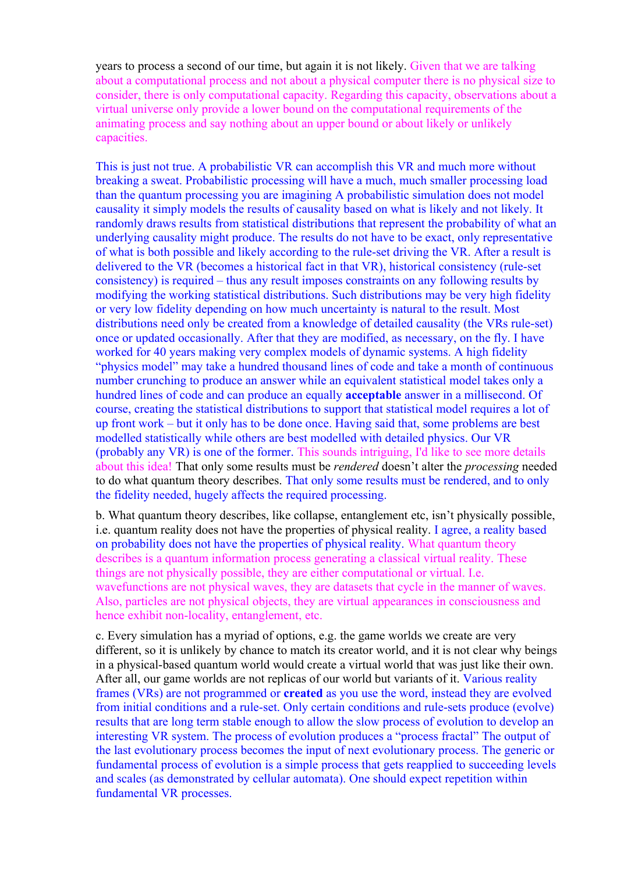years to process a second of our time, but again it is not likely. Given that we are talking about a computational process and not about a physical computer there is no physical size to consider, there is only computational capacity. Regarding this capacity, observations about a virtual universe only provide a lower bound on the computational requirements of the animating process and say nothing about an upper bound or about likely or unlikely capacities.

This is just not true. A probabilistic VR can accomplish this VR and much more without breaking a sweat. Probabilistic processing will have a much, much smaller processing load than the quantum processing you are imagining A probabilistic simulation does not model causality it simply models the results of causality based on what is likely and not likely. It randomly draws results from statistical distributions that represent the probability of what an underlying causality might produce. The results do not have to be exact, only representative of what is both possible and likely according to the rule-set driving the VR. After a result is delivered to the VR (becomes a historical fact in that VR), historical consistency (rule-set consistency) is required – thus any result imposes constraints on any following results by modifying the working statistical distributions. Such distributions may be very high fidelity or very low fidelity depending on how much uncertainty is natural to the result. Most distributions need only be created from a knowledge of detailed causality (the VRs rule-set) once or updated occasionally. After that they are modified, as necessary, on the fly. I have worked for 40 years making very complex models of dynamic systems. A high fidelity "physics model" may take a hundred thousand lines of code and take a month of continuous number crunching to produce an answer while an equivalent statistical model takes only a hundred lines of code and can produce an equally **acceptable** answer in a millisecond. Of course, creating the statistical distributions to support that statistical model requires a lot of up front work – but it only has to be done once. Having said that, some problems are best modelled statistically while others are best modelled with detailed physics. Our VR (probably any VR) is one of the former. This sounds intriguing, I'd like to see more details about this idea! That only some results must be *rendered* doesn't alter the *processing* needed to do what quantum theory describes. That only some results must be rendered, and to only the fidelity needed, hugely affects the required processing.

b. What quantum theory describes, like collapse, entanglement etc, isn't physically possible, i.e. quantum reality does not have the properties of physical reality. I agree, a reality based on probability does not have the properties of physical reality. What quantum theory describes is a quantum information process generating a classical virtual reality. These things are not physically possible, they are either computational or virtual. I.e. wavefunctions are not physical waves, they are datasets that cycle in the manner of waves. Also, particles are not physical objects, they are virtual appearances in consciousness and hence exhibit non-locality, entanglement, etc.

c. Every simulation has a myriad of options, e.g. the game worlds we create are very different, so it is unlikely by chance to match its creator world, and it is not clear why beings in a physical-based quantum world would create a virtual world that was just like their own. After all, our game worlds are not replicas of our world but variants of it. Various reality frames (VRs) are not programmed or **created** as you use the word, instead they are evolved from initial conditions and a rule-set. Only certain conditions and rule-sets produce (evolve) results that are long term stable enough to allow the slow process of evolution to develop an interesting VR system. The process of evolution produces a "process fractal" The output of the last evolutionary process becomes the input of next evolutionary process. The generic or fundamental process of evolution is a simple process that gets reapplied to succeeding levels and scales (as demonstrated by cellular automata). One should expect repetition within fundamental VR processes.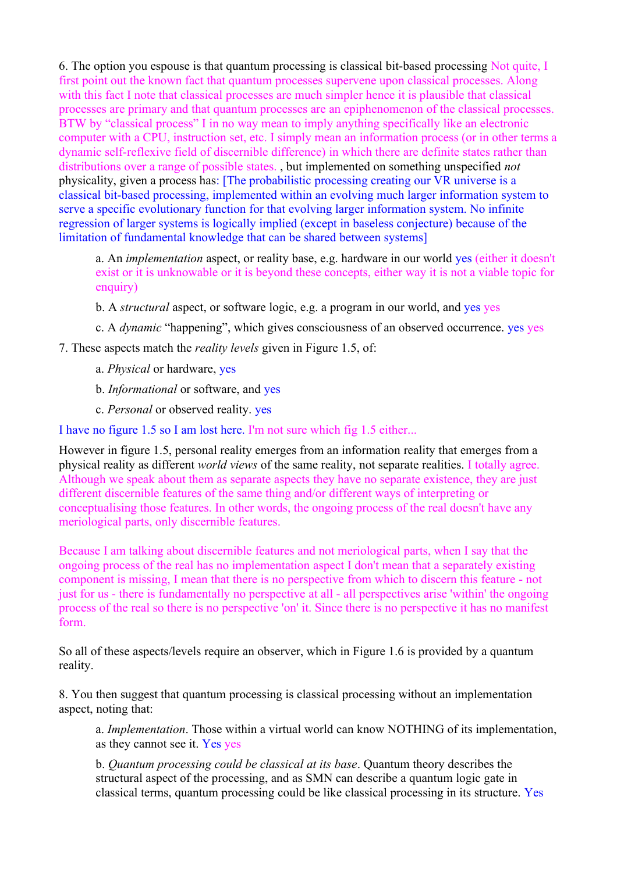6. The option you espouse is that quantum processing is classical bit-based processing Not quite, I first point out the known fact that quantum processes supervene upon classical processes. Along with this fact I note that classical processes are much simpler hence it is plausible that classical processes are primary and that quantum processes are an epiphenomenon of the classical processes. BTW by "classical process" I in no way mean to imply anything specifically like an electronic computer with a CPU, instruction set, etc. I simply mean an information process (or in other terms a dynamic self-reflexive field of discernible difference) in which there are definite states rather than distributions over a range of possible states. , but implemented on something unspecified *not* physicality, given a process has: [The probabilistic processing creating our VR universe is a classical bit-based processing, implemented within an evolving much larger information system to serve a specific evolutionary function for that evolving larger information system. No infinite regression of larger systems is logically implied (except in baseless conjecture) because of the limitation of fundamental knowledge that can be shared between systems]

a. An *implementation* aspect, or reality base, e.g. hardware in our world yes (either it doesn't exist or it is unknowable or it is beyond these concepts, either way it is not a viable topic for enquiry)

- b. A *structural* aspect, or software logic, e.g. a program in our world, and yes yes
- c. A *dynamic* "happening", which gives consciousness of an observed occurrence. yes yes

7. These aspects match the *reality levels* given in Figure 1.5, of:

- a. *Physical* or hardware, yes
- b. *Informational* or software, and yes
- c. *Personal* or observed reality. yes

I have no figure 1.5 so I am lost here. I'm not sure which fig 1.5 either...

However in figure 1.5, personal reality emerges from an information reality that emerges from a physical reality as different *world views* of the same reality, not separate realities. I totally agree. Although we speak about them as separate aspects they have no separate existence, they are just different discernible features of the same thing and/or different ways of interpreting or conceptualising those features. In other words, the ongoing process of the real doesn't have any meriological parts, only discernible features.

Because I am talking about discernible features and not meriological parts, when I say that the ongoing process of the real has no implementation aspect I don't mean that a separately existing component is missing, I mean that there is no perspective from which to discern this feature - not just for us - there is fundamentally no perspective at all - all perspectives arise 'within' the ongoing process of the real so there is no perspective 'on' it. Since there is no perspective it has no manifest form.

So all of these aspects/levels require an observer, which in Figure 1.6 is provided by a quantum reality.

8. You then suggest that quantum processing is classical processing without an implementation aspect, noting that:

a. *Implementation*. Those within a virtual world can know NOTHING of its implementation, as they cannot see it. Yes yes

b. *Quantum processing could be classical at its base*. Quantum theory describes the structural aspect of the processing, and as SMN can describe a quantum logic gate in classical terms, quantum processing could be like classical processing in its structure. Yes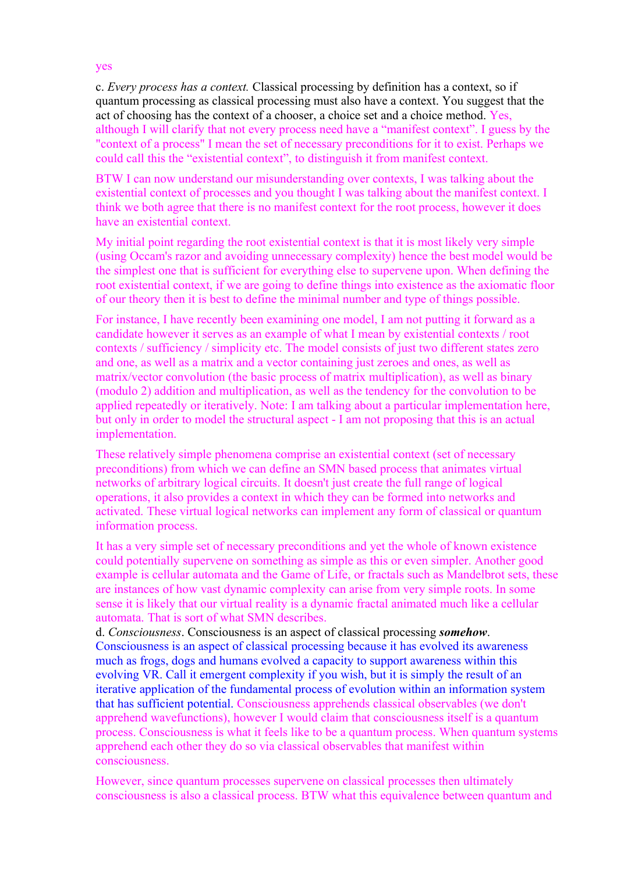yes

c. *Every process has a context.* Classical processing by definition has a context, so if quantum processing as classical processing must also have a context. You suggest that the act of choosing has the context of a chooser, a choice set and a choice method. Yes, although I will clarify that not every process need have a "manifest context". I guess by the "context of a process" I mean the set of necessary preconditions for it to exist. Perhaps we could call this the "existential context", to distinguish it from manifest context.

BTW I can now understand our misunderstanding over contexts, I was talking about the existential context of processes and you thought I was talking about the manifest context. I think we both agree that there is no manifest context for the root process, however it does have an existential context.

My initial point regarding the root existential context is that it is most likely very simple (using Occam's razor and avoiding unnecessary complexity) hence the best model would be the simplest one that is sufficient for everything else to supervene upon. When defining the root existential context, if we are going to define things into existence as the axiomatic floor of our theory then it is best to define the minimal number and type of things possible.

For instance, I have recently been examining one model, I am not putting it forward as a candidate however it serves as an example of what I mean by existential contexts / root contexts / sufficiency / simplicity etc. The model consists of just two different states zero and one, as well as a matrix and a vector containing just zeroes and ones, as well as matrix/vector convolution (the basic process of matrix multiplication), as well as binary (modulo 2) addition and multiplication, as well as the tendency for the convolution to be applied repeatedly or iteratively. Note: I am talking about a particular implementation here, but only in order to model the structural aspect - I am not proposing that this is an actual implementation.

These relatively simple phenomena comprise an existential context (set of necessary preconditions) from which we can define an SMN based process that animates virtual networks of arbitrary logical circuits. It doesn't just create the full range of logical operations, it also provides a context in which they can be formed into networks and activated. These virtual logical networks can implement any form of classical or quantum information process.

It has a very simple set of necessary preconditions and yet the whole of known existence could potentially supervene on something as simple as this or even simpler. Another good example is cellular automata and the Game of Life, or fractals such as Mandelbrot sets, these are instances of how vast dynamic complexity can arise from very simple roots. In some sense it is likely that our virtual reality is a dynamic fractal animated much like a cellular automata. That is sort of what SMN describes.

d. *Consciousness*. Consciousness is an aspect of classical processing *somehow*. Consciousness is an aspect of classical processing because it has evolved its awareness much as frogs, dogs and humans evolved a capacity to support awareness within this evolving VR. Call it emergent complexity if you wish, but it is simply the result of an iterative application of the fundamental process of evolution within an information system that has sufficient potential. Consciousness apprehends classical observables (we don't apprehend wavefunctions), however I would claim that consciousness itself is a quantum process. Consciousness is what it feels like to be a quantum process. When quantum systems apprehend each other they do so via classical observables that manifest within consciousness.

However, since quantum processes supervene on classical processes then ultimately consciousness is also a classical process. BTW what this equivalence between quantum and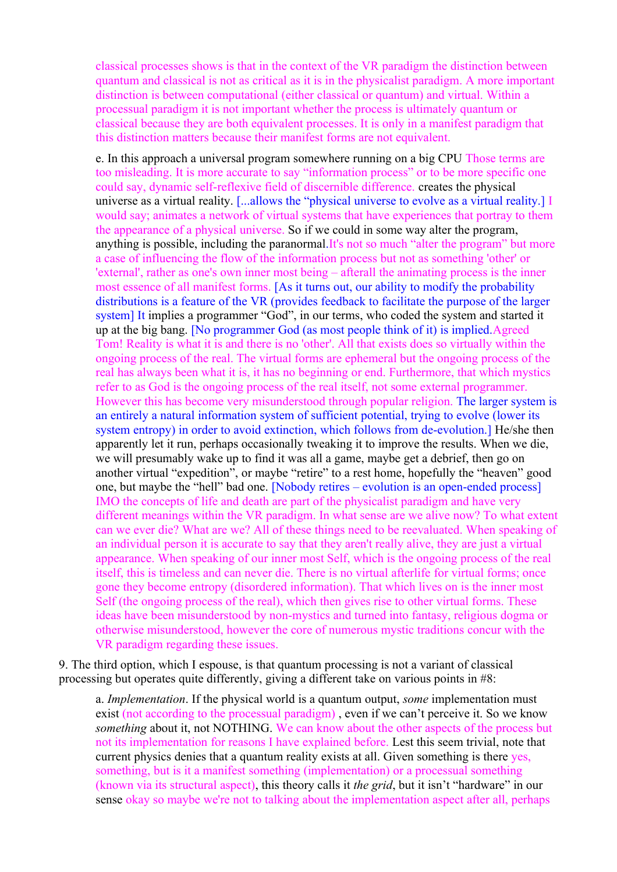classical processes shows is that in the context of the VR paradigm the distinction between quantum and classical is not as critical as it is in the physicalist paradigm. A more important distinction is between computational (either classical or quantum) and virtual. Within a processual paradigm it is not important whether the process is ultimately quantum or classical because they are both equivalent processes. It is only in a manifest paradigm that this distinction matters because their manifest forms are not equivalent.

e. In this approach a universal program somewhere running on a big CPU Those terms are too misleading. It is more accurate to say "information process" or to be more specific one could say, dynamic self-reflexive field of discernible difference. creates the physical universe as a virtual reality. [...allows the "physical universe to evolve as a virtual reality.] I would say; animates a network of virtual systems that have experiences that portray to them the appearance of a physical universe. So if we could in some way alter the program, anything is possible, including the paranormal.It's not so much "alter the program" but more a case of influencing the flow of the information process but not as something 'other' or 'external', rather as one's own inner most being – afterall the animating process is the inner most essence of all manifest forms. [As it turns out, our ability to modify the probability distributions is a feature of the VR (provides feedback to facilitate the purpose of the larger system] It implies a programmer "God", in our terms, who coded the system and started it up at the big bang. [No programmer God (as most people think of it) is implied.Agreed Tom! Reality is what it is and there is no 'other'. All that exists does so virtually within the ongoing process of the real. The virtual forms are ephemeral but the ongoing process of the real has always been what it is, it has no beginning or end. Furthermore, that which mystics refer to as God is the ongoing process of the real itself, not some external programmer. However this has become very misunderstood through popular religion. The larger system is an entirely a natural information system of sufficient potential, trying to evolve (lower its system entropy) in order to avoid extinction, which follows from de-evolution.] He/she then apparently let it run, perhaps occasionally tweaking it to improve the results. When we die, we will presumably wake up to find it was all a game, maybe get a debrief, then go on another virtual "expedition", or maybe "retire" to a rest home, hopefully the "heaven" good one, but maybe the "hell" bad one. [Nobody retires – evolution is an open-ended process] IMO the concepts of life and death are part of the physicalist paradigm and have very different meanings within the VR paradigm. In what sense are we alive now? To what extent can we ever die? What are we? All of these things need to be reevaluated. When speaking of an individual person it is accurate to say that they aren't really alive, they are just a virtual appearance. When speaking of our inner most Self, which is the ongoing process of the real itself, this is timeless and can never die. There is no virtual afterlife for virtual forms; once gone they become entropy (disordered information). That which lives on is the inner most Self (the ongoing process of the real), which then gives rise to other virtual forms. These ideas have been misunderstood by non-mystics and turned into fantasy, religious dogma or otherwise misunderstood, however the core of numerous mystic traditions concur with the VR paradigm regarding these issues.

9. The third option, which I espouse, is that quantum processing is not a variant of classical processing but operates quite differently, giving a different take on various points in #8:

a. *Implementation*. If the physical world is a quantum output, *some* implementation must exist (not according to the processual paradigm) , even if we can't perceive it. So we know *something* about it, not NOTHING. We can know about the other aspects of the process but not its implementation for reasons I have explained before. Lest this seem trivial, note that current physics denies that a quantum reality exists at all. Given something is there yes, something, but is it a manifest something (implementation) or a processual something (known via its structural aspect), this theory calls it *the grid*, but it isn't "hardware" in our sense okay so maybe we're not to talking about the implementation aspect after all, perhaps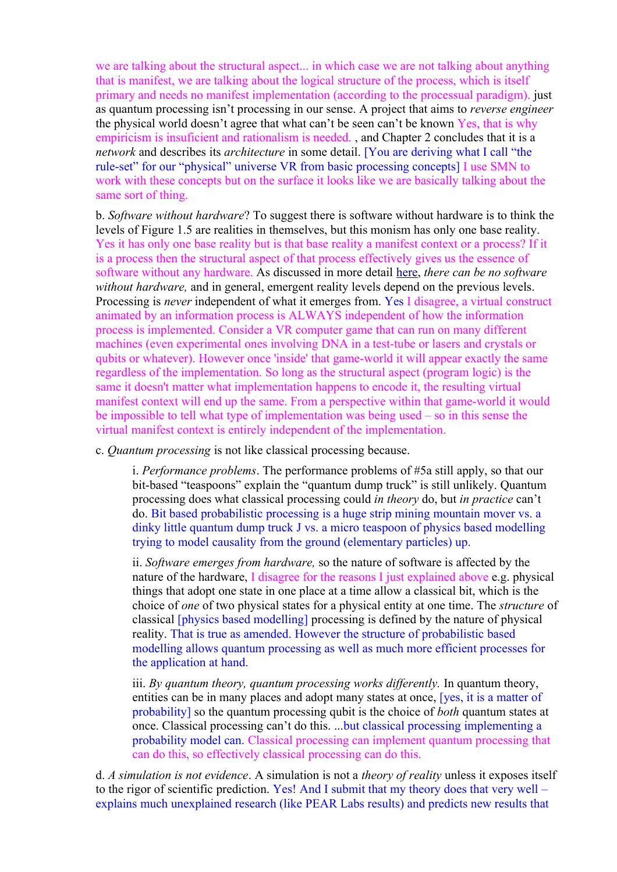we are talking about the structural aspect... in which case we are not talking about anything that is manifest, we are talking about the logical structure of the process, which is itself primary and needs no manifest implementation (according to the processual paradigm). just as quantum processing isn't processing in our sense. A project that aims to *reverse engineer* the physical world doesn't agree that what can't be seen can't be known Yes, that is why empiricism is insuficient and rationalism is needed. , and Chapter 2 concludes that it is a *network* and describes its *architecture* in some detail. [You are deriving what I call "the rule-set" for our "physical" universe VR from basic processing concepts] I use SMN to work with these concepts but on the surface it looks like we are basically talking about the same sort of thing.

b. *Software without hardware*? To suggest there is software without hardware is to think the levels of Figure 1.5 are realities in themselves, but this monism has only one base reality. Yes it has only one base reality but is that base reality a manifest context or a process? If it is a process then the structural aspect of that process effectively gives us the essence of software without any hardware. As discussed in more detail [here,](http://www.interaction-design.org/books/the_social_design_of_technical_systems_2nd_ed/the_evolution_of_computing.html) *there can be no software without hardware,* and in general, emergent reality levels depend on the previous levels. Processing is *never* independent of what it emerges from. Yes I disagree, a virtual construct animated by an information process is ALWAYS independent of how the information process is implemented. Consider a VR computer game that can run on many different machines (even experimental ones involving DNA in a test-tube or lasers and crystals or qubits or whatever). However once 'inside' that game-world it will appear exactly the same regardless of the implementation. So long as the structural aspect (program logic) is the same it doesn't matter what implementation happens to encode it, the resulting virtual manifest context will end up the same. From a perspective within that game-world it would be impossible to tell what type of implementation was being used – so in this sense the virtual manifest context is entirely independent of the implementation.

c. *Quantum processing* is not like classical processing because.

i. *Performance problems*. The performance problems of #5a still apply, so that our bit-based "teaspoons" explain the "quantum dump truck" is still unlikely. Quantum processing does what classical processing could *in theory* do, but *in practice* can't do. Bit based probabilistic processing is a huge strip mining mountain mover vs. a dinky little quantum dump truck J vs. a micro teaspoon of physics based modelling trying to model causality from the ground (elementary particles) up.

ii. *Software emerges from hardware,* so the nature of software is affected by the nature of the hardware, I disagree for the reasons I just explained above e.g. physical things that adopt one state in one place at a time allow a classical bit, which is the choice of *one* of two physical states for a physical entity at one time. The *structure* of classical [physics based modelling] processing is defined by the nature of physical reality. That is true as amended. However the structure of probabilistic based modelling allows quantum processing as well as much more efficient processes for the application at hand.

iii. *By quantum theory, quantum processing works differently.* In quantum theory, entities can be in many places and adopt many states at once, [yes, it is a matter of probability] so the quantum processing qubit is the choice of *both* quantum states at once. Classical processing can't do this. ...but classical processing implementing a probability model can. Classical processing can implement quantum processing that can do this, so effectively classical processing can do this.

d. *A simulation is not evidence*. A simulation is not a *theory of reality* unless it exposes itself to the rigor of scientific prediction. Yes! And I submit that my theory does that very well – explains much unexplained research (like PEAR Labs results) and predicts new results that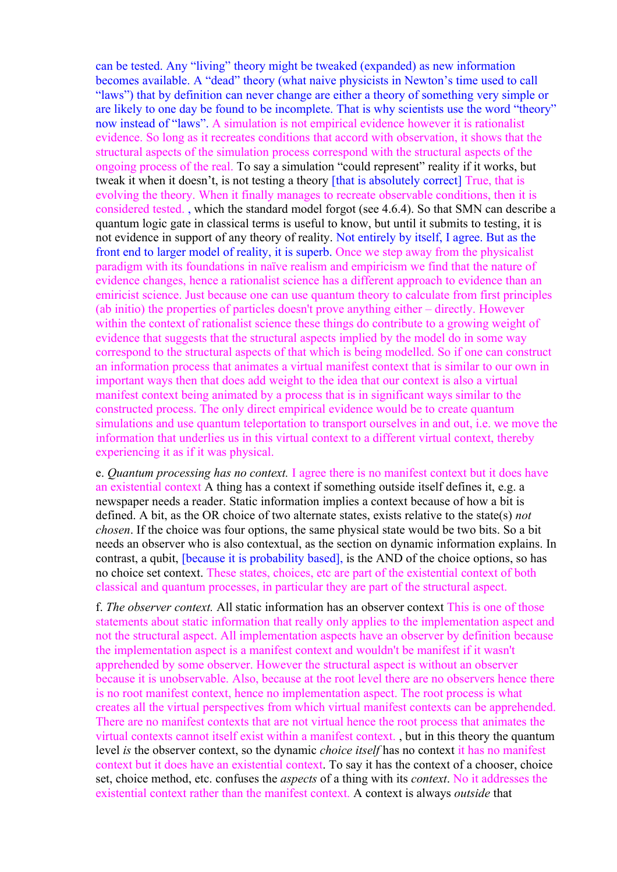can be tested. Any "living" theory might be tweaked (expanded) as new information becomes available. A "dead" theory (what naive physicists in Newton's time used to call "laws") that by definition can never change are either a theory of something very simple or are likely to one day be found to be incomplete. That is why scientists use the word "theory" now instead of "laws". A simulation is not empirical evidence however it is rationalist evidence. So long as it recreates conditions that accord with observation, it shows that the structural aspects of the simulation process correspond with the structural aspects of the ongoing process of the real. To say a simulation "could represent" reality if it works, but tweak it when it doesn't, is not testing a theory [that is absolutely correct] True, that is evolving the theory. When it finally manages to recreate observable conditions, then it is considered tested. , which the standard model forgot (see 4.6.4). So that SMN can describe a quantum logic gate in classical terms is useful to know, but until it submits to testing, it is not evidence in support of any theory of reality. Not entirely by itself, I agree. But as the front end to larger model of reality, it is superb. Once we step away from the physicalist paradigm with its foundations in naïve realism and empiricism we find that the nature of evidence changes, hence a rationalist science has a different approach to evidence than an emiricist science. Just because one can use quantum theory to calculate from first principles (ab initio) the properties of particles doesn't prove anything either – directly. However within the context of rationalist science these things do contribute to a growing weight of evidence that suggests that the structural aspects implied by the model do in some way correspond to the structural aspects of that which is being modelled. So if one can construct an information process that animates a virtual manifest context that is similar to our own in important ways then that does add weight to the idea that our context is also a virtual manifest context being animated by a process that is in significant ways similar to the constructed process. The only direct empirical evidence would be to create quantum simulations and use quantum teleportation to transport ourselves in and out, i.e. we move the information that underlies us in this virtual context to a different virtual context, thereby experiencing it as if it was physical.

e. *Quantum processing has no context.* I agree there is no manifest context but it does have an existential context A thing has a context if something outside itself defines it, e.g. a newspaper needs a reader. Static information implies a context because of how a bit is defined. A bit, as the OR choice of two alternate states, exists relative to the state(s) *not chosen*. If the choice was four options, the same physical state would be two bits. So a bit needs an observer who is also contextual, as the section on dynamic information explains. In contrast, a qubit, [because it is probability based], is the AND of the choice options, so has no choice set context. These states, choices, etc are part of the existential context of both classical and quantum processes, in particular they are part of the structural aspect.

f. *The observer context.* All static information has an observer context This is one of those statements about static information that really only applies to the implementation aspect and not the structural aspect. All implementation aspects have an observer by definition because the implementation aspect is a manifest context and wouldn't be manifest if it wasn't apprehended by some observer. However the structural aspect is without an observer because it is unobservable. Also, because at the root level there are no observers hence there is no root manifest context, hence no implementation aspect. The root process is what creates all the virtual perspectives from which virtual manifest contexts can be apprehended. There are no manifest contexts that are not virtual hence the root process that animates the virtual contexts cannot itself exist within a manifest context. , but in this theory the quantum level *is* the observer context, so the dynamic *choice itself* has no context it has no manifest context but it does have an existential context. To say it has the context of a chooser, choice set, choice method, etc. confuses the *aspects* of a thing with its *context*. No it addresses the existential context rather than the manifest context. A context is always *outside* that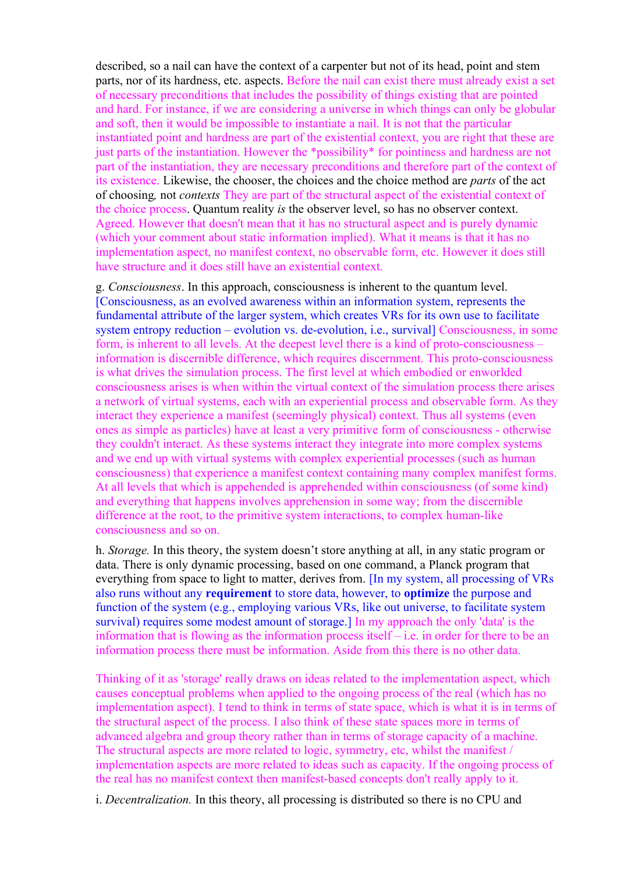described, so a nail can have the context of a carpenter but not of its head, point and stem parts, nor of its hardness, etc. aspects. Before the nail can exist there must already exist a set of necessary preconditions that includes the possibility of things existing that are pointed and hard. For instance, if we are considering a universe in which things can only be globular and soft, then it would be impossible to instantiate a nail. It is not that the particular instantiated point and hardness are part of the existential context, you are right that these are just parts of the instantiation. However the \*possibility\* for pointiness and hardness are not part of the instantiation, they are necessary preconditions and therefore part of the context of its existence. Likewise, the chooser, the choices and the choice method are *parts* of the act of choosing*,* not *contexts* They are part of the structural aspect of the existential context of the choice process. Quantum reality *is* the observer level, so has no observer context. Agreed. However that doesn't mean that it has no structural aspect and is purely dynamic (which your comment about static information implied). What it means is that it has no implementation aspect, no manifest context, no observable form, etc. However it does still have structure and it does still have an existential context.

g. *Consciousness*. In this approach, consciousness is inherent to the quantum level. [Consciousness, as an evolved awareness within an information system, represents the fundamental attribute of the larger system, which creates VRs for its own use to facilitate system entropy reduction – evolution vs. de-evolution, *i.e.*, survival Consciousness, in some form, is inherent to all levels. At the deepest level there is a kind of proto-consciousness – information is discernible difference, which requires discernment. This proto-consciousness is what drives the simulation process. The first level at which embodied or enworlded consciousness arises is when within the virtual context of the simulation process there arises a network of virtual systems, each with an experiential process and observable form. As they interact they experience a manifest (seemingly physical) context. Thus all systems (even ones as simple as particles) have at least a very primitive form of consciousness - otherwise they couldn't interact. As these systems interact they integrate into more complex systems and we end up with virtual systems with complex experiential processes (such as human consciousness) that experience a manifest context containing many complex manifest forms. At all levels that which is appehended is apprehended within consciousness (of some kind) and everything that happens involves apprehension in some way; from the discernible difference at the root, to the primitive system interactions, to complex human-like consciousness and so on.

h. *Storage.* In this theory, the system doesn't store anything at all, in any static program or data. There is only dynamic processing, based on one command, a Planck program that everything from space to light to matter, derives from. [In my system, all processing of VRs also runs without any **requirement** to store data, however, to **optimize** the purpose and function of the system (e.g., employing various VRs, like out universe, to facilitate system survival) requires some modest amount of storage.] In my approach the only 'data' is the information that is flowing as the information process itself – i.e. in order for there to be an information process there must be information. Aside from this there is no other data.

Thinking of it as 'storage' really draws on ideas related to the implementation aspect, which causes conceptual problems when applied to the ongoing process of the real (which has no implementation aspect). I tend to think in terms of state space, which is what it is in terms of the structural aspect of the process. I also think of these state spaces more in terms of advanced algebra and group theory rather than in terms of storage capacity of a machine. The structural aspects are more related to logic, symmetry, etc, whilst the manifest / implementation aspects are more related to ideas such as capacity. If the ongoing process of the real has no manifest context then manifest-based concepts don't really apply to it.

i. *Decentralization.* In this theory, all processing is distributed so there is no CPU and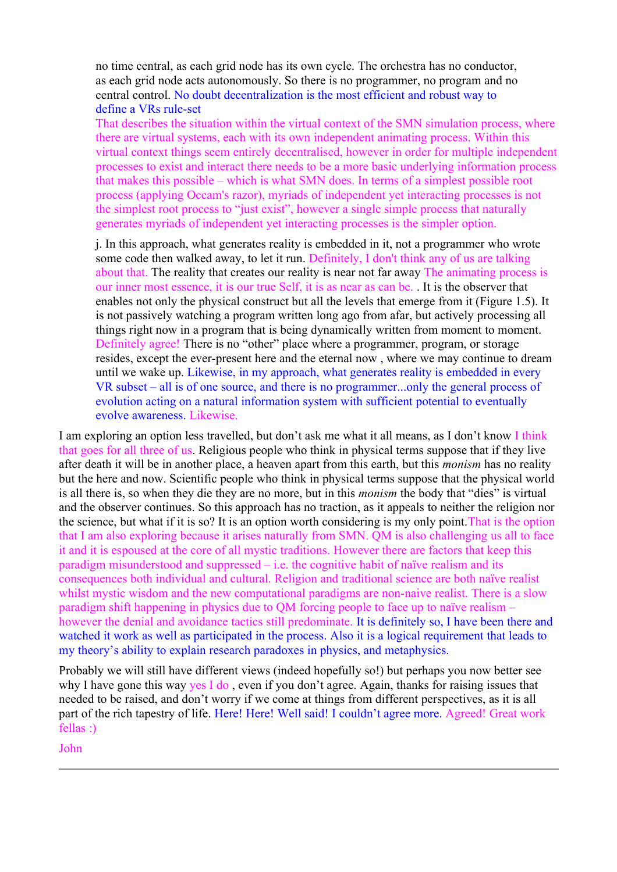no time central, as each grid node has its own cycle. The orchestra has no conductor, as each grid node acts autonomously. So there is no programmer, no program and no central control. No doubt decentralization is the most efficient and robust way to define a VRs rule-set

That describes the situation within the virtual context of the SMN simulation process, where there are virtual systems, each with its own independent animating process. Within this virtual context things seem entirely decentralised, however in order for multiple independent processes to exist and interact there needs to be a more basic underlying information process that makes this possible – which is what SMN does. In terms of a simplest possible root process (applying Occam's razor), myriads of independent yet interacting processes is not the simplest root process to "just exist", however a single simple process that naturally generates myriads of independent yet interacting processes is the simpler option.

j. In this approach, what generates reality is embedded in it, not a programmer who wrote some code then walked away, to let it run. Definitely, I don't think any of us are talking about that. The reality that creates our reality is near not far away The animating process is our inner most essence, it is our true Self, it is as near as can be. . It is the observer that enables not only the physical construct but all the levels that emerge from it (Figure 1.5). It is not passively watching a program written long ago from afar, but actively processing all things right now in a program that is being dynamically written from moment to moment. Definitely agree! There is no "other" place where a programmer, program, or storage resides, except the ever-present here and the eternal now , where we may continue to dream until we wake up. Likewise, in my approach, what generates reality is embedded in every VR subset – all is of one source, and there is no programmer...only the general process of evolution acting on a natural information system with sufficient potential to eventually evolve awareness. Likewise.

I am exploring an option less travelled, but don't ask me what it all means, as I don't know I think that goes for all three of us. Religious people who think in physical terms suppose that if they live after death it will be in another place, a heaven apart from this earth, but this *monism* has no reality but the here and now. Scientific people who think in physical terms suppose that the physical world is all there is, so when they die they are no more, but in this *monism* the body that "dies" is virtual and the observer continues. So this approach has no traction, as it appeals to neither the religion nor the science, but what if it is so? It is an option worth considering is my only point.That is the option that I am also exploring because it arises naturally from SMN. QM is also challenging us all to face it and it is espoused at the core of all mystic traditions. However there are factors that keep this paradigm misunderstood and suppressed – i.e. the cognitive habit of naïve realism and its consequences both individual and cultural. Religion and traditional science are both naïve realist whilst mystic wisdom and the new computational paradigms are non-naive realist. There is a slow paradigm shift happening in physics due to QM forcing people to face up to naïve realism – however the denial and avoidance tactics still predominate. It is definitely so, I have been there and watched it work as well as participated in the process. Also it is a logical requirement that leads to my theory's ability to explain research paradoxes in physics, and metaphysics.

Probably we will still have different views (indeed hopefully so!) but perhaps you now better see why I have gone this way yes I do , even if you don't agree. Again, thanks for raising issues that needed to be raised, and don't worry if we come at things from different perspectives, as it is all part of the rich tapestry of life. Here! Here! Well said! I couldn't agree more. Agreed! Great work fellas :)

John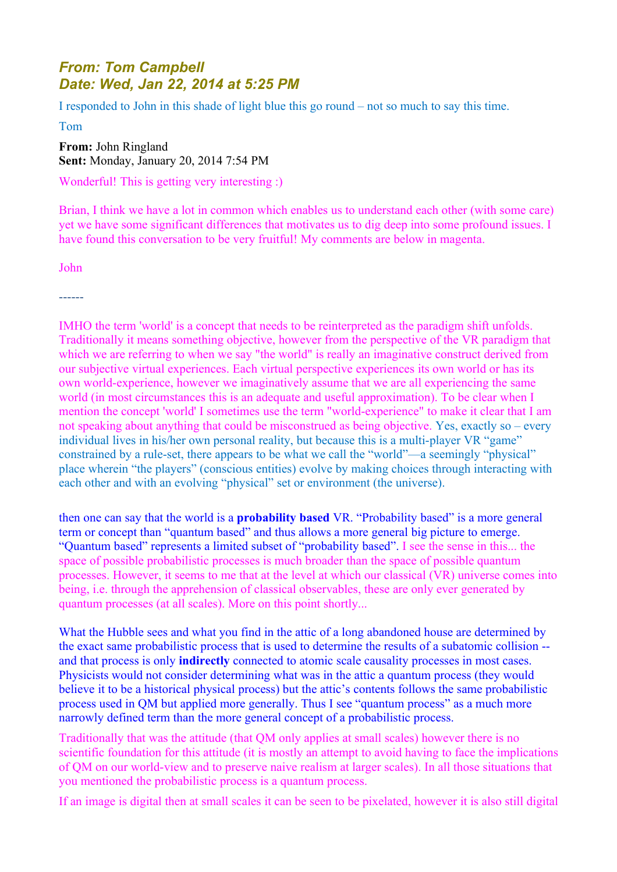## *From: Tom Campbell Date: Wed, Jan 22, 2014 at 5:25 PM*

I responded to John in this shade of light blue this go round – not so much to say this time.

Tom

**From:** John Ringland **Sent:** Monday, January 20, 2014 7:54 PM

Wonderful! This is getting very interesting :)

Brian, I think we have a lot in common which enables us to understand each other (with some care) yet we have some significant differences that motivates us to dig deep into some profound issues. I have found this conversation to be very fruitful! My comments are below in magenta.

John

------

IMHO the term 'world' is a concept that needs to be reinterpreted as the paradigm shift unfolds. Traditionally it means something objective, however from the perspective of the VR paradigm that which we are referring to when we say "the world" is really an imaginative construct derived from our subjective virtual experiences. Each virtual perspective experiences its own world or has its own world-experience, however we imaginatively assume that we are all experiencing the same world (in most circumstances this is an adequate and useful approximation). To be clear when I mention the concept 'world' I sometimes use the term "world-experience" to make it clear that I am not speaking about anything that could be misconstrued as being objective. Yes, exactly so – every individual lives in his/her own personal reality, but because this is a multi-player VR "game" constrained by a rule-set, there appears to be what we call the "world"—a seemingly "physical" place wherein "the players" (conscious entities) evolve by making choices through interacting with each other and with an evolving "physical" set or environment (the universe).

then one can say that the world is a **probability based** VR. "Probability based" is a more general term or concept than "quantum based" and thus allows a more general big picture to emerge. "Quantum based" represents a limited subset of "probability based". I see the sense in this... the space of possible probabilistic processes is much broader than the space of possible quantum processes. However, it seems to me that at the level at which our classical (VR) universe comes into being, i.e. through the apprehension of classical observables, these are only ever generated by quantum processes (at all scales). More on this point shortly...

What the Hubble sees and what you find in the attic of a long abandoned house are determined by the exact same probabilistic process that is used to determine the results of a subatomic collision - and that process is only **indirectly** connected to atomic scale causality processes in most cases. Physicists would not consider determining what was in the attic a quantum process (they would believe it to be a historical physical process) but the attic's contents follows the same probabilistic process used in QM but applied more generally. Thus I see "quantum process" as a much more narrowly defined term than the more general concept of a probabilistic process.

Traditionally that was the attitude (that QM only applies at small scales) however there is no scientific foundation for this attitude (it is mostly an attempt to avoid having to face the implications of QM on our world-view and to preserve naive realism at larger scales). In all those situations that you mentioned the probabilistic process is a quantum process.

If an image is digital then at small scales it can be seen to be pixelated, however it is also still digital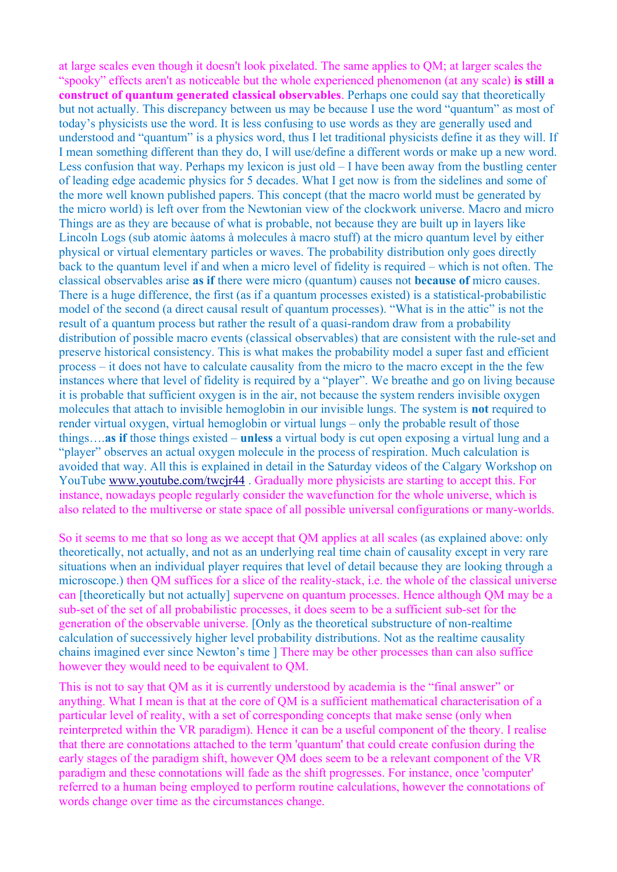at large scales even though it doesn't look pixelated. The same applies to QM; at larger scales the "spooky" effects aren't as noticeable but the whole experienced phenomenon (at any scale) **is still a construct of quantum generated classical observables**. Perhaps one could say that theoretically but not actually. This discrepancy between us may be because I use the word "quantum" as most of today's physicists use the word. It is less confusing to use words as they are generally used and understood and "quantum" is a physics word, thus I let traditional physicists define it as they will. If I mean something different than they do, I will use/define a different words or make up a new word. Less confusion that way. Perhaps my lexicon is just old – I have been away from the bustling center of leading edge academic physics for 5 decades. What I get now is from the sidelines and some of the more well known published papers. This concept (that the macro world must be generated by the micro world) is left over from the Newtonian view of the clockwork universe. Macro and micro Things are as they are because of what is probable, not because they are built up in layers like Lincoln Logs (sub atomic àatoms à molecules à macro stuff) at the micro quantum level by either physical or virtual elementary particles or waves. The probability distribution only goes directly back to the quantum level if and when a micro level of fidelity is required – which is not often. The classical observables arise **as if** there were micro (quantum) causes not **because of** micro causes. There is a huge difference, the first (as if a quantum processes existed) is a statistical-probabilistic model of the second (a direct causal result of quantum processes). "What is in the attic" is not the result of a quantum process but rather the result of a quasi-random draw from a probability distribution of possible macro events (classical observables) that are consistent with the rule-set and preserve historical consistency. This is what makes the probability model a super fast and efficient process – it does not have to calculate causality from the micro to the macro except in the the few instances where that level of fidelity is required by a "player". We breathe and go on living because it is probable that sufficient oxygen is in the air, not because the system renders invisible oxygen molecules that attach to invisible hemoglobin in our invisible lungs. The system is **not** required to render virtual oxygen, virtual hemoglobin or virtual lungs – only the probable result of those things….**as if** those things existed – **unless** a virtual body is cut open exposing a virtual lung and a "player" observes an actual oxygen molecule in the process of respiration. Much calculation is avoided that way. All this is explained in detail in the Saturday videos of the Calgary Workshop on YouTube [www.youtube.com/twcjr44](http://www.youtube.com/twcjr44). Gradually more physicists are starting to accept this. For instance, nowadays people regularly consider the wavefunction for the whole universe, which is also related to the multiverse or state space of all possible universal configurations or many-worlds.

So it seems to me that so long as we accept that QM applies at all scales (as explained above: only theoretically, not actually, and not as an underlying real time chain of causality except in very rare situations when an individual player requires that level of detail because they are looking through a microscope.) then QM suffices for a slice of the reality-stack, i.e. the whole of the classical universe can [theoretically but not actually] supervene on quantum processes. Hence although QM may be a sub-set of the set of all probabilistic processes, it does seem to be a sufficient sub-set for the generation of the observable universe. [Only as the theoretical substructure of non-realtime calculation of successively higher level probability distributions. Not as the realtime causality chains imagined ever since Newton's time ] There may be other processes than can also suffice however they would need to be equivalent to QM.

This is not to say that QM as it is currently understood by academia is the "final answer" or anything. What I mean is that at the core of QM is a sufficient mathematical characterisation of a particular level of reality, with a set of corresponding concepts that make sense (only when reinterpreted within the VR paradigm). Hence it can be a useful component of the theory. I realise that there are connotations attached to the term 'quantum' that could create confusion during the early stages of the paradigm shift, however QM does seem to be a relevant component of the VR paradigm and these connotations will fade as the shift progresses. For instance, once 'computer' referred to a human being employed to perform routine calculations, however the connotations of words change over time as the circumstances change.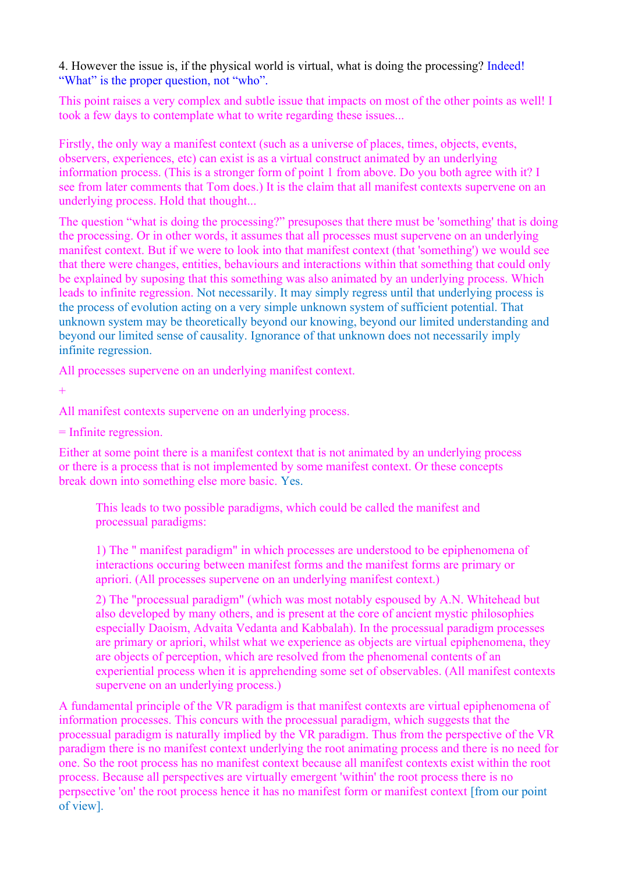4. However the issue is, if the physical world is virtual, what is doing the processing? Indeed! "What" is the proper question, not "who".

This point raises a very complex and subtle issue that impacts on most of the other points as well! I took a few days to contemplate what to write regarding these issues...

Firstly, the only way a manifest context (such as a universe of places, times, objects, events, observers, experiences, etc) can exist is as a virtual construct animated by an underlying information process. (This is a stronger form of point 1 from above. Do you both agree with it? I see from later comments that Tom does.) It is the claim that all manifest contexts supervene on an underlying process. Hold that thought...

The question "what is doing the processing?" presuposes that there must be 'something' that is doing the processing. Or in other words, it assumes that all processes must supervene on an underlying manifest context. But if we were to look into that manifest context (that 'something') we would see that there were changes, entities, behaviours and interactions within that something that could only be explained by suposing that this something was also animated by an underlying process. Which leads to infinite regression. Not necessarily. It may simply regress until that underlying process is the process of evolution acting on a very simple unknown system of sufficient potential. That unknown system may be theoretically beyond our knowing, beyond our limited understanding and beyond our limited sense of causality. Ignorance of that unknown does not necessarily imply infinite regression.

All processes supervene on an underlying manifest context.

 $+$ 

All manifest contexts supervene on an underlying process.

= Infinite regression.

Either at some point there is a manifest context that is not animated by an underlying process or there is a process that is not implemented by some manifest context. Or these concepts break down into something else more basic. Yes.

This leads to two possible paradigms, which could be called the manifest and processual paradigms:

1) The " manifest paradigm" in which processes are understood to be epiphenomena of interactions occuring between manifest forms and the manifest forms are primary or apriori. (All processes supervene on an underlying manifest context.)

2) The "processual paradigm" (which was most notably espoused by A.N. Whitehead but also developed by many others, and is present at the core of ancient mystic philosophies especially Daoism, Advaita Vedanta and Kabbalah). In the processual paradigm processes are primary or apriori, whilst what we experience as objects are virtual epiphenomena, they are objects of perception, which are resolved from the phenomenal contents of an experiential process when it is apprehending some set of observables. (All manifest contexts supervene on an underlying process.)

A fundamental principle of the VR paradigm is that manifest contexts are virtual epiphenomena of information processes. This concurs with the processual paradigm, which suggests that the processual paradigm is naturally implied by the VR paradigm. Thus from the perspective of the VR paradigm there is no manifest context underlying the root animating process and there is no need for one. So the root process has no manifest context because all manifest contexts exist within the root process. Because all perspectives are virtually emergent 'within' the root process there is no perpsective 'on' the root process hence it has no manifest form or manifest context [from our point of view].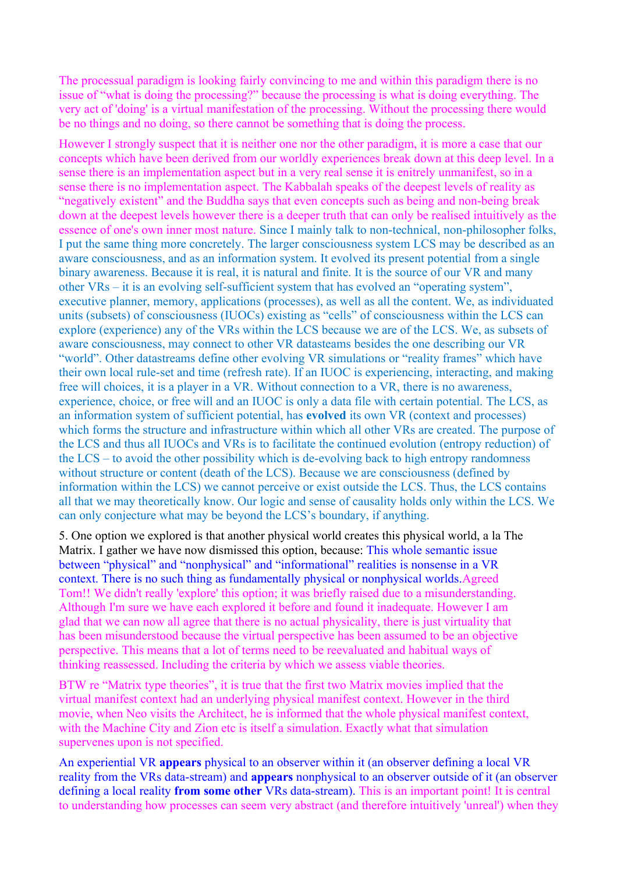The processual paradigm is looking fairly convincing to me and within this paradigm there is no issue of "what is doing the processing?" because the processing is what is doing everything. The very act of 'doing' is a virtual manifestation of the processing. Without the processing there would be no things and no doing, so there cannot be something that is doing the process.

However I strongly suspect that it is neither one nor the other paradigm, it is more a case that our concepts which have been derived from our worldly experiences break down at this deep level. In a sense there is an implementation aspect but in a very real sense it is enitrely unmanifest, so in a sense there is no implementation aspect. The Kabbalah speaks of the deepest levels of reality as "negatively existent" and the Buddha says that even concepts such as being and non-being break down at the deepest levels however there is a deeper truth that can only be realised intuitively as the essence of one's own inner most nature. Since I mainly talk to non-technical, non-philosopher folks, I put the same thing more concretely. The larger consciousness system LCS may be described as an aware consciousness, and as an information system. It evolved its present potential from a single binary awareness. Because it is real, it is natural and finite. It is the source of our VR and many other VRs – it is an evolving self-sufficient system that has evolved an "operating system", executive planner, memory, applications (processes), as well as all the content. We, as individuated units (subsets) of consciousness (IUOCs) existing as "cells" of consciousness within the LCS can explore (experience) any of the VRs within the LCS because we are of the LCS. We, as subsets of aware consciousness, may connect to other VR datasteams besides the one describing our VR "world". Other datastreams define other evolving VR simulations or "reality frames" which have their own local rule-set and time (refresh rate). If an IUOC is experiencing, interacting, and making free will choices, it is a player in a VR. Without connection to a VR, there is no awareness, experience, choice, or free will and an IUOC is only a data file with certain potential. The LCS, as an information system of sufficient potential, has **evolved** its own VR (context and processes) which forms the structure and infrastructure within which all other VRs are created. The purpose of the LCS and thus all IUOCs and VRs is to facilitate the continued evolution (entropy reduction) of the LCS – to avoid the other possibility which is de-evolving back to high entropy randomness without structure or content (death of the LCS). Because we are consciousness (defined by information within the LCS) we cannot perceive or exist outside the LCS. Thus, the LCS contains all that we may theoretically know. Our logic and sense of causality holds only within the LCS. We can only conjecture what may be beyond the LCS's boundary, if anything.

5. One option we explored is that another physical world creates this physical world, a la The Matrix. I gather we have now dismissed this option, because: This whole semantic issue between "physical" and "nonphysical" and "informational" realities is nonsense in a VR context. There is no such thing as fundamentally physical or nonphysical worlds.Agreed Tom!! We didn't really 'explore' this option; it was briefly raised due to a misunderstanding. Although I'm sure we have each explored it before and found it inadequate. However I am glad that we can now all agree that there is no actual physicality, there is just virtuality that has been misunderstood because the virtual perspective has been assumed to be an objective perspective. This means that a lot of terms need to be reevaluated and habitual ways of thinking reassessed. Including the criteria by which we assess viable theories.

BTW re "Matrix type theories", it is true that the first two Matrix movies implied that the virtual manifest context had an underlying physical manifest context. However in the third movie, when Neo visits the Architect, he is informed that the whole physical manifest context, with the Machine City and Zion etc is itself a simulation. Exactly what that simulation supervenes upon is not specified.

An experiential VR **appears** physical to an observer within it (an observer defining a local VR reality from the VRs data-stream) and **appears** nonphysical to an observer outside of it (an observer defining a local reality **from some other** VRs data-stream). This is an important point! It is central to understanding how processes can seem very abstract (and therefore intuitively 'unreal') when they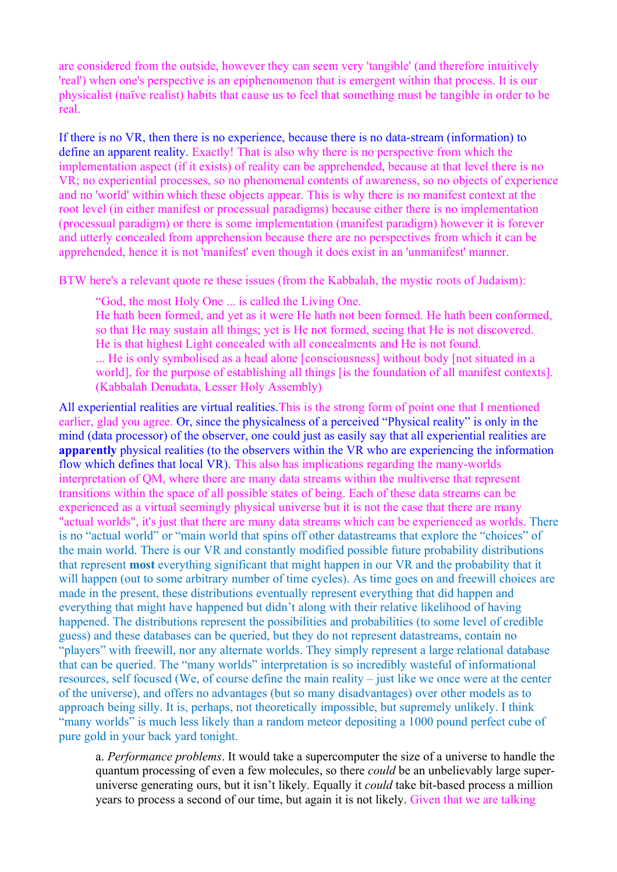are considered from the outside, however they can seem very 'tangible' (and therefore intuitively 'real') when one's perspective is an epiphenomenon that is emergent within that process. It is our physicalist (naïve realist) habits that cause us to feel that something must be tangible in order to be real.

If there is no VR, then there is no experience, because there is no data-stream (information) to define an apparent reality. Exactly! That is also why there is no perspective from which the implementation aspect (if it exists) of reality can be apprehended, because at that level there is no VR; no experiential processes, so no phenomenal contents of awareness, so no objects of experience and no 'world' within which these objects appear. This is why there is no manifest context at the root level (in either manifest or processual paradigms) because either there is no implementation (processual paradigm) or there is some implementation (manifest paradigm) however it is forever and utterly concealed from apprehension because there are no perspectives from which it can be apprehended, hence it is not 'manifest' even though it does exist in an 'unmanifest' manner.

BTW here's a relevant quote re these issues (from the Kabbalah, the mystic roots of Judaism):

"God, the most Holy One ... is called the Living One.

He hath been formed, and yet as it were He hath not been formed. He hath been conformed, so that He may sustain all things; yet is He not formed, seeing that He is not discovered. He is that highest Light concealed with all concealments and He is not found.

... He is only symbolised as a head alone [consciousness] without body [not situated in a world], for the purpose of establishing all things [is the foundation of all manifest contexts]. (Kabbalah Denudata, Lesser Holy Assembly)

All experiential realities are virtual realities.This is the strong form of point one that I mentioned earlier, glad you agree. Or, since the physicalness of a perceived "Physical reality" is only in the mind (data processor) of the observer, one could just as easily say that all experiential realities are **apparently** physical realities (to the observers within the VR who are experiencing the information flow which defines that local VR). This also has implications regarding the many-worlds interpretation of QM, where there are many data streams within the multiverse that represent transitions within the space of all possible states of being. Each of these data streams can be experienced as a virtual seemingly physical universe but it is not the case that there are many "actual worlds", it's just that there are many data streams which can be experienced as worlds. There is no "actual world" or "main world that spins off other datastreams that explore the "choices" of the main world. There is our VR and constantly modified possible future probability distributions that represent **most** everything significant that might happen in our VR and the probability that it will happen (out to some arbitrary number of time cycles). As time goes on and freewill choices are made in the present, these distributions eventually represent everything that did happen and everything that might have happened but didn't along with their relative likelihood of having happened. The distributions represent the possibilities and probabilities (to some level of credible guess) and these databases can be queried, but they do not represent datastreams, contain no "players" with freewill, nor any alternate worlds. They simply represent a large relational database that can be queried. The "many worlds" interpretation is so incredibly wasteful of informational resources, self focused (We, of course define the main reality – just like we once were at the center of the universe), and offers no advantages (but so many disadvantages) over other models as to approach being silly. It is, perhaps, not theoretically impossible, but supremely unlikely. I think "many worlds" is much less likely than a random meteor depositing a 1000 pound perfect cube of pure gold in your back yard tonight.

a. *Performance problems*. It would take a supercomputer the size of a universe to handle the quantum processing of even a few molecules, so there *could* be an unbelievably large superuniverse generating ours, but it isn't likely. Equally it *could* take bit-based process a million years to process a second of our time, but again it is not likely. Given that we are talking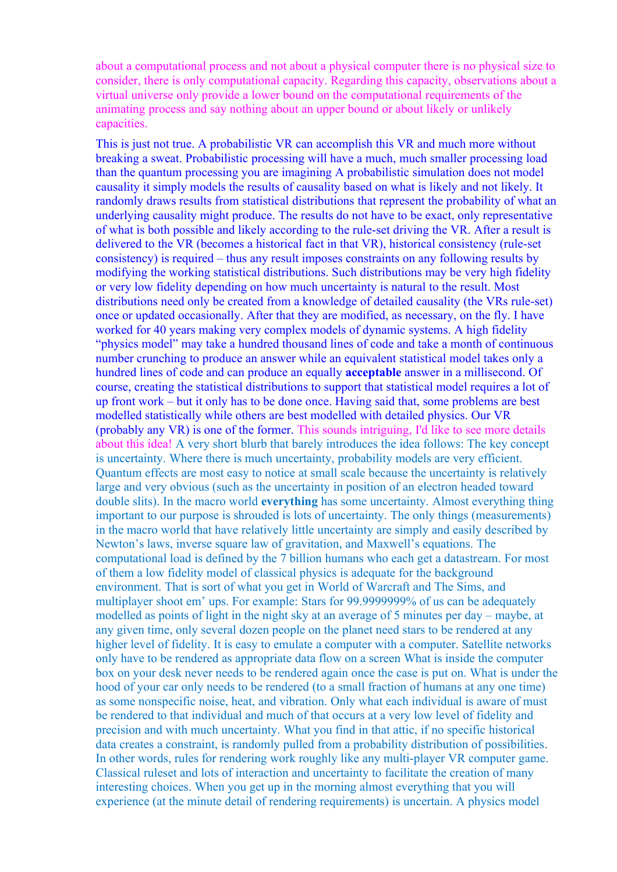about a computational process and not about a physical computer there is no physical size to consider, there is only computational capacity. Regarding this capacity, observations about a virtual universe only provide a lower bound on the computational requirements of the animating process and say nothing about an upper bound or about likely or unlikely capacities.

This is just not true. A probabilistic VR can accomplish this VR and much more without breaking a sweat. Probabilistic processing will have a much, much smaller processing load than the quantum processing you are imagining A probabilistic simulation does not model causality it simply models the results of causality based on what is likely and not likely. It randomly draws results from statistical distributions that represent the probability of what an underlying causality might produce. The results do not have to be exact, only representative of what is both possible and likely according to the rule-set driving the VR. After a result is delivered to the VR (becomes a historical fact in that VR), historical consistency (rule-set consistency) is required – thus any result imposes constraints on any following results by modifying the working statistical distributions. Such distributions may be very high fidelity or very low fidelity depending on how much uncertainty is natural to the result. Most distributions need only be created from a knowledge of detailed causality (the VRs rule-set) once or updated occasionally. After that they are modified, as necessary, on the fly. I have worked for 40 years making very complex models of dynamic systems. A high fidelity "physics model" may take a hundred thousand lines of code and take a month of continuous number crunching to produce an answer while an equivalent statistical model takes only a hundred lines of code and can produce an equally **acceptable** answer in a millisecond. Of course, creating the statistical distributions to support that statistical model requires a lot of up front work – but it only has to be done once. Having said that, some problems are best modelled statistically while others are best modelled with detailed physics. Our VR (probably any VR) is one of the former. This sounds intriguing, I'd like to see more details about this idea! A very short blurb that barely introduces the idea follows: The key concept is uncertainty. Where there is much uncertainty, probability models are very efficient. Quantum effects are most easy to notice at small scale because the uncertainty is relatively large and very obvious (such as the uncertainty in position of an electron headed toward double slits). In the macro world **everything** has some uncertainty. Almost everything thing important to our purpose is shrouded is lots of uncertainty. The only things (measurements) in the macro world that have relatively little uncertainty are simply and easily described by Newton's laws, inverse square law of gravitation, and Maxwell's equations. The computational load is defined by the 7 billion humans who each get a datastream. For most of them a low fidelity model of classical physics is adequate for the background environment. That is sort of what you get in World of Warcraft and The Sims, and multiplayer shoot em' ups. For example: Stars for 99.9999999% of us can be adequately modelled as points of light in the night sky at an average of 5 minutes per day – maybe, at any given time, only several dozen people on the planet need stars to be rendered at any higher level of fidelity. It is easy to emulate a computer with a computer. Satellite networks only have to be rendered as appropriate data flow on a screen What is inside the computer box on your desk never needs to be rendered again once the case is put on. What is under the hood of your car only needs to be rendered (to a small fraction of humans at any one time) as some nonspecific noise, heat, and vibration. Only what each individual is aware of must be rendered to that individual and much of that occurs at a very low level of fidelity and precision and with much uncertainty. What you find in that attic, if no specific historical data creates a constraint, is randomly pulled from a probability distribution of possibilities. In other words, rules for rendering work roughly like any multi-player VR computer game. Classical ruleset and lots of interaction and uncertainty to facilitate the creation of many interesting choices. When you get up in the morning almost everything that you will experience (at the minute detail of rendering requirements) is uncertain. A physics model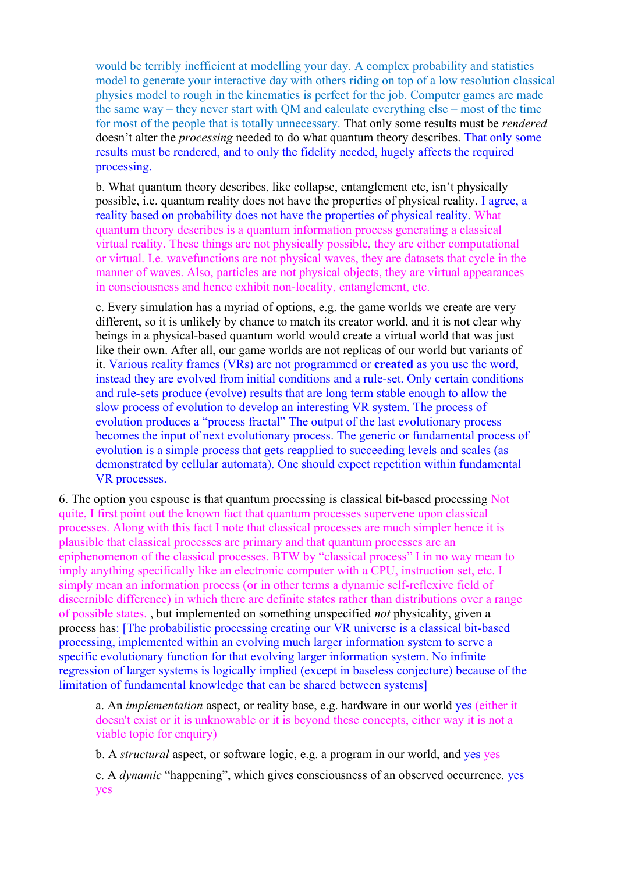would be terribly inefficient at modelling your day. A complex probability and statistics model to generate your interactive day with others riding on top of a low resolution classical physics model to rough in the kinematics is perfect for the job. Computer games are made the same way – they never start with QM and calculate everything else – most of the time for most of the people that is totally unnecessary. That only some results must be *rendered* doesn't alter the *processing* needed to do what quantum theory describes. That only some results must be rendered, and to only the fidelity needed, hugely affects the required processing.

b. What quantum theory describes, like collapse, entanglement etc, isn't physically possible, i.e. quantum reality does not have the properties of physical reality. I agree, a reality based on probability does not have the properties of physical reality. What quantum theory describes is a quantum information process generating a classical virtual reality. These things are not physically possible, they are either computational or virtual. I.e. wavefunctions are not physical waves, they are datasets that cycle in the manner of waves. Also, particles are not physical objects, they are virtual appearances in consciousness and hence exhibit non-locality, entanglement, etc.

c. Every simulation has a myriad of options, e.g. the game worlds we create are very different, so it is unlikely by chance to match its creator world, and it is not clear why beings in a physical-based quantum world would create a virtual world that was just like their own. After all, our game worlds are not replicas of our world but variants of it. Various reality frames (VRs) are not programmed or **created** as you use the word, instead they are evolved from initial conditions and a rule-set. Only certain conditions and rule-sets produce (evolve) results that are long term stable enough to allow the slow process of evolution to develop an interesting VR system. The process of evolution produces a "process fractal" The output of the last evolutionary process becomes the input of next evolutionary process. The generic or fundamental process of evolution is a simple process that gets reapplied to succeeding levels and scales (as demonstrated by cellular automata). One should expect repetition within fundamental VR processes.

6. The option you espouse is that quantum processing is classical bit-based processing Not quite, I first point out the known fact that quantum processes supervene upon classical processes. Along with this fact I note that classical processes are much simpler hence it is plausible that classical processes are primary and that quantum processes are an epiphenomenon of the classical processes. BTW by "classical process" I in no way mean to imply anything specifically like an electronic computer with a CPU, instruction set, etc. I simply mean an information process (or in other terms a dynamic self-reflexive field of discernible difference) in which there are definite states rather than distributions over a range of possible states. , but implemented on something unspecified *not* physicality, given a process has: [The probabilistic processing creating our VR universe is a classical bit-based processing, implemented within an evolving much larger information system to serve a specific evolutionary function for that evolving larger information system. No infinite regression of larger systems is logically implied (except in baseless conjecture) because of the limitation of fundamental knowledge that can be shared between systems]

a. An *implementation* aspect, or reality base, e.g. hardware in our world yes (either it doesn't exist or it is unknowable or it is beyond these concepts, either way it is not a viable topic for enquiry)

b. A *structural* aspect, or software logic, e.g. a program in our world, and yes yes

c. A *dynamic* "happening", which gives consciousness of an observed occurrence. yes yes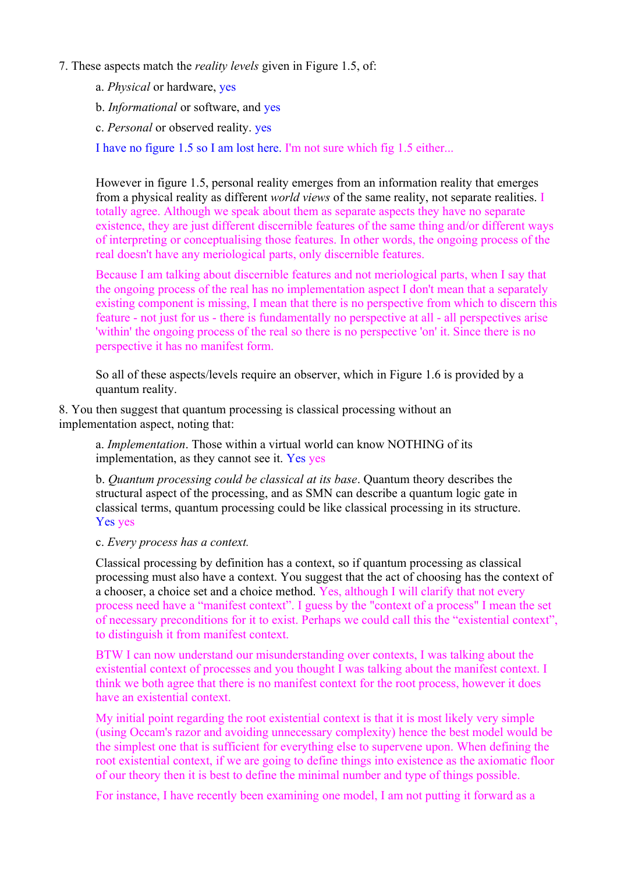#### 7. These aspects match the *reality levels* given in Figure 1.5, of:

- a. *Physical* or hardware, yes
- b. *Informational* or software, and yes
- c. *Personal* or observed reality. yes

I have no figure 1.5 so I am lost here. I'm not sure which fig 1.5 either...

However in figure 1.5, personal reality emerges from an information reality that emerges from a physical reality as different *world views* of the same reality, not separate realities. I totally agree. Although we speak about them as separate aspects they have no separate existence, they are just different discernible features of the same thing and/or different ways of interpreting or conceptualising those features. In other words, the ongoing process of the real doesn't have any meriological parts, only discernible features.

Because I am talking about discernible features and not meriological parts, when I say that the ongoing process of the real has no implementation aspect I don't mean that a separately existing component is missing, I mean that there is no perspective from which to discern this feature - not just for us - there is fundamentally no perspective at all - all perspectives arise 'within' the ongoing process of the real so there is no perspective 'on' it. Since there is no perspective it has no manifest form.

So all of these aspects/levels require an observer, which in Figure 1.6 is provided by a quantum reality.

8. You then suggest that quantum processing is classical processing without an implementation aspect, noting that:

a. *Implementation*. Those within a virtual world can know NOTHING of its implementation, as they cannot see it. Yes yes

b. *Quantum processing could be classical at its base*. Quantum theory describes the structural aspect of the processing, and as SMN can describe a quantum logic gate in classical terms, quantum processing could be like classical processing in its structure. Yes yes

c. *Every process has a context.*

Classical processing by definition has a context, so if quantum processing as classical processing must also have a context. You suggest that the act of choosing has the context of a chooser, a choice set and a choice method. Yes, although I will clarify that not every process need have a "manifest context". I guess by the "context of a process" I mean the set of necessary preconditions for it to exist. Perhaps we could call this the "existential context", to distinguish it from manifest context.

BTW I can now understand our misunderstanding over contexts, I was talking about the existential context of processes and you thought I was talking about the manifest context. I think we both agree that there is no manifest context for the root process, however it does have an existential context.

My initial point regarding the root existential context is that it is most likely very simple (using Occam's razor and avoiding unnecessary complexity) hence the best model would be the simplest one that is sufficient for everything else to supervene upon. When defining the root existential context, if we are going to define things into existence as the axiomatic floor of our theory then it is best to define the minimal number and type of things possible.

For instance, I have recently been examining one model, I am not putting it forward as a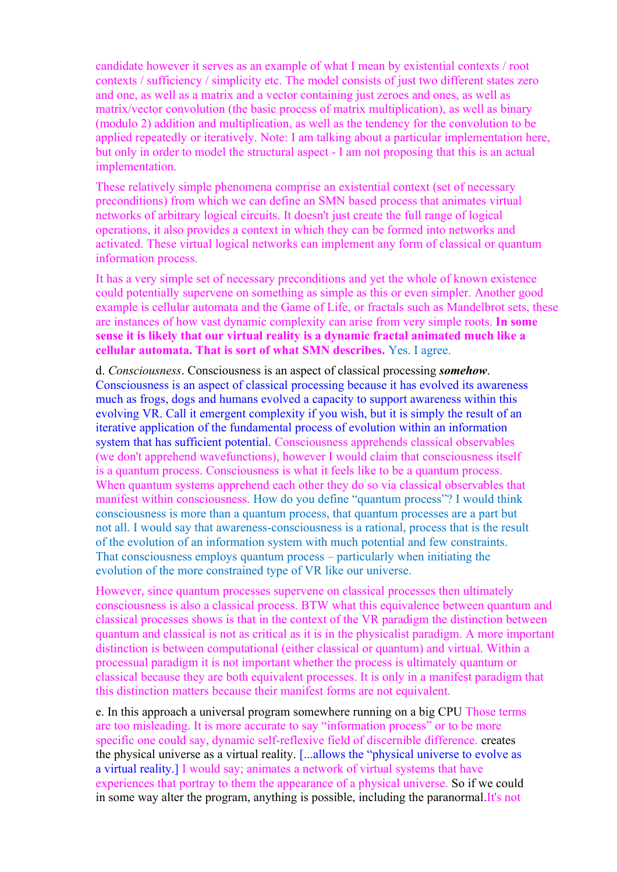candidate however it serves as an example of what I mean by existential contexts / root contexts / sufficiency / simplicity etc. The model consists of just two different states zero and one, as well as a matrix and a vector containing just zeroes and ones, as well as matrix/vector convolution (the basic process of matrix multiplication), as well as binary (modulo 2) addition and multiplication, as well as the tendency for the convolution to be applied repeatedly or iteratively. Note: I am talking about a particular implementation here, but only in order to model the structural aspect - I am not proposing that this is an actual implementation.

These relatively simple phenomena comprise an existential context (set of necessary preconditions) from which we can define an SMN based process that animates virtual networks of arbitrary logical circuits. It doesn't just create the full range of logical operations, it also provides a context in which they can be formed into networks and activated. These virtual logical networks can implement any form of classical or quantum information process.

It has a very simple set of necessary preconditions and yet the whole of known existence could potentially supervene on something as simple as this or even simpler. Another good example is cellular automata and the Game of Life, or fractals such as Mandelbrot sets, these are instances of how vast dynamic complexity can arise from very simple roots. **In some sense it is likely that our virtual reality is a dynamic fractal animated much like a cellular automata. That is sort of what SMN describes.** Yes. I agree.

d. *Consciousness*. Consciousness is an aspect of classical processing *somehow*. Consciousness is an aspect of classical processing because it has evolved its awareness much as frogs, dogs and humans evolved a capacity to support awareness within this evolving VR. Call it emergent complexity if you wish, but it is simply the result of an iterative application of the fundamental process of evolution within an information system that has sufficient potential. Consciousness apprehends classical observables (we don't apprehend wavefunctions), however I would claim that consciousness itself is a quantum process. Consciousness is what it feels like to be a quantum process. When quantum systems apprehend each other they do so via classical observables that manifest within consciousness. How do you define "quantum process"? I would think consciousness is more than a quantum process, that quantum processes are a part but not all. I would say that awareness-consciousness is a rational, process that is the result of the evolution of an information system with much potential and few constraints. That consciousness employs quantum process – particularly when initiating the evolution of the more constrained type of VR like our universe.

However, since quantum processes supervene on classical processes then ultimately consciousness is also a classical process. BTW what this equivalence between quantum and classical processes shows is that in the context of the VR paradigm the distinction between quantum and classical is not as critical as it is in the physicalist paradigm. A more important distinction is between computational (either classical or quantum) and virtual. Within a processual paradigm it is not important whether the process is ultimately quantum or classical because they are both equivalent processes. It is only in a manifest paradigm that this distinction matters because their manifest forms are not equivalent.

e. In this approach a universal program somewhere running on a big CPU Those terms are too misleading. It is more accurate to say "information process" or to be more specific one could say, dynamic self-reflexive field of discernible difference. creates the physical universe as a virtual reality. [...allows the "physical universe to evolve as a virtual reality.] I would say; animates a network of virtual systems that have experiences that portray to them the appearance of a physical universe. So if we could in some way alter the program, anything is possible, including the paranormal.It's not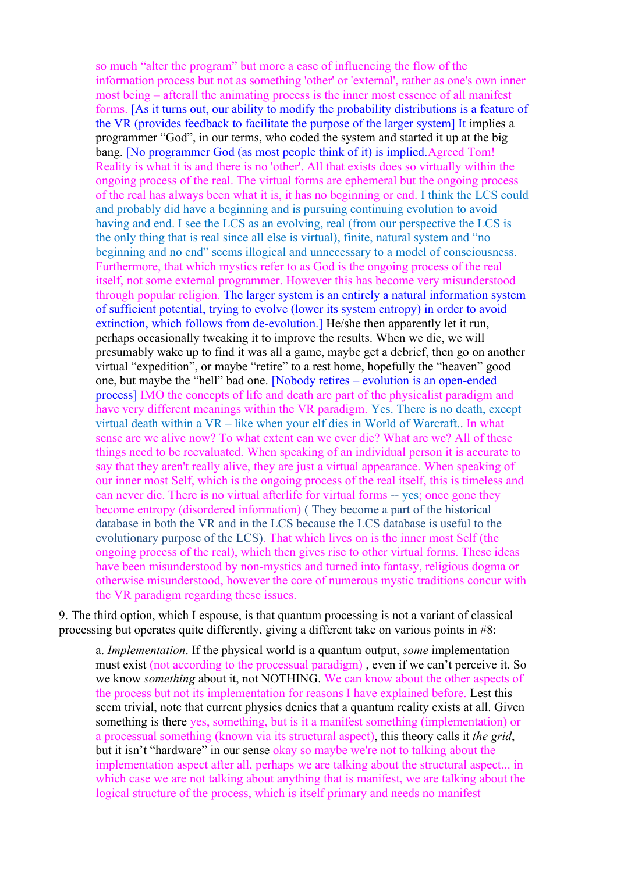so much "alter the program" but more a case of influencing the flow of the information process but not as something 'other' or 'external', rather as one's own inner most being – afterall the animating process is the inner most essence of all manifest forms. [As it turns out, our ability to modify the probability distributions is a feature of the VR (provides feedback to facilitate the purpose of the larger system] It implies a programmer "God", in our terms, who coded the system and started it up at the big bang. [No programmer God (as most people think of it) is implied.Agreed Tom! Reality is what it is and there is no 'other'. All that exists does so virtually within the ongoing process of the real. The virtual forms are ephemeral but the ongoing process of the real has always been what it is, it has no beginning or end. I think the LCS could and probably did have a beginning and is pursuing continuing evolution to avoid having and end. I see the LCS as an evolving, real (from our perspective the LCS is the only thing that is real since all else is virtual), finite, natural system and "no beginning and no end" seems illogical and unnecessary to a model of consciousness. Furthermore, that which mystics refer to as God is the ongoing process of the real itself, not some external programmer. However this has become very misunderstood through popular religion. The larger system is an entirely a natural information system of sufficient potential, trying to evolve (lower its system entropy) in order to avoid extinction, which follows from de-evolution.] He/she then apparently let it run, perhaps occasionally tweaking it to improve the results. When we die, we will presumably wake up to find it was all a game, maybe get a debrief, then go on another virtual "expedition", or maybe "retire" to a rest home, hopefully the "heaven" good one, but maybe the "hell" bad one. [Nobody retires – evolution is an open-ended process] IMO the concepts of life and death are part of the physicalist paradigm and have very different meanings within the VR paradigm. Yes. There is no death, except virtual death within a VR – like when your elf dies in World of Warcraft.. In what sense are we alive now? To what extent can we ever die? What are we? All of these things need to be reevaluated. When speaking of an individual person it is accurate to say that they aren't really alive, they are just a virtual appearance. When speaking of our inner most Self, which is the ongoing process of the real itself, this is timeless and can never die. There is no virtual afterlife for virtual forms -- yes; once gone they become entropy (disordered information) ( They become a part of the historical database in both the VR and in the LCS because the LCS database is useful to the evolutionary purpose of the LCS). That which lives on is the inner most Self (the ongoing process of the real), which then gives rise to other virtual forms. These ideas have been misunderstood by non-mystics and turned into fantasy, religious dogma or otherwise misunderstood, however the core of numerous mystic traditions concur with the VR paradigm regarding these issues.

9. The third option, which I espouse, is that quantum processing is not a variant of classical processing but operates quite differently, giving a different take on various points in #8:

a. *Implementation*. If the physical world is a quantum output, *some* implementation must exist (not according to the processual paradigm) , even if we can't perceive it. So we know *something* about it, not NOTHING. We can know about the other aspects of the process but not its implementation for reasons I have explained before. Lest this seem trivial, note that current physics denies that a quantum reality exists at all. Given something is there yes, something, but is it a manifest something (implementation) or a processual something (known via its structural aspect), this theory calls it *the grid*, but it isn't "hardware" in our sense okay so maybe we're not to talking about the implementation aspect after all, perhaps we are talking about the structural aspect... in which case we are not talking about anything that is manifest, we are talking about the logical structure of the process, which is itself primary and needs no manifest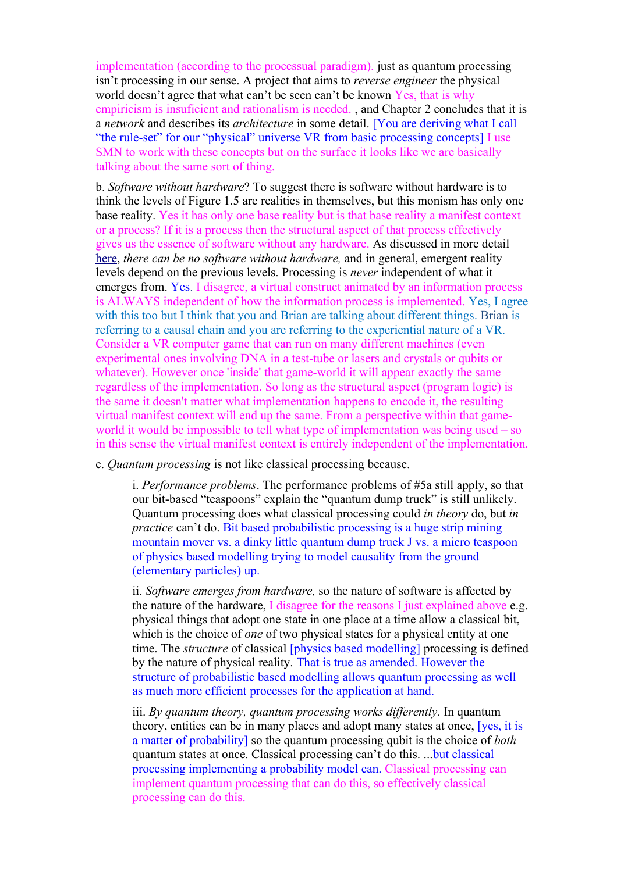implementation (according to the processual paradigm). just as quantum processing isn't processing in our sense. A project that aims to *reverse engineer* the physical world doesn't agree that what can't be seen can't be known Yes, that is why empiricism is insuficient and rationalism is needed. , and Chapter 2 concludes that it is a *network* and describes its *architecture* in some detail. [You are deriving what I call "the rule-set" for our "physical" universe VR from basic processing concepts] I use SMN to work with these concepts but on the surface it looks like we are basically talking about the same sort of thing.

b. *Software without hardware*? To suggest there is software without hardware is to think the levels of Figure 1.5 are realities in themselves, but this monism has only one base reality. Yes it has only one base reality but is that base reality a manifest context or a process? If it is a process then the structural aspect of that process effectively gives us the essence of software without any hardware. As discussed in more detail [here,](http://www.interaction-design.org/books/the_social_design_of_technical_systems_2nd_ed/the_evolution_of_computing.html) *there can be no software without hardware,* and in general, emergent reality levels depend on the previous levels. Processing is *never* independent of what it emerges from. Yes. I disagree, a virtual construct animated by an information process is ALWAYS independent of how the information process is implemented. Yes, I agree with this too but I think that you and Brian are talking about different things. Brian is referring to a causal chain and you are referring to the experiential nature of a VR. Consider a VR computer game that can run on many different machines (even experimental ones involving DNA in a test-tube or lasers and crystals or qubits or whatever). However once 'inside' that game-world it will appear exactly the same regardless of the implementation. So long as the structural aspect (program logic) is the same it doesn't matter what implementation happens to encode it, the resulting virtual manifest context will end up the same. From a perspective within that gameworld it would be impossible to tell what type of implementation was being used – so in this sense the virtual manifest context is entirely independent of the implementation.

c. *Quantum processing* is not like classical processing because.

i. *Performance problems*. The performance problems of #5a still apply, so that our bit-based "teaspoons" explain the "quantum dump truck" is still unlikely. Quantum processing does what classical processing could *in theory* do, but *in practice* can't do. Bit based probabilistic processing is a huge strip mining mountain mover vs. a dinky little quantum dump truck J vs. a micro teaspoon of physics based modelling trying to model causality from the ground (elementary particles) up.

ii. *Software emerges from hardware,* so the nature of software is affected by the nature of the hardware, I disagree for the reasons I just explained above e.g. physical things that adopt one state in one place at a time allow a classical bit, which is the choice of *one* of two physical states for a physical entity at one time. The *structure* of classical *[physics based modelling]* processing is defined by the nature of physical reality. That is true as amended. However the structure of probabilistic based modelling allows quantum processing as well as much more efficient processes for the application at hand.

iii. *By quantum theory, quantum processing works differently.* In quantum theory, entities can be in many places and adopt many states at once, [yes, it is a matter of probability] so the quantum processing qubit is the choice of *both* quantum states at once. Classical processing can't do this. ...but classical processing implementing a probability model can. Classical processing can implement quantum processing that can do this, so effectively classical processing can do this.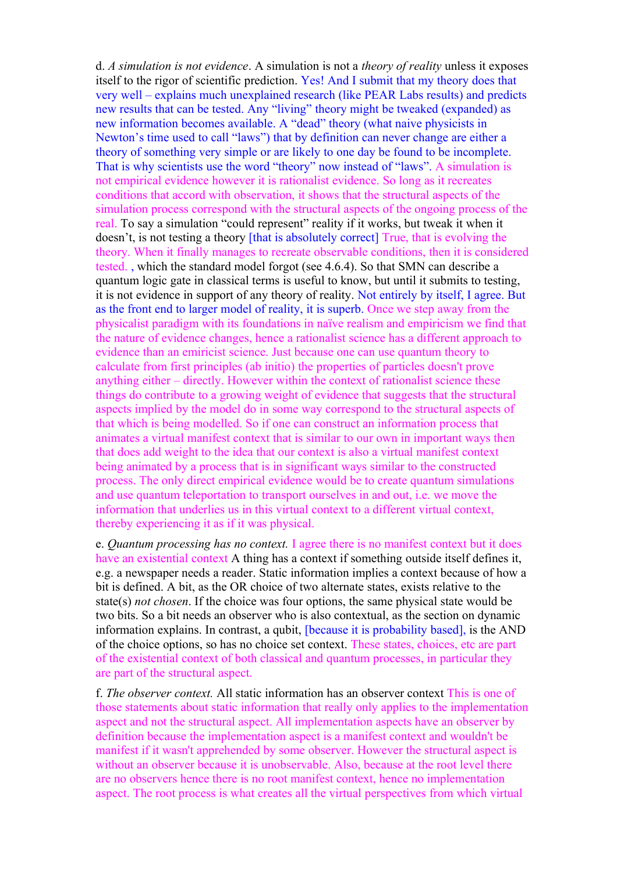d. *A simulation is not evidence*. A simulation is not a *theory of reality* unless it exposes itself to the rigor of scientific prediction. Yes! And I submit that my theory does that very well – explains much unexplained research (like PEAR Labs results) and predicts new results that can be tested. Any "living" theory might be tweaked (expanded) as new information becomes available. A "dead" theory (what naive physicists in Newton's time used to call "laws") that by definition can never change are either a theory of something very simple or are likely to one day be found to be incomplete. That is why scientists use the word "theory" now instead of "laws". A simulation is not empirical evidence however it is rationalist evidence. So long as it recreates conditions that accord with observation, it shows that the structural aspects of the simulation process correspond with the structural aspects of the ongoing process of the real. To say a simulation "could represent" reality if it works, but tweak it when it doesn't, is not testing a theory [that is absolutely correct] True, that is evolving the theory. When it finally manages to recreate observable conditions, then it is considered tested. , which the standard model forgot (see 4.6.4). So that SMN can describe a quantum logic gate in classical terms is useful to know, but until it submits to testing, it is not evidence in support of any theory of reality. Not entirely by itself, I agree. But as the front end to larger model of reality, it is superb. Once we step away from the physicalist paradigm with its foundations in naïve realism and empiricism we find that the nature of evidence changes, hence a rationalist science has a different approach to evidence than an emiricist science. Just because one can use quantum theory to calculate from first principles (ab initio) the properties of particles doesn't prove anything either – directly. However within the context of rationalist science these things do contribute to a growing weight of evidence that suggests that the structural aspects implied by the model do in some way correspond to the structural aspects of that which is being modelled. So if one can construct an information process that animates a virtual manifest context that is similar to our own in important ways then that does add weight to the idea that our context is also a virtual manifest context being animated by a process that is in significant ways similar to the constructed process. The only direct empirical evidence would be to create quantum simulations and use quantum teleportation to transport ourselves in and out, i.e. we move the information that underlies us in this virtual context to a different virtual context, thereby experiencing it as if it was physical.

e. *Quantum processing has no context.* I agree there is no manifest context but it does have an existential context A thing has a context if something outside itself defines it, e.g. a newspaper needs a reader. Static information implies a context because of how a bit is defined. A bit, as the OR choice of two alternate states, exists relative to the state(s) *not chosen*. If the choice was four options, the same physical state would be two bits. So a bit needs an observer who is also contextual, as the section on dynamic information explains. In contrast, a qubit, [because it is probability based], is the AND of the choice options, so has no choice set context. These states, choices, etc are part of the existential context of both classical and quantum processes, in particular they are part of the structural aspect.

f. *The observer context.* All static information has an observer context This is one of those statements about static information that really only applies to the implementation aspect and not the structural aspect. All implementation aspects have an observer by definition because the implementation aspect is a manifest context and wouldn't be manifest if it wasn't apprehended by some observer. However the structural aspect is without an observer because it is unobservable. Also, because at the root level there are no observers hence there is no root manifest context, hence no implementation aspect. The root process is what creates all the virtual perspectives from which virtual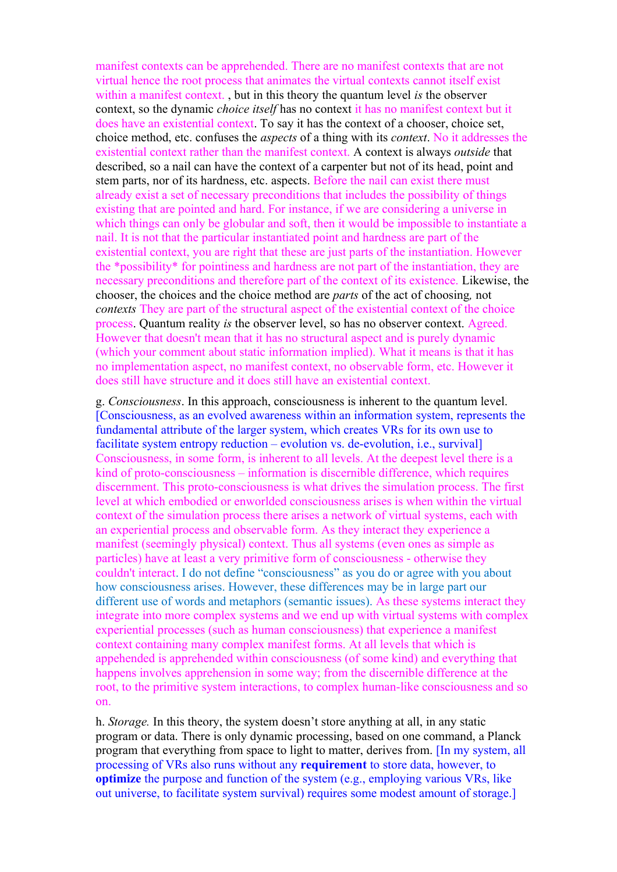manifest contexts can be apprehended. There are no manifest contexts that are not virtual hence the root process that animates the virtual contexts cannot itself exist within a manifest context. , but in this theory the quantum level *is* the observer context, so the dynamic *choice itself* has no context it has no manifest context but it does have an existential context. To say it has the context of a chooser, choice set, choice method, etc. confuses the *aspects* of a thing with its *context*. No it addresses the existential context rather than the manifest context. A context is always *outside* that described, so a nail can have the context of a carpenter but not of its head, point and stem parts, nor of its hardness, etc. aspects. Before the nail can exist there must already exist a set of necessary preconditions that includes the possibility of things existing that are pointed and hard. For instance, if we are considering a universe in which things can only be globular and soft, then it would be impossible to instantiate a nail. It is not that the particular instantiated point and hardness are part of the existential context, you are right that these are just parts of the instantiation. However the \*possibility\* for pointiness and hardness are not part of the instantiation, they are necessary preconditions and therefore part of the context of its existence. Likewise, the chooser, the choices and the choice method are *parts* of the act of choosing*,* not *contexts* They are part of the structural aspect of the existential context of the choice process. Quantum reality *is* the observer level, so has no observer context. Agreed. However that doesn't mean that it has no structural aspect and is purely dynamic (which your comment about static information implied). What it means is that it has no implementation aspect, no manifest context, no observable form, etc. However it does still have structure and it does still have an existential context.

g. *Consciousness*. In this approach, consciousness is inherent to the quantum level. [Consciousness, as an evolved awareness within an information system, represents the fundamental attribute of the larger system, which creates VRs for its own use to facilitate system entropy reduction – evolution vs. de-evolution, i.e., survival Consciousness, in some form, is inherent to all levels. At the deepest level there is a kind of proto-consciousness – information is discernible difference, which requires discernment. This proto-consciousness is what drives the simulation process. The first level at which embodied or enworlded consciousness arises is when within the virtual context of the simulation process there arises a network of virtual systems, each with an experiential process and observable form. As they interact they experience a manifest (seemingly physical) context. Thus all systems (even ones as simple as particles) have at least a very primitive form of consciousness - otherwise they couldn't interact. I do not define "consciousness" as you do or agree with you about how consciousness arises. However, these differences may be in large part our different use of words and metaphors (semantic issues). As these systems interact they integrate into more complex systems and we end up with virtual systems with complex experiential processes (such as human consciousness) that experience a manifest context containing many complex manifest forms. At all levels that which is appehended is apprehended within consciousness (of some kind) and everything that happens involves apprehension in some way; from the discernible difference at the root, to the primitive system interactions, to complex human-like consciousness and so on.

h. *Storage.* In this theory, the system doesn't store anything at all, in any static program or data. There is only dynamic processing, based on one command, a Planck program that everything from space to light to matter, derives from. [In my system, all processing of VRs also runs without any **requirement** to store data, however, to **optimize** the purpose and function of the system (e.g., employing various VRs, like out universe, to facilitate system survival) requires some modest amount of storage.]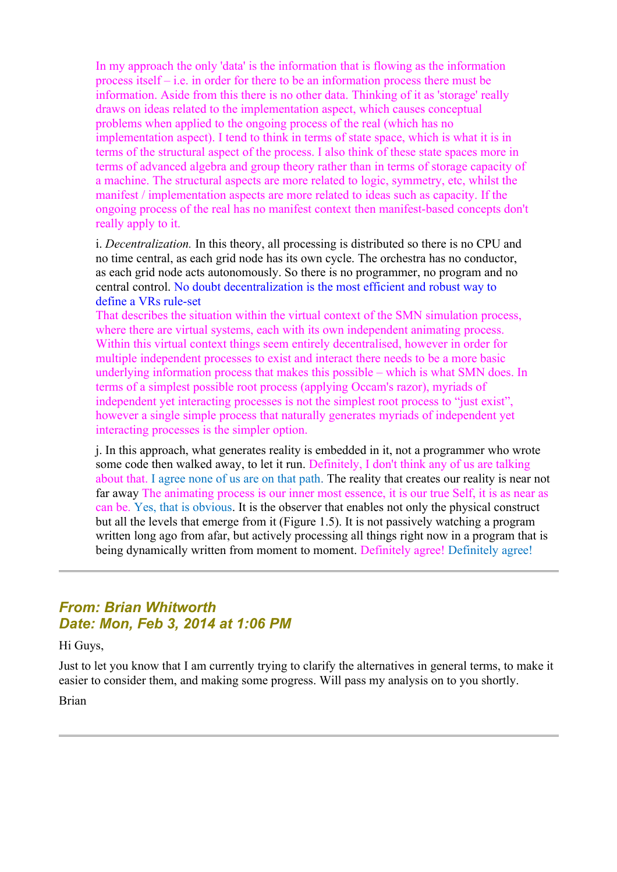In my approach the only 'data' is the information that is flowing as the information process itself – i.e. in order for there to be an information process there must be information. Aside from this there is no other data. Thinking of it as 'storage' really draws on ideas related to the implementation aspect, which causes conceptual problems when applied to the ongoing process of the real (which has no implementation aspect). I tend to think in terms of state space, which is what it is in terms of the structural aspect of the process. I also think of these state spaces more in terms of advanced algebra and group theory rather than in terms of storage capacity of a machine. The structural aspects are more related to logic, symmetry, etc, whilst the manifest / implementation aspects are more related to ideas such as capacity. If the ongoing process of the real has no manifest context then manifest-based concepts don't really apply to it.

i. *Decentralization.* In this theory, all processing is distributed so there is no CPU and no time central, as each grid node has its own cycle. The orchestra has no conductor, as each grid node acts autonomously. So there is no programmer, no program and no central control. No doubt decentralization is the most efficient and robust way to define a VRs rule-set

That describes the situation within the virtual context of the SMN simulation process, where there are virtual systems, each with its own independent animating process. Within this virtual context things seem entirely decentralised, however in order for multiple independent processes to exist and interact there needs to be a more basic underlying information process that makes this possible – which is what SMN does. In terms of a simplest possible root process (applying Occam's razor), myriads of independent yet interacting processes is not the simplest root process to "just exist", however a single simple process that naturally generates myriads of independent yet interacting processes is the simpler option.

j. In this approach, what generates reality is embedded in it, not a programmer who wrote some code then walked away, to let it run. Definitely, I don't think any of us are talking about that. I agree none of us are on that path. The reality that creates our reality is near not far away The animating process is our inner most essence, it is our true Self, it is as near as can be. Yes, that is obvious. It is the observer that enables not only the physical construct but all the levels that emerge from it (Figure 1.5). It is not passively watching a program written long ago from afar, but actively processing all things right now in a program that is being dynamically written from moment to moment. Definitely agree! Definitely agree!

## *From: Brian Whitworth Date: Mon, Feb 3, 2014 at 1:06 PM*

Hi Guys,

Just to let you know that I am currently trying to clarify the alternatives in general terms, to make it easier to consider them, and making some progress. Will pass my analysis on to you shortly.

Brian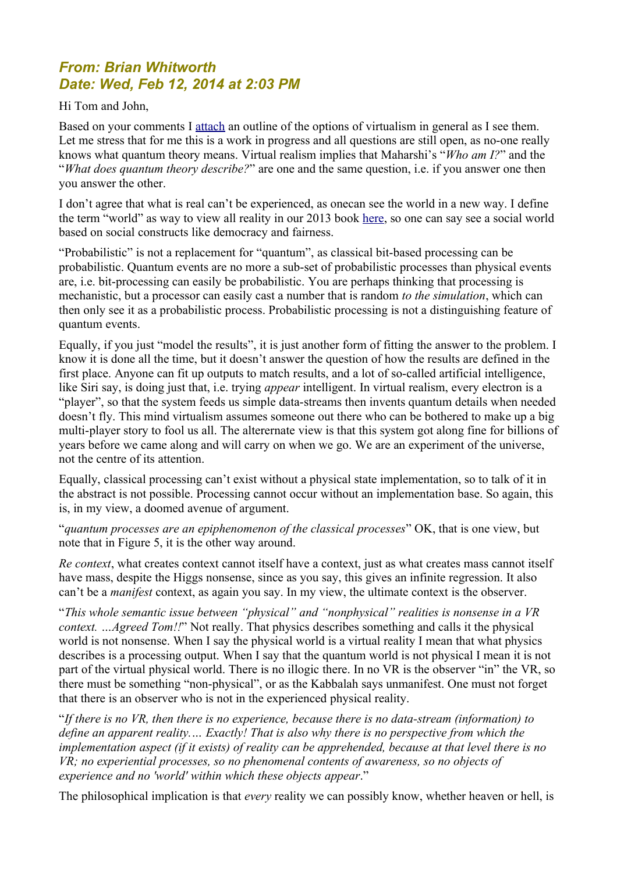## *From: Brian Whitworth Date: Wed, Feb 12, 2014 at 2:03 PM*

#### Hi Tom and John,

Based on your comments I [attach](http://www.anandavala.info/miscl/transcript/WhatIsReality-01.pdf) an outline of the options of virtualism in general as I see them. Let me stress that for me this is a work in progress and all questions are still open, as no-one really knows what quantum theory means. Virtual realism implies that Maharshi's "*Who am I?*" and the "*What does quantum theory describe?*" are one and the same question, i.e. if you answer one then you answer the other.

I don't agree that what is real can't be experienced, as onecan see the world in a new way. I define the term "world" as way to view all reality in our 2013 book [here,](http://www.interaction-design.org/books/the_social_design_of_technical_systems_2nd_ed/the_evolution_of_computing.html) so one can say see a social world based on social constructs like democracy and fairness.

"Probabilistic" is not a replacement for "quantum", as classical bit-based processing can be probabilistic. Quantum events are no more a sub-set of probabilistic processes than physical events are, i.e. bit-processing can easily be probabilistic. You are perhaps thinking that processing is mechanistic, but a processor can easily cast a number that is random *to the simulation*, which can then only see it as a probabilistic process. Probabilistic processing is not a distinguishing feature of quantum events.

Equally, if you just "model the results", it is just another form of fitting the answer to the problem. I know it is done all the time, but it doesn't answer the question of how the results are defined in the first place. Anyone can fit up outputs to match results, and a lot of so-called artificial intelligence, like Siri say, is doing just that, i.e. trying *appear* intelligent. In virtual realism, every electron is a "player", so that the system feeds us simple data-streams then invents quantum details when needed doesn't fly. This mind virtualism assumes someone out there who can be bothered to make up a big multi-player story to fool us all. The alterernate view is that this system got along fine for billions of years before we came along and will carry on when we go. We are an experiment of the universe, not the centre of its attention.

Equally, classical processing can't exist without a physical state implementation, so to talk of it in the abstract is not possible. Processing cannot occur without an implementation base. So again, this is, in my view, a doomed avenue of argument.

"*quantum processes are an epiphenomenon of the classical processes*" OK, that is one view, but note that in Figure 5, it is the other way around.

*Re context*, what creates context cannot itself have a context, just as what creates mass cannot itself have mass, despite the Higgs nonsense, since as you say, this gives an infinite regression. It also can't be a *manifest* context, as again you say. In my view, the ultimate context is the observer.

"*This whole semantic issue between "physical" and "nonphysical" realities is nonsense in a VR context. …Agreed Tom!!*" Not really. That physics describes something and calls it the physical world is not nonsense. When I say the physical world is a virtual reality I mean that what physics describes is a processing output. When I say that the quantum world is not physical I mean it is not part of the virtual physical world. There is no illogic there. In no VR is the observer "in" the VR, so there must be something "non-physical", or as the Kabbalah says unmanifest. One must not forget that there is an observer who is not in the experienced physical reality.

"*If there is no VR, then there is no experience, because there is no data-stream (information) to define an apparent reality.… Exactly! That is also why there is no perspective from which the implementation aspect (if it exists) of reality can be apprehended, because at that level there is no VR; no experiential processes, so no phenomenal contents of awareness, so no objects of experience and no 'world' within which these objects appear*."

The philosophical implication is that *every* reality we can possibly know, whether heaven or hell, is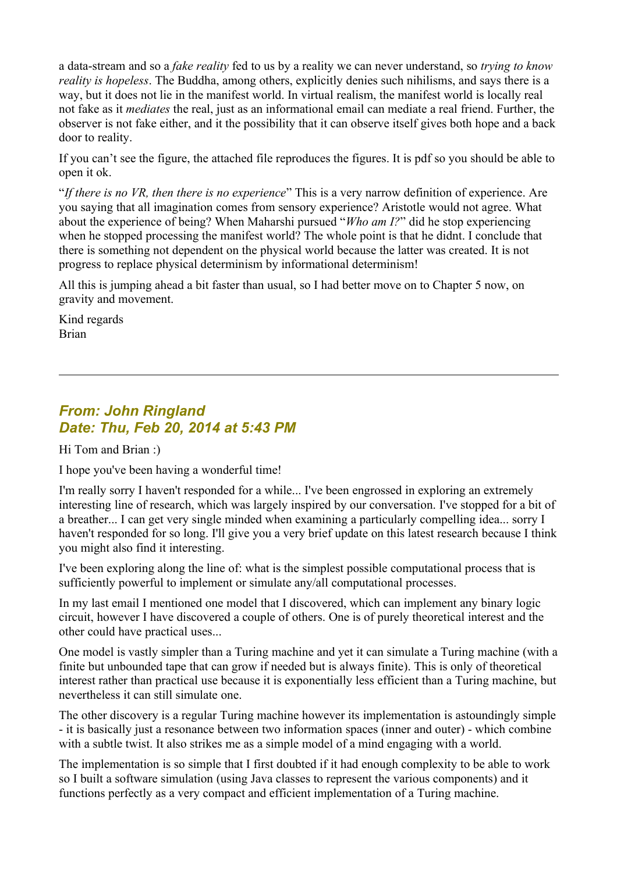a data-stream and so a *fake reality* fed to us by a reality we can never understand, so *trying to know reality is hopeless*. The Buddha, among others, explicitly denies such nihilisms, and says there is a way, but it does not lie in the manifest world. In virtual realism, the manifest world is locally real not fake as it *mediates* the real, just as an informational email can mediate a real friend. Further, the observer is not fake either, and it the possibility that it can observe itself gives both hope and a back door to reality.

If you can't see the figure, the attached file reproduces the figures. It is pdf so you should be able to open it ok.

"*If there is no VR, then there is no experience*" This is a very narrow definition of experience. Are you saying that all imagination comes from sensory experience? Aristotle would not agree. What about the experience of being? When Maharshi pursued "*Who am I?*" did he stop experiencing when he stopped processing the manifest world? The whole point is that he didnt. I conclude that there is something not dependent on the physical world because the latter was created. It is not progress to replace physical determinism by informational determinism!

All this is jumping ahead a bit faster than usual, so I had better move on to Chapter 5 now, on gravity and movement.

Kind regards Brian

### *From: John Ringland Date: Thu, Feb 20, 2014 at 5:43 PM*

Hi Tom and Brian :)

I hope you've been having a wonderful time!

I'm really sorry I haven't responded for a while... I've been engrossed in exploring an extremely interesting line of research, which was largely inspired by our conversation. I've stopped for a bit of a breather... I can get very single minded when examining a particularly compelling idea... sorry I haven't responded for so long. I'll give you a very brief update on this latest research because I think you might also find it interesting.

I've been exploring along the line of: what is the simplest possible computational process that is sufficiently powerful to implement or simulate any/all computational processes.

In my last email I mentioned one model that I discovered, which can implement any binary logic circuit, however I have discovered a couple of others. One is of purely theoretical interest and the other could have practical uses...

One model is vastly simpler than a Turing machine and yet it can simulate a Turing machine (with a finite but unbounded tape that can grow if needed but is always finite). This is only of theoretical interest rather than practical use because it is exponentially less efficient than a Turing machine, but nevertheless it can still simulate one.

The other discovery is a regular Turing machine however its implementation is astoundingly simple - it is basically just a resonance between two information spaces (inner and outer) - which combine with a subtle twist. It also strikes me as a simple model of a mind engaging with a world.

The implementation is so simple that I first doubted if it had enough complexity to be able to work so I built a software simulation (using Java classes to represent the various components) and it functions perfectly as a very compact and efficient implementation of a Turing machine.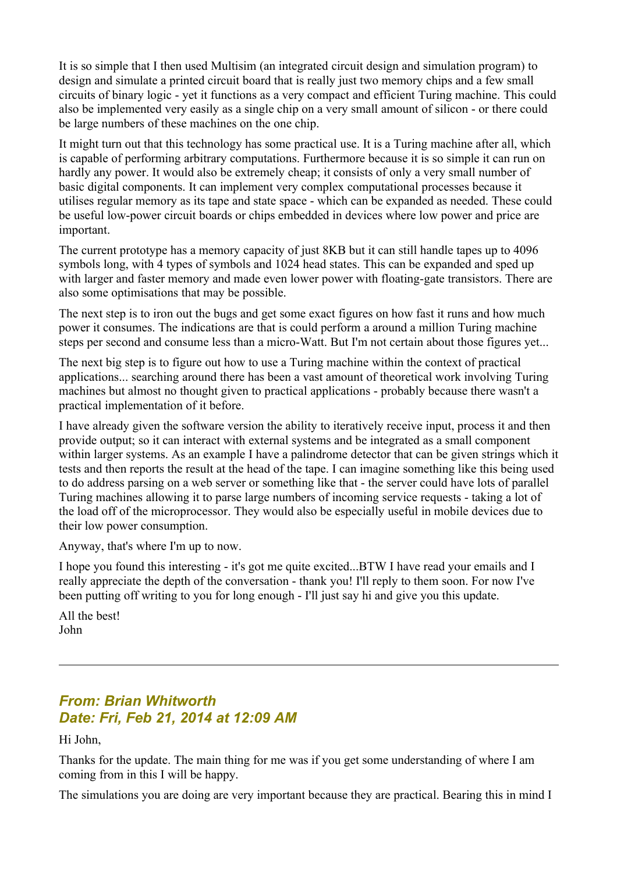It is so simple that I then used Multisim (an integrated circuit design and simulation program) to design and simulate a printed circuit board that is really just two memory chips and a few small circuits of binary logic - yet it functions as a very compact and efficient Turing machine. This could also be implemented very easily as a single chip on a very small amount of silicon - or there could be large numbers of these machines on the one chip.

It might turn out that this technology has some practical use. It is a Turing machine after all, which is capable of performing arbitrary computations. Furthermore because it is so simple it can run on hardly any power. It would also be extremely cheap; it consists of only a very small number of basic digital components. It can implement very complex computational processes because it utilises regular memory as its tape and state space - which can be expanded as needed. These could be useful low-power circuit boards or chips embedded in devices where low power and price are important.

The current prototype has a memory capacity of just 8KB but it can still handle tapes up to 4096 symbols long, with 4 types of symbols and 1024 head states. This can be expanded and sped up with larger and faster memory and made even lower power with floating-gate transistors. There are also some optimisations that may be possible.

The next step is to iron out the bugs and get some exact figures on how fast it runs and how much power it consumes. The indications are that is could perform a around a million Turing machine steps per second and consume less than a micro-Watt. But I'm not certain about those figures yet...

The next big step is to figure out how to use a Turing machine within the context of practical applications... searching around there has been a vast amount of theoretical work involving Turing machines but almost no thought given to practical applications - probably because there wasn't a practical implementation of it before.

I have already given the software version the ability to iteratively receive input, process it and then provide output; so it can interact with external systems and be integrated as a small component within larger systems. As an example I have a palindrome detector that can be given strings which it tests and then reports the result at the head of the tape. I can imagine something like this being used to do address parsing on a web server or something like that - the server could have lots of parallel Turing machines allowing it to parse large numbers of incoming service requests - taking a lot of the load off of the microprocessor. They would also be especially useful in mobile devices due to their low power consumption.

Anyway, that's where I'm up to now.

I hope you found this interesting - it's got me quite excited...BTW I have read your emails and I really appreciate the depth of the conversation - thank you! I'll reply to them soon. For now I've been putting off writing to you for long enough - I'll just say hi and give you this update.

All the best! John

## *From: Brian Whitworth Date: Fri, Feb 21, 2014 at 12:09 AM*

Hi John,

Thanks for the update. The main thing for me was if you get some understanding of where I am coming from in this I will be happy.

The simulations you are doing are very important because they are practical. Bearing this in mind I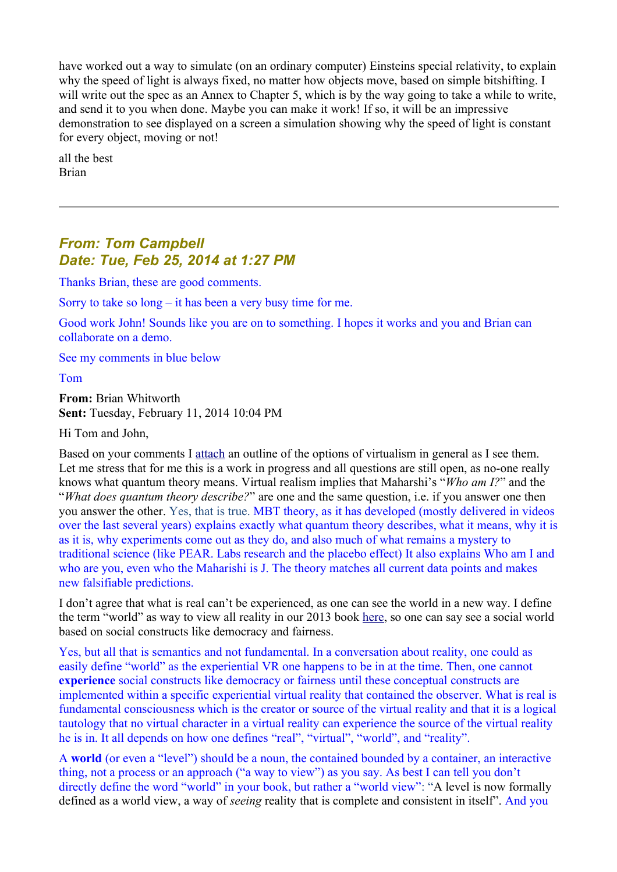have worked out a way to simulate (on an ordinary computer) Einsteins special relativity, to explain why the speed of light is always fixed, no matter how objects move, based on simple bitshifting. I will write out the spec as an Annex to Chapter 5, which is by the way going to take a while to write, and send it to you when done. Maybe you can make it work! If so, it will be an impressive demonstration to see displayed on a screen a simulation showing why the speed of light is constant for every object, moving or not!

all the best Brian

## *From: Tom Campbell Date: Tue, Feb 25, 2014 at 1:27 PM*

Thanks Brian, these are good comments.

Sorry to take so long – it has been a very busy time for me.

Good work John! Sounds like you are on to something. I hopes it works and you and Brian can collaborate on a demo.

See my comments in blue below

Tom

**From:** Brian Whitworth **Sent:** Tuesday, February 11, 2014 10:04 PM

Hi Tom and John,

Based on your comments I [attach](http://www.anandavala.info/miscl/transcript/WhatIsReality-01.pdf) an outline of the options of virtualism in general as I see them. Let me stress that for me this is a work in progress and all questions are still open, as no-one really knows what quantum theory means. Virtual realism implies that Maharshi's "*Who am I?*" and the "*What does quantum theory describe?*" are one and the same question, i.e. if you answer one then you answer the other. Yes, that is true. MBT theory, as it has developed (mostly delivered in videos over the last several years) explains exactly what quantum theory describes, what it means, why it is as it is, why experiments come out as they do, and also much of what remains a mystery to traditional science (like PEAR. Labs research and the placebo effect) It also explains Who am I and who are you, even who the Maharishi is J. The theory matches all current data points and makes new falsifiable predictions.

I don't agree that what is real can't be experienced, as one can see the world in a new way. I define the term "world" as way to view all reality in our 2013 book [here,](http://www.interaction-design.org/books/the_social_design_of_technical_systems_2nd_ed/the_evolution_of_computing.html) so one can say see a social world based on social constructs like democracy and fairness.

Yes, but all that is semantics and not fundamental. In a conversation about reality, one could as easily define "world" as the experiential VR one happens to be in at the time. Then, one cannot **experience** social constructs like democracy or fairness until these conceptual constructs are implemented within a specific experiential virtual reality that contained the observer. What is real is fundamental consciousness which is the creator or source of the virtual reality and that it is a logical tautology that no virtual character in a virtual reality can experience the source of the virtual reality he is in. It all depends on how one defines "real", "virtual", "world", and "reality".

A **world** (or even a "level") should be a noun, the contained bounded by a container, an interactive thing, not a process or an approach ("a way to view") as you say. As best I can tell you don't directly define the word "world" in your book, but rather a "world view": "A level is now formally defined as a world view, a way of *seeing* reality that is complete and consistent in itself". And you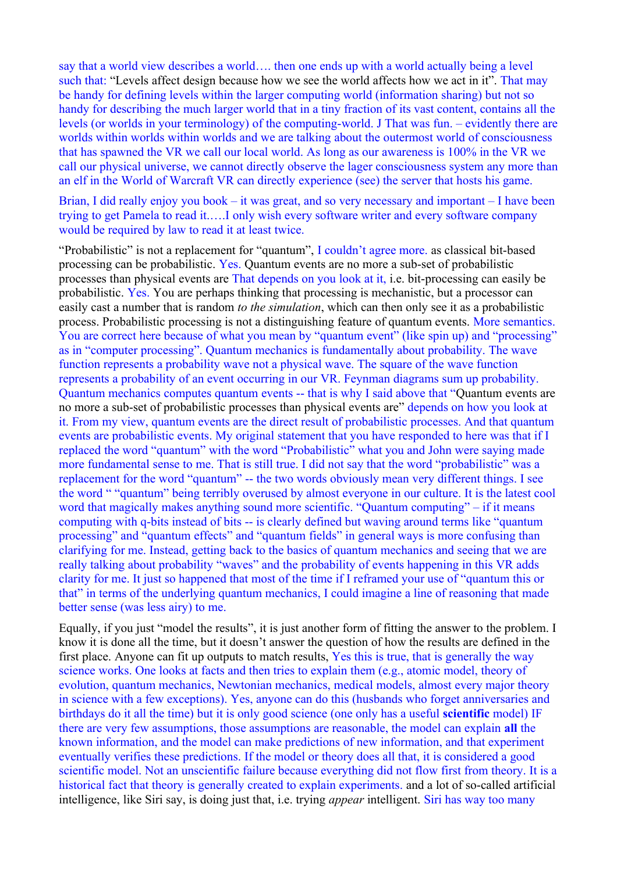say that a world view describes a world…. then one ends up with a world actually being a level such that: "Levels affect design because how we see the world affects how we act in it". That may be handy for defining levels within the larger computing world (information sharing) but not so handy for describing the much larger world that in a tiny fraction of its vast content, contains all the levels (or worlds in your terminology) of the computing-world. J That was fun. – evidently there are worlds within worlds within worlds and we are talking about the outermost world of consciousness that has spawned the VR we call our local world. As long as our awareness is 100% in the VR we call our physical universe, we cannot directly observe the lager consciousness system any more than an elf in the World of Warcraft VR can directly experience (see) the server that hosts his game.

Brian, I did really enjoy you book – it was great, and so very necessary and important – I have been trying to get Pamela to read it.….I only wish every software writer and every software company would be required by law to read it at least twice.

"Probabilistic" is not a replacement for "quantum", I couldn't agree more. as classical bit-based processing can be probabilistic. Yes. Quantum events are no more a sub-set of probabilistic processes than physical events are That depends on you look at it, i.e. bit-processing can easily be probabilistic. Yes. You are perhaps thinking that processing is mechanistic, but a processor can easily cast a number that is random *to the simulation*, which can then only see it as a probabilistic process. Probabilistic processing is not a distinguishing feature of quantum events. More semantics. You are correct here because of what you mean by "quantum event" (like spin up) and "processing" as in "computer processing". Quantum mechanics is fundamentally about probability. The wave function represents a probability wave not a physical wave. The square of the wave function represents a probability of an event occurring in our VR. Feynman diagrams sum up probability. Quantum mechanics computes quantum events -- that is why I said above that "Quantum events are no more a sub-set of probabilistic processes than physical events are" depends on how you look at it. From my view, quantum events are the direct result of probabilistic processes. And that quantum events are probabilistic events. My original statement that you have responded to here was that if I replaced the word "quantum" with the word "Probabilistic" what you and John were saying made more fundamental sense to me. That is still true. I did not say that the word "probabilistic" was a replacement for the word "quantum" -- the two words obviously mean very different things. I see the word " "quantum" being terribly overused by almost everyone in our culture. It is the latest cool word that magically makes anything sound more scientific. "Quantum computing" – if it means computing with q-bits instead of bits -- is clearly defined but waving around terms like "quantum processing" and "quantum effects" and "quantum fields" in general ways is more confusing than clarifying for me. Instead, getting back to the basics of quantum mechanics and seeing that we are really talking about probability "waves" and the probability of events happening in this VR adds clarity for me. It just so happened that most of the time if I reframed your use of "quantum this or that" in terms of the underlying quantum mechanics, I could imagine a line of reasoning that made better sense (was less airy) to me.

Equally, if you just "model the results", it is just another form of fitting the answer to the problem. I know it is done all the time, but it doesn't answer the question of how the results are defined in the first place. Anyone can fit up outputs to match results, Yes this is true, that is generally the way science works. One looks at facts and then tries to explain them (e.g., atomic model, theory of evolution, quantum mechanics, Newtonian mechanics, medical models, almost every major theory in science with a few exceptions). Yes, anyone can do this (husbands who forget anniversaries and birthdays do it all the time) but it is only good science (one only has a useful **scientific** model) IF there are very few assumptions, those assumptions are reasonable, the model can explain **all** the known information, and the model can make predictions of new information, and that experiment eventually verifies these predictions. If the model or theory does all that, it is considered a good scientific model. Not an unscientific failure because everything did not flow first from theory. It is a historical fact that theory is generally created to explain experiments. and a lot of so-called artificial intelligence, like Siri say, is doing just that, i.e. trying *appear* intelligent. Siri has way too many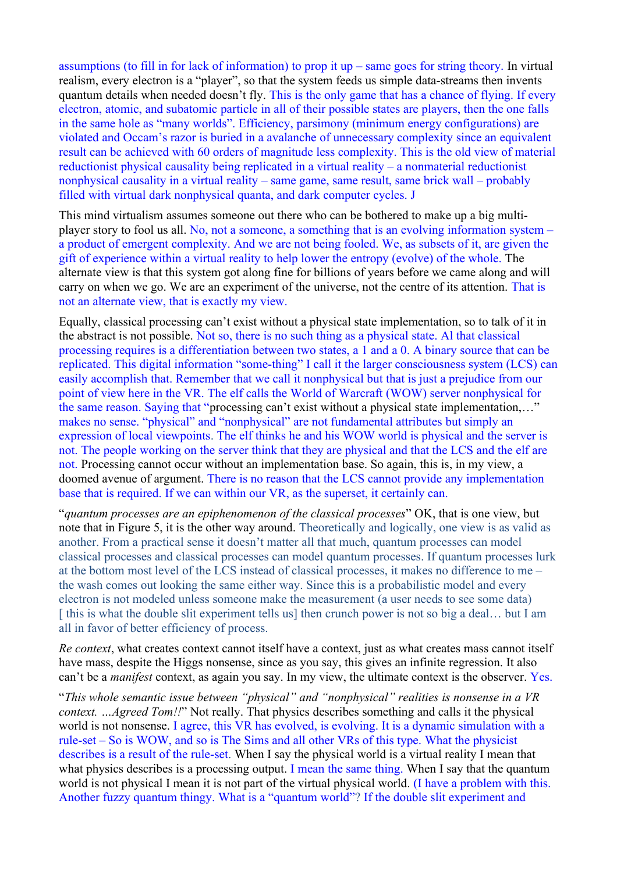assumptions (to fill in for lack of information) to prop it up – same goes for string theory. In virtual realism, every electron is a "player", so that the system feeds us simple data-streams then invents quantum details when needed doesn't fly. This is the only game that has a chance of flying. If every electron, atomic, and subatomic particle in all of their possible states are players, then the one falls in the same hole as "many worlds". Efficiency, parsimony (minimum energy configurations) are violated and Occam's razor is buried in a avalanche of unnecessary complexity since an equivalent result can be achieved with 60 orders of magnitude less complexity. This is the old view of material reductionist physical causality being replicated in a virtual reality – a nonmaterial reductionist nonphysical causality in a virtual reality – same game, same result, same brick wall – probably filled with virtual dark nonphysical quanta, and dark computer cycles. J

This mind virtualism assumes someone out there who can be bothered to make up a big multiplayer story to fool us all. No, not a someone, a something that is an evolving information system – a product of emergent complexity. And we are not being fooled. We, as subsets of it, are given the gift of experience within a virtual reality to help lower the entropy (evolve) of the whole. The alternate view is that this system got along fine for billions of years before we came along and will carry on when we go. We are an experiment of the universe, not the centre of its attention. That is not an alternate view, that is exactly my view.

Equally, classical processing can't exist without a physical state implementation, so to talk of it in the abstract is not possible. Not so, there is no such thing as a physical state. Al that classical processing requires is a differentiation between two states, a 1 and a 0. A binary source that can be replicated. This digital information "some-thing" I call it the larger consciousness system (LCS) can easily accomplish that. Remember that we call it nonphysical but that is just a prejudice from our point of view here in the VR. The elf calls the World of Warcraft (WOW) server nonphysical for the same reason. Saying that "processing can't exist without a physical state implementation,…" makes no sense. "physical" and "nonphysical" are not fundamental attributes but simply an expression of local viewpoints. The elf thinks he and his WOW world is physical and the server is not. The people working on the server think that they are physical and that the LCS and the elf are not. Processing cannot occur without an implementation base. So again, this is, in my view, a doomed avenue of argument. There is no reason that the LCS cannot provide any implementation base that is required. If we can within our VR, as the superset, it certainly can.

"*quantum processes are an epiphenomenon of the classical processes*" OK, that is one view, but note that in Figure 5, it is the other way around. Theoretically and logically, one view is as valid as another. From a practical sense it doesn't matter all that much, quantum processes can model classical processes and classical processes can model quantum processes. If quantum processes lurk at the bottom most level of the LCS instead of classical processes, it makes no difference to me – the wash comes out looking the same either way. Since this is a probabilistic model and every electron is not modeled unless someone make the measurement (a user needs to see some data) [this is what the double slit experiment tells us] then crunch power is not so big a deal... but I am all in favor of better efficiency of process.

*Re context*, what creates context cannot itself have a context, just as what creates mass cannot itself have mass, despite the Higgs nonsense, since as you say, this gives an infinite regression. It also can't be a *manifest* context, as again you say. In my view, the ultimate context is the observer. Yes.

"*This whole semantic issue between "physical" and "nonphysical" realities is nonsense in a VR context. …Agreed Tom!!*" Not really. That physics describes something and calls it the physical world is not nonsense. I agree, this VR has evolved, is evolving. It is a dynamic simulation with a rule-set – So is WOW, and so is The Sims and all other VRs of this type. What the physicist describes is a result of the rule-set. When I say the physical world is a virtual reality I mean that what physics describes is a processing output. I mean the same thing. When I say that the quantum world is not physical I mean it is not part of the virtual physical world. (I have a problem with this. Another fuzzy quantum thingy. What is a "quantum world"? If the double slit experiment and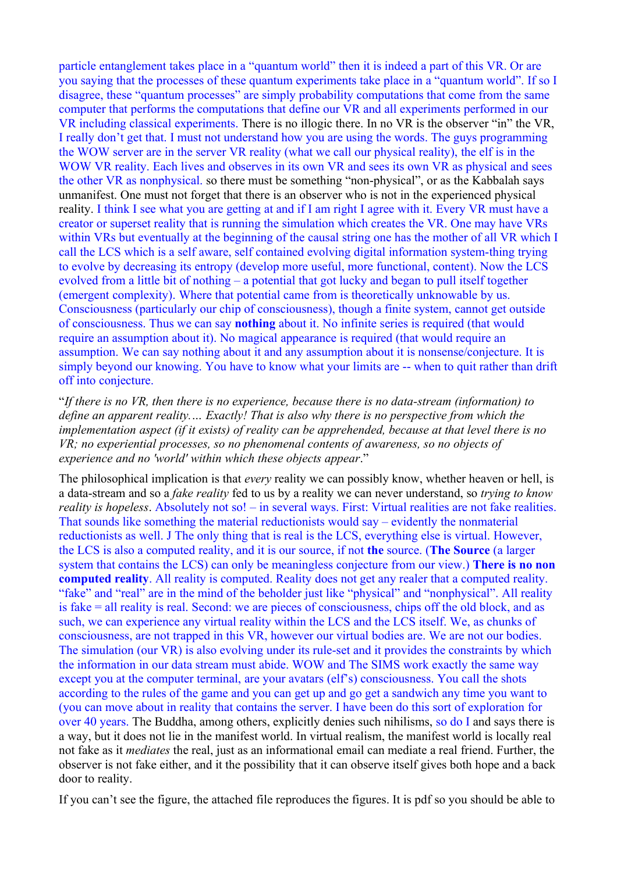particle entanglement takes place in a "quantum world" then it is indeed a part of this VR. Or are you saying that the processes of these quantum experiments take place in a "quantum world". If so I disagree, these "quantum processes" are simply probability computations that come from the same computer that performs the computations that define our VR and all experiments performed in our VR including classical experiments. There is no illogic there. In no VR is the observer "in" the VR, I really don't get that. I must not understand how you are using the words. The guys programming the WOW server are in the server VR reality (what we call our physical reality), the elf is in the WOW VR reality. Each lives and observes in its own VR and sees its own VR as physical and sees the other VR as nonphysical. so there must be something "non-physical", or as the Kabbalah says unmanifest. One must not forget that there is an observer who is not in the experienced physical reality. I think I see what you are getting at and if I am right I agree with it. Every VR must have a creator or superset reality that is running the simulation which creates the VR. One may have VRs within VRs but eventually at the beginning of the causal string one has the mother of all VR which I call the LCS which is a self aware, self contained evolving digital information system-thing trying to evolve by decreasing its entropy (develop more useful, more functional, content). Now the LCS evolved from a little bit of nothing – a potential that got lucky and began to pull itself together (emergent complexity). Where that potential came from is theoretically unknowable by us. Consciousness (particularly our chip of consciousness), though a finite system, cannot get outside of consciousness. Thus we can say **nothing** about it. No infinite series is required (that would require an assumption about it). No magical appearance is required (that would require an assumption. We can say nothing about it and any assumption about it is nonsense/conjecture. It is simply beyond our knowing. You have to know what your limits are -- when to quit rather than drift off into conjecture.

"*If there is no VR, then there is no experience, because there is no data-stream (information) to define an apparent reality.… Exactly! That is also why there is no perspective from which the implementation aspect (if it exists) of reality can be apprehended, because at that level there is no VR; no experiential processes, so no phenomenal contents of awareness, so no objects of experience and no 'world' within which these objects appear*."

The philosophical implication is that *every* reality we can possibly know, whether heaven or hell, is a data-stream and so a *fake reality* fed to us by a reality we can never understand, so *trying to know reality is hopeless*. Absolutely not so! – in several ways. First: Virtual realities are not fake realities. That sounds like something the material reductionists would say – evidently the nonmaterial reductionists as well. J The only thing that is real is the LCS, everything else is virtual. However, the LCS is also a computed reality, and it is our source, if not **the** source. (**The Source** (a larger system that contains the LCS) can only be meaningless conjecture from our view.) **There is no non computed reality**. All reality is computed. Reality does not get any realer that a computed reality. "fake" and "real" are in the mind of the beholder just like "physical" and "nonphysical". All reality is fake = all reality is real. Second: we are pieces of consciousness, chips off the old block, and as such, we can experience any virtual reality within the LCS and the LCS itself. We, as chunks of consciousness, are not trapped in this VR, however our virtual bodies are. We are not our bodies. The simulation (our VR) is also evolving under its rule-set and it provides the constraints by which the information in our data stream must abide. WOW and The SIMS work exactly the same way except you at the computer terminal, are your avatars (elf's) consciousness. You call the shots according to the rules of the game and you can get up and go get a sandwich any time you want to (you can move about in reality that contains the server. I have been do this sort of exploration for over 40 years. The Buddha, among others, explicitly denies such nihilisms, so do I and says there is a way, but it does not lie in the manifest world. In virtual realism, the manifest world is locally real not fake as it *mediates* the real, just as an informational email can mediate a real friend. Further, the observer is not fake either, and it the possibility that it can observe itself gives both hope and a back door to reality.

If you can't see the figure, the attached file reproduces the figures. It is pdf so you should be able to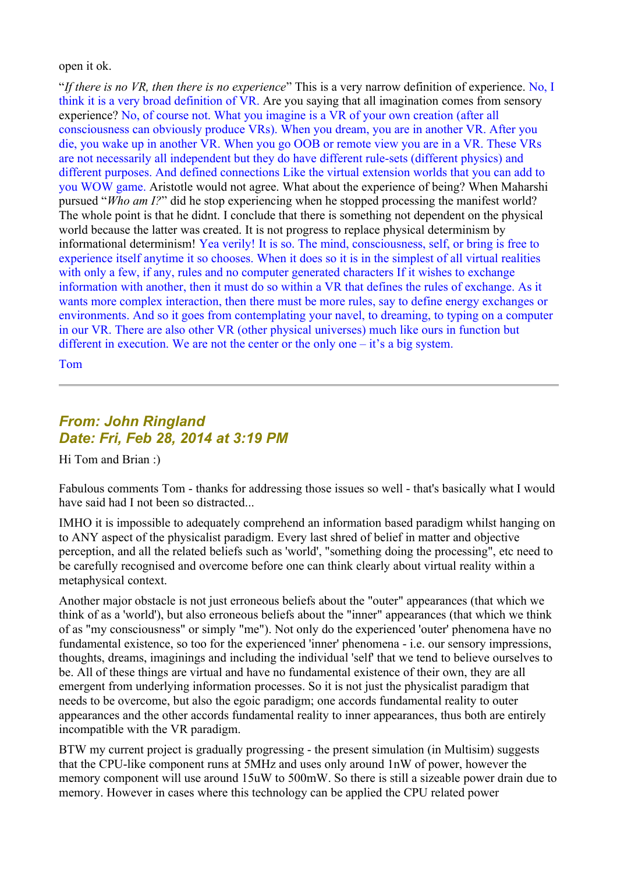open it ok.

"*If there is no VR, then there is no experience*" This is a very narrow definition of experience. No, I think it is a very broad definition of VR. Are you saying that all imagination comes from sensory experience? No, of course not. What you imagine is a VR of your own creation (after all consciousness can obviously produce VRs). When you dream, you are in another VR. After you die, you wake up in another VR. When you go OOB or remote view you are in a VR. These VRs are not necessarily all independent but they do have different rule-sets (different physics) and different purposes. And defined connections Like the virtual extension worlds that you can add to you WOW game. Aristotle would not agree. What about the experience of being? When Maharshi pursued "*Who am I?*" did he stop experiencing when he stopped processing the manifest world? The whole point is that he didnt. I conclude that there is something not dependent on the physical world because the latter was created. It is not progress to replace physical determinism by informational determinism! Yea verily! It is so. The mind, consciousness, self, or bring is free to experience itself anytime it so chooses. When it does so it is in the simplest of all virtual realities with only a few, if any, rules and no computer generated characters If it wishes to exchange information with another, then it must do so within a VR that defines the rules of exchange. As it wants more complex interaction, then there must be more rules, say to define energy exchanges or environments. And so it goes from contemplating your navel, to dreaming, to typing on a computer in our VR. There are also other VR (other physical universes) much like ours in function but different in execution. We are not the center or the only one – it's a big system.

Tom

# *From: John Ringland Date: Fri, Feb 28, 2014 at 3:19 PM*

Hi Tom and Brian :)

Fabulous comments Tom - thanks for addressing those issues so well - that's basically what I would have said had I not been so distracted...

IMHO it is impossible to adequately comprehend an information based paradigm whilst hanging on to ANY aspect of the physicalist paradigm. Every last shred of belief in matter and objective perception, and all the related beliefs such as 'world', "something doing the processing", etc need to be carefully recognised and overcome before one can think clearly about virtual reality within a metaphysical context.

Another major obstacle is not just erroneous beliefs about the "outer" appearances (that which we think of as a 'world'), but also erroneous beliefs about the "inner" appearances (that which we think of as "my consciousness" or simply "me"). Not only do the experienced 'outer' phenomena have no fundamental existence, so too for the experienced 'inner' phenomena - i.e. our sensory impressions, thoughts, dreams, imaginings and including the individual 'self' that we tend to believe ourselves to be. All of these things are virtual and have no fundamental existence of their own, they are all emergent from underlying information processes. So it is not just the physicalist paradigm that needs to be overcome, but also the egoic paradigm; one accords fundamental reality to outer appearances and the other accords fundamental reality to inner appearances, thus both are entirely incompatible with the VR paradigm.

BTW my current project is gradually progressing - the present simulation (in Multisim) suggests that the CPU-like component runs at 5MHz and uses only around 1nW of power, however the memory component will use around 15uW to 500mW. So there is still a sizeable power drain due to memory. However in cases where this technology can be applied the CPU related power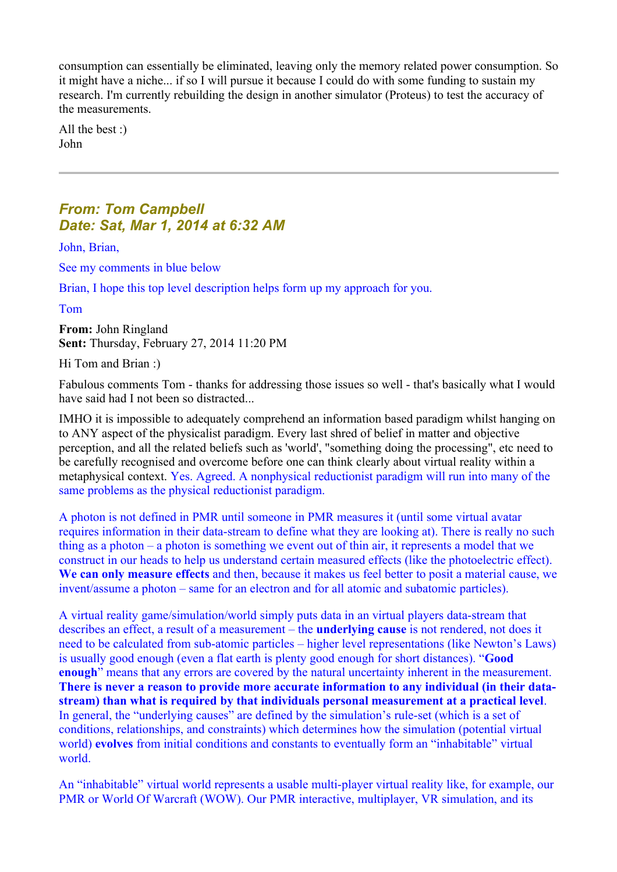consumption can essentially be eliminated, leaving only the memory related power consumption. So it might have a niche... if so I will pursue it because I could do with some funding to sustain my research. I'm currently rebuilding the design in another simulator (Proteus) to test the accuracy of the measurements.

All the best :) John

### *From: Tom Campbell Date: Sat, Mar 1, 2014 at 6:32 AM*

John, Brian,

See my comments in blue below

Brian, I hope this top level description helps form up my approach for you.

Tom

**From:** John Ringland **Sent:** Thursday, February 27, 2014 11:20 PM

Hi Tom and Brian :)

Fabulous comments Tom - thanks for addressing those issues so well - that's basically what I would have said had I not been so distracted...

IMHO it is impossible to adequately comprehend an information based paradigm whilst hanging on to ANY aspect of the physicalist paradigm. Every last shred of belief in matter and objective perception, and all the related beliefs such as 'world', "something doing the processing", etc need to be carefully recognised and overcome before one can think clearly about virtual reality within a metaphysical context. Yes. Agreed. A nonphysical reductionist paradigm will run into many of the same problems as the physical reductionist paradigm.

A photon is not defined in PMR until someone in PMR measures it (until some virtual avatar requires information in their data-stream to define what they are looking at). There is really no such thing as a photon – a photon is something we event out of thin air, it represents a model that we construct in our heads to help us understand certain measured effects (like the photoelectric effect). **We can only measure effects** and then, because it makes us feel better to posit a material cause, we invent/assume a photon – same for an electron and for all atomic and subatomic particles).

A virtual reality game/simulation/world simply puts data in an virtual players data-stream that describes an effect, a result of a measurement – the **underlying cause** is not rendered, not does it need to be calculated from sub-atomic particles – higher level representations (like Newton's Laws) is usually good enough (even a flat earth is plenty good enough for short distances). "**Good enough**" means that any errors are covered by the natural uncertainty inherent in the measurement. **There is never a reason to provide more accurate information to any individual (in their datastream) than what is required by that individuals personal measurement at a practical level**. In general, the "underlying causes" are defined by the simulation's rule-set (which is a set of conditions, relationships, and constraints) which determines how the simulation (potential virtual world) **evolves** from initial conditions and constants to eventually form an "inhabitable" virtual world.

An "inhabitable" virtual world represents a usable multi-player virtual reality like, for example, our PMR or World Of Warcraft (WOW). Our PMR interactive, multiplayer, VR simulation, and its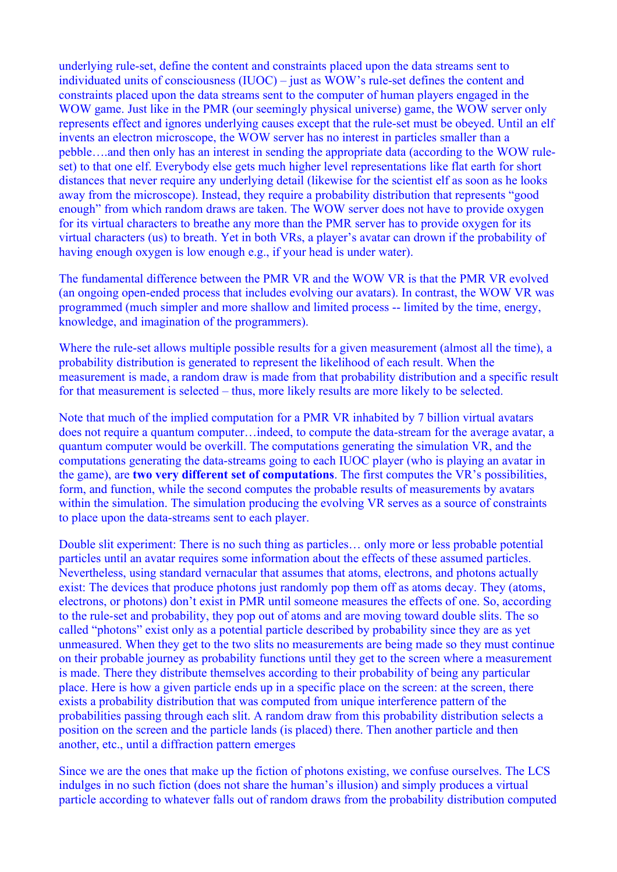underlying rule-set, define the content and constraints placed upon the data streams sent to individuated units of consciousness (IUOC) – just as WOW's rule-set defines the content and constraints placed upon the data streams sent to the computer of human players engaged in the WOW game. Just like in the PMR (our seemingly physical universe) game, the WOW server only represents effect and ignores underlying causes except that the rule-set must be obeyed. Until an elf invents an electron microscope, the WOW server has no interest in particles smaller than a pebble….and then only has an interest in sending the appropriate data (according to the WOW ruleset) to that one elf. Everybody else gets much higher level representations like flat earth for short distances that never require any underlying detail (likewise for the scientist elf as soon as he looks away from the microscope). Instead, they require a probability distribution that represents "good enough" from which random draws are taken. The WOW server does not have to provide oxygen for its virtual characters to breathe any more than the PMR server has to provide oxygen for its virtual characters (us) to breath. Yet in both VRs, a player's avatar can drown if the probability of having enough oxygen is low enough e.g., if your head is under water).

The fundamental difference between the PMR VR and the WOW VR is that the PMR VR evolved (an ongoing open-ended process that includes evolving our avatars). In contrast, the WOW VR was programmed (much simpler and more shallow and limited process -- limited by the time, energy, knowledge, and imagination of the programmers).

Where the rule-set allows multiple possible results for a given measurement (almost all the time), a probability distribution is generated to represent the likelihood of each result. When the measurement is made, a random draw is made from that probability distribution and a specific result for that measurement is selected – thus, more likely results are more likely to be selected.

Note that much of the implied computation for a PMR VR inhabited by 7 billion virtual avatars does not require a quantum computer…indeed, to compute the data-stream for the average avatar, a quantum computer would be overkill. The computations generating the simulation VR, and the computations generating the data-streams going to each IUOC player (who is playing an avatar in the game), are **two very different set of computations**. The first computes the VR's possibilities, form, and function, while the second computes the probable results of measurements by avatars within the simulation. The simulation producing the evolving VR serves as a source of constraints to place upon the data-streams sent to each player.

Double slit experiment: There is no such thing as particles… only more or less probable potential particles until an avatar requires some information about the effects of these assumed particles. Nevertheless, using standard vernacular that assumes that atoms, electrons, and photons actually exist: The devices that produce photons just randomly pop them off as atoms decay. They (atoms, electrons, or photons) don't exist in PMR until someone measures the effects of one. So, according to the rule-set and probability, they pop out of atoms and are moving toward double slits. The so called "photons" exist only as a potential particle described by probability since they are as yet unmeasured. When they get to the two slits no measurements are being made so they must continue on their probable journey as probability functions until they get to the screen where a measurement is made. There they distribute themselves according to their probability of being any particular place. Here is how a given particle ends up in a specific place on the screen: at the screen, there exists a probability distribution that was computed from unique interference pattern of the probabilities passing through each slit. A random draw from this probability distribution selects a position on the screen and the particle lands (is placed) there. Then another particle and then another, etc., until a diffraction pattern emerges

Since we are the ones that make up the fiction of photons existing, we confuse ourselves. The LCS indulges in no such fiction (does not share the human's illusion) and simply produces a virtual particle according to whatever falls out of random draws from the probability distribution computed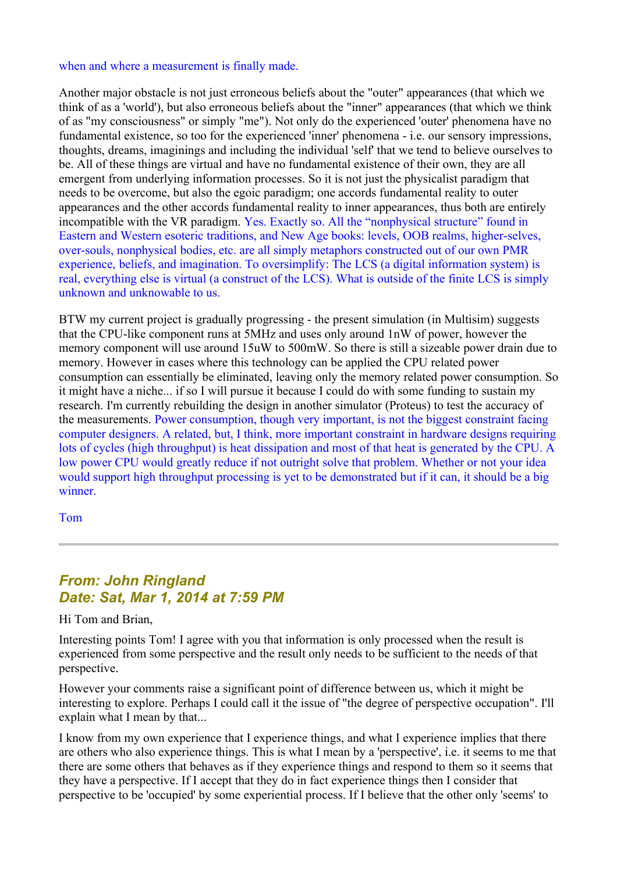#### when and where a measurement is finally made.

Another major obstacle is not just erroneous beliefs about the "outer" appearances (that which we think of as a 'world'), but also erroneous beliefs about the "inner" appearances (that which we think of as "my consciousness" or simply "me"). Not only do the experienced 'outer' phenomena have no fundamental existence, so too for the experienced 'inner' phenomena - i.e. our sensory impressions, thoughts, dreams, imaginings and including the individual 'self' that we tend to believe ourselves to be. All of these things are virtual and have no fundamental existence of their own, they are all emergent from underlying information processes. So it is not just the physicalist paradigm that needs to be overcome, but also the egoic paradigm; one accords fundamental reality to outer appearances and the other accords fundamental reality to inner appearances, thus both are entirely incompatible with the VR paradigm. Yes. Exactly so. All the "nonphysical structure" found in Eastern and Western esoteric traditions, and New Age books: levels, OOB realms, higher-selves, over-souls, nonphysical bodies, etc. are all simply metaphors constructed out of our own PMR experience, beliefs, and imagination. To oversimplify: The LCS (a digital information system) is real, everything else is virtual (a construct of the LCS). What is outside of the finite LCS is simply unknown and unknowable to us.

BTW my current project is gradually progressing - the present simulation (in Multisim) suggests that the CPU-like component runs at 5MHz and uses only around 1nW of power, however the memory component will use around 15uW to 500mW. So there is still a sizeable power drain due to memory. However in cases where this technology can be applied the CPU related power consumption can essentially be eliminated, leaving only the memory related power consumption. So it might have a niche... if so I will pursue it because I could do with some funding to sustain my research. I'm currently rebuilding the design in another simulator (Proteus) to test the accuracy of the measurements. Power consumption, though very important, is not the biggest constraint facing computer designers. A related, but, I think, more important constraint in hardware designs requiring lots of cycles (high throughput) is heat dissipation and most of that heat is generated by the CPU. A low power CPU would greatly reduce if not outright solve that problem. Whether or not your idea would support high throughput processing is yet to be demonstrated but if it can, it should be a big winner.

Tom

## *From: John Ringland Date: Sat, Mar 1, 2014 at 7:59 PM*

Hi Tom and Brian,

Interesting points Tom! I agree with you that information is only processed when the result is experienced from some perspective and the result only needs to be sufficient to the needs of that perspective.

However your comments raise a significant point of difference between us, which it might be interesting to explore. Perhaps I could call it the issue of "the degree of perspective occupation". I'll explain what I mean by that...

I know from my own experience that I experience things, and what I experience implies that there are others who also experience things. This is what I mean by a 'perspective', i.e. it seems to me that there are some others that behaves as if they experience things and respond to them so it seems that they have a perspective. If I accept that they do in fact experience things then I consider that perspective to be 'occupied' by some experiential process. If I believe that the other only 'seems' to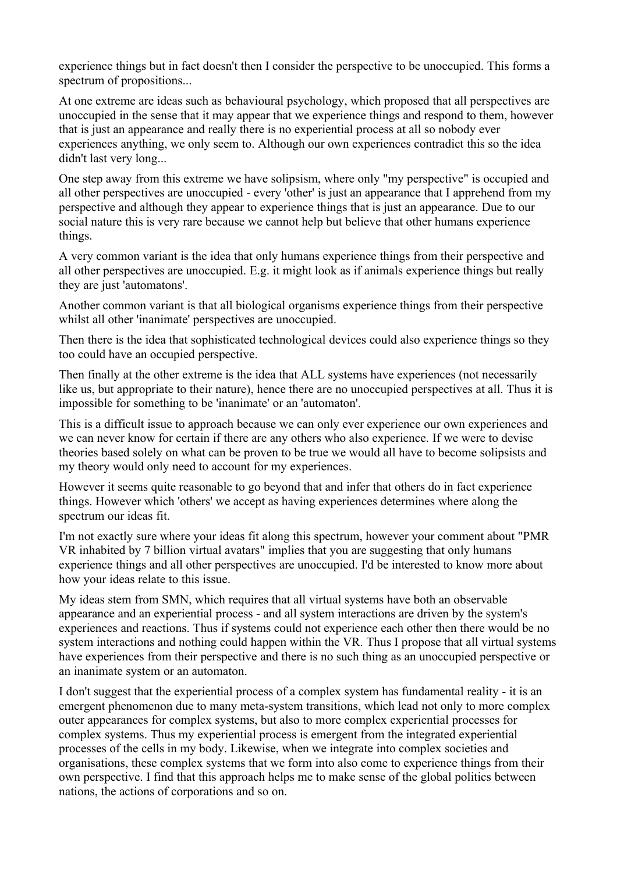experience things but in fact doesn't then I consider the perspective to be unoccupied. This forms a spectrum of propositions...

At one extreme are ideas such as behavioural psychology, which proposed that all perspectives are unoccupied in the sense that it may appear that we experience things and respond to them, however that is just an appearance and really there is no experiential process at all so nobody ever experiences anything, we only seem to. Although our own experiences contradict this so the idea didn't last very long...

One step away from this extreme we have solipsism, where only "my perspective" is occupied and all other perspectives are unoccupied - every 'other' is just an appearance that I apprehend from my perspective and although they appear to experience things that is just an appearance. Due to our social nature this is very rare because we cannot help but believe that other humans experience things.

A very common variant is the idea that only humans experience things from their perspective and all other perspectives are unoccupied. E.g. it might look as if animals experience things but really they are just 'automatons'.

Another common variant is that all biological organisms experience things from their perspective whilst all other 'inanimate' perspectives are unoccupied.

Then there is the idea that sophisticated technological devices could also experience things so they too could have an occupied perspective.

Then finally at the other extreme is the idea that ALL systems have experiences (not necessarily like us, but appropriate to their nature), hence there are no unoccupied perspectives at all. Thus it is impossible for something to be 'inanimate' or an 'automaton'.

This is a difficult issue to approach because we can only ever experience our own experiences and we can never know for certain if there are any others who also experience. If we were to devise theories based solely on what can be proven to be true we would all have to become solipsists and my theory would only need to account for my experiences.

However it seems quite reasonable to go beyond that and infer that others do in fact experience things. However which 'others' we accept as having experiences determines where along the spectrum our ideas fit.

I'm not exactly sure where your ideas fit along this spectrum, however your comment about "PMR VR inhabited by 7 billion virtual avatars" implies that you are suggesting that only humans experience things and all other perspectives are unoccupied. I'd be interested to know more about how your ideas relate to this issue.

My ideas stem from SMN, which requires that all virtual systems have both an observable appearance and an experiential process - and all system interactions are driven by the system's experiences and reactions. Thus if systems could not experience each other then there would be no system interactions and nothing could happen within the VR. Thus I propose that all virtual systems have experiences from their perspective and there is no such thing as an unoccupied perspective or an inanimate system or an automaton.

I don't suggest that the experiential process of a complex system has fundamental reality - it is an emergent phenomenon due to many meta-system transitions, which lead not only to more complex outer appearances for complex systems, but also to more complex experiential processes for complex systems. Thus my experiential process is emergent from the integrated experiential processes of the cells in my body. Likewise, when we integrate into complex societies and organisations, these complex systems that we form into also come to experience things from their own perspective. I find that this approach helps me to make sense of the global politics between nations, the actions of corporations and so on.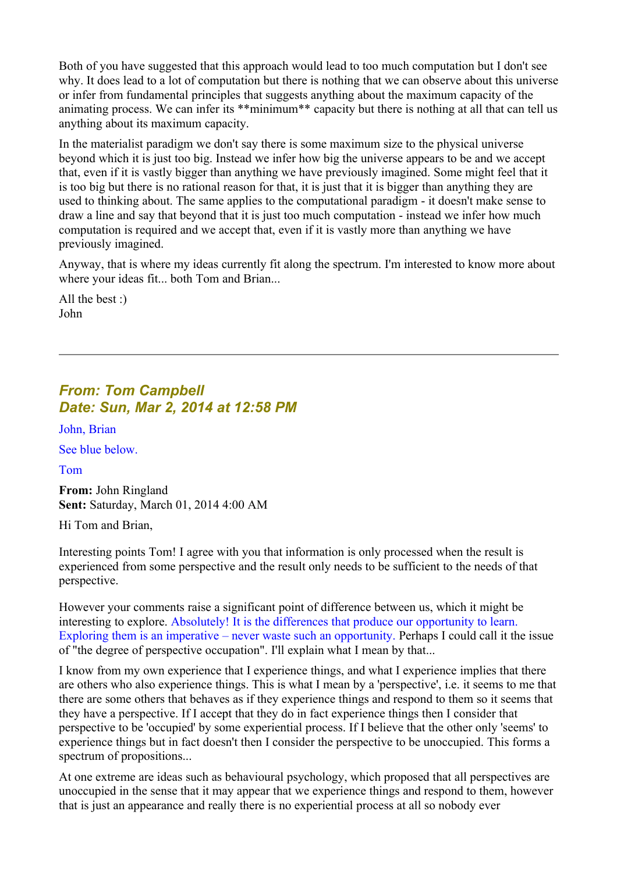Both of you have suggested that this approach would lead to too much computation but I don't see why. It does lead to a lot of computation but there is nothing that we can observe about this universe or infer from fundamental principles that suggests anything about the maximum capacity of the animating process. We can infer its \*\*minimum\*\* capacity but there is nothing at all that can tell us anything about its maximum capacity.

In the materialist paradigm we don't say there is some maximum size to the physical universe beyond which it is just too big. Instead we infer how big the universe appears to be and we accept that, even if it is vastly bigger than anything we have previously imagined. Some might feel that it is too big but there is no rational reason for that, it is just that it is bigger than anything they are used to thinking about. The same applies to the computational paradigm - it doesn't make sense to draw a line and say that beyond that it is just too much computation - instead we infer how much computation is required and we accept that, even if it is vastly more than anything we have previously imagined.

Anyway, that is where my ideas currently fit along the spectrum. I'm interested to know more about where your ideas fit... both Tom and Brian...

All the best :) John

# *From: Tom Campbell Date: Sun, Mar 2, 2014 at 12:58 PM*

John, Brian

See blue below.

Tom

**From:** John Ringland **Sent:** Saturday, March 01, 2014 4:00 AM

Hi Tom and Brian,

Interesting points Tom! I agree with you that information is only processed when the result is experienced from some perspective and the result only needs to be sufficient to the needs of that perspective.

However your comments raise a significant point of difference between us, which it might be interesting to explore. Absolutely! It is the differences that produce our opportunity to learn. Exploring them is an imperative – never waste such an opportunity. Perhaps I could call it the issue of "the degree of perspective occupation". I'll explain what I mean by that...

I know from my own experience that I experience things, and what I experience implies that there are others who also experience things. This is what I mean by a 'perspective', i.e. it seems to me that there are some others that behaves as if they experience things and respond to them so it seems that they have a perspective. If I accept that they do in fact experience things then I consider that perspective to be 'occupied' by some experiential process. If I believe that the other only 'seems' to experience things but in fact doesn't then I consider the perspective to be unoccupied. This forms a spectrum of propositions...

At one extreme are ideas such as behavioural psychology, which proposed that all perspectives are unoccupied in the sense that it may appear that we experience things and respond to them, however that is just an appearance and really there is no experiential process at all so nobody ever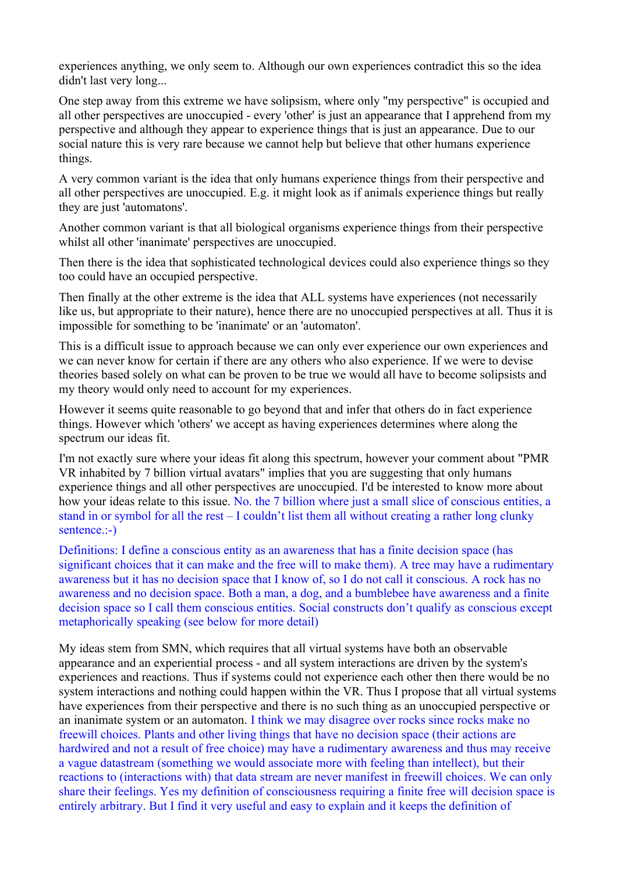experiences anything, we only seem to. Although our own experiences contradict this so the idea didn't last very long...

One step away from this extreme we have solipsism, where only "my perspective" is occupied and all other perspectives are unoccupied - every 'other' is just an appearance that I apprehend from my perspective and although they appear to experience things that is just an appearance. Due to our social nature this is very rare because we cannot help but believe that other humans experience things.

A very common variant is the idea that only humans experience things from their perspective and all other perspectives are unoccupied. E.g. it might look as if animals experience things but really they are just 'automatons'.

Another common variant is that all biological organisms experience things from their perspective whilst all other 'inanimate' perspectives are unoccupied.

Then there is the idea that sophisticated technological devices could also experience things so they too could have an occupied perspective.

Then finally at the other extreme is the idea that ALL systems have experiences (not necessarily like us, but appropriate to their nature), hence there are no unoccupied perspectives at all. Thus it is impossible for something to be 'inanimate' or an 'automaton'.

This is a difficult issue to approach because we can only ever experience our own experiences and we can never know for certain if there are any others who also experience. If we were to devise theories based solely on what can be proven to be true we would all have to become solipsists and my theory would only need to account for my experiences.

However it seems quite reasonable to go beyond that and infer that others do in fact experience things. However which 'others' we accept as having experiences determines where along the spectrum our ideas fit.

I'm not exactly sure where your ideas fit along this spectrum, however your comment about "PMR VR inhabited by 7 billion virtual avatars" implies that you are suggesting that only humans experience things and all other perspectives are unoccupied. I'd be interested to know more about how your ideas relate to this issue. No. the 7 billion where just a small slice of conscious entities, a stand in or symbol for all the rest – I couldn't list them all without creating a rather long clunky sentence.:-)

Definitions: I define a conscious entity as an awareness that has a finite decision space (has significant choices that it can make and the free will to make them). A tree may have a rudimentary awareness but it has no decision space that I know of, so I do not call it conscious. A rock has no awareness and no decision space. Both a man, a dog, and a bumblebee have awareness and a finite decision space so I call them conscious entities. Social constructs don't qualify as conscious except metaphorically speaking (see below for more detail)

My ideas stem from SMN, which requires that all virtual systems have both an observable appearance and an experiential process - and all system interactions are driven by the system's experiences and reactions. Thus if systems could not experience each other then there would be no system interactions and nothing could happen within the VR. Thus I propose that all virtual systems have experiences from their perspective and there is no such thing as an unoccupied perspective or an inanimate system or an automaton. I think we may disagree over rocks since rocks make no freewill choices. Plants and other living things that have no decision space (their actions are hardwired and not a result of free choice) may have a rudimentary awareness and thus may receive a vague datastream (something we would associate more with feeling than intellect), but their reactions to (interactions with) that data stream are never manifest in freewill choices. We can only share their feelings. Yes my definition of consciousness requiring a finite free will decision space is entirely arbitrary. But I find it very useful and easy to explain and it keeps the definition of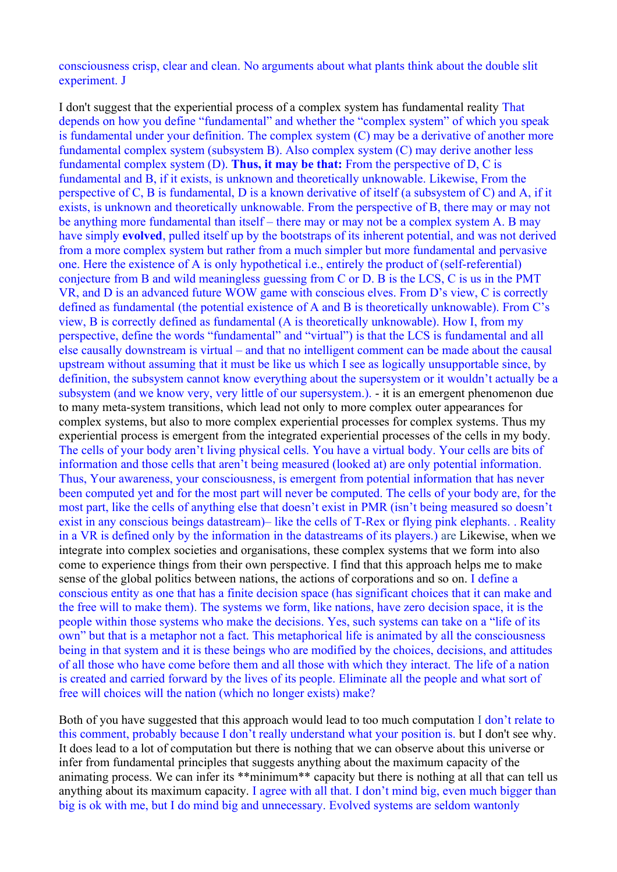consciousness crisp, clear and clean. No arguments about what plants think about the double slit experiment. J

I don't suggest that the experiential process of a complex system has fundamental reality That depends on how you define "fundamental" and whether the "complex system" of which you speak is fundamental under your definition. The complex system (C) may be a derivative of another more fundamental complex system (subsystem B). Also complex system (C) may derive another less fundamental complex system (D). **Thus, it may be that:** From the perspective of D, C is fundamental and B, if it exists, is unknown and theoretically unknowable. Likewise, From the perspective of C, B is fundamental, D is a known derivative of itself (a subsystem of C) and A, if it exists, is unknown and theoretically unknowable. From the perspective of B, there may or may not be anything more fundamental than itself – there may or may not be a complex system A. B may have simply **evolved**, pulled itself up by the bootstraps of its inherent potential, and was not derived from a more complex system but rather from a much simpler but more fundamental and pervasive one. Here the existence of A is only hypothetical i.e., entirely the product of (self-referential) conjecture from B and wild meaningless guessing from C or D. B is the LCS, C is us in the PMT VR, and D is an advanced future WOW game with conscious elves. From D's view, C is correctly defined as fundamental (the potential existence of A and B is theoretically unknowable). From C's view, B is correctly defined as fundamental (A is theoretically unknowable). How I, from my perspective, define the words "fundamental" and "virtual") is that the LCS is fundamental and all else causally downstream is virtual – and that no intelligent comment can be made about the causal upstream without assuming that it must be like us which I see as logically unsupportable since, by definition, the subsystem cannot know everything about the supersystem or it wouldn't actually be a subsystem (and we know very, very little of our supersystem.). - it is an emergent phenomenon due to many meta-system transitions, which lead not only to more complex outer appearances for complex systems, but also to more complex experiential processes for complex systems. Thus my experiential process is emergent from the integrated experiential processes of the cells in my body. The cells of your body aren't living physical cells. You have a virtual body. Your cells are bits of information and those cells that aren't being measured (looked at) are only potential information. Thus, Your awareness, your consciousness, is emergent from potential information that has never been computed yet and for the most part will never be computed. The cells of your body are, for the most part, like the cells of anything else that doesn't exist in PMR (isn't being measured so doesn't exist in any conscious beings datastream)– like the cells of T-Rex or flying pink elephants. . Reality in a VR is defined only by the information in the datastreams of its players.) are Likewise, when we integrate into complex societies and organisations, these complex systems that we form into also come to experience things from their own perspective. I find that this approach helps me to make sense of the global politics between nations, the actions of corporations and so on. I define a conscious entity as one that has a finite decision space (has significant choices that it can make and the free will to make them). The systems we form, like nations, have zero decision space, it is the people within those systems who make the decisions. Yes, such systems can take on a "life of its own" but that is a metaphor not a fact. This metaphorical life is animated by all the consciousness being in that system and it is these beings who are modified by the choices, decisions, and attitudes of all those who have come before them and all those with which they interact. The life of a nation is created and carried forward by the lives of its people. Eliminate all the people and what sort of free will choices will the nation (which no longer exists) make?

Both of you have suggested that this approach would lead to too much computation I don't relate to this comment, probably because I don't really understand what your position is. but I don't see why. It does lead to a lot of computation but there is nothing that we can observe about this universe or infer from fundamental principles that suggests anything about the maximum capacity of the animating process. We can infer its \*\*minimum\*\* capacity but there is nothing at all that can tell us anything about its maximum capacity. I agree with all that. I don't mind big, even much bigger than big is ok with me, but I do mind big and unnecessary. Evolved systems are seldom wantonly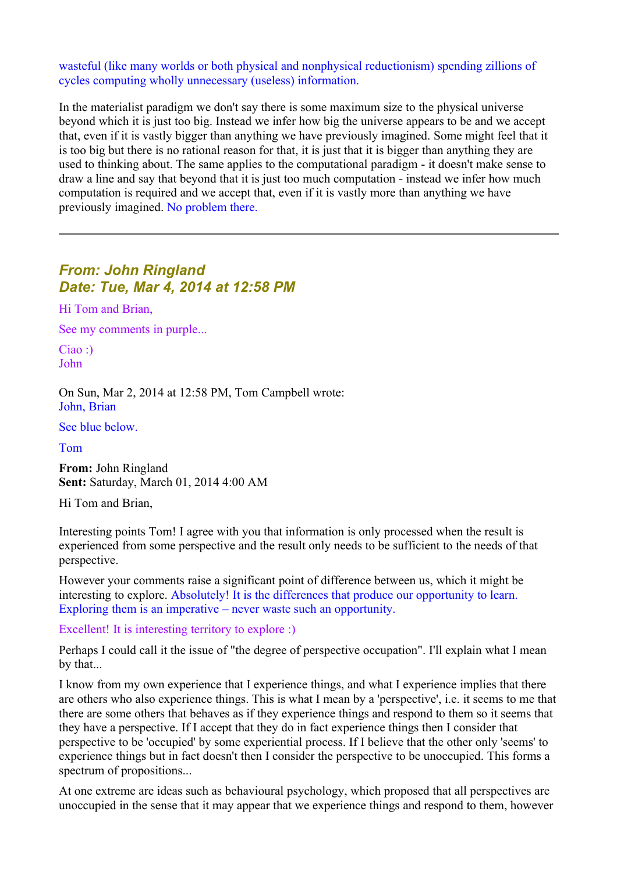wasteful (like many worlds or both physical and nonphysical reductionism) spending zillions of cycles computing wholly unnecessary (useless) information.

In the materialist paradigm we don't say there is some maximum size to the physical universe beyond which it is just too big. Instead we infer how big the universe appears to be and we accept that, even if it is vastly bigger than anything we have previously imagined. Some might feel that it is too big but there is no rational reason for that, it is just that it is bigger than anything they are used to thinking about. The same applies to the computational paradigm - it doesn't make sense to draw a line and say that beyond that it is just too much computation - instead we infer how much computation is required and we accept that, even if it is vastly more than anything we have previously imagined. No problem there.

## *From: John Ringland Date: Tue, Mar 4, 2014 at 12:58 PM*

Hi Tom and Brian,

See my comments in purple...

Ciao :) John

On Sun, Mar 2, 2014 at 12:58 PM, Tom Campbell wrote: John, Brian

See blue below.

Tom

**From:** John Ringland **Sent:** Saturday, March 01, 2014 4:00 AM

Hi Tom and Brian,

Interesting points Tom! I agree with you that information is only processed when the result is experienced from some perspective and the result only needs to be sufficient to the needs of that perspective.

However your comments raise a significant point of difference between us, which it might be interesting to explore. Absolutely! It is the differences that produce our opportunity to learn. Exploring them is an imperative – never waste such an opportunity.

Excellent! It is interesting territory to explore :)

Perhaps I could call it the issue of "the degree of perspective occupation". I'll explain what I mean by that...

I know from my own experience that I experience things, and what I experience implies that there are others who also experience things. This is what I mean by a 'perspective', i.e. it seems to me that there are some others that behaves as if they experience things and respond to them so it seems that they have a perspective. If I accept that they do in fact experience things then I consider that perspective to be 'occupied' by some experiential process. If I believe that the other only 'seems' to experience things but in fact doesn't then I consider the perspective to be unoccupied. This forms a spectrum of propositions...

At one extreme are ideas such as behavioural psychology, which proposed that all perspectives are unoccupied in the sense that it may appear that we experience things and respond to them, however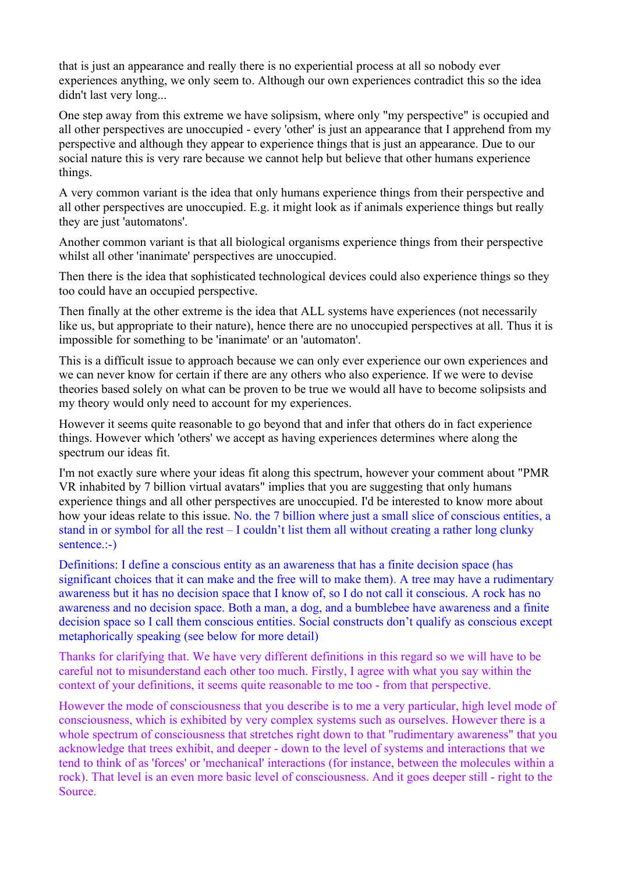that is just an appearance and really there is no experiential process at all so nobody ever experiences anything, we only seem to. Although our own experiences contradict this so the idea didn't last very long...

One step away from this extreme we have solipsism, where only "my perspective" is occupied and all other perspectives are unoccupied - every 'other' is just an appearance that I apprehend from my perspective and although they appear to experience things that is just an appearance. Due to our social nature this is very rare because we cannot help but believe that other humans experience things.

A very common variant is the idea that only humans experience things from their perspective and all other perspectives are unoccupied. E.g. it might look as if animals experience things but really they are just 'automatons'.

Another common variant is that all biological organisms experience things from their perspective whilst all other 'inanimate' perspectives are unoccupied.

Then there is the idea that sophisticated technological devices could also experience things so they too could have an occupied perspective.

Then finally at the other extreme is the idea that ALL systems have experiences (not necessarily like us, but appropriate to their nature), hence there are no unoccupied perspectives at all. Thus it is impossible for something to be 'inanimate' or an 'automaton'.

This is a difficult issue to approach because we can only ever experience our own experiences and we can never know for certain if there are any others who also experience. If we were to devise theories based solely on what can be proven to be true we would all have to become solipsists and my theory would only need to account for my experiences.

However it seems quite reasonable to go beyond that and infer that others do in fact experience things. However which 'others' we accept as having experiences determines where along the spectrum our ideas fit.

I'm not exactly sure where your ideas fit along this spectrum, however your comment about "PMR VR inhabited by 7 billion virtual avatars" implies that you are suggesting that only humans experience things and all other perspectives are unoccupied. I'd be interested to know more about how your ideas relate to this issue. No. the 7 billion where just a small slice of conscious entities, a stand in or symbol for all the rest – I couldn't list them all without creating a rather long clunky sentence.:-)

Definitions: I define a conscious entity as an awareness that has a finite decision space (has significant choices that it can make and the free will to make them). A tree may have a rudimentary awareness but it has no decision space that I know of, so I do not call it conscious. A rock has no awareness and no decision space. Both a man, a dog, and a bumblebee have awareness and a finite decision space so I call them conscious entities. Social constructs don't qualify as conscious except metaphorically speaking (see below for more detail)

Thanks for clarifying that. We have very different definitions in this regard so we will have to be careful not to misunderstand each other too much. Firstly, I agree with what you say within the context of your definitions, it seems quite reasonable to me too - from that perspective.

However the mode of consciousness that you describe is to me a very particular, high level mode of consciousness, which is exhibited by very complex systems such as ourselves. However there is a whole spectrum of consciousness that stretches right down to that "rudimentary awareness" that you acknowledge that trees exhibit, and deeper - down to the level of systems and interactions that we tend to think of as 'forces' or 'mechanical' interactions (for instance, between the molecules within a rock). That level is an even more basic level of consciousness. And it goes deeper still - right to the Source.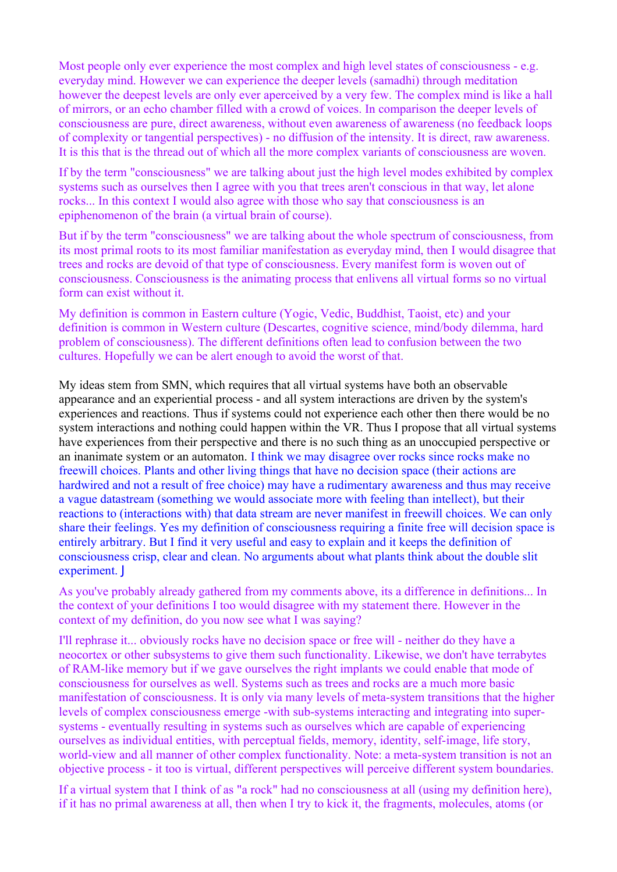Most people only ever experience the most complex and high level states of consciousness - e.g. everyday mind. However we can experience the deeper levels (samadhi) through meditation however the deepest levels are only ever aperceived by a very few. The complex mind is like a hall of mirrors, or an echo chamber filled with a crowd of voices. In comparison the deeper levels of consciousness are pure, direct awareness, without even awareness of awareness (no feedback loops of complexity or tangential perspectives) - no diffusion of the intensity. It is direct, raw awareness. It is this that is the thread out of which all the more complex variants of consciousness are woven.

If by the term "consciousness" we are talking about just the high level modes exhibited by complex systems such as ourselves then I agree with you that trees aren't conscious in that way, let alone rocks... In this context I would also agree with those who say that consciousness is an epiphenomenon of the brain (a virtual brain of course).

But if by the term "consciousness" we are talking about the whole spectrum of consciousness, from its most primal roots to its most familiar manifestation as everyday mind, then I would disagree that trees and rocks are devoid of that type of consciousness. Every manifest form is woven out of consciousness. Consciousness is the animating process that enlivens all virtual forms so no virtual form can exist without it.

My definition is common in Eastern culture (Yogic, Vedic, Buddhist, Taoist, etc) and your definition is common in Western culture (Descartes, cognitive science, mind/body dilemma, hard problem of consciousness). The different definitions often lead to confusion between the two cultures. Hopefully we can be alert enough to avoid the worst of that.

My ideas stem from SMN, which requires that all virtual systems have both an observable appearance and an experiential process - and all system interactions are driven by the system's experiences and reactions. Thus if systems could not experience each other then there would be no system interactions and nothing could happen within the VR. Thus I propose that all virtual systems have experiences from their perspective and there is no such thing as an unoccupied perspective or an inanimate system or an automaton. I think we may disagree over rocks since rocks make no freewill choices. Plants and other living things that have no decision space (their actions are hardwired and not a result of free choice) may have a rudimentary awareness and thus may receive a vague datastream (something we would associate more with feeling than intellect), but their reactions to (interactions with) that data stream are never manifest in freewill choices. We can only share their feelings. Yes my definition of consciousness requiring a finite free will decision space is entirely arbitrary. But I find it very useful and easy to explain and it keeps the definition of consciousness crisp, clear and clean. No arguments about what plants think about the double slit experiment. J

As you've probably already gathered from my comments above, its a difference in definitions... In the context of your definitions I too would disagree with my statement there. However in the context of my definition, do you now see what I was saying?

I'll rephrase it... obviously rocks have no decision space or free will - neither do they have a neocortex or other subsystems to give them such functionality. Likewise, we don't have terrabytes of RAM-like memory but if we gave ourselves the right implants we could enable that mode of consciousness for ourselves as well. Systems such as trees and rocks are a much more basic manifestation of consciousness. It is only via many levels of meta-system transitions that the higher levels of complex consciousness emerge -with sub-systems interacting and integrating into supersystems - eventually resulting in systems such as ourselves which are capable of experiencing ourselves as individual entities, with perceptual fields, memory, identity, self-image, life story, world-view and all manner of other complex functionality. Note: a meta-system transition is not an objective process - it too is virtual, different perspectives will perceive different system boundaries.

If a virtual system that I think of as "a rock" had no consciousness at all (using my definition here), if it has no primal awareness at all, then when I try to kick it, the fragments, molecules, atoms (or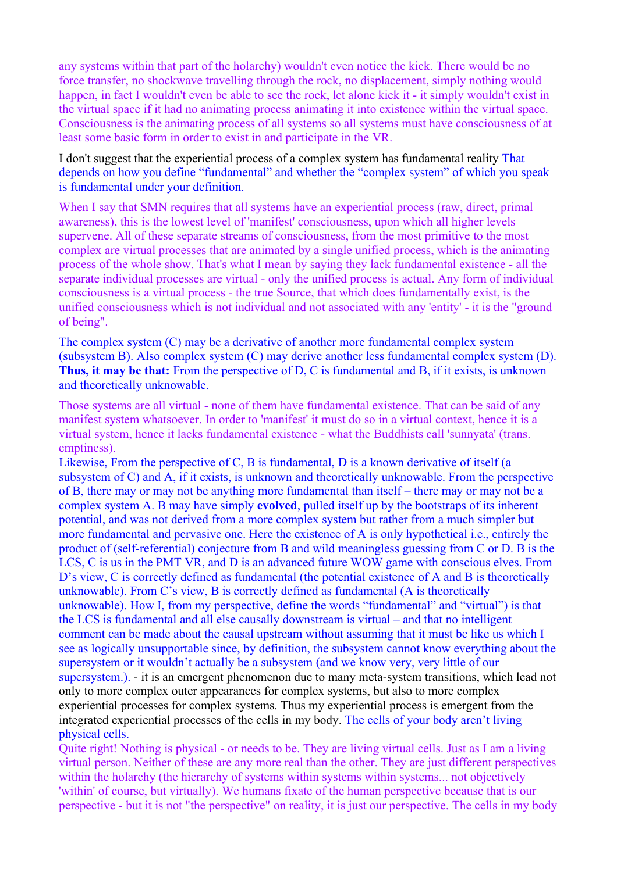any systems within that part of the holarchy) wouldn't even notice the kick. There would be no force transfer, no shockwave travelling through the rock, no displacement, simply nothing would happen, in fact I wouldn't even be able to see the rock, let alone kick it - it simply wouldn't exist in the virtual space if it had no animating process animating it into existence within the virtual space. Consciousness is the animating process of all systems so all systems must have consciousness of at least some basic form in order to exist in and participate in the VR.

I don't suggest that the experiential process of a complex system has fundamental reality That depends on how you define "fundamental" and whether the "complex system" of which you speak is fundamental under your definition.

When I say that SMN requires that all systems have an experiential process (raw, direct, primal awareness), this is the lowest level of 'manifest' consciousness, upon which all higher levels supervene. All of these separate streams of consciousness, from the most primitive to the most complex are virtual processes that are animated by a single unified process, which is the animating process of the whole show. That's what I mean by saying they lack fundamental existence - all the separate individual processes are virtual - only the unified process is actual. Any form of individual consciousness is a virtual process - the true Source, that which does fundamentally exist, is the unified consciousness which is not individual and not associated with any 'entity' - it is the "ground of being".

The complex system (C) may be a derivative of another more fundamental complex system (subsystem B). Also complex system (C) may derive another less fundamental complex system (D). **Thus, it may be that:** From the perspective of D, C is fundamental and B, if it exists, is unknown and theoretically unknowable.

Those systems are all virtual - none of them have fundamental existence. That can be said of any manifest system whatsoever. In order to 'manifest' it must do so in a virtual context, hence it is a virtual system, hence it lacks fundamental existence - what the Buddhists call 'sunnyata' (trans. emptiness).

Likewise, From the perspective of C, B is fundamental, D is a known derivative of itself (a subsystem of C) and A, if it exists, is unknown and theoretically unknowable. From the perspective of B, there may or may not be anything more fundamental than itself – there may or may not be a complex system A. B may have simply **evolved**, pulled itself up by the bootstraps of its inherent potential, and was not derived from a more complex system but rather from a much simpler but more fundamental and pervasive one. Here the existence of A is only hypothetical i.e., entirely the product of (self-referential) conjecture from B and wild meaningless guessing from C or D. B is the LCS, C is us in the PMT VR, and D is an advanced future WOW game with conscious elves. From D's view, C is correctly defined as fundamental (the potential existence of A and B is theoretically unknowable). From C's view, B is correctly defined as fundamental (A is theoretically unknowable). How I, from my perspective, define the words "fundamental" and "virtual") is that the LCS is fundamental and all else causally downstream is virtual – and that no intelligent comment can be made about the causal upstream without assuming that it must be like us which I see as logically unsupportable since, by definition, the subsystem cannot know everything about the supersystem or it wouldn't actually be a subsystem (and we know very, very little of our supersystem.). - it is an emergent phenomenon due to many meta-system transitions, which lead not only to more complex outer appearances for complex systems, but also to more complex experiential processes for complex systems. Thus my experiential process is emergent from the integrated experiential processes of the cells in my body. The cells of your body aren't living physical cells.

Quite right! Nothing is physical - or needs to be. They are living virtual cells. Just as I am a living virtual person. Neither of these are any more real than the other. They are just different perspectives within the holarchy (the hierarchy of systems within systems within systems... not objectively 'within' of course, but virtually). We humans fixate of the human perspective because that is our perspective - but it is not "the perspective" on reality, it is just our perspective. The cells in my body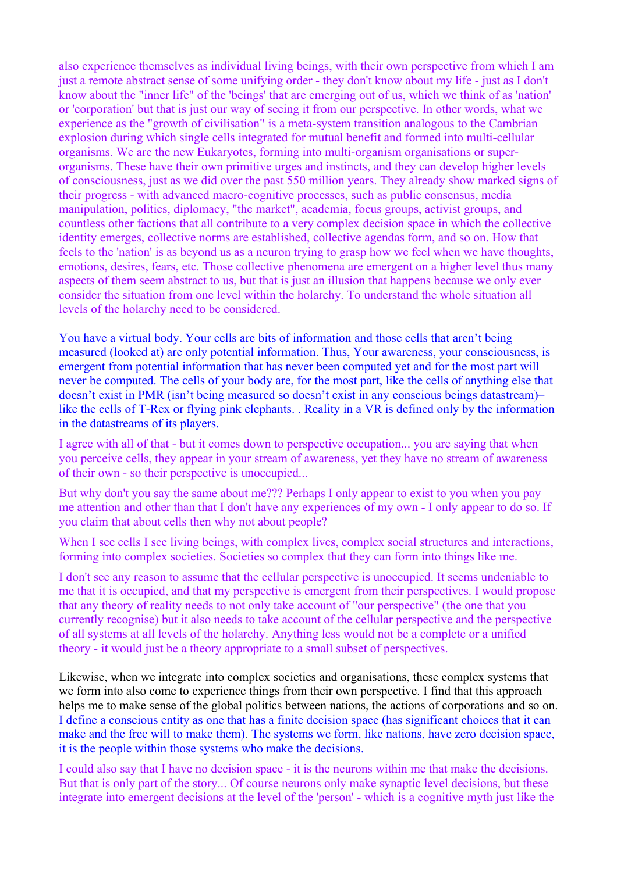also experience themselves as individual living beings, with their own perspective from which I am just a remote abstract sense of some unifying order - they don't know about my life - just as I don't know about the "inner life" of the 'beings' that are emerging out of us, which we think of as 'nation' or 'corporation' but that is just our way of seeing it from our perspective. In other words, what we experience as the "growth of civilisation" is a meta-system transition analogous to the Cambrian explosion during which single cells integrated for mutual benefit and formed into multi-cellular organisms. We are the new Eukaryotes, forming into multi-organism organisations or superorganisms. These have their own primitive urges and instincts, and they can develop higher levels of consciousness, just as we did over the past 550 million years. They already show marked signs of their progress - with advanced macro-cognitive processes, such as public consensus, media manipulation, politics, diplomacy, "the market", academia, focus groups, activist groups, and countless other factions that all contribute to a very complex decision space in which the collective identity emerges, collective norms are established, collective agendas form, and so on. How that feels to the 'nation' is as beyond us as a neuron trying to grasp how we feel when we have thoughts, emotions, desires, fears, etc. Those collective phenomena are emergent on a higher level thus many aspects of them seem abstract to us, but that is just an illusion that happens because we only ever consider the situation from one level within the holarchy. To understand the whole situation all levels of the holarchy need to be considered.

You have a virtual body. Your cells are bits of information and those cells that aren't being measured (looked at) are only potential information. Thus, Your awareness, your consciousness, is emergent from potential information that has never been computed yet and for the most part will never be computed. The cells of your body are, for the most part, like the cells of anything else that doesn't exist in PMR (isn't being measured so doesn't exist in any conscious beings datastream)– like the cells of T-Rex or flying pink elephants. . Reality in a VR is defined only by the information in the datastreams of its players.

I agree with all of that - but it comes down to perspective occupation... you are saying that when you perceive cells, they appear in your stream of awareness, yet they have no stream of awareness of their own - so their perspective is unoccupied...

But why don't you say the same about me??? Perhaps I only appear to exist to you when you pay me attention and other than that I don't have any experiences of my own - I only appear to do so. If you claim that about cells then why not about people?

When I see cells I see living beings, with complex lives, complex social structures and interactions, forming into complex societies. Societies so complex that they can form into things like me.

I don't see any reason to assume that the cellular perspective is unoccupied. It seems undeniable to me that it is occupied, and that my perspective is emergent from their perspectives. I would propose that any theory of reality needs to not only take account of "our perspective" (the one that you currently recognise) but it also needs to take account of the cellular perspective and the perspective of all systems at all levels of the holarchy. Anything less would not be a complete or a unified theory - it would just be a theory appropriate to a small subset of perspectives.

Likewise, when we integrate into complex societies and organisations, these complex systems that we form into also come to experience things from their own perspective. I find that this approach helps me to make sense of the global politics between nations, the actions of corporations and so on. I define a conscious entity as one that has a finite decision space (has significant choices that it can make and the free will to make them). The systems we form, like nations, have zero decision space, it is the people within those systems who make the decisions.

I could also say that I have no decision space - it is the neurons within me that make the decisions. But that is only part of the story... Of course neurons only make synaptic level decisions, but these integrate into emergent decisions at the level of the 'person' - which is a cognitive myth just like the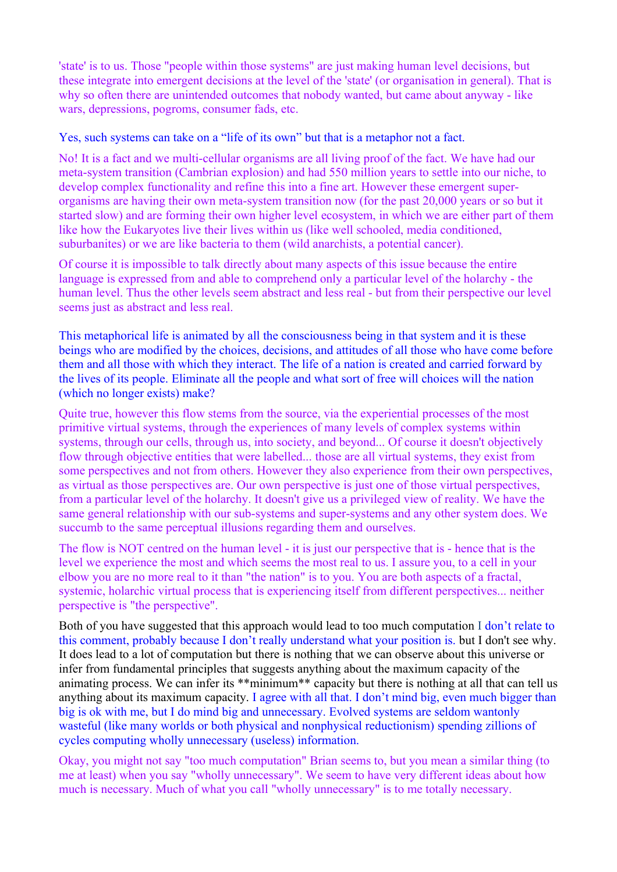'state' is to us. Those "people within those systems" are just making human level decisions, but these integrate into emergent decisions at the level of the 'state' (or organisation in general). That is why so often there are unintended outcomes that nobody wanted, but came about anyway - like wars, depressions, pogroms, consumer fads, etc.

Yes, such systems can take on a "life of its own" but that is a metaphor not a fact.

No! It is a fact and we multi-cellular organisms are all living proof of the fact. We have had our meta-system transition (Cambrian explosion) and had 550 million years to settle into our niche, to develop complex functionality and refine this into a fine art. However these emergent superorganisms are having their own meta-system transition now (for the past 20,000 years or so but it started slow) and are forming their own higher level ecosystem, in which we are either part of them like how the Eukaryotes live their lives within us (like well schooled, media conditioned, suburbanites) or we are like bacteria to them (wild anarchists, a potential cancer).

Of course it is impossible to talk directly about many aspects of this issue because the entire language is expressed from and able to comprehend only a particular level of the holarchy - the human level. Thus the other levels seem abstract and less real - but from their perspective our level seems just as abstract and less real.

This metaphorical life is animated by all the consciousness being in that system and it is these beings who are modified by the choices, decisions, and attitudes of all those who have come before them and all those with which they interact. The life of a nation is created and carried forward by the lives of its people. Eliminate all the people and what sort of free will choices will the nation (which no longer exists) make?

Quite true, however this flow stems from the source, via the experiential processes of the most primitive virtual systems, through the experiences of many levels of complex systems within systems, through our cells, through us, into society, and beyond... Of course it doesn't objectively flow through objective entities that were labelled... those are all virtual systems, they exist from some perspectives and not from others. However they also experience from their own perspectives, as virtual as those perspectives are. Our own perspective is just one of those virtual perspectives, from a particular level of the holarchy. It doesn't give us a privileged view of reality. We have the same general relationship with our sub-systems and super-systems and any other system does. We succumb to the same perceptual illusions regarding them and ourselves.

The flow is NOT centred on the human level - it is just our perspective that is - hence that is the level we experience the most and which seems the most real to us. I assure you, to a cell in your elbow you are no more real to it than "the nation" is to you. You are both aspects of a fractal, systemic, holarchic virtual process that is experiencing itself from different perspectives... neither perspective is "the perspective".

Both of you have suggested that this approach would lead to too much computation I don't relate to this comment, probably because I don't really understand what your position is. but I don't see why. It does lead to a lot of computation but there is nothing that we can observe about this universe or infer from fundamental principles that suggests anything about the maximum capacity of the animating process. We can infer its \*\*minimum\*\* capacity but there is nothing at all that can tell us anything about its maximum capacity. I agree with all that. I don't mind big, even much bigger than big is ok with me, but I do mind big and unnecessary. Evolved systems are seldom wantonly wasteful (like many worlds or both physical and nonphysical reductionism) spending zillions of cycles computing wholly unnecessary (useless) information.

Okay, you might not say "too much computation" Brian seems to, but you mean a similar thing (to me at least) when you say "wholly unnecessary". We seem to have very different ideas about how much is necessary. Much of what you call "wholly unnecessary" is to me totally necessary.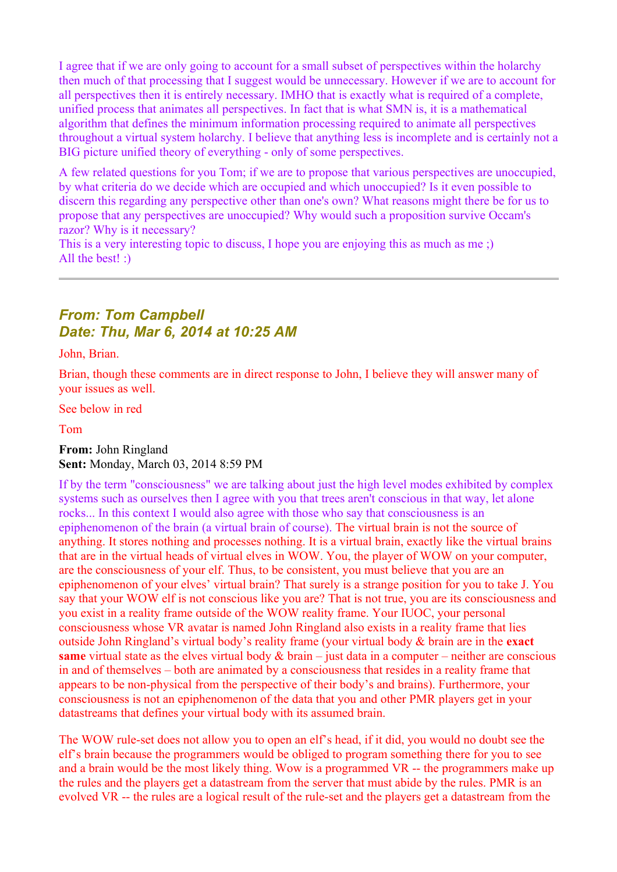I agree that if we are only going to account for a small subset of perspectives within the holarchy then much of that processing that I suggest would be unnecessary. However if we are to account for all perspectives then it is entirely necessary. IMHO that is exactly what is required of a complete, unified process that animates all perspectives. In fact that is what SMN is, it is a mathematical algorithm that defines the minimum information processing required to animate all perspectives throughout a virtual system holarchy. I believe that anything less is incomplete and is certainly not a BIG picture unified theory of everything - only of some perspectives.

A few related questions for you Tom; if we are to propose that various perspectives are unoccupied, by what criteria do we decide which are occupied and which unoccupied? Is it even possible to discern this regarding any perspective other than one's own? What reasons might there be for us to propose that any perspectives are unoccupied? Why would such a proposition survive Occam's razor? Why is it necessary?

This is a very interesting topic to discuss. I hope you are enjoying this as much as me :) All the best! :)

## *From: Tom Campbell Date: Thu, Mar 6, 2014 at 10:25 AM*

John, Brian.

Brian, though these comments are in direct response to John, I believe they will answer many of your issues as well.

See below in red

Tom

**From:** John Ringland **Sent:** Monday, March 03, 2014 8:59 PM

If by the term "consciousness" we are talking about just the high level modes exhibited by complex systems such as ourselves then I agree with you that trees aren't conscious in that way, let alone rocks... In this context I would also agree with those who say that consciousness is an epiphenomenon of the brain (a virtual brain of course). The virtual brain is not the source of anything. It stores nothing and processes nothing. It is a virtual brain, exactly like the virtual brains that are in the virtual heads of virtual elves in WOW. You, the player of WOW on your computer, are the consciousness of your elf. Thus, to be consistent, you must believe that you are an epiphenomenon of your elves' virtual brain? That surely is a strange position for you to take J. You say that your WOW elf is not conscious like you are? That is not true, you are its consciousness and you exist in a reality frame outside of the WOW reality frame. Your IUOC, your personal consciousness whose VR avatar is named John Ringland also exists in a reality frame that lies outside John Ringland's virtual body's reality frame (your virtual body & brain are in the **exact same** virtual state as the elves virtual body  $\&$  brain – just data in a computer – neither are conscious in and of themselves – both are animated by a consciousness that resides in a reality frame that appears to be non-physical from the perspective of their body's and brains). Furthermore, your consciousness is not an epiphenomenon of the data that you and other PMR players get in your datastreams that defines your virtual body with its assumed brain.

The WOW rule-set does not allow you to open an elf's head, if it did, you would no doubt see the elf's brain because the programmers would be obliged to program something there for you to see and a brain would be the most likely thing. Wow is a programmed VR -- the programmers make up the rules and the players get a datastream from the server that must abide by the rules. PMR is an evolved VR -- the rules are a logical result of the rule-set and the players get a datastream from the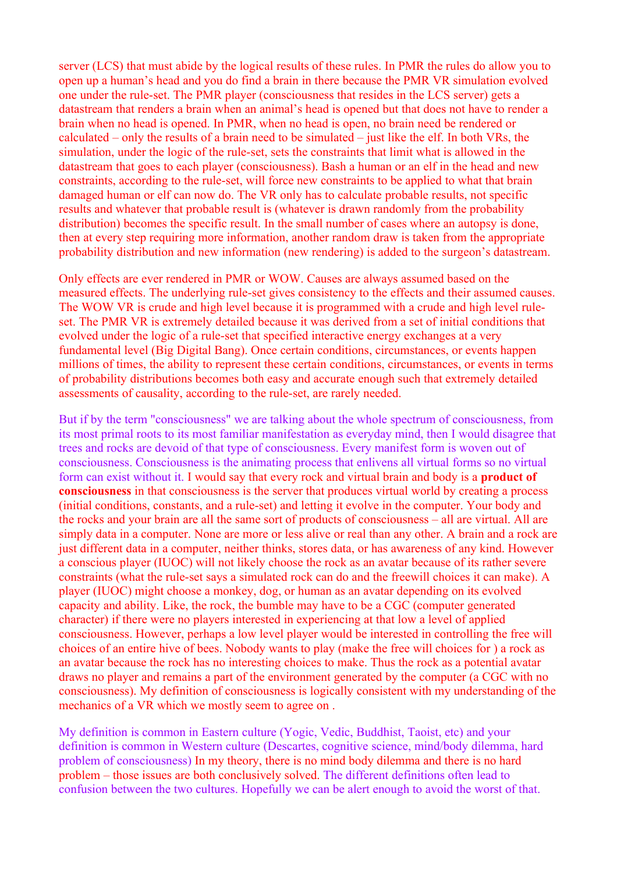server (LCS) that must abide by the logical results of these rules. In PMR the rules do allow you to open up a human's head and you do find a brain in there because the PMR VR simulation evolved one under the rule-set. The PMR player (consciousness that resides in the LCS server) gets a datastream that renders a brain when an animal's head is opened but that does not have to render a brain when no head is opened. In PMR, when no head is open, no brain need be rendered or calculated – only the results of a brain need to be simulated – just like the elf. In both VRs, the simulation, under the logic of the rule-set, sets the constraints that limit what is allowed in the datastream that goes to each player (consciousness). Bash a human or an elf in the head and new constraints, according to the rule-set, will force new constraints to be applied to what that brain damaged human or elf can now do. The VR only has to calculate probable results, not specific results and whatever that probable result is (whatever is drawn randomly from the probability distribution) becomes the specific result. In the small number of cases where an autopsy is done. then at every step requiring more information, another random draw is taken from the appropriate probability distribution and new information (new rendering) is added to the surgeon's datastream.

Only effects are ever rendered in PMR or WOW. Causes are always assumed based on the measured effects. The underlying rule-set gives consistency to the effects and their assumed causes. The WOW VR is crude and high level because it is programmed with a crude and high level ruleset. The PMR VR is extremely detailed because it was derived from a set of initial conditions that evolved under the logic of a rule-set that specified interactive energy exchanges at a very fundamental level (Big Digital Bang). Once certain conditions, circumstances, or events happen millions of times, the ability to represent these certain conditions, circumstances, or events in terms of probability distributions becomes both easy and accurate enough such that extremely detailed assessments of causality, according to the rule-set, are rarely needed.

But if by the term "consciousness" we are talking about the whole spectrum of consciousness, from its most primal roots to its most familiar manifestation as everyday mind, then I would disagree that trees and rocks are devoid of that type of consciousness. Every manifest form is woven out of consciousness. Consciousness is the animating process that enlivens all virtual forms so no virtual form can exist without it. I would say that every rock and virtual brain and body is a **product of consciousness** in that consciousness is the server that produces virtual world by creating a process (initial conditions, constants, and a rule-set) and letting it evolve in the computer. Your body and the rocks and your brain are all the same sort of products of consciousness – all are virtual. All are simply data in a computer. None are more or less alive or real than any other. A brain and a rock are just different data in a computer, neither thinks, stores data, or has awareness of any kind. However a conscious player (IUOC) will not likely choose the rock as an avatar because of its rather severe constraints (what the rule-set says a simulated rock can do and the freewill choices it can make). A player (IUOC) might choose a monkey, dog, or human as an avatar depending on its evolved capacity and ability. Like, the rock, the bumble may have to be a CGC (computer generated character) if there were no players interested in experiencing at that low a level of applied consciousness. However, perhaps a low level player would be interested in controlling the free will choices of an entire hive of bees. Nobody wants to play (make the free will choices for ) a rock as an avatar because the rock has no interesting choices to make. Thus the rock as a potential avatar draws no player and remains a part of the environment generated by the computer (a CGC with no consciousness). My definition of consciousness is logically consistent with my understanding of the mechanics of a VR which we mostly seem to agree on .

My definition is common in Eastern culture (Yogic, Vedic, Buddhist, Taoist, etc) and your definition is common in Western culture (Descartes, cognitive science, mind/body dilemma, hard problem of consciousness) In my theory, there is no mind body dilemma and there is no hard problem – those issues are both conclusively solved. The different definitions often lead to confusion between the two cultures. Hopefully we can be alert enough to avoid the worst of that.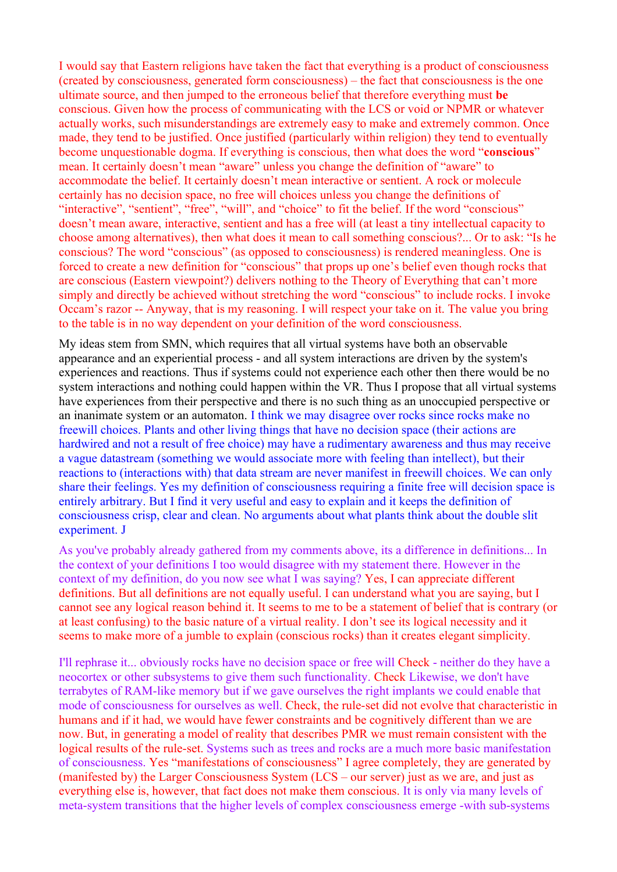I would say that Eastern religions have taken the fact that everything is a product of consciousness (created by consciousness, generated form consciousness) – the fact that consciousness is the one ultimate source, and then jumped to the erroneous belief that therefore everything must **be** conscious. Given how the process of communicating with the LCS or void or NPMR or whatever actually works, such misunderstandings are extremely easy to make and extremely common. Once made, they tend to be justified. Once justified (particularly within religion) they tend to eventually become unquestionable dogma. If everything is conscious, then what does the word "**conscious**" mean. It certainly doesn't mean "aware" unless you change the definition of "aware" to accommodate the belief. It certainly doesn't mean interactive or sentient. A rock or molecule certainly has no decision space, no free will choices unless you change the definitions of "interactive", "sentient", "free", "will", and "choice" to fit the belief. If the word "conscious" doesn't mean aware, interactive, sentient and has a free will (at least a tiny intellectual capacity to choose among alternatives), then what does it mean to call something conscious?... Or to ask: "Is he conscious? The word "conscious" (as opposed to consciousness) is rendered meaningless. One is forced to create a new definition for "conscious" that props up one's belief even though rocks that are conscious (Eastern viewpoint?) delivers nothing to the Theory of Everything that can't more simply and directly be achieved without stretching the word "conscious" to include rocks. I invoke Occam's razor -- Anyway, that is my reasoning. I will respect your take on it. The value you bring to the table is in no way dependent on your definition of the word consciousness.

My ideas stem from SMN, which requires that all virtual systems have both an observable appearance and an experiential process - and all system interactions are driven by the system's experiences and reactions. Thus if systems could not experience each other then there would be no system interactions and nothing could happen within the VR. Thus I propose that all virtual systems have experiences from their perspective and there is no such thing as an unoccupied perspective or an inanimate system or an automaton. I think we may disagree over rocks since rocks make no freewill choices. Plants and other living things that have no decision space (their actions are hardwired and not a result of free choice) may have a rudimentary awareness and thus may receive a vague datastream (something we would associate more with feeling than intellect), but their reactions to (interactions with) that data stream are never manifest in freewill choices. We can only share their feelings. Yes my definition of consciousness requiring a finite free will decision space is entirely arbitrary. But I find it very useful and easy to explain and it keeps the definition of consciousness crisp, clear and clean. No arguments about what plants think about the double slit experiment. J

As you've probably already gathered from my comments above, its a difference in definitions... In the context of your definitions I too would disagree with my statement there. However in the context of my definition, do you now see what I was saying? Yes, I can appreciate different definitions. But all definitions are not equally useful. I can understand what you are saying, but I cannot see any logical reason behind it. It seems to me to be a statement of belief that is contrary (or at least confusing) to the basic nature of a virtual reality. I don't see its logical necessity and it seems to make more of a jumble to explain (conscious rocks) than it creates elegant simplicity.

I'll rephrase it... obviously rocks have no decision space or free will Check - neither do they have a neocortex or other subsystems to give them such functionality. Check Likewise, we don't have terrabytes of RAM-like memory but if we gave ourselves the right implants we could enable that mode of consciousness for ourselves as well. Check, the rule-set did not evolve that characteristic in humans and if it had, we would have fewer constraints and be cognitively different than we are now. But, in generating a model of reality that describes PMR we must remain consistent with the logical results of the rule-set. Systems such as trees and rocks are a much more basic manifestation of consciousness. Yes "manifestations of consciousness" I agree completely, they are generated by (manifested by) the Larger Consciousness System (LCS – our server) just as we are, and just as everything else is, however, that fact does not make them conscious. It is only via many levels of meta-system transitions that the higher levels of complex consciousness emerge -with sub-systems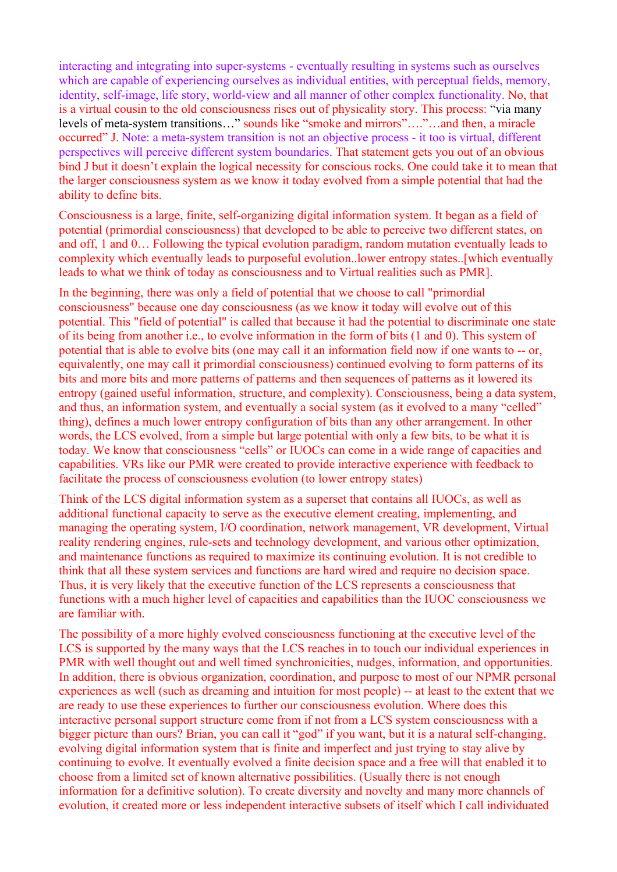interacting and integrating into super-systems - eventually resulting in systems such as ourselves which are capable of experiencing ourselves as individual entities, with perceptual fields, memory, identity, self-image, life story, world-view and all manner of other complex functionality. No, that is a virtual cousin to the old consciousness rises out of physicality story. This process: "via many levels of meta-system transitions…" sounds like "smoke and mirrors"…."…and then, a miracle occurred" J. Note: a meta-system transition is not an objective process - it too is virtual, different perspectives will perceive different system boundaries. That statement gets you out of an obvious bind J but it doesn't explain the logical necessity for conscious rocks. One could take it to mean that the larger consciousness system as we know it today evolved from a simple potential that had the ability to define bits.

Consciousness is a large, finite, self-organizing digital information system. It began as a field of potential (primordial consciousness) that developed to be able to perceive two different states, on and off, 1 and 0… Following the typical evolution paradigm, random mutation eventually leads to complexity which eventually leads to purposeful evolution..lower entropy states..[which eventually leads to what we think of today as consciousness and to Virtual realities such as PMR].

In the beginning, there was only a field of potential that we choose to call "primordial consciousness" because one day consciousness (as we know it today will evolve out of this potential. This "field of potential" is called that because it had the potential to discriminate one state of its being from another i.e., to evolve information in the form of bits (1 and 0). This system of potential that is able to evolve bits (one may call it an information field now if one wants to -- or, equivalently, one may call it primordial consciousness) continued evolving to form patterns of its bits and more bits and more patterns of patterns and then sequences of patterns as it lowered its entropy (gained useful information, structure, and complexity). Consciousness, being a data system, and thus, an information system, and eventually a social system (as it evolved to a many "celled" thing), defines a much lower entropy configuration of bits than any other arrangement. In other words, the LCS evolved, from a simple but large potential with only a few bits, to be what it is today. We know that consciousness "cells" or IUOCs can come in a wide range of capacities and capabilities. VRs like our PMR were created to provide interactive experience with feedback to facilitate the process of consciousness evolution (to lower entropy states)

Think of the LCS digital information system as a superset that contains all IUOCs, as well as additional functional capacity to serve as the executive element creating, implementing, and managing the operating system, I/O coordination, network management, VR development, Virtual reality rendering engines, rule-sets and technology development, and various other optimization, and maintenance functions as required to maximize its continuing evolution. It is not credible to think that all these system services and functions are hard wired and require no decision space. Thus, it is very likely that the executive function of the LCS represents a consciousness that functions with a much higher level of capacities and capabilities than the IUOC consciousness we are familiar with.

The possibility of a more highly evolved consciousness functioning at the executive level of the LCS is supported by the many ways that the LCS reaches in to touch our individual experiences in PMR with well thought out and well timed synchronicities, nudges, information, and opportunities. In addition, there is obvious organization, coordination, and purpose to most of our NPMR personal experiences as well (such as dreaming and intuition for most people) -- at least to the extent that we are ready to use these experiences to further our consciousness evolution. Where does this interactive personal support structure come from if not from a LCS system consciousness with a bigger picture than ours? Brian, you can call it "god" if you want, but it is a natural self-changing, evolving digital information system that is finite and imperfect and just trying to stay alive by continuing to evolve. It eventually evolved a finite decision space and a free will that enabled it to choose from a limited set of known alternative possibilities. (Usually there is not enough information for a definitive solution). To create diversity and novelty and many more channels of evolution, it created more or less independent interactive subsets of itself which I call individuated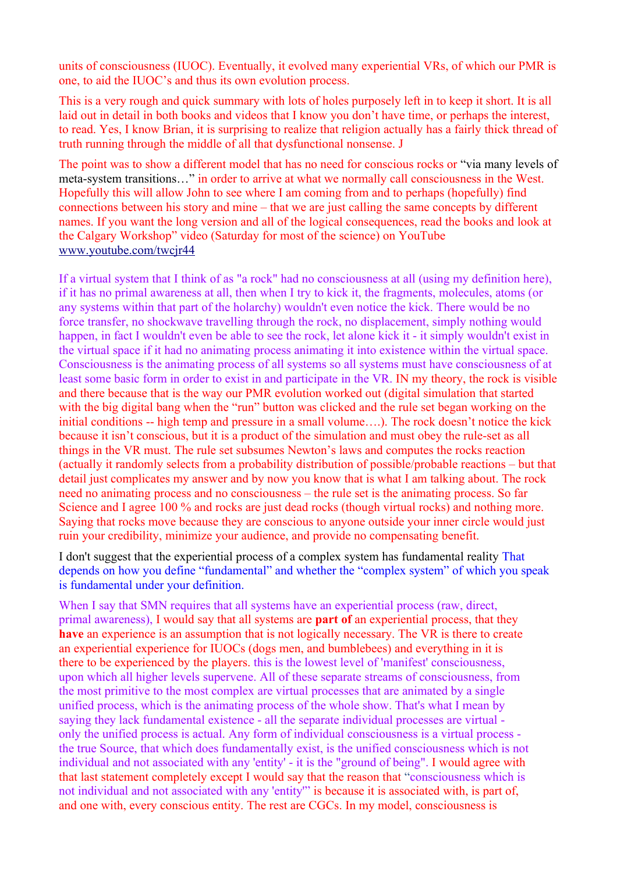units of consciousness (IUOC). Eventually, it evolved many experiential VRs, of which our PMR is one, to aid the IUOC's and thus its own evolution process.

This is a very rough and quick summary with lots of holes purposely left in to keep it short. It is all laid out in detail in both books and videos that I know you don't have time, or perhaps the interest, to read. Yes, I know Brian, it is surprising to realize that religion actually has a fairly thick thread of truth running through the middle of all that dysfunctional nonsense. J

The point was to show a different model that has no need for conscious rocks or "via many levels of meta-system transitions…" in order to arrive at what we normally call consciousness in the West. Hopefully this will allow John to see where I am coming from and to perhaps (hopefully) find connections between his story and mine – that we are just calling the same concepts by different names. If you want the long version and all of the logical consequences, read the books and look at the Calgary Workshop" video (Saturday for most of the science) on YouTube [www.youtube.com/twcjr44](http://www.youtube.com/twcjr44)

If a virtual system that I think of as "a rock" had no consciousness at all (using my definition here), if it has no primal awareness at all, then when I try to kick it, the fragments, molecules, atoms (or any systems within that part of the holarchy) wouldn't even notice the kick. There would be no force transfer, no shockwave travelling through the rock, no displacement, simply nothing would happen, in fact I wouldn't even be able to see the rock, let alone kick it - it simply wouldn't exist in the virtual space if it had no animating process animating it into existence within the virtual space. Consciousness is the animating process of all systems so all systems must have consciousness of at least some basic form in order to exist in and participate in the VR. IN my theory, the rock is visible and there because that is the way our PMR evolution worked out (digital simulation that started with the big digital bang when the "run" button was clicked and the rule set began working on the initial conditions -- high temp and pressure in a small volume….). The rock doesn't notice the kick because it isn't conscious, but it is a product of the simulation and must obey the rule-set as all things in the VR must. The rule set subsumes Newton's laws and computes the rocks reaction (actually it randomly selects from a probability distribution of possible/probable reactions – but that detail just complicates my answer and by now you know that is what I am talking about. The rock need no animating process and no consciousness – the rule set is the animating process. So far Science and I agree 100 % and rocks are just dead rocks (though virtual rocks) and nothing more. Saying that rocks move because they are conscious to anyone outside your inner circle would just ruin your credibility, minimize your audience, and provide no compensating benefit.

I don't suggest that the experiential process of a complex system has fundamental reality That depends on how you define "fundamental" and whether the "complex system" of which you speak is fundamental under your definition.

When I say that SMN requires that all systems have an experiential process (raw, direct, primal awareness), I would say that all systems are **part of** an experiential process, that they **have** an experience is an assumption that is not logically necessary. The VR is there to create an experiential experience for IUOCs (dogs men, and bumblebees) and everything in it is there to be experienced by the players. this is the lowest level of 'manifest' consciousness, upon which all higher levels supervene. All of these separate streams of consciousness, from the most primitive to the most complex are virtual processes that are animated by a single unified process, which is the animating process of the whole show. That's what I mean by saying they lack fundamental existence - all the separate individual processes are virtual only the unified process is actual. Any form of individual consciousness is a virtual process the true Source, that which does fundamentally exist, is the unified consciousness which is not individual and not associated with any 'entity' - it is the "ground of being". I would agree with that last statement completely except I would say that the reason that "consciousness which is not individual and not associated with any 'entity'" is because it is associated with, is part of, and one with, every conscious entity. The rest are CGCs. In my model, consciousness is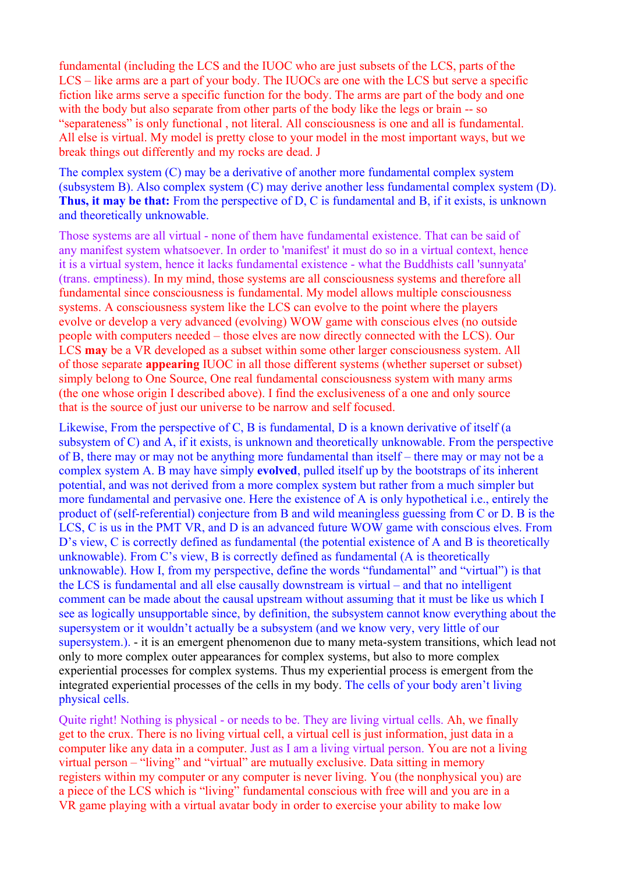fundamental (including the LCS and the IUOC who are just subsets of the LCS, parts of the LCS – like arms are a part of your body. The IUOCs are one with the LCS but serve a specific fiction like arms serve a specific function for the body. The arms are part of the body and one with the body but also separate from other parts of the body like the legs or brain -- so "separateness" is only functional , not literal. All consciousness is one and all is fundamental. All else is virtual. My model is pretty close to your model in the most important ways, but we break things out differently and my rocks are dead. J

The complex system (C) may be a derivative of another more fundamental complex system (subsystem B). Also complex system (C) may derive another less fundamental complex system (D). **Thus, it may be that:** From the perspective of D, C is fundamental and B, if it exists, is unknown and theoretically unknowable.

Those systems are all virtual - none of them have fundamental existence. That can be said of any manifest system whatsoever. In order to 'manifest' it must do so in a virtual context, hence it is a virtual system, hence it lacks fundamental existence - what the Buddhists call 'sunnyata' (trans. emptiness). In my mind, those systems are all consciousness systems and therefore all fundamental since consciousness is fundamental. My model allows multiple consciousness systems. A consciousness system like the LCS can evolve to the point where the players evolve or develop a very advanced (evolving) WOW game with conscious elves (no outside people with computers needed – those elves are now directly connected with the LCS). Our LCS **may** be a VR developed as a subset within some other larger consciousness system. All of those separate **appearing** IUOC in all those different systems (whether superset or subset) simply belong to One Source, One real fundamental consciousness system with many arms (the one whose origin I described above). I find the exclusiveness of a one and only source that is the source of just our universe to be narrow and self focused.

Likewise, From the perspective of C, B is fundamental, D is a known derivative of itself (a subsystem of C) and A, if it exists, is unknown and theoretically unknowable. From the perspective of B, there may or may not be anything more fundamental than itself – there may or may not be a complex system A. B may have simply **evolved**, pulled itself up by the bootstraps of its inherent potential, and was not derived from a more complex system but rather from a much simpler but more fundamental and pervasive one. Here the existence of A is only hypothetical i.e., entirely the product of (self-referential) conjecture from B and wild meaningless guessing from C or D. B is the LCS, C is us in the PMT VR, and D is an advanced future WOW game with conscious elves. From D's view, C is correctly defined as fundamental (the potential existence of A and B is theoretically unknowable). From C's view, B is correctly defined as fundamental (A is theoretically unknowable). How I, from my perspective, define the words "fundamental" and "virtual") is that the LCS is fundamental and all else causally downstream is virtual – and that no intelligent comment can be made about the causal upstream without assuming that it must be like us which I see as logically unsupportable since, by definition, the subsystem cannot know everything about the supersystem or it wouldn't actually be a subsystem (and we know very, very little of our supersystem.). - it is an emergent phenomenon due to many meta-system transitions, which lead not only to more complex outer appearances for complex systems, but also to more complex experiential processes for complex systems. Thus my experiential process is emergent from the integrated experiential processes of the cells in my body. The cells of your body aren't living physical cells.

Quite right! Nothing is physical - or needs to be. They are living virtual cells. Ah, we finally get to the crux. There is no living virtual cell, a virtual cell is just information, just data in a computer like any data in a computer. Just as I am a living virtual person. You are not a living virtual person – "living" and "virtual" are mutually exclusive. Data sitting in memory registers within my computer or any computer is never living. You (the nonphysical you) are a piece of the LCS which is "living" fundamental conscious with free will and you are in a VR game playing with a virtual avatar body in order to exercise your ability to make low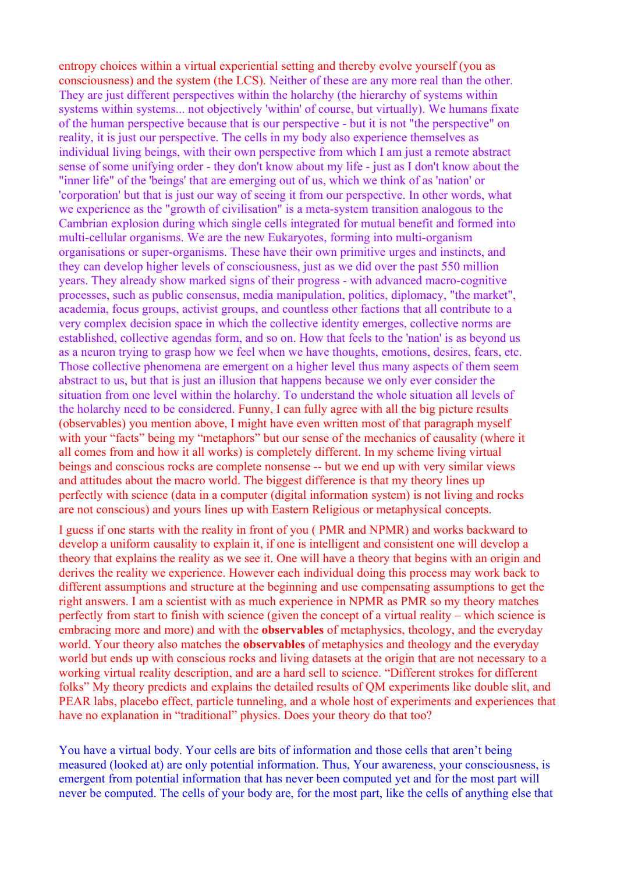entropy choices within a virtual experiential setting and thereby evolve yourself (you as consciousness) and the system (the LCS). Neither of these are any more real than the other. They are just different perspectives within the holarchy (the hierarchy of systems within systems within systems... not objectively 'within' of course, but virtually). We humans fixate of the human perspective because that is our perspective - but it is not "the perspective" on reality, it is just our perspective. The cells in my body also experience themselves as individual living beings, with their own perspective from which I am just a remote abstract sense of some unifying order - they don't know about my life - just as I don't know about the "inner life" of the 'beings' that are emerging out of us, which we think of as 'nation' or 'corporation' but that is just our way of seeing it from our perspective. In other words, what we experience as the "growth of civilisation" is a meta-system transition analogous to the Cambrian explosion during which single cells integrated for mutual benefit and formed into multi-cellular organisms. We are the new Eukaryotes, forming into multi-organism organisations or super-organisms. These have their own primitive urges and instincts, and they can develop higher levels of consciousness, just as we did over the past 550 million years. They already show marked signs of their progress - with advanced macro-cognitive processes, such as public consensus, media manipulation, politics, diplomacy, "the market", academia, focus groups, activist groups, and countless other factions that all contribute to a very complex decision space in which the collective identity emerges, collective norms are established, collective agendas form, and so on. How that feels to the 'nation' is as beyond us as a neuron trying to grasp how we feel when we have thoughts, emotions, desires, fears, etc. Those collective phenomena are emergent on a higher level thus many aspects of them seem abstract to us, but that is just an illusion that happens because we only ever consider the situation from one level within the holarchy. To understand the whole situation all levels of the holarchy need to be considered. Funny, I can fully agree with all the big picture results (observables) you mention above, I might have even written most of that paragraph myself with your "facts" being my "metaphors" but our sense of the mechanics of causality (where it all comes from and how it all works) is completely different. In my scheme living virtual beings and conscious rocks are complete nonsense -- but we end up with very similar views and attitudes about the macro world. The biggest difference is that my theory lines up perfectly with science (data in a computer (digital information system) is not living and rocks are not conscious) and yours lines up with Eastern Religious or metaphysical concepts.

I guess if one starts with the reality in front of you ( PMR and NPMR) and works backward to develop a uniform causality to explain it, if one is intelligent and consistent one will develop a theory that explains the reality as we see it. One will have a theory that begins with an origin and derives the reality we experience. However each individual doing this process may work back to different assumptions and structure at the beginning and use compensating assumptions to get the right answers. I am a scientist with as much experience in NPMR as PMR so my theory matches perfectly from start to finish with science (given the concept of a virtual reality – which science is embracing more and more) and with the **observables** of metaphysics, theology, and the everyday world. Your theory also matches the **observables** of metaphysics and theology and the everyday world but ends up with conscious rocks and living datasets at the origin that are not necessary to a working virtual reality description, and are a hard sell to science. "Different strokes for different folks" My theory predicts and explains the detailed results of QM experiments like double slit, and PEAR labs, placebo effect, particle tunneling, and a whole host of experiments and experiences that have no explanation in "traditional" physics. Does your theory do that too?

You have a virtual body. Your cells are bits of information and those cells that aren't being measured (looked at) are only potential information. Thus, Your awareness, your consciousness, is emergent from potential information that has never been computed yet and for the most part will never be computed. The cells of your body are, for the most part, like the cells of anything else that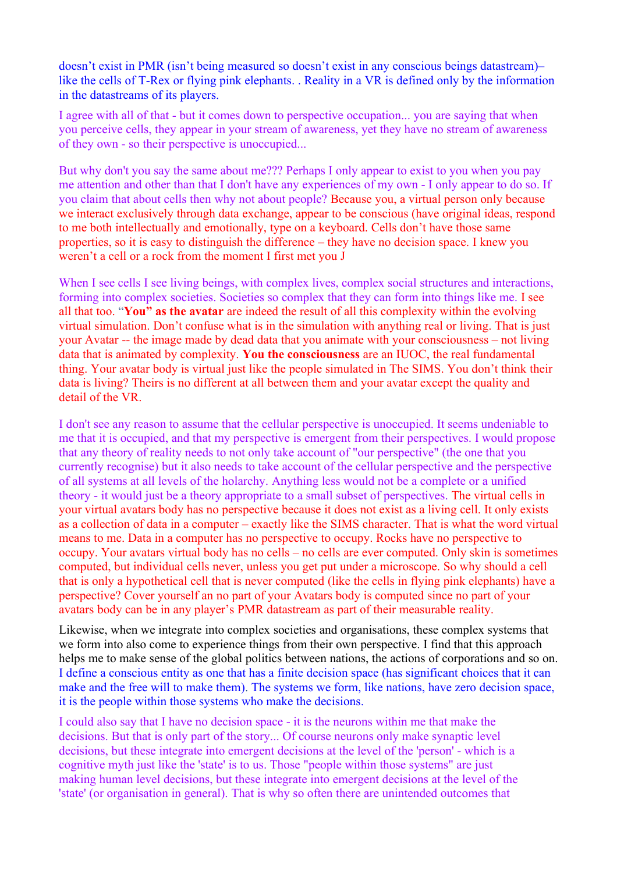doesn't exist in PMR (isn't being measured so doesn't exist in any conscious beings datastream)– like the cells of T-Rex or flying pink elephants. . Reality in a VR is defined only by the information in the datastreams of its players.

I agree with all of that - but it comes down to perspective occupation... you are saying that when you perceive cells, they appear in your stream of awareness, yet they have no stream of awareness of they own - so their perspective is unoccupied...

But why don't you say the same about me??? Perhaps I only appear to exist to you when you pay me attention and other than that I don't have any experiences of my own - I only appear to do so. If you claim that about cells then why not about people? Because you, a virtual person only because we interact exclusively through data exchange, appear to be conscious (have original ideas, respond to me both intellectually and emotionally, type on a keyboard. Cells don't have those same properties, so it is easy to distinguish the difference – they have no decision space. I knew you weren't a cell or a rock from the moment I first met you J

When I see cells I see living beings, with complex lives, complex social structures and interactions, forming into complex societies. Societies so complex that they can form into things like me. I see all that too. "**You" as the avatar** are indeed the result of all this complexity within the evolving virtual simulation. Don't confuse what is in the simulation with anything real or living. That is just your Avatar -- the image made by dead data that you animate with your consciousness – not living data that is animated by complexity. **You the consciousness** are an IUOC, the real fundamental thing. Your avatar body is virtual just like the people simulated in The SIMS. You don't think their data is living? Theirs is no different at all between them and your avatar except the quality and detail of the VR.

I don't see any reason to assume that the cellular perspective is unoccupied. It seems undeniable to me that it is occupied, and that my perspective is emergent from their perspectives. I would propose that any theory of reality needs to not only take account of "our perspective" (the one that you currently recognise) but it also needs to take account of the cellular perspective and the perspective of all systems at all levels of the holarchy. Anything less would not be a complete or a unified theory - it would just be a theory appropriate to a small subset of perspectives. The virtual cells in your virtual avatars body has no perspective because it does not exist as a living cell. It only exists as a collection of data in a computer – exactly like the SIMS character. That is what the word virtual means to me. Data in a computer has no perspective to occupy. Rocks have no perspective to occupy. Your avatars virtual body has no cells – no cells are ever computed. Only skin is sometimes computed, but individual cells never, unless you get put under a microscope. So why should a cell that is only a hypothetical cell that is never computed (like the cells in flying pink elephants) have a perspective? Cover yourself an no part of your Avatars body is computed since no part of your avatars body can be in any player's PMR datastream as part of their measurable reality.

Likewise, when we integrate into complex societies and organisations, these complex systems that we form into also come to experience things from their own perspective. I find that this approach helps me to make sense of the global politics between nations, the actions of corporations and so on. I define a conscious entity as one that has a finite decision space (has significant choices that it can make and the free will to make them). The systems we form, like nations, have zero decision space, it is the people within those systems who make the decisions.

I could also say that I have no decision space - it is the neurons within me that make the decisions. But that is only part of the story... Of course neurons only make synaptic level decisions, but these integrate into emergent decisions at the level of the 'person' - which is a cognitive myth just like the 'state' is to us. Those "people within those systems" are just making human level decisions, but these integrate into emergent decisions at the level of the 'state' (or organisation in general). That is why so often there are unintended outcomes that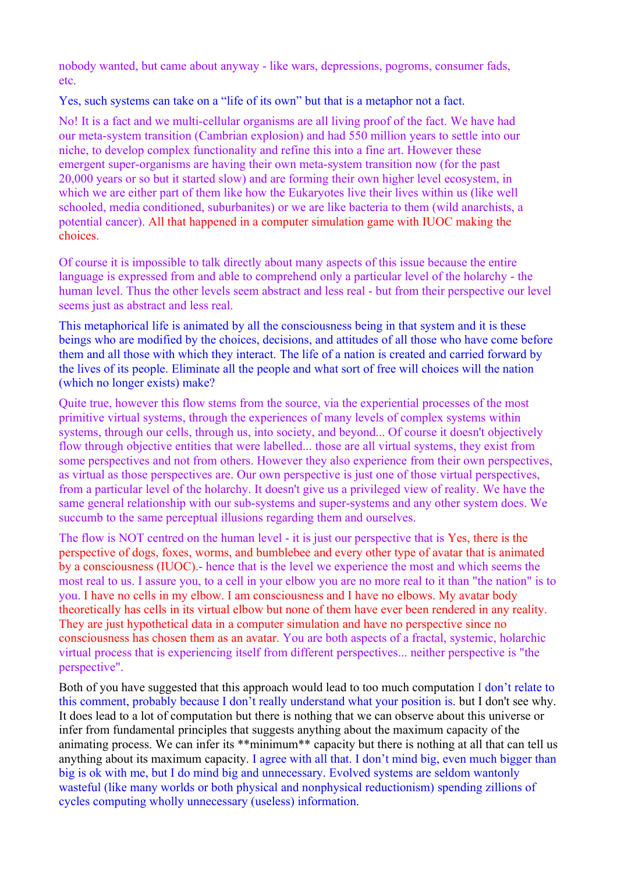nobody wanted, but came about anyway - like wars, depressions, pogroms, consumer fads, etc.

Yes, such systems can take on a "life of its own" but that is a metaphor not a fact.

No! It is a fact and we multi-cellular organisms are all living proof of the fact. We have had our meta-system transition (Cambrian explosion) and had 550 million years to settle into our niche, to develop complex functionality and refine this into a fine art. However these emergent super-organisms are having their own meta-system transition now (for the past 20,000 years or so but it started slow) and are forming their own higher level ecosystem, in which we are either part of them like how the Eukaryotes live their lives within us (like well schooled, media conditioned, suburbanites) or we are like bacteria to them (wild anarchists, a potential cancer). All that happened in a computer simulation game with IUOC making the choices.

Of course it is impossible to talk directly about many aspects of this issue because the entire language is expressed from and able to comprehend only a particular level of the holarchy - the human level. Thus the other levels seem abstract and less real - but from their perspective our level seems just as abstract and less real.

This metaphorical life is animated by all the consciousness being in that system and it is these beings who are modified by the choices, decisions, and attitudes of all those who have come before them and all those with which they interact. The life of a nation is created and carried forward by the lives of its people. Eliminate all the people and what sort of free will choices will the nation (which no longer exists) make?

Quite true, however this flow stems from the source, via the experiential processes of the most primitive virtual systems, through the experiences of many levels of complex systems within systems, through our cells, through us, into society, and beyond... Of course it doesn't objectively flow through objective entities that were labelled... those are all virtual systems, they exist from some perspectives and not from others. However they also experience from their own perspectives, as virtual as those perspectives are. Our own perspective is just one of those virtual perspectives, from a particular level of the holarchy. It doesn't give us a privileged view of reality. We have the same general relationship with our sub-systems and super-systems and any other system does. We succumb to the same perceptual illusions regarding them and ourselves.

The flow is NOT centred on the human level - it is just our perspective that is Yes, there is the perspective of dogs, foxes, worms, and bumblebee and every other type of avatar that is animated by a consciousness (IUOC).- hence that is the level we experience the most and which seems the most real to us. I assure you, to a cell in your elbow you are no more real to it than "the nation" is to you. I have no cells in my elbow. I am consciousness and I have no elbows. My avatar body theoretically has cells in its virtual elbow but none of them have ever been rendered in any reality. They are just hypothetical data in a computer simulation and have no perspective since no consciousness has chosen them as an avatar. You are both aspects of a fractal, systemic, holarchic virtual process that is experiencing itself from different perspectives... neither perspective is "the perspective".

Both of you have suggested that this approach would lead to too much computation I don't relate to this comment, probably because I don't really understand what your position is. but I don't see why. It does lead to a lot of computation but there is nothing that we can observe about this universe or infer from fundamental principles that suggests anything about the maximum capacity of the animating process. We can infer its \*\*minimum\*\* capacity but there is nothing at all that can tell us anything about its maximum capacity. I agree with all that. I don't mind big, even much bigger than big is ok with me, but I do mind big and unnecessary. Evolved systems are seldom wantonly wasteful (like many worlds or both physical and nonphysical reductionism) spending zillions of cycles computing wholly unnecessary (useless) information.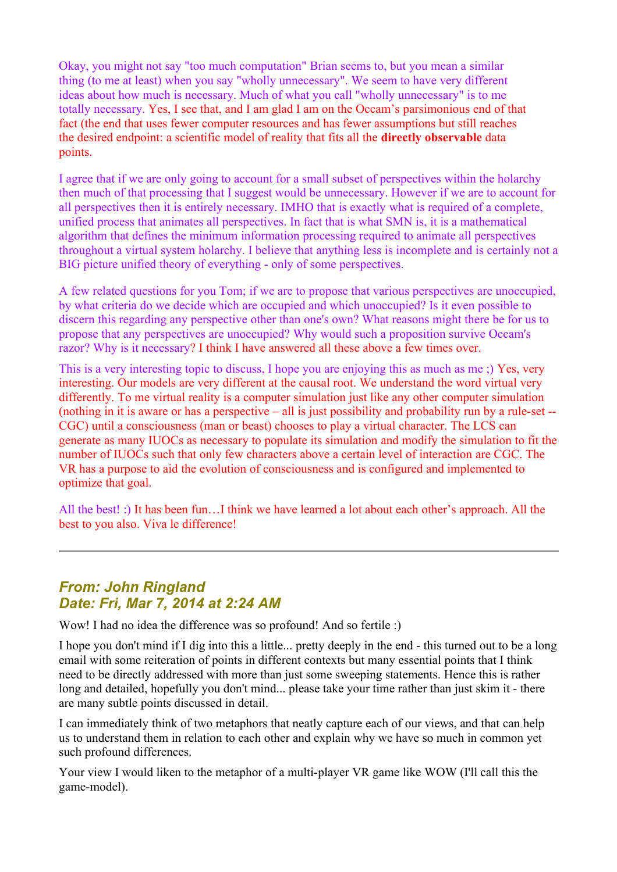Okay, you might not say "too much computation" Brian seems to, but you mean a similar thing (to me at least) when you say "wholly unnecessary". We seem to have very different ideas about how much is necessary. Much of what you call "wholly unnecessary" is to me totally necessary. Yes, I see that, and I am glad I am on the Occam's parsimonious end of that fact (the end that uses fewer computer resources and has fewer assumptions but still reaches the desired endpoint: a scientific model of reality that fits all the **directly observable** data points.

I agree that if we are only going to account for a small subset of perspectives within the holarchy then much of that processing that I suggest would be unnecessary. However if we are to account for all perspectives then it is entirely necessary. IMHO that is exactly what is required of a complete, unified process that animates all perspectives. In fact that is what SMN is, it is a mathematical algorithm that defines the minimum information processing required to animate all perspectives throughout a virtual system holarchy. I believe that anything less is incomplete and is certainly not a BIG picture unified theory of everything - only of some perspectives.

A few related questions for you Tom; if we are to propose that various perspectives are unoccupied, by what criteria do we decide which are occupied and which unoccupied? Is it even possible to discern this regarding any perspective other than one's own? What reasons might there be for us to propose that any perspectives are unoccupied? Why would such a proposition survive Occam's razor? Why is it necessary? I think I have answered all these above a few times over.

This is a very interesting topic to discuss, I hope you are enjoying this as much as me ;) Yes, very interesting. Our models are very different at the causal root. We understand the word virtual very differently. To me virtual reality is a computer simulation just like any other computer simulation (nothing in it is aware or has a perspective – all is just possibility and probability run by a rule-set -- CGC) until a consciousness (man or beast) chooses to play a virtual character. The LCS can generate as many IUOCs as necessary to populate its simulation and modify the simulation to fit the number of IUOCs such that only few characters above a certain level of interaction are CGC. The VR has a purpose to aid the evolution of consciousness and is configured and implemented to optimize that goal.

All the best! :) It has been fun…I think we have learned a lot about each other's approach. All the best to you also. Viva le difference!

## *From: John Ringland Date: Fri, Mar 7, 2014 at 2:24 AM*

Wow! I had no idea the difference was so profound! And so fertile :)

I hope you don't mind if I dig into this a little... pretty deeply in the end - this turned out to be a long email with some reiteration of points in different contexts but many essential points that I think need to be directly addressed with more than just some sweeping statements. Hence this is rather long and detailed, hopefully you don't mind... please take your time rather than just skim it - there are many subtle points discussed in detail.

I can immediately think of two metaphors that neatly capture each of our views, and that can help us to understand them in relation to each other and explain why we have so much in common yet such profound differences.

Your view I would liken to the metaphor of a multi-player VR game like WOW (I'll call this the game-model).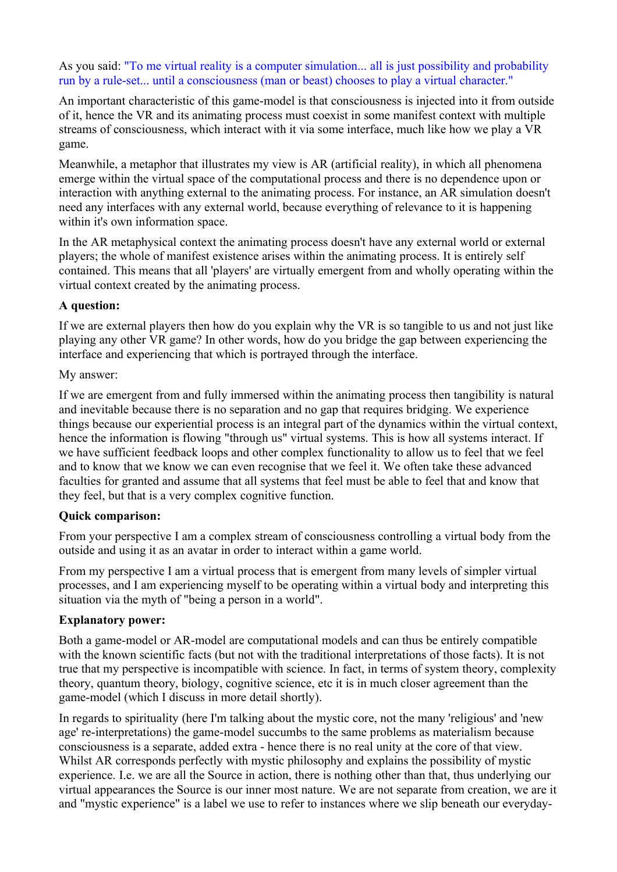As you said: "To me virtual reality is a computer simulation... all is just possibility and probability run by a rule-set... until a consciousness (man or beast) chooses to play a virtual character."

An important characteristic of this game-model is that consciousness is injected into it from outside of it, hence the VR and its animating process must coexist in some manifest context with multiple streams of consciousness, which interact with it via some interface, much like how we play a VR game.

Meanwhile, a metaphor that illustrates my view is AR (artificial reality), in which all phenomena emerge within the virtual space of the computational process and there is no dependence upon or interaction with anything external to the animating process. For instance, an AR simulation doesn't need any interfaces with any external world, because everything of relevance to it is happening within it's own information space.

In the AR metaphysical context the animating process doesn't have any external world or external players; the whole of manifest existence arises within the animating process. It is entirely self contained. This means that all 'players' are virtually emergent from and wholly operating within the virtual context created by the animating process.

## **A question:**

If we are external players then how do you explain why the VR is so tangible to us and not just like playing any other VR game? In other words, how do you bridge the gap between experiencing the interface and experiencing that which is portrayed through the interface.

#### My answer:

If we are emergent from and fully immersed within the animating process then tangibility is natural and inevitable because there is no separation and no gap that requires bridging. We experience things because our experiential process is an integral part of the dynamics within the virtual context, hence the information is flowing "through us" virtual systems. This is how all systems interact. If we have sufficient feedback loops and other complex functionality to allow us to feel that we feel and to know that we know we can even recognise that we feel it. We often take these advanced faculties for granted and assume that all systems that feel must be able to feel that and know that they feel, but that is a very complex cognitive function.

#### **Quick comparison:**

From your perspective I am a complex stream of consciousness controlling a virtual body from the outside and using it as an avatar in order to interact within a game world.

From my perspective I am a virtual process that is emergent from many levels of simpler virtual processes, and I am experiencing myself to be operating within a virtual body and interpreting this situation via the myth of "being a person in a world".

## **Explanatory power:**

Both a game-model or AR-model are computational models and can thus be entirely compatible with the known scientific facts (but not with the traditional interpretations of those facts). It is not true that my perspective is incompatible with science. In fact, in terms of system theory, complexity theory, quantum theory, biology, cognitive science, etc it is in much closer agreement than the game-model (which I discuss in more detail shortly).

In regards to spirituality (here I'm talking about the mystic core, not the many 'religious' and 'new age' re-interpretations) the game-model succumbs to the same problems as materialism because consciousness is a separate, added extra - hence there is no real unity at the core of that view. Whilst AR corresponds perfectly with mystic philosophy and explains the possibility of mystic experience. I.e. we are all the Source in action, there is nothing other than that, thus underlying our virtual appearances the Source is our inner most nature. We are not separate from creation, we are it and "mystic experience" is a label we use to refer to instances where we slip beneath our everyday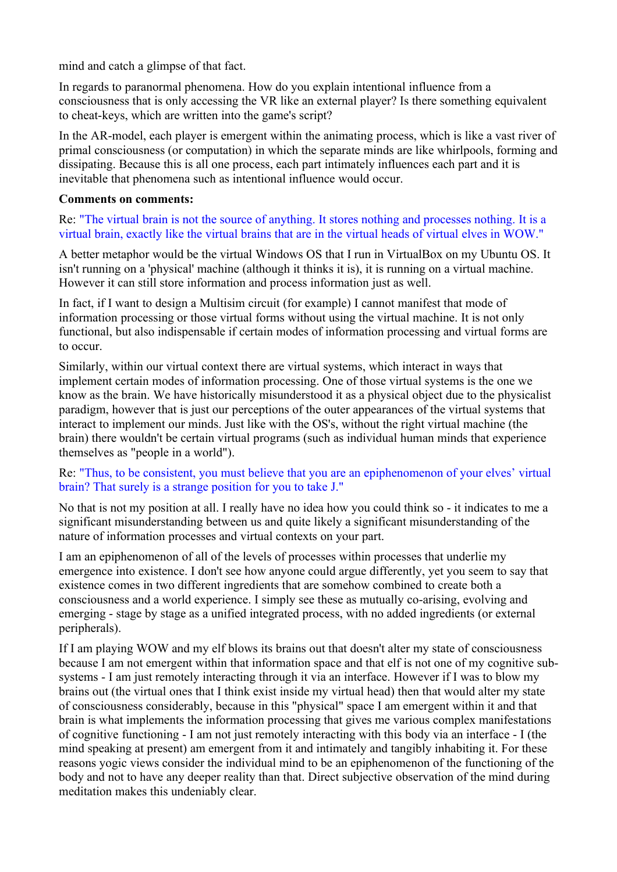mind and catch a glimpse of that fact.

In regards to paranormal phenomena. How do you explain intentional influence from a consciousness that is only accessing the VR like an external player? Is there something equivalent to cheat-keys, which are written into the game's script?

In the AR-model, each player is emergent within the animating process, which is like a vast river of primal consciousness (or computation) in which the separate minds are like whirlpools, forming and dissipating. Because this is all one process, each part intimately influences each part and it is inevitable that phenomena such as intentional influence would occur.

## **Comments on comments:**

Re: "The virtual brain is not the source of anything. It stores nothing and processes nothing. It is a virtual brain, exactly like the virtual brains that are in the virtual heads of virtual elves in WOW."

A better metaphor would be the virtual Windows OS that I run in VirtualBox on my Ubuntu OS. It isn't running on a 'physical' machine (although it thinks it is), it is running on a virtual machine. However it can still store information and process information just as well.

In fact, if I want to design a Multisim circuit (for example) I cannot manifest that mode of information processing or those virtual forms without using the virtual machine. It is not only functional, but also indispensable if certain modes of information processing and virtual forms are to occur.

Similarly, within our virtual context there are virtual systems, which interact in ways that implement certain modes of information processing. One of those virtual systems is the one we know as the brain. We have historically misunderstood it as a physical object due to the physicalist paradigm, however that is just our perceptions of the outer appearances of the virtual systems that interact to implement our minds. Just like with the OS's, without the right virtual machine (the brain) there wouldn't be certain virtual programs (such as individual human minds that experience themselves as "people in a world").

## Re: "Thus, to be consistent, you must believe that you are an epiphenomenon of your elves' virtual brain? That surely is a strange position for you to take J."

No that is not my position at all. I really have no idea how you could think so - it indicates to me a significant misunderstanding between us and quite likely a significant misunderstanding of the nature of information processes and virtual contexts on your part.

I am an epiphenomenon of all of the levels of processes within processes that underlie my emergence into existence. I don't see how anyone could argue differently, yet you seem to say that existence comes in two different ingredients that are somehow combined to create both a consciousness and a world experience. I simply see these as mutually co-arising, evolving and emerging - stage by stage as a unified integrated process, with no added ingredients (or external peripherals).

If I am playing WOW and my elf blows its brains out that doesn't alter my state of consciousness because I am not emergent within that information space and that elf is not one of my cognitive subsystems - I am just remotely interacting through it via an interface. However if I was to blow my brains out (the virtual ones that I think exist inside my virtual head) then that would alter my state of consciousness considerably, because in this "physical" space I am emergent within it and that brain is what implements the information processing that gives me various complex manifestations of cognitive functioning - I am not just remotely interacting with this body via an interface - I (the mind speaking at present) am emergent from it and intimately and tangibly inhabiting it. For these reasons yogic views consider the individual mind to be an epiphenomenon of the functioning of the body and not to have any deeper reality than that. Direct subjective observation of the mind during meditation makes this undeniably clear.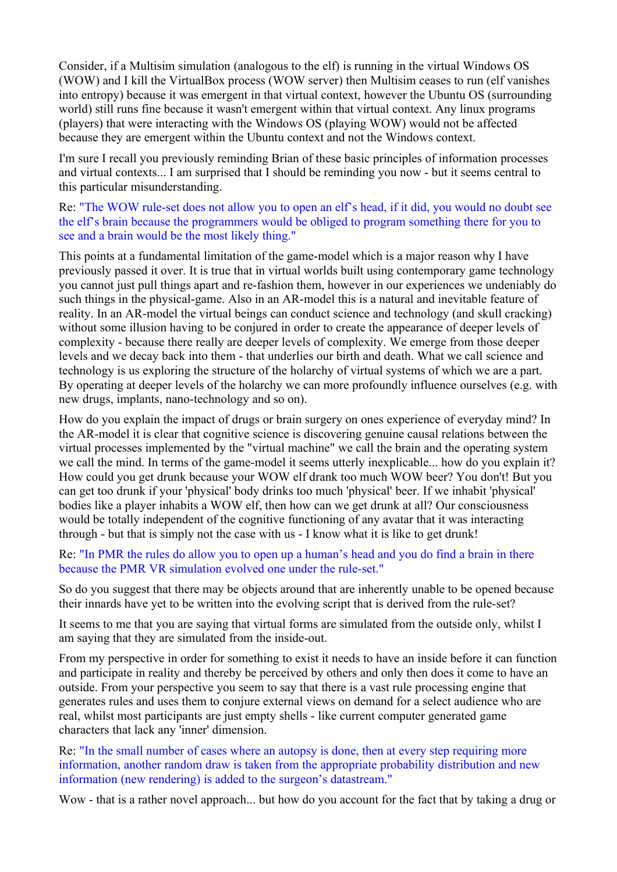Consider, if a Multisim simulation (analogous to the elf) is running in the virtual Windows OS (WOW) and I kill the VirtualBox process (WOW server) then Multisim ceases to run (elf vanishes into entropy) because it was emergent in that virtual context, however the Ubuntu OS (surrounding world) still runs fine because it wasn't emergent within that virtual context. Any linux programs (players) that were interacting with the Windows OS (playing WOW) would not be affected because they are emergent within the Ubuntu context and not the Windows context.

I'm sure I recall you previously reminding Brian of these basic principles of information processes and virtual contexts... I am surprised that I should be reminding you now - but it seems central to this particular misunderstanding.

Re: "The WOW rule-set does not allow you to open an elf's head, if it did, you would no doubt see the elf's brain because the programmers would be obliged to program something there for you to see and a brain would be the most likely thing."

This points at a fundamental limitation of the game-model which is a major reason why I have previously passed it over. It is true that in virtual worlds built using contemporary game technology you cannot just pull things apart and re-fashion them, however in our experiences we undeniably do such things in the physical-game. Also in an AR-model this is a natural and inevitable feature of reality. In an AR-model the virtual beings can conduct science and technology (and skull cracking) without some illusion having to be conjured in order to create the appearance of deeper levels of complexity - because there really are deeper levels of complexity. We emerge from those deeper levels and we decay back into them - that underlies our birth and death. What we call science and technology is us exploring the structure of the holarchy of virtual systems of which we are a part. By operating at deeper levels of the holarchy we can more profoundly influence ourselves (e.g. with new drugs, implants, nano-technology and so on).

How do you explain the impact of drugs or brain surgery on ones experience of everyday mind? In the AR-model it is clear that cognitive science is discovering genuine causal relations between the virtual processes implemented by the "virtual machine" we call the brain and the operating system we call the mind. In terms of the game-model it seems utterly inexplicable... how do you explain it? How could you get drunk because your WOW elf drank too much WOW beer? You don't! But you can get too drunk if your 'physical' body drinks too much 'physical' beer. If we inhabit 'physical' bodies like a player inhabits a WOW elf, then how can we get drunk at all? Our consciousness would be totally independent of the cognitive functioning of any avatar that it was interacting through - but that is simply not the case with us - I know what it is like to get drunk!

Re: "In PMR the rules do allow you to open up a human's head and you do find a brain in there because the PMR VR simulation evolved one under the rule-set."

So do you suggest that there may be objects around that are inherently unable to be opened because their innards have yet to be written into the evolving script that is derived from the rule-set?

It seems to me that you are saying that virtual forms are simulated from the outside only, whilst I am saying that they are simulated from the inside-out.

From my perspective in order for something to exist it needs to have an inside before it can function and participate in reality and thereby be perceived by others and only then does it come to have an outside. From your perspective you seem to say that there is a vast rule processing engine that generates rules and uses them to conjure external views on demand for a select audience who are real, whilst most participants are just empty shells - like current computer generated game characters that lack any 'inner' dimension.

Re: "In the small number of cases where an autopsy is done, then at every step requiring more information, another random draw is taken from the appropriate probability distribution and new information (new rendering) is added to the surgeon's datastream."

Wow - that is a rather novel approach... but how do you account for the fact that by taking a drug or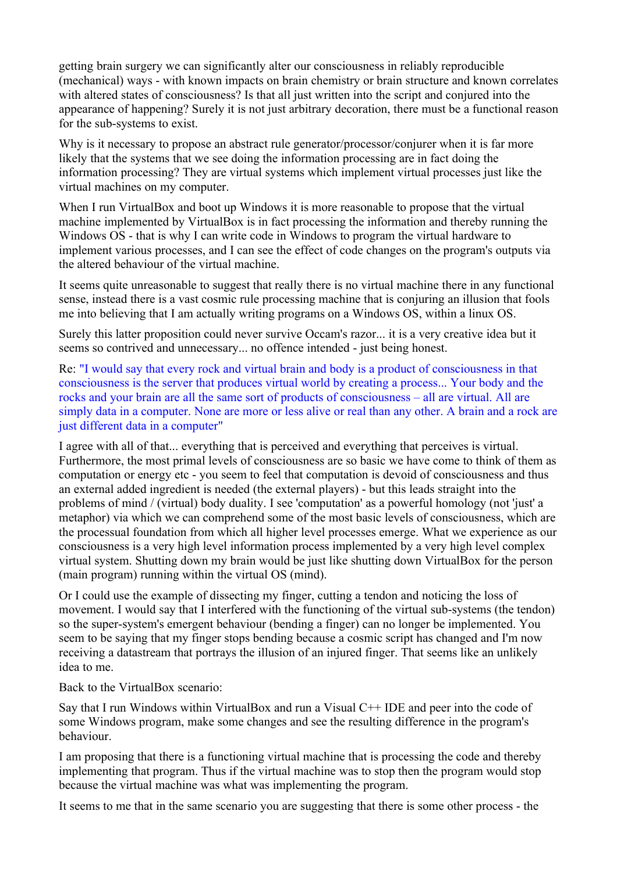getting brain surgery we can significantly alter our consciousness in reliably reproducible (mechanical) ways - with known impacts on brain chemistry or brain structure and known correlates with altered states of consciousness? Is that all just written into the script and conjured into the appearance of happening? Surely it is not just arbitrary decoration, there must be a functional reason for the sub-systems to exist.

Why is it necessary to propose an abstract rule generator/processor/conjurer when it is far more likely that the systems that we see doing the information processing are in fact doing the information processing? They are virtual systems which implement virtual processes just like the virtual machines on my computer.

When I run VirtualBox and boot up Windows it is more reasonable to propose that the virtual machine implemented by VirtualBox is in fact processing the information and thereby running the Windows OS - that is why I can write code in Windows to program the virtual hardware to implement various processes, and I can see the effect of code changes on the program's outputs via the altered behaviour of the virtual machine.

It seems quite unreasonable to suggest that really there is no virtual machine there in any functional sense, instead there is a vast cosmic rule processing machine that is conjuring an illusion that fools me into believing that I am actually writing programs on a Windows OS, within a linux OS.

Surely this latter proposition could never survive Occam's razor... it is a very creative idea but it seems so contrived and unnecessary... no offence intended - just being honest.

Re: "I would say that every rock and virtual brain and body is a product of consciousness in that consciousness is the server that produces virtual world by creating a process... Your body and the rocks and your brain are all the same sort of products of consciousness – all are virtual. All are simply data in a computer. None are more or less alive or real than any other. A brain and a rock are just different data in a computer"

I agree with all of that... everything that is perceived and everything that perceives is virtual. Furthermore, the most primal levels of consciousness are so basic we have come to think of them as computation or energy etc - you seem to feel that computation is devoid of consciousness and thus an external added ingredient is needed (the external players) - but this leads straight into the problems of mind / (virtual) body duality. I see 'computation' as a powerful homology (not 'just' a metaphor) via which we can comprehend some of the most basic levels of consciousness, which are the processual foundation from which all higher level processes emerge. What we experience as our consciousness is a very high level information process implemented by a very high level complex virtual system. Shutting down my brain would be just like shutting down VirtualBox for the person (main program) running within the virtual OS (mind).

Or I could use the example of dissecting my finger, cutting a tendon and noticing the loss of movement. I would say that I interfered with the functioning of the virtual sub-systems (the tendon) so the super-system's emergent behaviour (bending a finger) can no longer be implemented. You seem to be saying that my finger stops bending because a cosmic script has changed and I'm now receiving a datastream that portrays the illusion of an injured finger. That seems like an unlikely idea to me.

Back to the VirtualBox scenario:

Say that I run Windows within VirtualBox and run a Visual C++ IDE and peer into the code of some Windows program, make some changes and see the resulting difference in the program's behaviour.

I am proposing that there is a functioning virtual machine that is processing the code and thereby implementing that program. Thus if the virtual machine was to stop then the program would stop because the virtual machine was what was implementing the program.

It seems to me that in the same scenario you are suggesting that there is some other process - the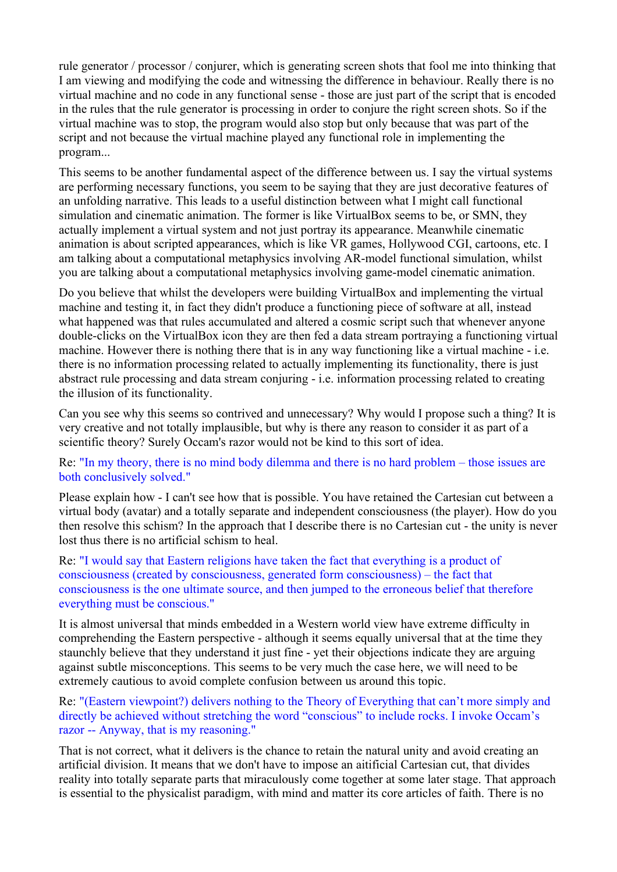rule generator / processor / conjurer, which is generating screen shots that fool me into thinking that I am viewing and modifying the code and witnessing the difference in behaviour. Really there is no virtual machine and no code in any functional sense - those are just part of the script that is encoded in the rules that the rule generator is processing in order to conjure the right screen shots. So if the virtual machine was to stop, the program would also stop but only because that was part of the script and not because the virtual machine played any functional role in implementing the program...

This seems to be another fundamental aspect of the difference between us. I say the virtual systems are performing necessary functions, you seem to be saying that they are just decorative features of an unfolding narrative. This leads to a useful distinction between what I might call functional simulation and cinematic animation. The former is like VirtualBox seems to be, or SMN, they actually implement a virtual system and not just portray its appearance. Meanwhile cinematic animation is about scripted appearances, which is like VR games, Hollywood CGI, cartoons, etc. I am talking about a computational metaphysics involving AR-model functional simulation, whilst you are talking about a computational metaphysics involving game-model cinematic animation.

Do you believe that whilst the developers were building VirtualBox and implementing the virtual machine and testing it, in fact they didn't produce a functioning piece of software at all, instead what happened was that rules accumulated and altered a cosmic script such that whenever anyone double-clicks on the VirtualBox icon they are then fed a data stream portraying a functioning virtual machine. However there is nothing there that is in any way functioning like a virtual machine - i.e. there is no information processing related to actually implementing its functionality, there is just abstract rule processing and data stream conjuring - i.e. information processing related to creating the illusion of its functionality.

Can you see why this seems so contrived and unnecessary? Why would I propose such a thing? It is very creative and not totally implausible, but why is there any reason to consider it as part of a scientific theory? Surely Occam's razor would not be kind to this sort of idea.

Re: "In my theory, there is no mind body dilemma and there is no hard problem – those issues are both conclusively solved."

Please explain how - I can't see how that is possible. You have retained the Cartesian cut between a virtual body (avatar) and a totally separate and independent consciousness (the player). How do you then resolve this schism? In the approach that I describe there is no Cartesian cut - the unity is never lost thus there is no artificial schism to heal.

Re: "I would say that Eastern religions have taken the fact that everything is a product of consciousness (created by consciousness, generated form consciousness) – the fact that consciousness is the one ultimate source, and then jumped to the erroneous belief that therefore everything must be conscious."

It is almost universal that minds embedded in a Western world view have extreme difficulty in comprehending the Eastern perspective - although it seems equally universal that at the time they staunchly believe that they understand it just fine - yet their objections indicate they are arguing against subtle misconceptions. This seems to be very much the case here, we will need to be extremely cautious to avoid complete confusion between us around this topic.

Re: "(Eastern viewpoint?) delivers nothing to the Theory of Everything that can't more simply and directly be achieved without stretching the word "conscious" to include rocks. I invoke Occam's razor -- Anyway, that is my reasoning."

That is not correct, what it delivers is the chance to retain the natural unity and avoid creating an artificial division. It means that we don't have to impose an aitificial Cartesian cut, that divides reality into totally separate parts that miraculously come together at some later stage. That approach is essential to the physicalist paradigm, with mind and matter its core articles of faith. There is no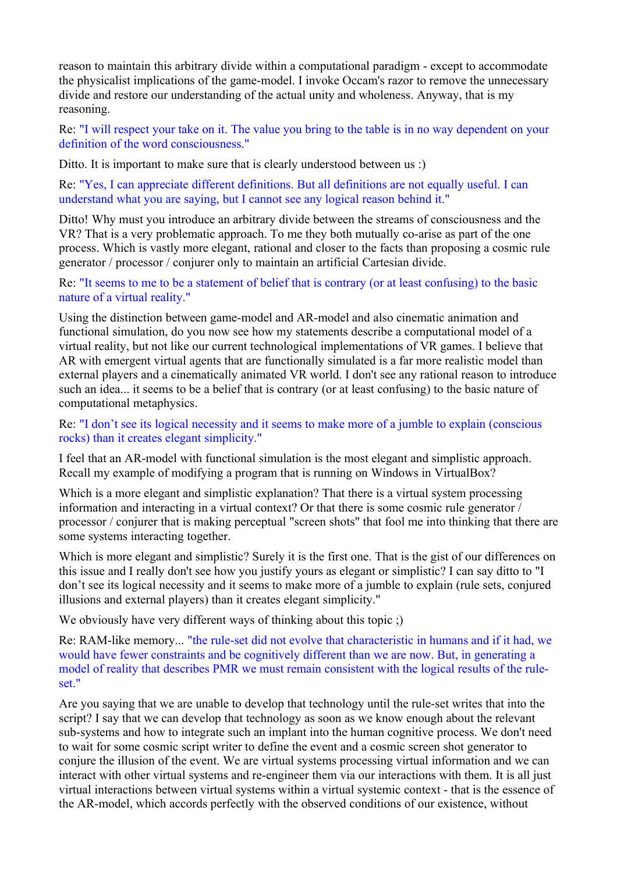reason to maintain this arbitrary divide within a computational paradigm - except to accommodate the physicalist implications of the game-model. I invoke Occam's razor to remove the unnecessary divide and restore our understanding of the actual unity and wholeness. Anyway, that is my reasoning.

Re: "I will respect your take on it. The value you bring to the table is in no way dependent on your definition of the word consciousness."

Ditto. It is important to make sure that is clearly understood between us :)

Re: "Yes, I can appreciate different definitions. But all definitions are not equally useful. I can understand what you are saying, but I cannot see any logical reason behind it."

Ditto! Why must you introduce an arbitrary divide between the streams of consciousness and the VR? That is a very problematic approach. To me they both mutually co-arise as part of the one process. Which is vastly more elegant, rational and closer to the facts than proposing a cosmic rule generator / processor / conjurer only to maintain an artificial Cartesian divide.

Re: "It seems to me to be a statement of belief that is contrary (or at least confusing) to the basic nature of a virtual reality."

Using the distinction between game-model and AR-model and also cinematic animation and functional simulation, do you now see how my statements describe a computational model of a virtual reality, but not like our current technological implementations of VR games. I believe that AR with emergent virtual agents that are functionally simulated is a far more realistic model than external players and a cinematically animated VR world. I don't see any rational reason to introduce such an idea... it seems to be a belief that is contrary (or at least confusing) to the basic nature of computational metaphysics.

Re: "I don't see its logical necessity and it seems to make more of a jumble to explain (conscious rocks) than it creates elegant simplicity."

I feel that an AR-model with functional simulation is the most elegant and simplistic approach. Recall my example of modifying a program that is running on Windows in VirtualBox?

Which is a more elegant and simplistic explanation? That there is a virtual system processing information and interacting in a virtual context? Or that there is some cosmic rule generator / processor / conjurer that is making perceptual "screen shots" that fool me into thinking that there are some systems interacting together.

Which is more elegant and simplistic? Surely it is the first one. That is the gist of our differences on this issue and I really don't see how you justify yours as elegant or simplistic? I can say ditto to "I don't see its logical necessity and it seems to make more of a jumble to explain (rule sets, conjured illusions and external players) than it creates elegant simplicity."

We obviously have very different ways of thinking about this topic ;)

Re: RAM-like memory... "the rule-set did not evolve that characteristic in humans and if it had, we would have fewer constraints and be cognitively different than we are now. But, in generating a model of reality that describes PMR we must remain consistent with the logical results of the ruleset."

Are you saying that we are unable to develop that technology until the rule-set writes that into the script? I say that we can develop that technology as soon as we know enough about the relevant sub-systems and how to integrate such an implant into the human cognitive process. We don't need to wait for some cosmic script writer to define the event and a cosmic screen shot generator to conjure the illusion of the event. We are virtual systems processing virtual information and we can interact with other virtual systems and re-engineer them via our interactions with them. It is all just virtual interactions between virtual systems within a virtual systemic context - that is the essence of the AR-model, which accords perfectly with the observed conditions of our existence, without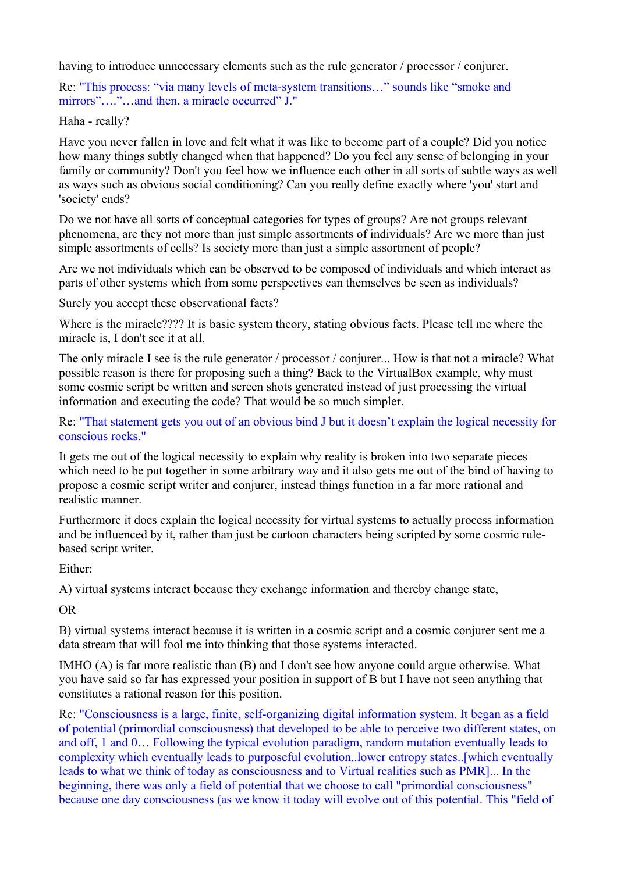having to introduce unnecessary elements such as the rule generator / processor / conjurer.

Re: "This process: "via many levels of meta-system transitions…" sounds like "smoke and mirrors"…."…and then, a miracle occurred" J."

Haha - really?

Have you never fallen in love and felt what it was like to become part of a couple? Did you notice how many things subtly changed when that happened? Do you feel any sense of belonging in your family or community? Don't you feel how we influence each other in all sorts of subtle ways as well as ways such as obvious social conditioning? Can you really define exactly where 'you' start and 'society' ends?

Do we not have all sorts of conceptual categories for types of groups? Are not groups relevant phenomena, are they not more than just simple assortments of individuals? Are we more than just simple assortments of cells? Is society more than just a simple assortment of people?

Are we not individuals which can be observed to be composed of individuals and which interact as parts of other systems which from some perspectives can themselves be seen as individuals?

Surely you accept these observational facts?

Where is the miracle???? It is basic system theory, stating obvious facts. Please tell me where the miracle is, I don't see it at all.

The only miracle I see is the rule generator / processor / conjurer... How is that not a miracle? What possible reason is there for proposing such a thing? Back to the VirtualBox example, why must some cosmic script be written and screen shots generated instead of just processing the virtual information and executing the code? That would be so much simpler.

Re: "That statement gets you out of an obvious bind J but it doesn't explain the logical necessity for conscious rocks."

It gets me out of the logical necessity to explain why reality is broken into two separate pieces which need to be put together in some arbitrary way and it also gets me out of the bind of having to propose a cosmic script writer and conjurer, instead things function in a far more rational and realistic manner.

Furthermore it does explain the logical necessity for virtual systems to actually process information and be influenced by it, rather than just be cartoon characters being scripted by some cosmic rulebased script writer.

Either:

A) virtual systems interact because they exchange information and thereby change state,

OR

B) virtual systems interact because it is written in a cosmic script and a cosmic conjurer sent me a data stream that will fool me into thinking that those systems interacted.

IMHO (A) is far more realistic than (B) and I don't see how anyone could argue otherwise. What you have said so far has expressed your position in support of B but I have not seen anything that constitutes a rational reason for this position.

Re: "Consciousness is a large, finite, self-organizing digital information system. It began as a field of potential (primordial consciousness) that developed to be able to perceive two different states, on and off, 1 and 0… Following the typical evolution paradigm, random mutation eventually leads to complexity which eventually leads to purposeful evolution..lower entropy states..[which eventually leads to what we think of today as consciousness and to Virtual realities such as PMR]... In the beginning, there was only a field of potential that we choose to call "primordial consciousness" because one day consciousness (as we know it today will evolve out of this potential. This "field of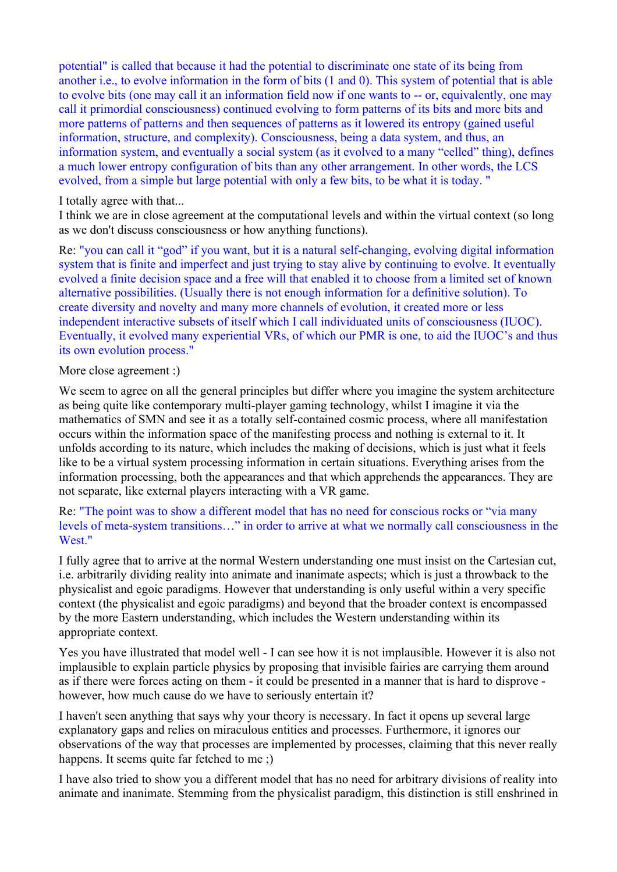potential" is called that because it had the potential to discriminate one state of its being from another i.e., to evolve information in the form of bits (1 and 0). This system of potential that is able to evolve bits (one may call it an information field now if one wants to -- or, equivalently, one may call it primordial consciousness) continued evolving to form patterns of its bits and more bits and more patterns of patterns and then sequences of patterns as it lowered its entropy (gained useful information, structure, and complexity). Consciousness, being a data system, and thus, an information system, and eventually a social system (as it evolved to a many "celled" thing), defines a much lower entropy configuration of bits than any other arrangement. In other words, the LCS evolved, from a simple but large potential with only a few bits, to be what it is today. "

## I totally agree with that...

I think we are in close agreement at the computational levels and within the virtual context (so long as we don't discuss consciousness or how anything functions).

Re: "you can call it "god" if you want, but it is a natural self-changing, evolving digital information system that is finite and imperfect and just trying to stay alive by continuing to evolve. It eventually evolved a finite decision space and a free will that enabled it to choose from a limited set of known alternative possibilities. (Usually there is not enough information for a definitive solution). To create diversity and novelty and many more channels of evolution, it created more or less independent interactive subsets of itself which I call individuated units of consciousness (IUOC). Eventually, it evolved many experiential VRs, of which our PMR is one, to aid the IUOC's and thus its own evolution process."

## More close agreement :)

We seem to agree on all the general principles but differ where you imagine the system architecture as being quite like contemporary multi-player gaming technology, whilst I imagine it via the mathematics of SMN and see it as a totally self-contained cosmic process, where all manifestation occurs within the information space of the manifesting process and nothing is external to it. It unfolds according to its nature, which includes the making of decisions, which is just what it feels like to be a virtual system processing information in certain situations. Everything arises from the information processing, both the appearances and that which apprehends the appearances. They are not separate, like external players interacting with a VR game.

## Re: "The point was to show a different model that has no need for conscious rocks or "via many levels of meta-system transitions…" in order to arrive at what we normally call consciousness in the West."

I fully agree that to arrive at the normal Western understanding one must insist on the Cartesian cut, i.e. arbitrarily dividing reality into animate and inanimate aspects; which is just a throwback to the physicalist and egoic paradigms. However that understanding is only useful within a very specific context (the physicalist and egoic paradigms) and beyond that the broader context is encompassed by the more Eastern understanding, which includes the Western understanding within its appropriate context.

Yes you have illustrated that model well - I can see how it is not implausible. However it is also not implausible to explain particle physics by proposing that invisible fairies are carrying them around as if there were forces acting on them - it could be presented in a manner that is hard to disprove however, how much cause do we have to seriously entertain it?

I haven't seen anything that says why your theory is necessary. In fact it opens up several large explanatory gaps and relies on miraculous entities and processes. Furthermore, it ignores our observations of the way that processes are implemented by processes, claiming that this never really happens. It seems quite far fetched to me :)

I have also tried to show you a different model that has no need for arbitrary divisions of reality into animate and inanimate. Stemming from the physicalist paradigm, this distinction is still enshrined in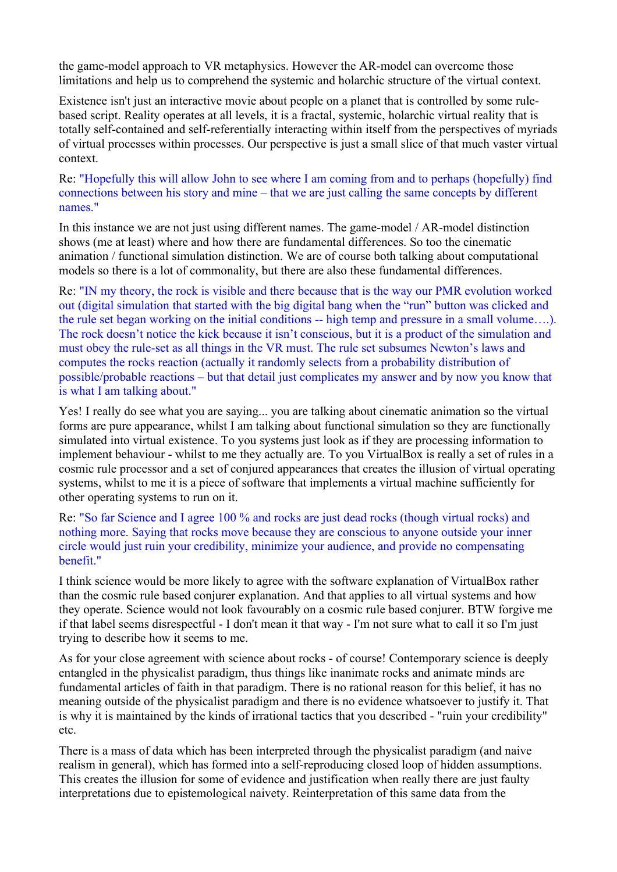the game-model approach to VR metaphysics. However the AR-model can overcome those limitations and help us to comprehend the systemic and holarchic structure of the virtual context.

Existence isn't just an interactive movie about people on a planet that is controlled by some rulebased script. Reality operates at all levels, it is a fractal, systemic, holarchic virtual reality that is totally self-contained and self-referentially interacting within itself from the perspectives of myriads of virtual processes within processes. Our perspective is just a small slice of that much vaster virtual context.

Re: "Hopefully this will allow John to see where I am coming from and to perhaps (hopefully) find connections between his story and mine – that we are just calling the same concepts by different names."

In this instance we are not just using different names. The game-model / AR-model distinction shows (me at least) where and how there are fundamental differences. So too the cinematic animation / functional simulation distinction. We are of course both talking about computational models so there is a lot of commonality, but there are also these fundamental differences.

Re: "IN my theory, the rock is visible and there because that is the way our PMR evolution worked out (digital simulation that started with the big digital bang when the "run" button was clicked and the rule set began working on the initial conditions -- high temp and pressure in a small volume….). The rock doesn't notice the kick because it isn't conscious, but it is a product of the simulation and must obey the rule-set as all things in the VR must. The rule set subsumes Newton's laws and computes the rocks reaction (actually it randomly selects from a probability distribution of possible/probable reactions – but that detail just complicates my answer and by now you know that is what I am talking about."

Yes! I really do see what you are saying... you are talking about cinematic animation so the virtual forms are pure appearance, whilst I am talking about functional simulation so they are functionally simulated into virtual existence. To you systems just look as if they are processing information to implement behaviour - whilst to me they actually are. To you VirtualBox is really a set of rules in a cosmic rule processor and a set of conjured appearances that creates the illusion of virtual operating systems, whilst to me it is a piece of software that implements a virtual machine sufficiently for other operating systems to run on it.

Re: "So far Science and I agree 100 % and rocks are just dead rocks (though virtual rocks) and nothing more. Saying that rocks move because they are conscious to anyone outside your inner circle would just ruin your credibility, minimize your audience, and provide no compensating benefit."

I think science would be more likely to agree with the software explanation of VirtualBox rather than the cosmic rule based conjurer explanation. And that applies to all virtual systems and how they operate. Science would not look favourably on a cosmic rule based conjurer. BTW forgive me if that label seems disrespectful - I don't mean it that way - I'm not sure what to call it so I'm just trying to describe how it seems to me.

As for your close agreement with science about rocks - of course! Contemporary science is deeply entangled in the physicalist paradigm, thus things like inanimate rocks and animate minds are fundamental articles of faith in that paradigm. There is no rational reason for this belief, it has no meaning outside of the physicalist paradigm and there is no evidence whatsoever to justify it. That is why it is maintained by the kinds of irrational tactics that you described - "ruin your credibility" etc.

There is a mass of data which has been interpreted through the physicalist paradigm (and naive realism in general), which has formed into a self-reproducing closed loop of hidden assumptions. This creates the illusion for some of evidence and justification when really there are just faulty interpretations due to epistemological naivety. Reinterpretation of this same data from the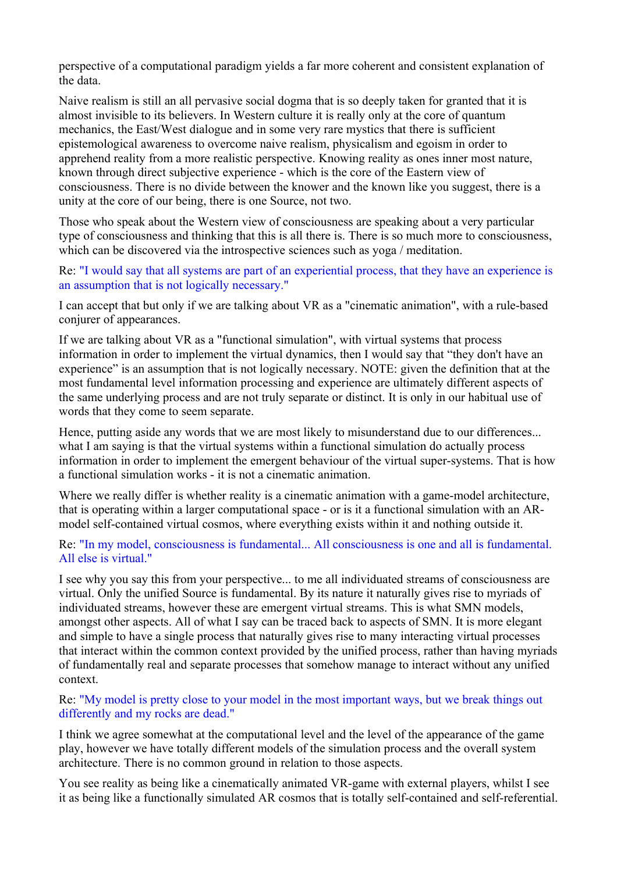perspective of a computational paradigm yields a far more coherent and consistent explanation of the data.

Naive realism is still an all pervasive social dogma that is so deeply taken for granted that it is almost invisible to its believers. In Western culture it is really only at the core of quantum mechanics, the East/West dialogue and in some very rare mystics that there is sufficient epistemological awareness to overcome naive realism, physicalism and egoism in order to apprehend reality from a more realistic perspective. Knowing reality as ones inner most nature, known through direct subjective experience - which is the core of the Eastern view of consciousness. There is no divide between the knower and the known like you suggest, there is a unity at the core of our being, there is one Source, not two.

Those who speak about the Western view of consciousness are speaking about a very particular type of consciousness and thinking that this is all there is. There is so much more to consciousness, which can be discovered via the introspective sciences such as yoga / meditation.

Re: "I would say that all systems are part of an experiential process, that they have an experience is an assumption that is not logically necessary."

I can accept that but only if we are talking about VR as a "cinematic animation", with a rule-based conjurer of appearances.

If we are talking about VR as a "functional simulation", with virtual systems that process information in order to implement the virtual dynamics, then I would say that "they don't have an experience" is an assumption that is not logically necessary. NOTE: given the definition that at the most fundamental level information processing and experience are ultimately different aspects of the same underlying process and are not truly separate or distinct. It is only in our habitual use of words that they come to seem separate.

Hence, putting aside any words that we are most likely to misunderstand due to our differences... what I am saying is that the virtual systems within a functional simulation do actually process information in order to implement the emergent behaviour of the virtual super-systems. That is how a functional simulation works - it is not a cinematic animation.

Where we really differ is whether reality is a cinematic animation with a game-model architecture, that is operating within a larger computational space - or is it a functional simulation with an ARmodel self-contained virtual cosmos, where everything exists within it and nothing outside it.

Re: "In my model, consciousness is fundamental... All consciousness is one and all is fundamental. All else is virtual."

I see why you say this from your perspective... to me all individuated streams of consciousness are virtual. Only the unified Source is fundamental. By its nature it naturally gives rise to myriads of individuated streams, however these are emergent virtual streams. This is what SMN models, amongst other aspects. All of what I say can be traced back to aspects of SMN. It is more elegant and simple to have a single process that naturally gives rise to many interacting virtual processes that interact within the common context provided by the unified process, rather than having myriads of fundamentally real and separate processes that somehow manage to interact without any unified context.

## Re: "My model is pretty close to your model in the most important ways, but we break things out differently and my rocks are dead."

I think we agree somewhat at the computational level and the level of the appearance of the game play, however we have totally different models of the simulation process and the overall system architecture. There is no common ground in relation to those aspects.

You see reality as being like a cinematically animated VR-game with external players, whilst I see it as being like a functionally simulated AR cosmos that is totally self-contained and self-referential.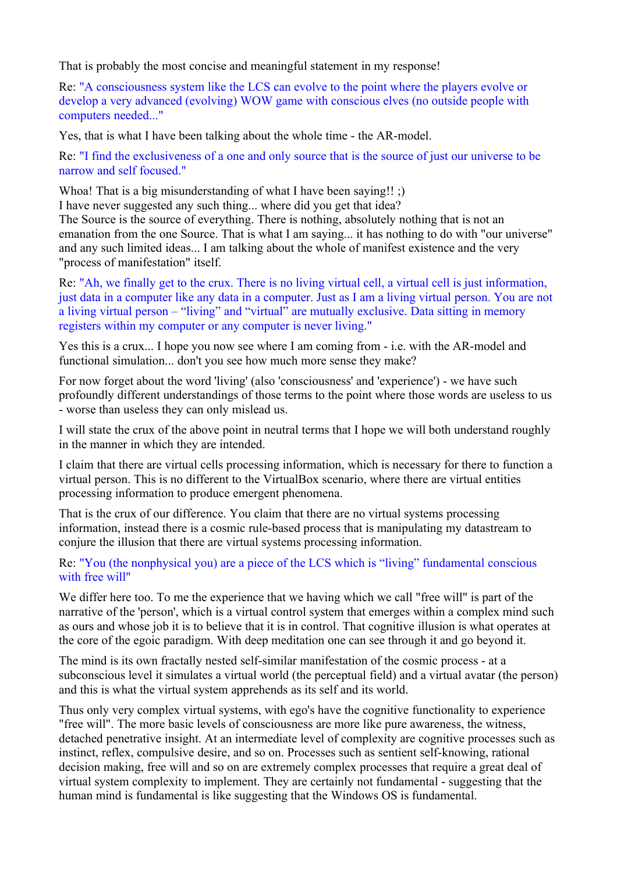That is probably the most concise and meaningful statement in my response!

Re: "A consciousness system like the LCS can evolve to the point where the players evolve or develop a very advanced (evolving) WOW game with conscious elves (no outside people with computers needed..."

Yes, that is what I have been talking about the whole time - the AR-model.

Re: "I find the exclusiveness of a one and only source that is the source of just our universe to be narrow and self focused."

Whoa! That is a big misunderstanding of what I have been saying!! :) I have never suggested any such thing... where did you get that idea? The Source is the source of everything. There is nothing, absolutely nothing that is not an emanation from the one Source. That is what I am saying... it has nothing to do with "our universe" and any such limited ideas... I am talking about the whole of manifest existence and the very "process of manifestation" itself.

Re: "Ah, we finally get to the crux. There is no living virtual cell, a virtual cell is just information, just data in a computer like any data in a computer. Just as I am a living virtual person. You are not a living virtual person – "living" and "virtual" are mutually exclusive. Data sitting in memory registers within my computer or any computer is never living."

Yes this is a crux... I hope you now see where I am coming from - i.e. with the AR-model and functional simulation... don't you see how much more sense they make?

For now forget about the word 'living' (also 'consciousness' and 'experience') - we have such profoundly different understandings of those terms to the point where those words are useless to us - worse than useless they can only mislead us.

I will state the crux of the above point in neutral terms that I hope we will both understand roughly in the manner in which they are intended.

I claim that there are virtual cells processing information, which is necessary for there to function a virtual person. This is no different to the VirtualBox scenario, where there are virtual entities processing information to produce emergent phenomena.

That is the crux of our difference. You claim that there are no virtual systems processing information, instead there is a cosmic rule-based process that is manipulating my datastream to conjure the illusion that there are virtual systems processing information.

Re: "You (the nonphysical you) are a piece of the LCS which is "living" fundamental conscious with free will"

We differ here too. To me the experience that we having which we call "free will" is part of the narrative of the 'person', which is a virtual control system that emerges within a complex mind such as ours and whose job it is to believe that it is in control. That cognitive illusion is what operates at the core of the egoic paradigm. With deep meditation one can see through it and go beyond it.

The mind is its own fractally nested self-similar manifestation of the cosmic process - at a subconscious level it simulates a virtual world (the perceptual field) and a virtual avatar (the person) and this is what the virtual system apprehends as its self and its world.

Thus only very complex virtual systems, with ego's have the cognitive functionality to experience "free will". The more basic levels of consciousness are more like pure awareness, the witness, detached penetrative insight. At an intermediate level of complexity are cognitive processes such as instinct, reflex, compulsive desire, and so on. Processes such as sentient self-knowing, rational decision making, free will and so on are extremely complex processes that require a great deal of virtual system complexity to implement. They are certainly not fundamental - suggesting that the human mind is fundamental is like suggesting that the Windows OS is fundamental.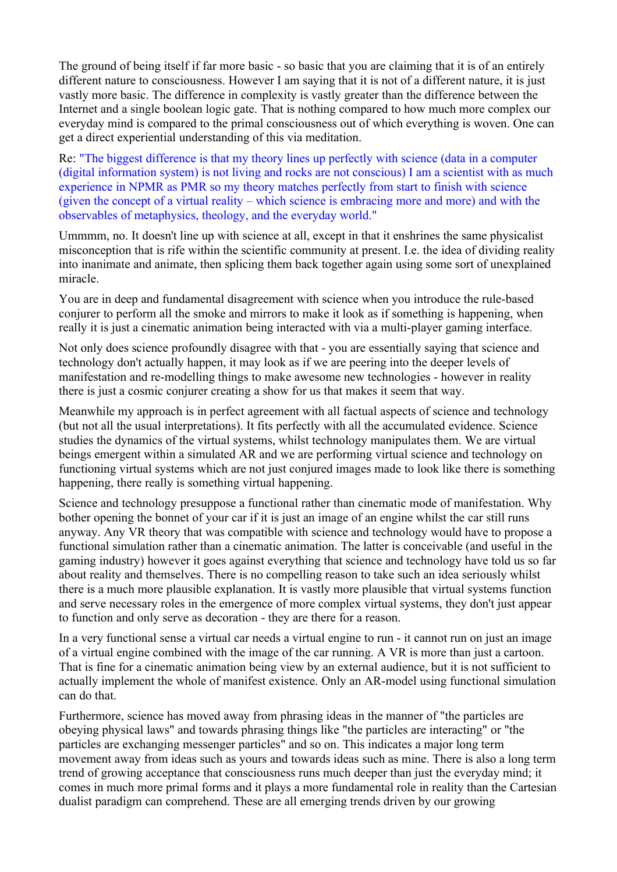The ground of being itself if far more basic - so basic that you are claiming that it is of an entirely different nature to consciousness. However I am saying that it is not of a different nature, it is just vastly more basic. The difference in complexity is vastly greater than the difference between the Internet and a single boolean logic gate. That is nothing compared to how much more complex our everyday mind is compared to the primal consciousness out of which everything is woven. One can get a direct experiential understanding of this via meditation.

Re: "The biggest difference is that my theory lines up perfectly with science (data in a computer (digital information system) is not living and rocks are not conscious) I am a scientist with as much experience in NPMR as PMR so my theory matches perfectly from start to finish with science (given the concept of a virtual reality – which science is embracing more and more) and with the observables of metaphysics, theology, and the everyday world."

Ummmm, no. It doesn't line up with science at all, except in that it enshrines the same physicalist misconception that is rife within the scientific community at present. I.e. the idea of dividing reality into inanimate and animate, then splicing them back together again using some sort of unexplained miracle.

You are in deep and fundamental disagreement with science when you introduce the rule-based conjurer to perform all the smoke and mirrors to make it look as if something is happening, when really it is just a cinematic animation being interacted with via a multi-player gaming interface.

Not only does science profoundly disagree with that - you are essentially saying that science and technology don't actually happen, it may look as if we are peering into the deeper levels of manifestation and re-modelling things to make awesome new technologies - however in reality there is just a cosmic conjurer creating a show for us that makes it seem that way.

Meanwhile my approach is in perfect agreement with all factual aspects of science and technology (but not all the usual interpretations). It fits perfectly with all the accumulated evidence. Science studies the dynamics of the virtual systems, whilst technology manipulates them. We are virtual beings emergent within a simulated AR and we are performing virtual science and technology on functioning virtual systems which are not just conjured images made to look like there is something happening, there really is something virtual happening.

Science and technology presuppose a functional rather than cinematic mode of manifestation. Why bother opening the bonnet of your car if it is just an image of an engine whilst the car still runs anyway. Any VR theory that was compatible with science and technology would have to propose a functional simulation rather than a cinematic animation. The latter is conceivable (and useful in the gaming industry) however it goes against everything that science and technology have told us so far about reality and themselves. There is no compelling reason to take such an idea seriously whilst there is a much more plausible explanation. It is vastly more plausible that virtual systems function and serve necessary roles in the emergence of more complex virtual systems, they don't just appear to function and only serve as decoration - they are there for a reason.

In a very functional sense a virtual car needs a virtual engine to run - it cannot run on just an image of a virtual engine combined with the image of the car running. A VR is more than just a cartoon. That is fine for a cinematic animation being view by an external audience, but it is not sufficient to actually implement the whole of manifest existence. Only an AR-model using functional simulation can do that.

Furthermore, science has moved away from phrasing ideas in the manner of "the particles are obeying physical laws" and towards phrasing things like "the particles are interacting" or "the particles are exchanging messenger particles" and so on. This indicates a major long term movement away from ideas such as yours and towards ideas such as mine. There is also a long term trend of growing acceptance that consciousness runs much deeper than just the everyday mind; it comes in much more primal forms and it plays a more fundamental role in reality than the Cartesian dualist paradigm can comprehend. These are all emerging trends driven by our growing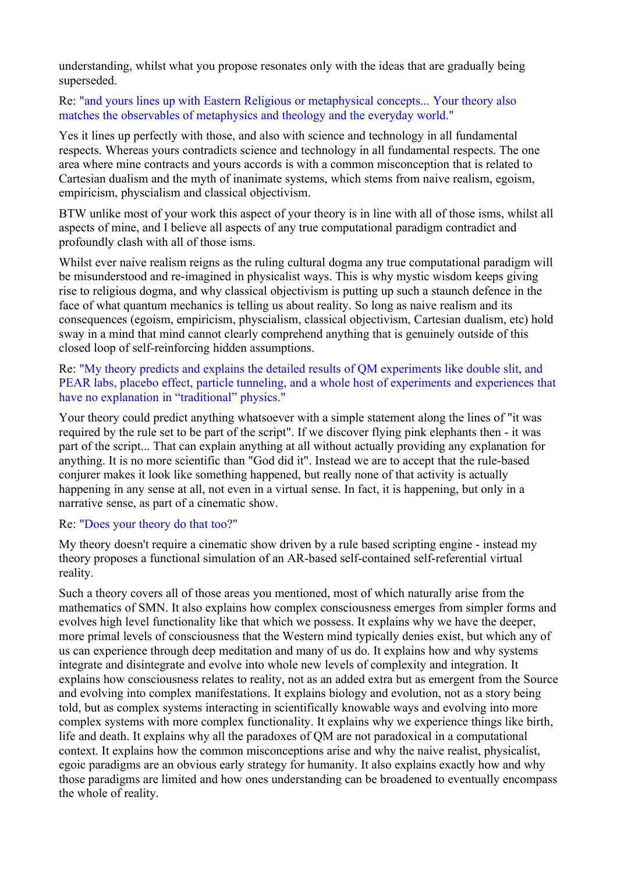understanding, whilst what you propose resonates only with the ideas that are gradually being superseded.

## Re: "and yours lines up with Eastern Religious or metaphysical concepts... Your theory also matches the observables of metaphysics and theology and the everyday world."

Yes it lines up perfectly with those, and also with science and technology in all fundamental respects. Whereas yours contradicts science and technology in all fundamental respects. The one area where mine contracts and yours accords is with a common misconception that is related to Cartesian dualism and the myth of inanimate systems, which stems from naive realism, egoism, empiricism, physcialism and classical objectivism.

BTW unlike most of your work this aspect of your theory is in line with all of those isms, whilst all aspects of mine, and I believe all aspects of any true computational paradigm contradict and profoundly clash with all of those isms.

Whilst ever naive realism reigns as the ruling cultural dogma any true computational paradigm will be misunderstood and re-imagined in physicalist ways. This is why mystic wisdom keeps giving rise to religious dogma, and why classical objectivism is putting up such a staunch defence in the face of what quantum mechanics is telling us about reality. So long as naive realism and its consequences (egoism, empiricism, physcialism, classical objectivism, Cartesian dualism, etc) hold sway in a mind that mind cannot clearly comprehend anything that is genuinely outside of this closed loop of self-reinforcing hidden assumptions.

Re: "My theory predicts and explains the detailed results of QM experiments like double slit, and PEAR labs, placebo effect, particle tunneling, and a whole host of experiments and experiences that have no explanation in "traditional" physics."

Your theory could predict anything whatsoever with a simple statement along the lines of "it was required by the rule set to be part of the script". If we discover flying pink elephants then - it was part of the script... That can explain anything at all without actually providing any explanation for anything. It is no more scientific than "God did it". Instead we are to accept that the rule-based conjurer makes it look like something happened, but really none of that activity is actually happening in any sense at all, not even in a virtual sense. In fact, it is happening, but only in a narrative sense, as part of a cinematic show.

#### Re: "Does your theory do that too?"

My theory doesn't require a cinematic show driven by a rule based scripting engine - instead my theory proposes a functional simulation of an AR-based self-contained self-referential virtual reality.

Such a theory covers all of those areas you mentioned, most of which naturally arise from the mathematics of SMN. It also explains how complex consciousness emerges from simpler forms and evolves high level functionality like that which we possess. It explains why we have the deeper, more primal levels of consciousness that the Western mind typically denies exist, but which any of us can experience through deep meditation and many of us do. It explains how and why systems integrate and disintegrate and evolve into whole new levels of complexity and integration. It explains how consciousness relates to reality, not as an added extra but as emergent from the Source and evolving into complex manifestations. It explains biology and evolution, not as a story being told, but as complex systems interacting in scientifically knowable ways and evolving into more complex systems with more complex functionality. It explains why we experience things like birth, life and death. It explains why all the paradoxes of QM are not paradoxical in a computational context. It explains how the common misconceptions arise and why the naive realist, physicalist, egoic paradigms are an obvious early strategy for humanity. It also explains exactly how and why those paradigms are limited and how ones understanding can be broadened to eventually encompass the whole of reality.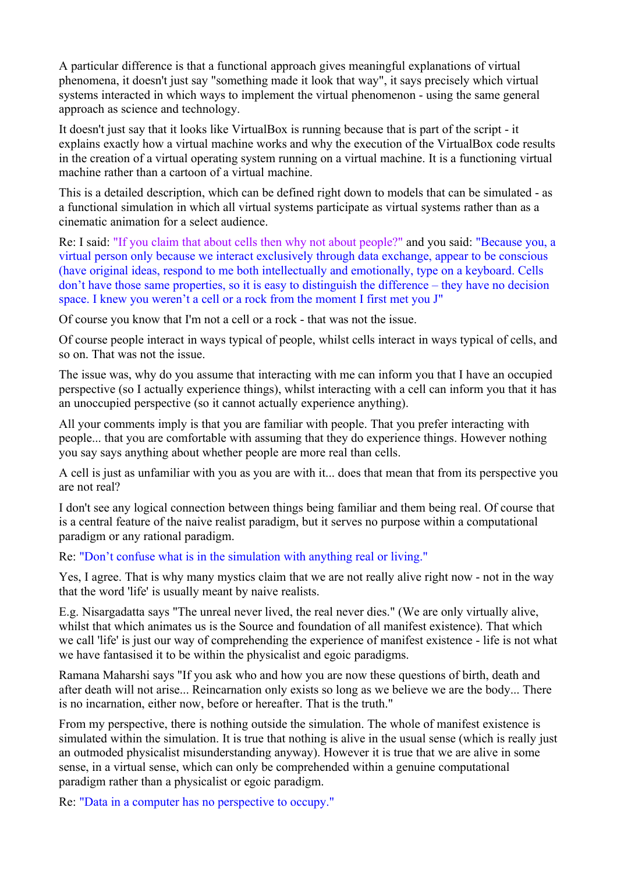A particular difference is that a functional approach gives meaningful explanations of virtual phenomena, it doesn't just say "something made it look that way", it says precisely which virtual systems interacted in which ways to implement the virtual phenomenon - using the same general approach as science and technology.

It doesn't just say that it looks like VirtualBox is running because that is part of the script - it explains exactly how a virtual machine works and why the execution of the VirtualBox code results in the creation of a virtual operating system running on a virtual machine. It is a functioning virtual machine rather than a cartoon of a virtual machine.

This is a detailed description, which can be defined right down to models that can be simulated - as a functional simulation in which all virtual systems participate as virtual systems rather than as a cinematic animation for a select audience.

Re: I said: "If you claim that about cells then why not about people?" and you said: "Because you, a virtual person only because we interact exclusively through data exchange, appear to be conscious (have original ideas, respond to me both intellectually and emotionally, type on a keyboard. Cells don't have those same properties, so it is easy to distinguish the difference – they have no decision space. I knew you weren't a cell or a rock from the moment I first met you J"

Of course you know that I'm not a cell or a rock - that was not the issue.

Of course people interact in ways typical of people, whilst cells interact in ways typical of cells, and so on. That was not the issue.

The issue was, why do you assume that interacting with me can inform you that I have an occupied perspective (so I actually experience things), whilst interacting with a cell can inform you that it has an unoccupied perspective (so it cannot actually experience anything).

All your comments imply is that you are familiar with people. That you prefer interacting with people... that you are comfortable with assuming that they do experience things. However nothing you say says anything about whether people are more real than cells.

A cell is just as unfamiliar with you as you are with it... does that mean that from its perspective you are not real?

I don't see any logical connection between things being familiar and them being real. Of course that is a central feature of the naive realist paradigm, but it serves no purpose within a computational paradigm or any rational paradigm.

Re: "Don't confuse what is in the simulation with anything real or living."

Yes, I agree. That is why many mystics claim that we are not really alive right now - not in the way that the word 'life' is usually meant by naive realists.

E.g. Nisargadatta says "The unreal never lived, the real never dies." (We are only virtually alive, whilst that which animates us is the Source and foundation of all manifest existence). That which we call 'life' is just our way of comprehending the experience of manifest existence - life is not what we have fantasised it to be within the physicalist and egoic paradigms.

Ramana Maharshi says "If you ask who and how you are now these questions of birth, death and after death will not arise... Reincarnation only exists so long as we believe we are the body... There is no incarnation, either now, before or hereafter. That is the truth."

From my perspective, there is nothing outside the simulation. The whole of manifest existence is simulated within the simulation. It is true that nothing is alive in the usual sense (which is really just an outmoded physicalist misunderstanding anyway). However it is true that we are alive in some sense, in a virtual sense, which can only be comprehended within a genuine computational paradigm rather than a physicalist or egoic paradigm.

Re: "Data in a computer has no perspective to occupy."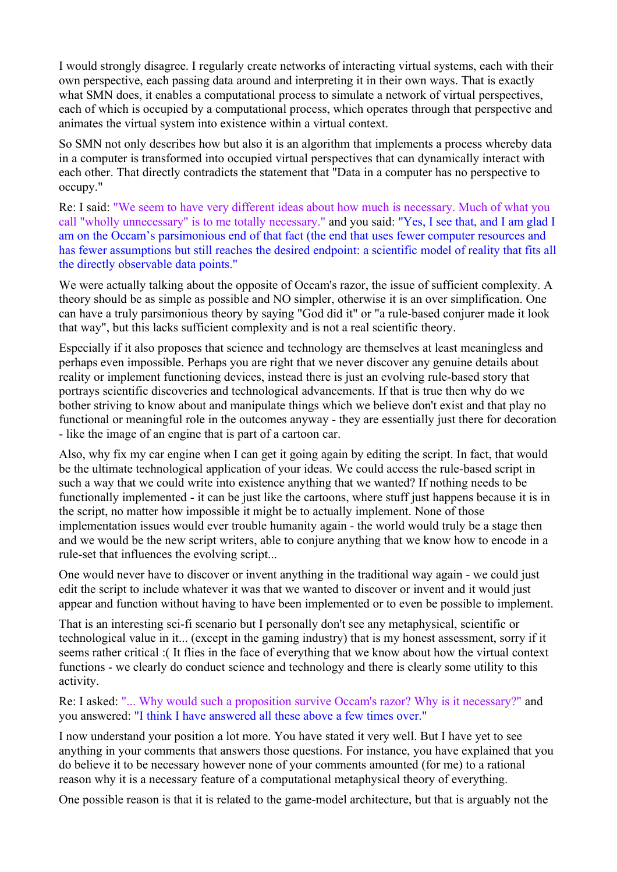I would strongly disagree. I regularly create networks of interacting virtual systems, each with their own perspective, each passing data around and interpreting it in their own ways. That is exactly what SMN does, it enables a computational process to simulate a network of virtual perspectives, each of which is occupied by a computational process, which operates through that perspective and animates the virtual system into existence within a virtual context.

So SMN not only describes how but also it is an algorithm that implements a process whereby data in a computer is transformed into occupied virtual perspectives that can dynamically interact with each other. That directly contradicts the statement that "Data in a computer has no perspective to occupy."

Re: I said: "We seem to have very different ideas about how much is necessary. Much of what you call "wholly unnecessary" is to me totally necessary." and you said: "Yes, I see that, and I am glad I am on the Occam's parsimonious end of that fact (the end that uses fewer computer resources and has fewer assumptions but still reaches the desired endpoint: a scientific model of reality that fits all the directly observable data points."

We were actually talking about the opposite of Occam's razor, the issue of sufficient complexity. A theory should be as simple as possible and NO simpler, otherwise it is an over simplification. One can have a truly parsimonious theory by saying "God did it" or "a rule-based conjurer made it look that way", but this lacks sufficient complexity and is not a real scientific theory.

Especially if it also proposes that science and technology are themselves at least meaningless and perhaps even impossible. Perhaps you are right that we never discover any genuine details about reality or implement functioning devices, instead there is just an evolving rule-based story that portrays scientific discoveries and technological advancements. If that is true then why do we bother striving to know about and manipulate things which we believe don't exist and that play no functional or meaningful role in the outcomes anyway - they are essentially just there for decoration - like the image of an engine that is part of a cartoon car.

Also, why fix my car engine when I can get it going again by editing the script. In fact, that would be the ultimate technological application of your ideas. We could access the rule-based script in such a way that we could write into existence anything that we wanted? If nothing needs to be functionally implemented - it can be just like the cartoons, where stuff just happens because it is in the script, no matter how impossible it might be to actually implement. None of those implementation issues would ever trouble humanity again - the world would truly be a stage then and we would be the new script writers, able to conjure anything that we know how to encode in a rule-set that influences the evolving script...

One would never have to discover or invent anything in the traditional way again - we could just edit the script to include whatever it was that we wanted to discover or invent and it would just appear and function without having to have been implemented or to even be possible to implement.

That is an interesting sci-fi scenario but I personally don't see any metaphysical, scientific or technological value in it... (except in the gaming industry) that is my honest assessment, sorry if it seems rather critical :( It flies in the face of everything that we know about how the virtual context functions - we clearly do conduct science and technology and there is clearly some utility to this activity.

Re: I asked: "... Why would such a proposition survive Occam's razor? Why is it necessary?" and you answered: "I think I have answered all these above a few times over."

I now understand your position a lot more. You have stated it very well. But I have yet to see anything in your comments that answers those questions. For instance, you have explained that you do believe it to be necessary however none of your comments amounted (for me) to a rational reason why it is a necessary feature of a computational metaphysical theory of everything.

One possible reason is that it is related to the game-model architecture, but that is arguably not the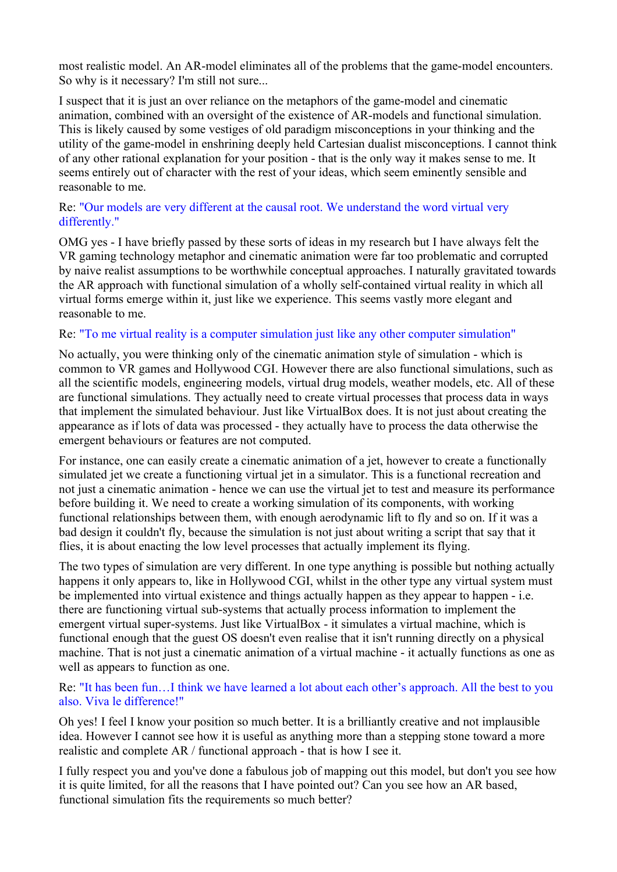most realistic model. An AR-model eliminates all of the problems that the game-model encounters. So why is it necessary? I'm still not sure...

I suspect that it is just an over reliance on the metaphors of the game-model and cinematic animation, combined with an oversight of the existence of AR-models and functional simulation. This is likely caused by some vestiges of old paradigm misconceptions in your thinking and the utility of the game-model in enshrining deeply held Cartesian dualist misconceptions. I cannot think of any other rational explanation for your position - that is the only way it makes sense to me. It seems entirely out of character with the rest of your ideas, which seem eminently sensible and reasonable to me.

## Re: "Our models are very different at the causal root. We understand the word virtual very differently."

OMG yes - I have briefly passed by these sorts of ideas in my research but I have always felt the VR gaming technology metaphor and cinematic animation were far too problematic and corrupted by naive realist assumptions to be worthwhile conceptual approaches. I naturally gravitated towards the AR approach with functional simulation of a wholly self-contained virtual reality in which all virtual forms emerge within it, just like we experience. This seems vastly more elegant and reasonable to me.

## Re: "To me virtual reality is a computer simulation just like any other computer simulation"

No actually, you were thinking only of the cinematic animation style of simulation - which is common to VR games and Hollywood CGI. However there are also functional simulations, such as all the scientific models, engineering models, virtual drug models, weather models, etc. All of these are functional simulations. They actually need to create virtual processes that process data in ways that implement the simulated behaviour. Just like VirtualBox does. It is not just about creating the appearance as if lots of data was processed - they actually have to process the data otherwise the emergent behaviours or features are not computed.

For instance, one can easily create a cinematic animation of a jet, however to create a functionally simulated jet we create a functioning virtual jet in a simulator. This is a functional recreation and not just a cinematic animation - hence we can use the virtual jet to test and measure its performance before building it. We need to create a working simulation of its components, with working functional relationships between them, with enough aerodynamic lift to fly and so on. If it was a bad design it couldn't fly, because the simulation is not just about writing a script that say that it flies, it is about enacting the low level processes that actually implement its flying.

The two types of simulation are very different. In one type anything is possible but nothing actually happens it only appears to, like in Hollywood CGI, whilst in the other type any virtual system must be implemented into virtual existence and things actually happen as they appear to happen - i.e. there are functioning virtual sub-systems that actually process information to implement the emergent virtual super-systems. Just like VirtualBox - it simulates a virtual machine, which is functional enough that the guest OS doesn't even realise that it isn't running directly on a physical machine. That is not just a cinematic animation of a virtual machine - it actually functions as one as well as appears to function as one.

## Re: "It has been fun…I think we have learned a lot about each other's approach. All the best to you also. Viva le difference!"

Oh yes! I feel I know your position so much better. It is a brilliantly creative and not implausible idea. However I cannot see how it is useful as anything more than a stepping stone toward a more realistic and complete AR / functional approach - that is how I see it.

I fully respect you and you've done a fabulous job of mapping out this model, but don't you see how it is quite limited, for all the reasons that I have pointed out? Can you see how an AR based, functional simulation fits the requirements so much better?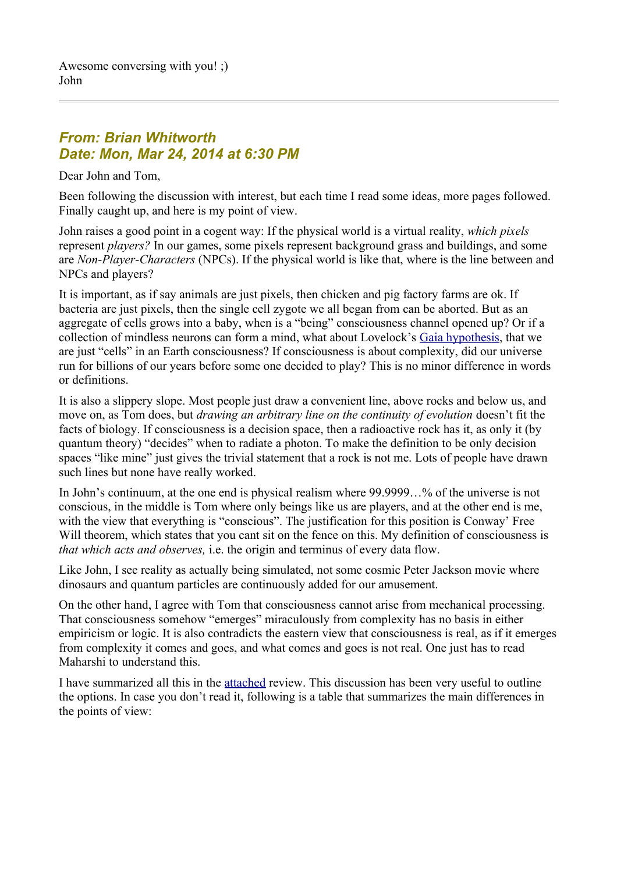# *From: Brian Whitworth Date: Mon, Mar 24, 2014 at 6:30 PM*

Dear John and Tom,

Been following the discussion with interest, but each time I read some ideas, more pages followed. Finally caught up, and here is my point of view.

John raises a good point in a cogent way: If the physical world is a virtual reality, *which pixels*  represent *players?* In our games, some pixels represent background grass and buildings, and some are *Non-Player-Characters* (NPCs). If the physical world is like that, where is the line between and NPCs and players?

It is important, as if say animals are just pixels, then chicken and pig factory farms are ok. If bacteria are just pixels, then the single cell zygote we all began from can be aborted. But as an aggregate of cells grows into a baby, when is a "being" consciousness channel opened up? Or if a collection of mindless neurons can form a mind, what about Lovelock's [Gaia hypothesis,](https://en.wikipedia.org/wiki/Gaia_hypothesis) that we are just "cells" in an Earth consciousness? If consciousness is about complexity, did our universe run for billions of our years before some one decided to play? This is no minor difference in words or definitions.

It is also a slippery slope. Most people just draw a convenient line, above rocks and below us, and move on, as Tom does, but *drawing an arbitrary line on the continuity of evolution* doesn't fit the facts of biology. If consciousness is a decision space, then a radioactive rock has it, as only it (by quantum theory) "decides" when to radiate a photon. To make the definition to be only decision spaces "like mine" just gives the trivial statement that a rock is not me. Lots of people have drawn such lines but none have really worked.

In John's continuum, at the one end is physical realism where 99.9999…% of the universe is not conscious, in the middle is Tom where only beings like us are players, and at the other end is me, with the view that everything is "conscious". The justification for this position is Conway' Free Will theorem, which states that you cant sit on the fence on this. My definition of consciousness is *that which acts and observes,* i.e. the origin and terminus of every data flow.

Like John, I see reality as actually being simulated, not some cosmic Peter Jackson movie where dinosaurs and quantum particles are continuously added for our amusement.

On the other hand, I agree with Tom that consciousness cannot arise from mechanical processing. That consciousness somehow "emerges" miraculously from complexity has no basis in either empiricism or logic. It is also contradicts the eastern view that consciousness is real, as if it emerges from complexity it comes and goes, and what comes and goes is not real. One just has to read Maharshi to understand this.

I have summarized all this in the [attached](http://www.anandavala.info/miscl/transcript/WhatIsReality-02.pdf) review. This discussion has been very useful to outline the options. In case you don't read it, following is a table that summarizes the main differences in the points of view: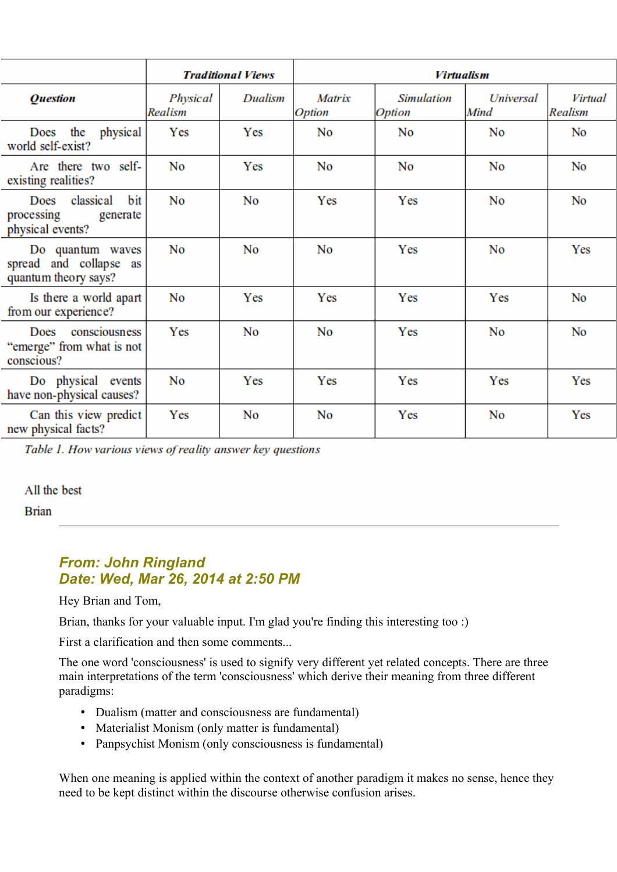|                                                                     | <b>Traditional Views</b> |                | <b>Virtualism</b> |                                           |                          |                    |
|---------------------------------------------------------------------|--------------------------|----------------|-------------------|-------------------------------------------|--------------------------|--------------------|
| <b>Ouestion</b>                                                     | Physical<br>Realism      | Dualism        | Matrix<br>Option  | <b>Simulation</b><br><i><b>Option</b></i> | <b>Universal</b><br>Mind | Virtual<br>Realism |
| Does the<br>physical<br>world self-exist?                           | Yes                      | Yes            | N <sub>0</sub>    | No                                        | N <sub>0</sub>           | No                 |
| Are there two self-<br>existing realities?                          | No                       | Yes            | No                | N <sub>0</sub>                            | N <sub>0</sub>           | N <sub>0</sub>     |
| Does classical<br>bit<br>processing<br>generate<br>physical events? | N <sub>0</sub>           | N <sub>0</sub> | Yes               | Yes                                       | N <sub>0</sub>           | N <sub>0</sub>     |
| Do quantum waves<br>spread and collapse as<br>quantum theory says?  | No                       | No             | No                | Yes                                       | N <sub>0</sub>           | Yes                |
| Is there a world apart<br>from our experience?                      | No                       | Yes            | Yes               | Yes                                       | Yes                      | No                 |
| Does consciousness<br>"emerge" from what is not<br>conscious?       | Yes                      | No             | No                | Yes                                       | N <sub>0</sub>           | N <sub>0</sub>     |
| Do physical events<br>have non-physical causes?                     | N <sub>0</sub>           | Yes            | Yes               | Yes                                       | Yes                      | Yes                |
| Can this view predict<br>new physical facts?                        | Yes                      | No             | No                | Yes                                       | No                       | Yes                |

Table 1. How various views of reality answer key questions

#### All the best

**Brian** 

# *From: John Ringland Date: Wed, Mar 26, 2014 at 2:50 PM*

Hey Brian and Tom,

Brian, thanks for your valuable input. I'm glad you're finding this interesting too :)

First a clarification and then some comments...

The one word 'consciousness' is used to signify very different yet related concepts. There are three main interpretations of the term 'consciousness' which derive their meaning from three different paradigms:

- Dualism (matter and consciousness are fundamental)
- Materialist Monism (only matter is fundamental)
- Panpsychist Monism (only consciousness is fundamental)

When one meaning is applied within the context of another paradigm it makes no sense, hence they need to be kept distinct within the discourse otherwise confusion arises.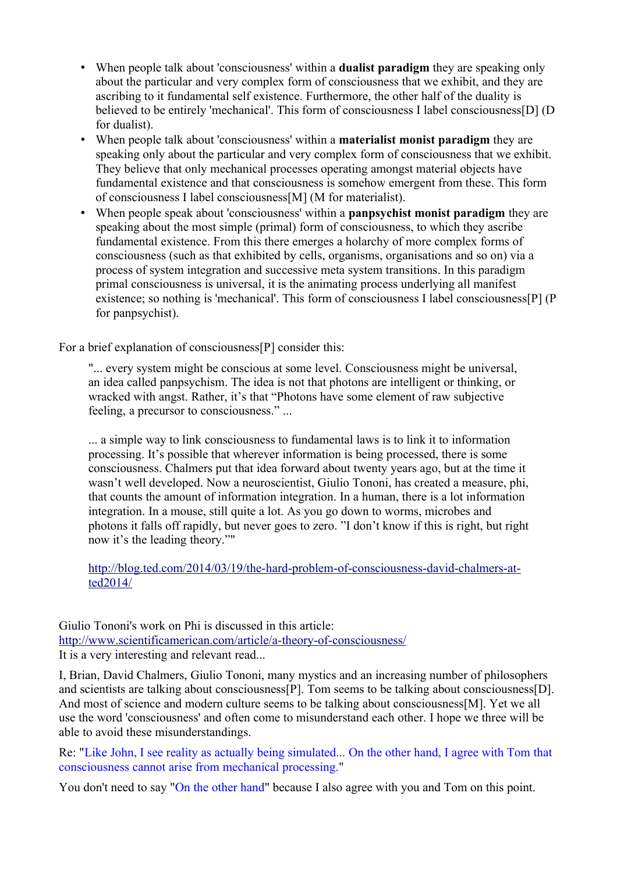- When people talk about 'consciousness' within a **dualist paradigm** they are speaking only about the particular and very complex form of consciousness that we exhibit, and they are ascribing to it fundamental self existence. Furthermore, the other half of the duality is believed to be entirely 'mechanical'. This form of consciousness I label consciousness[D] (D for dualist).
- When people talk about 'consciousness' within a **materialist monist paradigm** they are speaking only about the particular and very complex form of consciousness that we exhibit. They believe that only mechanical processes operating amongst material objects have fundamental existence and that consciousness is somehow emergent from these. This form of consciousness I label consciousness[M] (M for materialist).
- When people speak about 'consciousness' within a **panpsychist monist paradigm** they are speaking about the most simple (primal) form of consciousness, to which they ascribe fundamental existence. From this there emerges a holarchy of more complex forms of consciousness (such as that exhibited by cells, organisms, organisations and so on) via a process of system integration and successive meta system transitions. In this paradigm primal consciousness is universal, it is the animating process underlying all manifest existence; so nothing is 'mechanical'. This form of consciousness I label consciousness[P] (P for panpsychist).

For a brief explanation of consciousness[P] consider this:

"... every system might be conscious at some level. Consciousness might be universal, an idea called panpsychism. The idea is not that photons are intelligent or thinking, or wracked with angst. Rather, it's that "Photons have some element of raw subjective feeling, a precursor to consciousness." ...

... a simple way to link consciousness to fundamental laws is to link it to information processing. It's possible that wherever information is being processed, there is some consciousness. Chalmers put that idea forward about twenty years ago, but at the time it wasn't well developed. Now a neuroscientist, Giulio Tononi, has created a measure, phi, that counts the amount of information integration. In a human, there is a lot information integration. In a mouse, still quite a lot. As you go down to worms, microbes and photons it falls off rapidly, but never goes to zero. "I don't know if this is right, but right now it's the leading theory.""

[http://blog.ted.com/2014/03/19/the-hard-problem-of-consciousness-david-chalmers-at](http://blog.ted.com/2014/03/19/the-hard-problem-of-consciousness-david-chalmers-at-ted2014/)[ted2014/](http://blog.ted.com/2014/03/19/the-hard-problem-of-consciousness-david-chalmers-at-ted2014/)

Giulio Tononi's work on Phi is discussed in this article: <http://www.scientificamerican.com/article/a-theory-of-consciousness/> It is a very interesting and relevant read...

I, Brian, David Chalmers, Giulio Tononi, many mystics and an increasing number of philosophers and scientists are talking about consciousness[P]. Tom seems to be talking about consciousness[D]. And most of science and modern culture seems to be talking about consciousness[M]. Yet we all use the word 'consciousness' and often come to misunderstand each other. I hope we three will be able to avoid these misunderstandings.

Re: "Like John, I see reality as actually being simulated... On the other hand, I agree with Tom that consciousness cannot arise from mechanical processing."

You don't need to say "On the other hand" because I also agree with you and Tom on this point.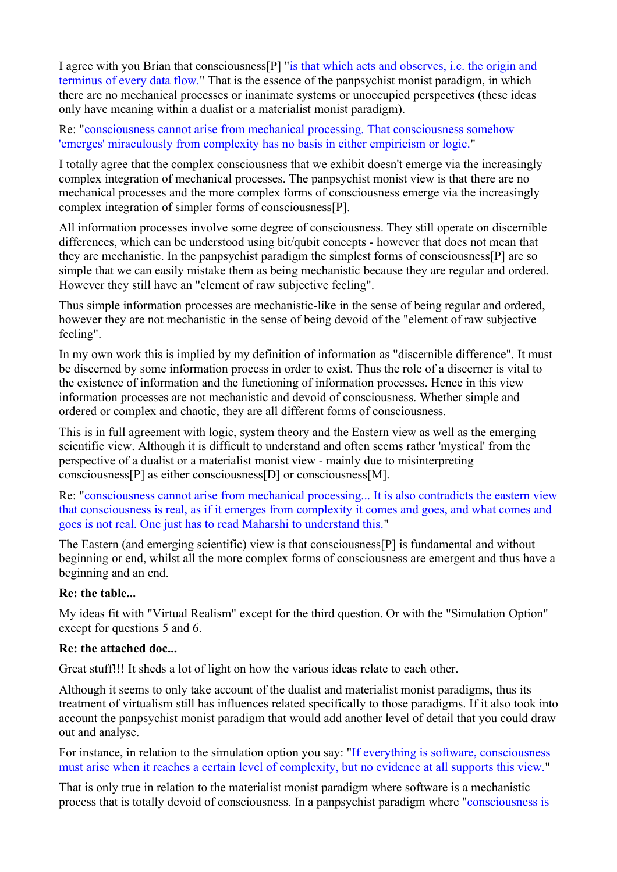I agree with you Brian that consciousness[P] "is that which acts and observes, i.e. the origin and terminus of every data flow." That is the essence of the panpsychist monist paradigm, in which there are no mechanical processes or inanimate systems or unoccupied perspectives (these ideas only have meaning within a dualist or a materialist monist paradigm).

Re: "consciousness cannot arise from mechanical processing. That consciousness somehow 'emerges' miraculously from complexity has no basis in either empiricism or logic."

I totally agree that the complex consciousness that we exhibit doesn't emerge via the increasingly complex integration of mechanical processes. The panpsychist monist view is that there are no mechanical processes and the more complex forms of consciousness emerge via the increasingly complex integration of simpler forms of consciousness[P].

All information processes involve some degree of consciousness. They still operate on discernible differences, which can be understood using bit/qubit concepts - however that does not mean that they are mechanistic. In the panpsychist paradigm the simplest forms of consciousness[P] are so simple that we can easily mistake them as being mechanistic because they are regular and ordered. However they still have an "element of raw subjective feeling".

Thus simple information processes are mechanistic-like in the sense of being regular and ordered, however they are not mechanistic in the sense of being devoid of the "element of raw subjective feeling".

In my own work this is implied by my definition of information as "discernible difference". It must be discerned by some information process in order to exist. Thus the role of a discerner is vital to the existence of information and the functioning of information processes. Hence in this view information processes are not mechanistic and devoid of consciousness. Whether simple and ordered or complex and chaotic, they are all different forms of consciousness.

This is in full agreement with logic, system theory and the Eastern view as well as the emerging scientific view. Although it is difficult to understand and often seems rather 'mystical' from the perspective of a dualist or a materialist monist view - mainly due to misinterpreting consciousness[P] as either consciousness[D] or consciousness[M].

Re: "consciousness cannot arise from mechanical processing... It is also contradicts the eastern view that consciousness is real, as if it emerges from complexity it comes and goes, and what comes and goes is not real. One just has to read Maharshi to understand this."

The Eastern (and emerging scientific) view is that consciousness[P] is fundamental and without beginning or end, whilst all the more complex forms of consciousness are emergent and thus have a beginning and an end.

#### **Re: the table...**

My ideas fit with "Virtual Realism" except for the third question. Or with the "Simulation Option" except for questions 5 and 6.

#### **Re: the attached doc...**

Great stuff!!! It sheds a lot of light on how the various ideas relate to each other.

Although it seems to only take account of the dualist and materialist monist paradigms, thus its treatment of virtualism still has influences related specifically to those paradigms. If it also took into account the panpsychist monist paradigm that would add another level of detail that you could draw out and analyse.

For instance, in relation to the simulation option you say: "If everything is software, consciousness must arise when it reaches a certain level of complexity, but no evidence at all supports this view."

That is only true in relation to the materialist monist paradigm where software is a mechanistic process that is totally devoid of consciousness. In a panpsychist paradigm where "consciousness is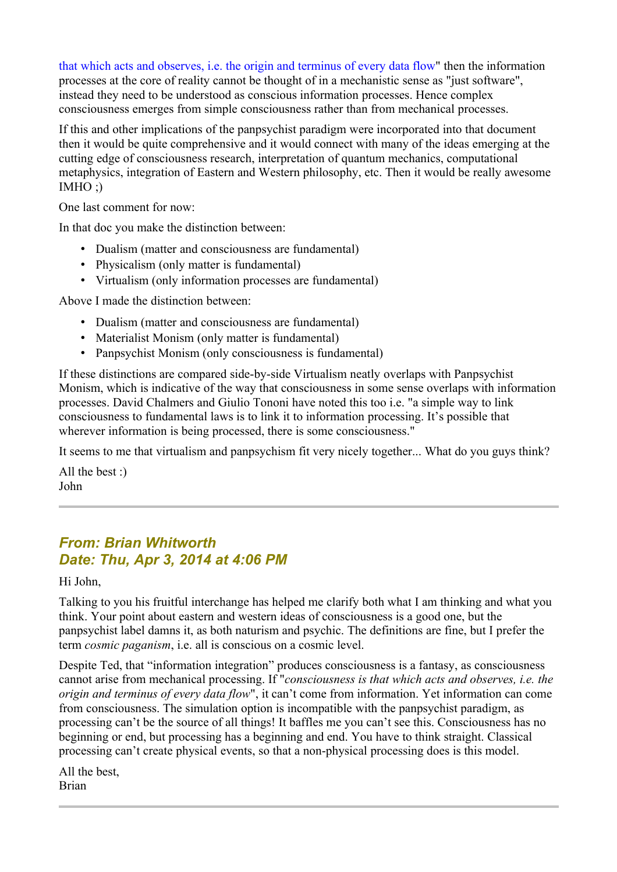that which acts and observes, i.e. the origin and terminus of every data flow" then the information processes at the core of reality cannot be thought of in a mechanistic sense as "just software", instead they need to be understood as conscious information processes. Hence complex consciousness emerges from simple consciousness rather than from mechanical processes.

If this and other implications of the panpsychist paradigm were incorporated into that document then it would be quite comprehensive and it would connect with many of the ideas emerging at the cutting edge of consciousness research, interpretation of quantum mechanics, computational metaphysics, integration of Eastern and Western philosophy, etc. Then it would be really awesome  $IMHO$  :)

One last comment for now:

In that doc you make the distinction between:

- Dualism (matter and consciousness are fundamental)
- Physicalism (only matter is fundamental)
- Virtualism (only information processes are fundamental)

Above I made the distinction between:

- Dualism (matter and consciousness are fundamental)
- Materialist Monism (only matter is fundamental)
- Panpsychist Monism (only consciousness is fundamental)

If these distinctions are compared side-by-side Virtualism neatly overlaps with Panpsychist Monism, which is indicative of the way that consciousness in some sense overlaps with information processes. David Chalmers and Giulio Tononi have noted this too i.e. "a simple way to link consciousness to fundamental laws is to link it to information processing. It's possible that wherever information is being processed, there is some consciousness."

It seems to me that virtualism and panpsychism fit very nicely together... What do you guys think?

All the best :) John

# *From: Brian Whitworth Date: Thu, Apr 3, 2014 at 4:06 PM*

Hi John,

Talking to you his fruitful interchange has helped me clarify both what I am thinking and what you think. Your point about eastern and western ideas of consciousness is a good one, but the panpsychist label damns it, as both naturism and psychic. The definitions are fine, but I prefer the term *cosmic paganism*, i.e. all is conscious on a cosmic level.

Despite Ted, that "information integration" produces consciousness is a fantasy, as consciousness cannot arise from mechanical processing. If "*consciousness is that which acts and observes, i.e. the origin and terminus of every data flow*", it can't come from information. Yet information can come from consciousness. The simulation option is incompatible with the panpsychist paradigm, as processing can't be the source of all things! It baffles me you can't see this. Consciousness has no beginning or end, but processing has a beginning and end. You have to think straight. Classical processing can't create physical events, so that a non-physical processing does is this model.

All the best, Brian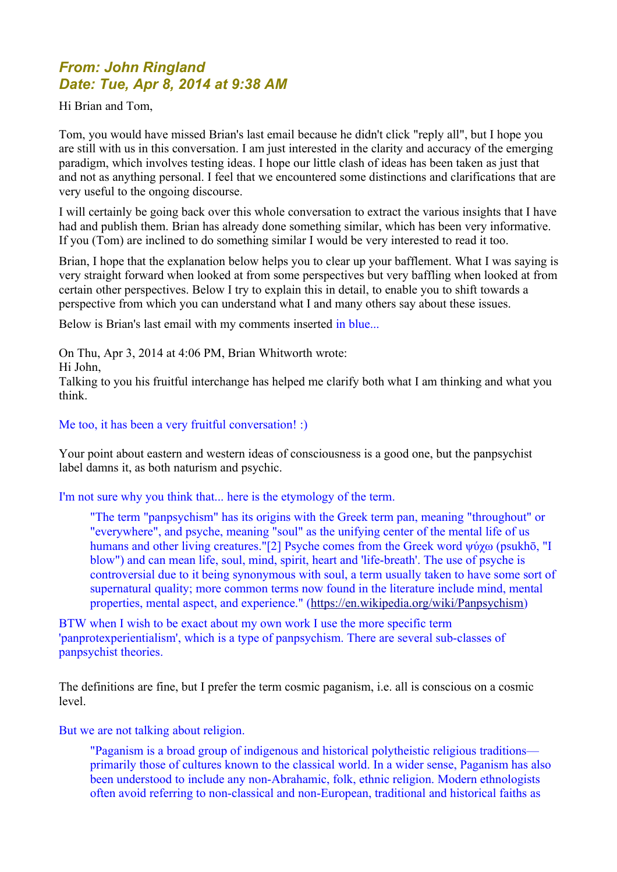# *From: John Ringland Date: Tue, Apr 8, 2014 at 9:38 AM*

Hi Brian and Tom,

Tom, you would have missed Brian's last email because he didn't click "reply all", but I hope you are still with us in this conversation. I am just interested in the clarity and accuracy of the emerging paradigm, which involves testing ideas. I hope our little clash of ideas has been taken as just that and not as anything personal. I feel that we encountered some distinctions and clarifications that are very useful to the ongoing discourse.

I will certainly be going back over this whole conversation to extract the various insights that I have had and publish them. Brian has already done something similar, which has been very informative. If you (Tom) are inclined to do something similar I would be very interested to read it too.

Brian, I hope that the explanation below helps you to clear up your bafflement. What I was saying is very straight forward when looked at from some perspectives but very baffling when looked at from certain other perspectives. Below I try to explain this in detail, to enable you to shift towards a perspective from which you can understand what I and many others say about these issues.

Below is Brian's last email with my comments inserted in blue...

On Thu, Apr 3, 2014 at 4:06 PM, Brian Whitworth wrote:

Hi John,

Talking to you his fruitful interchange has helped me clarify both what I am thinking and what you think.

## Me too, it has been a very fruitful conversation! :)

Your point about eastern and western ideas of consciousness is a good one, but the panpsychist label damns it, as both naturism and psychic.

I'm not sure why you think that... here is the etymology of the term.

"The term "panpsychism" has its origins with the Greek term pan, meaning "throughout" or "everywhere", and psyche, meaning "soul" as the unifying center of the mental life of us humans and other living creatures."[2] Psyche comes from the Greek word ψύχω (psukhō, "I blow") and can mean life, soul, mind, spirit, heart and 'life-breath'. The use of psyche is controversial due to it being synonymous with soul, a term usually taken to have some sort of supernatural quality; more common terms now found in the literature include mind, mental properties, mental aspect, and experience." [\(https://en.wikipedia.org/wiki/Panpsychism\)](https://en.wikipedia.org/wiki/Panpsychism)

BTW when I wish to be exact about my own work I use the more specific term 'panprotexperientialism', which is a type of panpsychism. There are several sub-classes of panpsychist theories.

The definitions are fine, but I prefer the term cosmic paganism, i.e. all is conscious on a cosmic level.

But we are not talking about religion.

"Paganism is a broad group of indigenous and historical polytheistic religious traditions primarily those of cultures known to the classical world. In a wider sense, Paganism has also been understood to include any non-Abrahamic, folk, ethnic religion. Modern ethnologists often avoid referring to non-classical and non-European, traditional and historical faiths as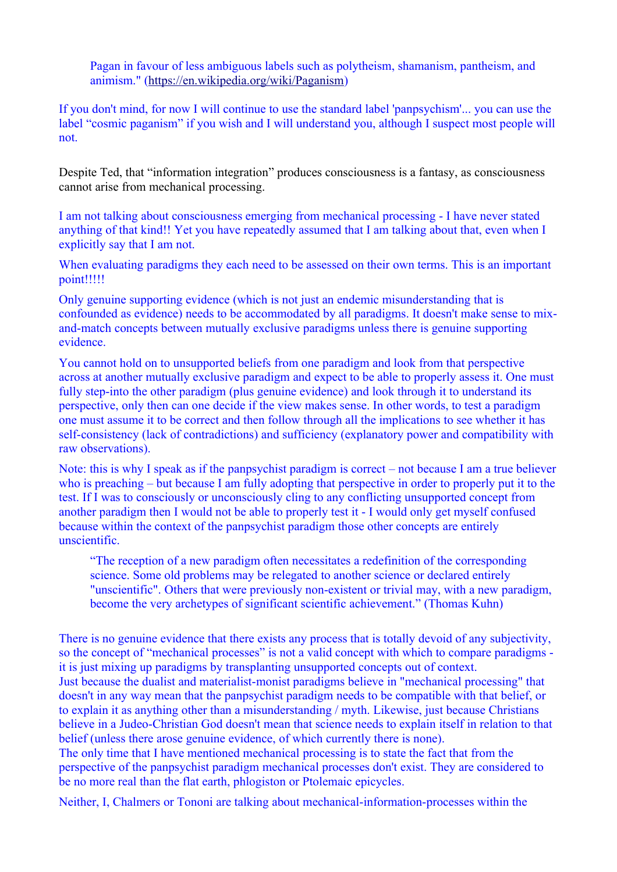Pagan in favour of less ambiguous labels such as polytheism, shamanism, pantheism, and animism." [\(https://en.wikipedia.org/wiki/Paganism\)](https://en.wikipedia.org/wiki/Paganism)

If you don't mind, for now I will continue to use the standard label 'panpsychism'... you can use the label "cosmic paganism" if you wish and I will understand you, although I suspect most people will not.

Despite Ted, that "information integration" produces consciousness is a fantasy, as consciousness cannot arise from mechanical processing.

I am not talking about consciousness emerging from mechanical processing - I have never stated anything of that kind!! Yet you have repeatedly assumed that I am talking about that, even when I explicitly say that I am not.

When evaluating paradigms they each need to be assessed on their own terms. This is an important point!!!!!

Only genuine supporting evidence (which is not just an endemic misunderstanding that is confounded as evidence) needs to be accommodated by all paradigms. It doesn't make sense to mixand-match concepts between mutually exclusive paradigms unless there is genuine supporting evidence.

You cannot hold on to unsupported beliefs from one paradigm and look from that perspective across at another mutually exclusive paradigm and expect to be able to properly assess it. One must fully step-into the other paradigm (plus genuine evidence) and look through it to understand its perspective, only then can one decide if the view makes sense. In other words, to test a paradigm one must assume it to be correct and then follow through all the implications to see whether it has self-consistency (lack of contradictions) and sufficiency (explanatory power and compatibility with raw observations).

Note: this is why I speak as if the panpsychist paradigm is correct – not because I am a true believer who is preaching – but because I am fully adopting that perspective in order to properly put it to the test. If I was to consciously or unconsciously cling to any conflicting unsupported concept from another paradigm then I would not be able to properly test it - I would only get myself confused because within the context of the panpsychist paradigm those other concepts are entirely unscientific.

"The reception of a new paradigm often necessitates a redefinition of the corresponding science. Some old problems may be relegated to another science or declared entirely "unscientific". Others that were previously non-existent or trivial may, with a new paradigm, become the very archetypes of significant scientific achievement." (Thomas Kuhn)

There is no genuine evidence that there exists any process that is totally devoid of any subjectivity, so the concept of "mechanical processes" is not a valid concept with which to compare paradigms it is just mixing up paradigms by transplanting unsupported concepts out of context. Just because the dualist and materialist-monist paradigms believe in "mechanical processing" that doesn't in any way mean that the panpsychist paradigm needs to be compatible with that belief, or to explain it as anything other than a misunderstanding / myth. Likewise, just because Christians believe in a Judeo-Christian God doesn't mean that science needs to explain itself in relation to that belief (unless there arose genuine evidence, of which currently there is none).

The only time that I have mentioned mechanical processing is to state the fact that from the perspective of the panpsychist paradigm mechanical processes don't exist. They are considered to be no more real than the flat earth, phlogiston or Ptolemaic epicycles.

Neither, I, Chalmers or Tononi are talking about mechanical-information-processes within the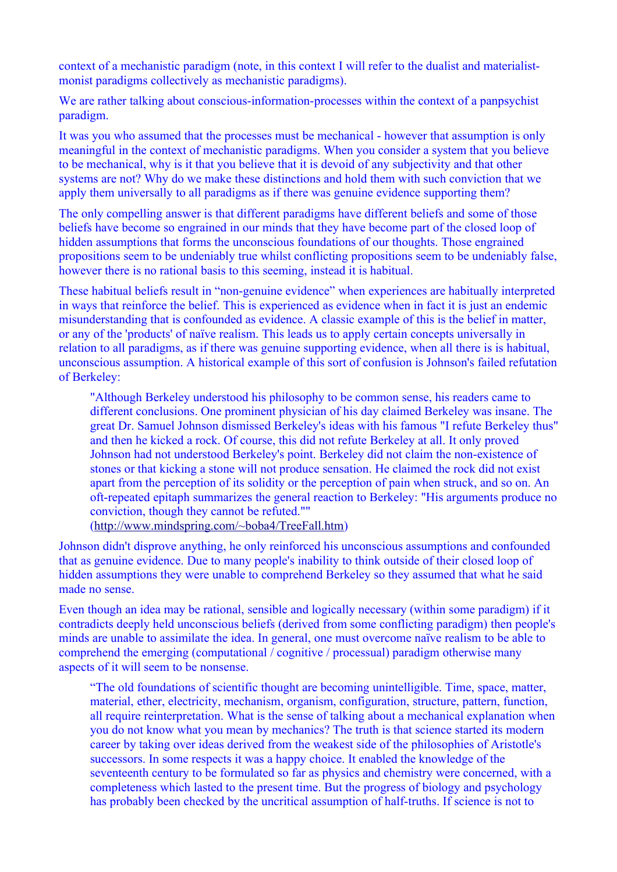context of a mechanistic paradigm (note, in this context I will refer to the dualist and materialistmonist paradigms collectively as mechanistic paradigms).

We are rather talking about conscious-information-processes within the context of a panpsychist paradigm.

It was you who assumed that the processes must be mechanical - however that assumption is only meaningful in the context of mechanistic paradigms. When you consider a system that you believe to be mechanical, why is it that you believe that it is devoid of any subjectivity and that other systems are not? Why do we make these distinctions and hold them with such conviction that we apply them universally to all paradigms as if there was genuine evidence supporting them?

The only compelling answer is that different paradigms have different beliefs and some of those beliefs have become so engrained in our minds that they have become part of the closed loop of hidden assumptions that forms the unconscious foundations of our thoughts. Those engrained propositions seem to be undeniably true whilst conflicting propositions seem to be undeniably false, however there is no rational basis to this seeming, instead it is habitual.

These habitual beliefs result in "non-genuine evidence" when experiences are habitually interpreted in ways that reinforce the belief. This is experienced as evidence when in fact it is just an endemic misunderstanding that is confounded as evidence. A classic example of this is the belief in matter, or any of the 'products' of naïve realism. This leads us to apply certain concepts universally in relation to all paradigms, as if there was genuine supporting evidence, when all there is is habitual, unconscious assumption. A historical example of this sort of confusion is Johnson's failed refutation of Berkeley:

"Although Berkeley understood his philosophy to be common sense, his readers came to different conclusions. One prominent physician of his day claimed Berkeley was insane. The great Dr. Samuel Johnson dismissed Berkeley's ideas with his famous "I refute Berkeley thus" and then he kicked a rock. Of course, this did not refute Berkeley at all. It only proved Johnson had not understood Berkeley's point. Berkeley did not claim the non-existence of stones or that kicking a stone will not produce sensation. He claimed the rock did not exist apart from the perception of its solidity or the perception of pain when struck, and so on. An oft-repeated epitaph summarizes the general reaction to Berkeley: "His arguments produce no conviction, though they cannot be refuted.""

[\(http://www.mindspring.com/~boba4/TreeFall.htm\)](http://www.mindspring.com/~boba4/TreeFall.htm)

Johnson didn't disprove anything, he only reinforced his unconscious assumptions and confounded that as genuine evidence. Due to many people's inability to think outside of their closed loop of hidden assumptions they were unable to comprehend Berkeley so they assumed that what he said made no sense.

Even though an idea may be rational, sensible and logically necessary (within some paradigm) if it contradicts deeply held unconscious beliefs (derived from some conflicting paradigm) then people's minds are unable to assimilate the idea. In general, one must overcome naïve realism to be able to comprehend the emerging (computational / cognitive / processual) paradigm otherwise many aspects of it will seem to be nonsense.

"The old foundations of scientific thought are becoming unintelligible. Time, space, matter, material, ether, electricity, mechanism, organism, configuration, structure, pattern, function, all require reinterpretation. What is the sense of talking about a mechanical explanation when you do not know what you mean by mechanics? The truth is that science started its modern career by taking over ideas derived from the weakest side of the philosophies of Aristotle's successors. In some respects it was a happy choice. It enabled the knowledge of the seventeenth century to be formulated so far as physics and chemistry were concerned, with a completeness which lasted to the present time. But the progress of biology and psychology has probably been checked by the uncritical assumption of half-truths. If science is not to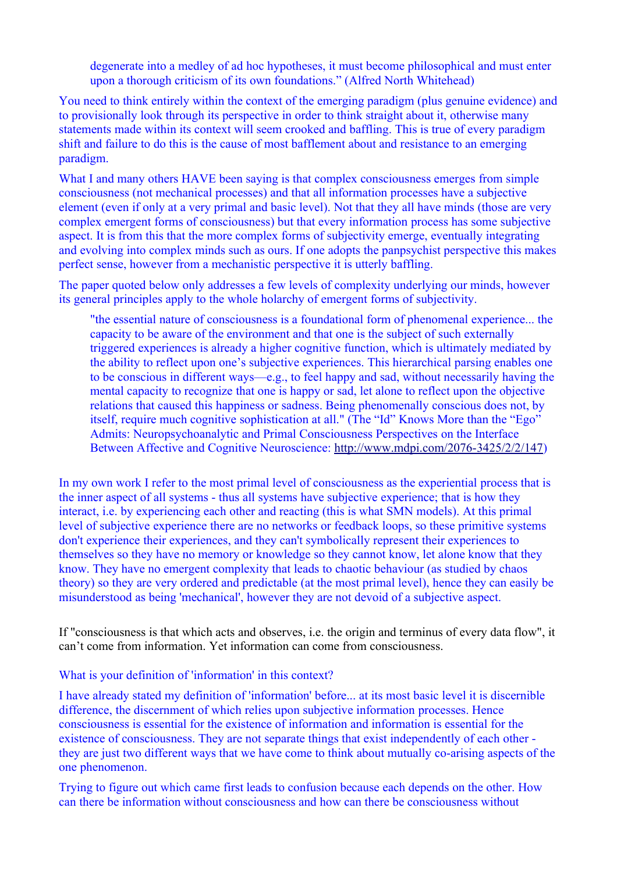degenerate into a medley of ad hoc hypotheses, it must become philosophical and must enter upon a thorough criticism of its own foundations." (Alfred North Whitehead)

You need to think entirely within the context of the emerging paradigm (plus genuine evidence) and to provisionally look through its perspective in order to think straight about it, otherwise many statements made within its context will seem crooked and baffling. This is true of every paradigm shift and failure to do this is the cause of most bafflement about and resistance to an emerging paradigm.

What I and many others HAVE been saying is that complex consciousness emerges from simple consciousness (not mechanical processes) and that all information processes have a subjective element (even if only at a very primal and basic level). Not that they all have minds (those are very complex emergent forms of consciousness) but that every information process has some subjective aspect. It is from this that the more complex forms of subjectivity emerge, eventually integrating and evolving into complex minds such as ours. If one adopts the panpsychist perspective this makes perfect sense, however from a mechanistic perspective it is utterly baffling.

The paper quoted below only addresses a few levels of complexity underlying our minds, however its general principles apply to the whole holarchy of emergent forms of subjectivity.

"the essential nature of consciousness is a foundational form of phenomenal experience... the capacity to be aware of the environment and that one is the subject of such externally triggered experiences is already a higher cognitive function, which is ultimately mediated by the ability to reflect upon one's subjective experiences. This hierarchical parsing enables one to be conscious in different ways—e.g., to feel happy and sad, without necessarily having the mental capacity to recognize that one is happy or sad, let alone to reflect upon the objective relations that caused this happiness or sadness. Being phenomenally conscious does not, by itself, require much cognitive sophistication at all." (The "Id" Knows More than the "Ego" Admits: Neuropsychoanalytic and Primal Consciousness Perspectives on the Interface Between Affective and Cognitive Neuroscience: [http://www.mdpi.com/2076-3425/2/2/147\)](http://www.mdpi.com/2076-3425/2/2/147)

In my own work I refer to the most primal level of consciousness as the experiential process that is the inner aspect of all systems - thus all systems have subjective experience; that is how they interact, i.e. by experiencing each other and reacting (this is what SMN models). At this primal level of subjective experience there are no networks or feedback loops, so these primitive systems don't experience their experiences, and they can't symbolically represent their experiences to themselves so they have no memory or knowledge so they cannot know, let alone know that they know. They have no emergent complexity that leads to chaotic behaviour (as studied by chaos theory) so they are very ordered and predictable (at the most primal level), hence they can easily be misunderstood as being 'mechanical', however they are not devoid of a subjective aspect.

If "consciousness is that which acts and observes, i.e. the origin and terminus of every data flow", it can't come from information. Yet information can come from consciousness.

#### What is your definition of 'information' in this context?

I have already stated my definition of 'information' before... at its most basic level it is discernible difference, the discernment of which relies upon subjective information processes. Hence consciousness is essential for the existence of information and information is essential for the existence of consciousness. They are not separate things that exist independently of each other they are just two different ways that we have come to think about mutually co-arising aspects of the one phenomenon.

Trying to figure out which came first leads to confusion because each depends on the other. How can there be information without consciousness and how can there be consciousness without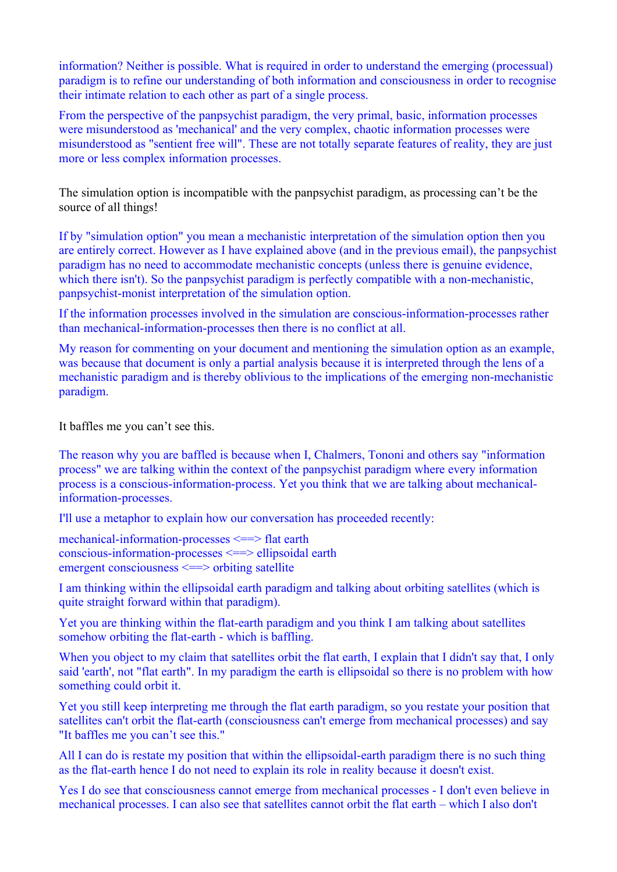information? Neither is possible. What is required in order to understand the emerging (processual) paradigm is to refine our understanding of both information and consciousness in order to recognise their intimate relation to each other as part of a single process.

From the perspective of the panpsychist paradigm, the very primal, basic, information processes were misunderstood as 'mechanical' and the very complex, chaotic information processes were misunderstood as "sentient free will". These are not totally separate features of reality, they are just more or less complex information processes.

The simulation option is incompatible with the panpsychist paradigm, as processing can't be the source of all things!

If by "simulation option" you mean a mechanistic interpretation of the simulation option then you are entirely correct. However as I have explained above (and in the previous email), the panpsychist paradigm has no need to accommodate mechanistic concepts (unless there is genuine evidence, which there isn't). So the panpsychist paradigm is perfectly compatible with a non-mechanistic, panpsychist-monist interpretation of the simulation option.

If the information processes involved in the simulation are conscious-information-processes rather than mechanical-information-processes then there is no conflict at all.

My reason for commenting on your document and mentioning the simulation option as an example, was because that document is only a partial analysis because it is interpreted through the lens of a mechanistic paradigm and is thereby oblivious to the implications of the emerging non-mechanistic paradigm.

It baffles me you can't see this.

The reason why you are baffled is because when I, Chalmers, Tononi and others say "information process" we are talking within the context of the panpsychist paradigm where every information process is a conscious-information-process. Yet you think that we are talking about mechanicalinformation-processes.

I'll use a metaphor to explain how our conversation has proceeded recently:

mechanical-information-processes <==> flat earth conscious-information-processes <==> ellipsoidal earth emergent consciousness <==> orbiting satellite

I am thinking within the ellipsoidal earth paradigm and talking about orbiting satellites (which is quite straight forward within that paradigm).

Yet you are thinking within the flat-earth paradigm and you think I am talking about satellites somehow orbiting the flat-earth - which is baffling.

When you object to my claim that satellites orbit the flat earth, I explain that I didn't say that, I only said 'earth', not "flat earth". In my paradigm the earth is ellipsoidal so there is no problem with how something could orbit it.

Yet you still keep interpreting me through the flat earth paradigm, so you restate your position that satellites can't orbit the flat-earth (consciousness can't emerge from mechanical processes) and say "It baffles me you can't see this."

All I can do is restate my position that within the ellipsoidal-earth paradigm there is no such thing as the flat-earth hence I do not need to explain its role in reality because it doesn't exist.

Yes I do see that consciousness cannot emerge from mechanical processes - I don't even believe in mechanical processes. I can also see that satellites cannot orbit the flat earth – which I also don't